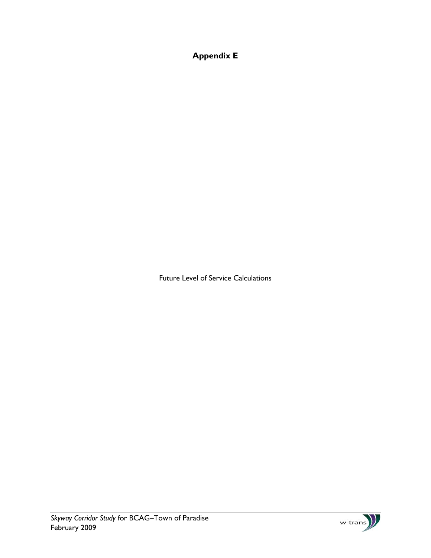## **Appendix E**

Future Level of Service Calculations

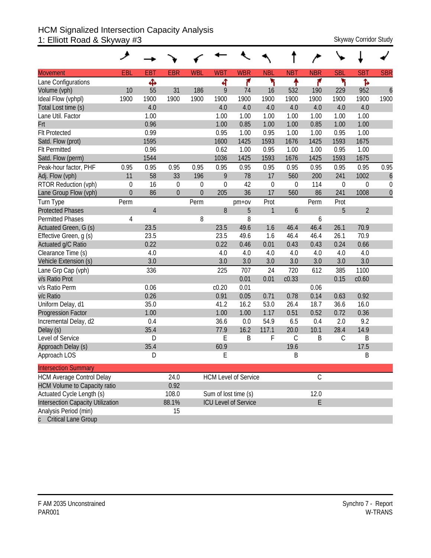#### HCM Signalized Intersection Capacity Analysis 1: Elliott Road & Skyway #3 Skyway Corridor Study Skyway Corridor Study

| <b>Movement</b>                     | EBL         | <b>EBT</b>     | <b>EBR</b>     | <b>WBL</b>   | <b>WBT</b>  | <b>WBR</b>                  | <b>NBL</b>   | <b>NBT</b>  | <b>NBR</b>    | <b>SBL</b>       | <b>SBT</b>     | <b>SBR</b>       |
|-------------------------------------|-------------|----------------|----------------|--------------|-------------|-----------------------------|--------------|-------------|---------------|------------------|----------------|------------------|
| Lane Configurations                 |             | Ф              |                |              | 4           | ۴                           | ۲            | ቶ           | ۴             | ۲                | Ъ              |                  |
| Volume (vph)                        | 10          | 55             | 31             | 186          | 9           | 74                          | 16           | 532         | 190           | 229              | 952            | $\boldsymbol{6}$ |
| Ideal Flow (vphpl)                  | 1900        | 1900           | 1900           | 1900         | 1900        | 1900                        | 1900         | 1900        | 1900          | 1900             | 1900           | 1900             |
| Total Lost time (s)                 |             | 4.0            |                |              | 4.0         | 4.0                         | 4.0          | 4.0         | 4.0           | 4.0              | 4.0            |                  |
| Lane Util. Factor                   |             | 1.00           |                |              | 1.00        | 1.00                        | 1.00         | 1.00        | 1.00          | 1.00             | 1.00           |                  |
| Frt                                 |             | 0.96           |                |              | 1.00        | 0.85                        | 1.00         | 1.00        | 0.85          | 1.00             | 1.00           |                  |
| <b>Flt Protected</b>                |             | 0.99           |                |              | 0.95        | 1.00                        | 0.95         | 1.00        | 1.00          | 0.95             | 1.00           |                  |
| Satd. Flow (prot)                   |             | 1595           |                |              | 1600        | 1425                        | 1593         | 1676        | 1425          | 1593             | 1675           |                  |
| <b>Flt Permitted</b>                |             | 0.96           |                |              | 0.62        | 1.00                        | 0.95         | 1.00        | 1.00          | 0.95             | 1.00           |                  |
| Satd. Flow (perm)                   |             | 1544           |                |              | 1036        | 1425                        | 1593         | 1676        | 1425          | 1593             | 1675           |                  |
| Peak-hour factor, PHF               | 0.95        | 0.95           | 0.95           | 0.95         | 0.95        | 0.95                        | 0.95         | 0.95        | 0.95          | 0.95             | 0.95           | 0.95             |
| Adj. Flow (vph)                     | 11          | 58             | 33             | 196          | 9           | 78                          | 17           | 560         | 200           | 241              | 1002           | 6                |
| RTOR Reduction (vph)                | $\mathbf 0$ | 16             | $\mathbf 0$    | 0            | $\mathbf 0$ | 42                          | $\mathbf 0$  | $\mathbf 0$ | 114           | $\boldsymbol{0}$ | 0              | $\mathbf 0$      |
| Lane Group Flow (vph)               | $\Omega$    | 86             | $\overline{0}$ | $\mathbf{0}$ | 205         | 36                          | 17           | 560         | 86            | 241              | 1008           | $\mathbf{0}$     |
| Turn Type                           | Perm        |                |                | Perm         |             | pm+ov                       | Prot         |             | Perm          | Prot             |                |                  |
| <b>Protected Phases</b>             |             | $\overline{4}$ |                |              | 8           | 5                           | $\mathbf{1}$ | 6           |               | 5                | $\overline{2}$ |                  |
| <b>Permitted Phases</b>             | 4           |                |                | 8            |             | 8                           |              |             | 6             |                  |                |                  |
| Actuated Green, G (s)               |             | 23.5           |                |              | 23.5        | 49.6                        | 1.6          | 46.4        | 46.4          | 26.1             | 70.9           |                  |
| Effective Green, g (s)              |             | 23.5           |                |              | 23.5        | 49.6                        | 1.6          | 46.4        | 46.4          | 26.1             | 70.9           |                  |
| Actuated g/C Ratio                  |             | 0.22           |                |              | 0.22        | 0.46                        | 0.01         | 0.43        | 0.43          | 0.24             | 0.66           |                  |
| Clearance Time (s)                  |             | 4.0            |                |              | 4.0         | 4.0                         | 4.0          | 4.0         | 4.0           | 4.0              | 4.0            |                  |
| Vehicle Extension (s)               |             | 3.0            |                |              | 3.0         | 3.0                         | 3.0          | 3.0         | 3.0           | 3.0              | 3.0            |                  |
| Lane Grp Cap (vph)                  |             | 336            |                |              | 225         | 707                         | 24           | 720         | 612           | 385              | 1100           |                  |
| v/s Ratio Prot                      |             |                |                |              |             | 0.01                        | 0.01         | c0.33       |               | 0.15             | c0.60          |                  |
| v/s Ratio Perm                      |             | 0.06           |                |              | c0.20       | 0.01                        |              |             | 0.06          |                  |                |                  |
| v/c Ratio                           |             | 0.26           |                |              | 0.91        | 0.05                        | 0.71         | 0.78        | 0.14          | 0.63             | 0.92           |                  |
| Uniform Delay, d1                   |             | 35.0           |                |              | 41.2        | 16.2                        | 53.0         | 26.4        | 18.7          | 36.6             | 16.0           |                  |
| <b>Progression Factor</b>           |             | 1.00           |                |              | 1.00        | 1.00                        | 1.17         | 0.51        | 0.52          | 0.72             | 0.36           |                  |
| Incremental Delay, d2               |             | 0.4            |                |              | 36.6        | 0.0                         | 54.9         | 6.5         | 0.4           | 2.0              | 9.2            |                  |
| Delay (s)                           |             | 35.4           |                |              | 77.9        | 16.2                        | 117.1        | 20.0        | 10.1          | 28.4             | 14.9           |                  |
| Level of Service                    |             | D              |                |              | E           | B                           | F            | $\mathsf C$ | B             | $\mathsf C$      | Β              |                  |
| Approach Delay (s)                  |             | 35.4           |                |              | 60.9        |                             |              | 19.6        |               |                  | 17.5           |                  |
| Approach LOS                        |             | D              |                |              | E           |                             |              | B           |               |                  | Β              |                  |
| <b>Intersection Summary</b>         |             |                |                |              |             |                             |              |             |               |                  |                |                  |
| <b>HCM Average Control Delay</b>    |             |                | 24.0           |              |             | <b>HCM Level of Service</b> |              |             | $\mathcal{C}$ |                  |                |                  |
| <b>HCM Volume to Capacity ratio</b> |             |                | 0.92           |              |             |                             |              |             |               |                  |                |                  |
| Actuated Cycle Length (s)           |             |                | 108.0          |              |             | Sum of lost time (s)        |              |             | 12.0          |                  |                |                  |
| Intersection Capacity Utilization   |             |                | 88.1%          |              |             | ICU Level of Service        |              |             | E             |                  |                |                  |
| Analysis Period (min)               |             |                | 15             |              |             |                             |              |             |               |                  |                |                  |
| c Critical Lane Group               |             |                |                |              |             |                             |              |             |               |                  |                |                  |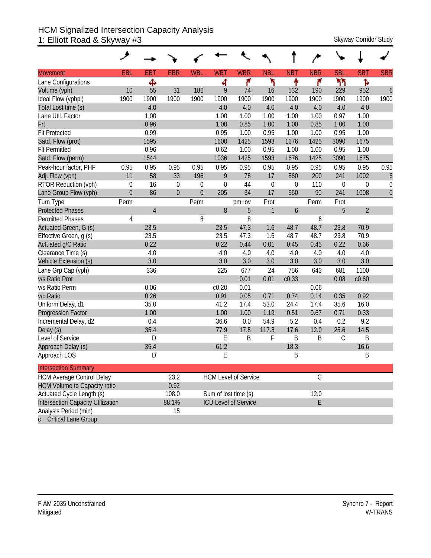#### HCM Signalized Intersection Capacity Analysis 1: Elliott Road & Skyway #3 Skyway Corridor Study Skyway Corridor Study

| <b>Movement</b>                     | EBL         | <b>EBT</b>     | <b>EBR</b>     | <b>WBL</b>  | <b>WBT</b>  | <b>WBR</b>                  | <b>NBL</b>   | <b>NBT</b>       | <b>NBR</b>    | <b>SBL</b>    | <b>SBT</b>     | <b>SBR</b>       |
|-------------------------------------|-------------|----------------|----------------|-------------|-------------|-----------------------------|--------------|------------------|---------------|---------------|----------------|------------------|
| Lane Configurations                 |             | Ф              |                |             | 4           | ۴                           | ۲            | ↟                | ۴             | ካካ            | ħ              |                  |
| Volume (vph)                        | 10          | 55             | 31             | 186         | 9           | 74                          | 16           | 532              | 190           | 229           | 952            | $\boldsymbol{6}$ |
| Ideal Flow (vphpl)                  | 1900        | 1900           | 1900           | 1900        | 1900        | 1900                        | 1900         | 1900             | 1900          | 1900          | 1900           | 1900             |
| Total Lost time (s)                 |             | 4.0            |                |             | 4.0         | 4.0                         | 4.0          | 4.0              | 4.0           | 4.0           | 4.0            |                  |
| Lane Util. Factor                   |             | 1.00           |                |             | 1.00        | 1.00                        | 1.00         | 1.00             | 1.00          | 0.97          | 1.00           |                  |
| Frt                                 |             | 0.96           |                |             | 1.00        | 0.85                        | 1.00         | 1.00             | 0.85          | 1.00          | 1.00           |                  |
| <b>Flt Protected</b>                |             | 0.99           |                |             | 0.95        | 1.00                        | 0.95         | 1.00             | 1.00          | 0.95          | 1.00           |                  |
| Satd. Flow (prot)                   |             | 1595           |                |             | 1600        | 1425                        | 1593         | 1676             | 1425          | 3090          | 1675           |                  |
| <b>Flt Permitted</b>                |             | 0.96           |                |             | 0.62        | 1.00                        | 0.95         | 1.00             | 1.00          | 0.95          | 1.00           |                  |
| Satd. Flow (perm)                   |             | 1544           |                |             | 1036        | 1425                        | 1593         | 1676             | 1425          | 3090          | 1675           |                  |
| Peak-hour factor, PHF               | 0.95        | 0.95           | 0.95           | 0.95        | 0.95        | 0.95                        | 0.95         | 0.95             | 0.95          | 0.95          | 0.95           | 0.95             |
| Adj. Flow (vph)                     | 11          | 58             | 33             | 196         | 9           | 78                          | 17           | 560              | 200           | 241           | 1002           | 6                |
| RTOR Reduction (vph)                | $\mathbf 0$ | 16             | $\mathbf 0$    | 0           | $\mathbf 0$ | 44                          | $\mathbf 0$  | 0                | 110           | 0             | 0              | 0                |
| Lane Group Flow (vph)               | $\theta$    | 86             | $\overline{0}$ | $\mathbf 0$ | 205         | 34                          | 17           | 560              | 90            | 241           | 1008           | $\overline{0}$   |
| Turn Type                           | Perm        |                |                | Perm        |             | $pm+ov$                     | Prot         |                  | Perm          | Prot          |                |                  |
| <b>Protected Phases</b>             |             | $\overline{4}$ |                |             | 8           | 5                           | $\mathbf{1}$ | $\boldsymbol{6}$ |               | 5             | $\overline{2}$ |                  |
| <b>Permitted Phases</b>             | 4           |                |                | 8           |             | 8                           |              |                  | 6             |               |                |                  |
| Actuated Green, G (s)               |             | 23.5           |                |             | 23.5        | 47.3                        | 1.6          | 48.7             | 48.7          | 23.8          | 70.9           |                  |
| Effective Green, g (s)              |             | 23.5           |                |             | 23.5        | 47.3                        | 1.6          | 48.7             | 48.7          | 23.8          | 70.9           |                  |
| Actuated g/C Ratio                  |             | 0.22           |                |             | 0.22        | 0.44                        | 0.01         | 0.45             | 0.45          | 0.22          | 0.66           |                  |
| Clearance Time (s)                  |             | 4.0            |                |             | 4.0         | 4.0                         | 4.0          | 4.0              | 4.0           | 4.0           | 4.0            |                  |
| Vehicle Extension (s)               |             | 3.0            |                |             | 3.0         | 3.0                         | 3.0          | 3.0              | 3.0           | 3.0           | 3.0            |                  |
| Lane Grp Cap (vph)                  |             | 336            |                |             | 225         | 677                         | 24           | 756              | 643           | 681           | 1100           |                  |
| v/s Ratio Prot                      |             |                |                |             |             | 0.01                        | 0.01         | c0.33            |               | 0.08          | c0.60          |                  |
| v/s Ratio Perm                      |             | 0.06           |                |             | c0.20       | 0.01                        |              |                  | 0.06          |               |                |                  |
| v/c Ratio                           |             | 0.26           |                |             | 0.91        | 0.05                        | 0.71         | 0.74             | 0.14          | 0.35          | 0.92           |                  |
| Uniform Delay, d1                   |             | 35.0           |                |             | 41.2        | 17.4                        | 53.0         | 24.4             | 17.4          | 35.6          | 16.0           |                  |
| <b>Progression Factor</b>           |             | 1.00           |                |             | 1.00        | 1.00                        | 1.19         | 0.51             | 0.67          | 0.71          | 0.33           |                  |
| Incremental Delay, d2               |             | 0.4            |                |             | 36.6        | 0.0                         | 54.9         | 5.2              | 0.4           | 0.2           | 9.2            |                  |
| Delay (s)                           |             | 35.4           |                |             | 77.9        | 17.5                        | 117.8        | 17.6             | 12.0          | 25.6          | 14.5           |                  |
| Level of Service                    |             | D              |                |             | E           | Β                           | F            | B                | B             | $\mathcal{C}$ | B              |                  |
| Approach Delay (s)                  |             | 35.4           |                |             | 61.2        |                             |              | 18.3             |               |               | 16.6           |                  |
| Approach LOS                        |             | D              |                |             | E           |                             |              | B                |               |               | Β              |                  |
| <b>Intersection Summary</b>         |             |                |                |             |             |                             |              |                  |               |               |                |                  |
| <b>HCM Average Control Delay</b>    |             |                | 23.2           |             |             | <b>HCM Level of Service</b> |              |                  | $\mathcal{C}$ |               |                |                  |
| <b>HCM Volume to Capacity ratio</b> |             |                | 0.92           |             |             |                             |              |                  |               |               |                |                  |
| Actuated Cycle Length (s)           |             |                | 108.0          |             |             | Sum of lost time (s)        |              |                  | 12.0          |               |                |                  |
| Intersection Capacity Utilization   |             |                | 88.1%          |             |             | ICU Level of Service        |              |                  | E             |               |                |                  |
| Analysis Period (min)               |             |                | 15             |             |             |                             |              |                  |               |               |                |                  |
| c Critical Lane Group               |             |                |                |             |             |                             |              |                  |               |               |                |                  |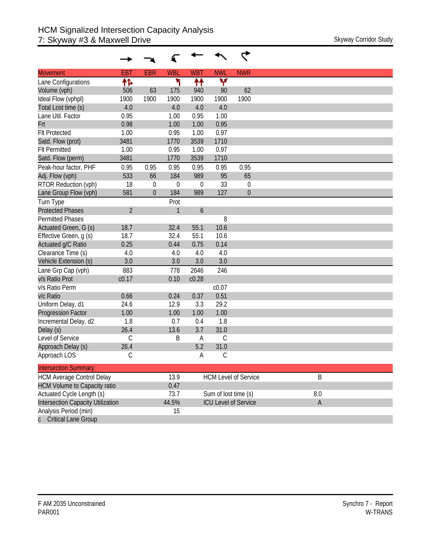| <b>Movement</b>                          | <b>EBT</b>     | <b>EBR</b>  | <b>WBL</b>     | <b>WBT</b>       | <b>NWL</b>           | <b>NWR</b>                  |  |
|------------------------------------------|----------------|-------------|----------------|------------------|----------------------|-----------------------------|--|
| Lane Configurations                      | 怍              |             | ۲              | ↟↟               | v                    |                             |  |
| Volume (vph)                             | 506            | 63          | 175            | 940              | 90                   | 62                          |  |
| Ideal Flow (vphpl)                       | 1900           | 1900        | 1900           | 1900             | 1900                 | 1900                        |  |
| Total Lost time (s)                      | 4.0            |             | 4.0            | 4.0              | 4.0                  |                             |  |
| Lane Util. Factor                        | 0.95           |             | 1.00           | 0.95             | 1.00                 |                             |  |
| Frt                                      | 0.98           |             | 1.00           | 1.00             | 0.95                 |                             |  |
| <b>Flt Protected</b>                     | 1.00           |             | 0.95           | 1.00             | 0.97                 |                             |  |
| Satd. Flow (prot)                        | 3481           |             | 1770           | 3539             | 1710                 |                             |  |
| <b>Flt Permitted</b>                     | 1.00           |             | 0.95           | 1.00             | 0.97                 |                             |  |
| Satd. Flow (perm)                        | 3481           |             | 1770           | 3539             | 1710                 |                             |  |
| Peak-hour factor, PHF                    | 0.95           | 0.95        | 0.95           | 0.95             | 0.95                 | 0.95                        |  |
| Adj. Flow (vph)                          | 533            | 66          | 184            | 989              | 95                   | 65                          |  |
| RTOR Reduction (vph)                     | 18             | $\mathbf 0$ | $\overline{0}$ | $\mathbf 0$      | 33                   | $\theta$                    |  |
| Lane Group Flow (vph)                    | 581            | $\mathbf 0$ | 184            | 989              | 127                  | $\boldsymbol{0}$            |  |
| Turn Type                                |                |             | Prot           |                  |                      |                             |  |
| <b>Protected Phases</b>                  | $\overline{2}$ |             | $\mathbf{1}$   | $\boldsymbol{6}$ |                      |                             |  |
| <b>Permitted Phases</b>                  |                |             |                |                  | 8                    |                             |  |
| Actuated Green, G (s)                    | 18.7           |             | 32.4           | 55.1             | 10.6                 |                             |  |
| Effective Green, g (s)                   | 18.7           |             | 32.4           | 55.1             | 10.6                 |                             |  |
| Actuated g/C Ratio                       | 0.25           |             | 0.44           | 0.75             | 0.14                 |                             |  |
| Clearance Time (s)                       | 4.0            |             | 4.0            | 4.0              | 4.0                  |                             |  |
| Vehicle Extension (s)                    | 3.0            |             | 3.0            | 3.0              | 3.0                  |                             |  |
| Lane Grp Cap (vph)                       | 883            |             | 778            | 2646             | 246                  |                             |  |
| v/s Ratio Prot                           | c0.17          |             | 0.10           | c0.28            |                      |                             |  |
| v/s Ratio Perm                           |                |             |                |                  | c0.07                |                             |  |
| v/c Ratio                                | 0.66           |             | 0.24           | 0.37             | 0.51                 |                             |  |
| Uniform Delay, d1                        | 24.6           |             | 12.9           | 3.3              | 29.2                 |                             |  |
| Progression Factor                       | 1.00           |             | 1.00           | 1.00             | 1.00                 |                             |  |
| Incremental Delay, d2                    | 1.8            |             | 0.7            | 0.4              | 1.8                  |                             |  |
| Delay (s)                                | 26.4           |             | 13.6           | 3.7              | 31.0                 |                             |  |
| Level of Service                         | $\mathsf C$    |             | B              | A                | $\mathsf{C}$         |                             |  |
| Approach Delay (s)                       | 26.4           |             |                | 5.2              | 31.0                 |                             |  |
| Approach LOS                             | С              |             |                | А                | С                    |                             |  |
| <b>Intersection Summary</b>              |                |             |                |                  |                      |                             |  |
| <b>HCM Average Control Delay</b>         |                |             | 13.9           |                  |                      | <b>HCM Level of Service</b> |  |
| <b>HCM Volume to Capacity ratio</b>      |                |             | 0.47           |                  |                      |                             |  |
| Actuated Cycle Length (s)                |                |             | 73.7           |                  | Sum of lost time (s) |                             |  |
| <b>Intersection Capacity Utilization</b> |                |             | 44.5%          |                  |                      | <b>ICU Level of Service</b> |  |
| Analysis Period (min)                    |                |             | 15             |                  |                      |                             |  |
| <b>Critical Lane Group</b>               |                |             |                |                  |                      |                             |  |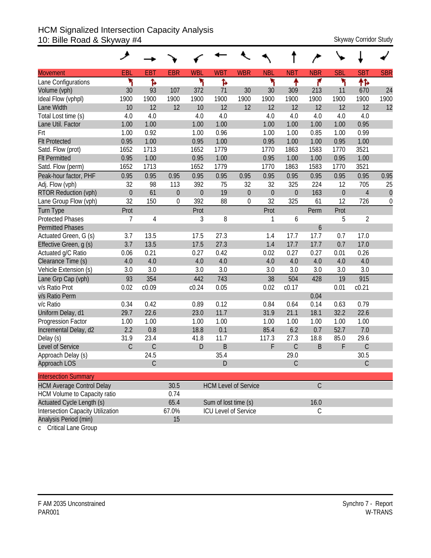### HCM Signalized Intersection Capacity Analysis 10: Bille Road & Skyway #4 Skyway 2011 Skyway Corridor Study

|                                          | ۶           |               |                  |            |                      |                             |             |                  |                |                  |                |                  |
|------------------------------------------|-------------|---------------|------------------|------------|----------------------|-----------------------------|-------------|------------------|----------------|------------------|----------------|------------------|
| <b>Movement</b>                          | EBL         | <b>EBT</b>    | <b>EBR</b>       | <b>WBL</b> | <b>WBT</b>           | <b>WBR</b>                  | <b>NBL</b>  | <b>NBT</b>       | <b>NBR</b>     | <b>SBL</b>       | <b>SBT</b>     | <b>SBR</b>       |
| Lane Configurations                      | ۲           | ħ             |                  | ۳          | Ъ                    |                             | ۲           | ↟                | ۴              | ۲                | 怍              |                  |
| Volume (vph)                             | 30          | 93            | 107              | 372        | 71                   | 30                          | 30          | 309              | 213            | 11               | 670            | 24               |
| Ideal Flow (vphpl)                       | 1900        | 1900          | 1900             | 1900       | 1900                 | 1900                        | 1900        | 1900             | 1900           | 1900             | 1900           | 1900             |
| Lane Width                               | 10          | 12            | 12               | 10         | 12                   | 12                          | 12          | 12               | 12             | 12               | 12             | 12               |
| Total Lost time (s)                      | 4.0         | 4.0           |                  | 4.0        | 4.0                  |                             | 4.0         | 4.0              | 4.0            | 4.0              | 4.0            |                  |
| Lane Util. Factor                        | 1.00        | 1.00          |                  | 1.00       | 1.00                 |                             | 1.00        | 1.00             | 1.00           | 1.00             | 0.95           |                  |
| Frt                                      | 1.00        | 0.92          |                  | 1.00       | 0.96                 |                             | 1.00        | 1.00             | 0.85           | 1.00             | 0.99           |                  |
| <b>Flt Protected</b>                     | 0.95        | 1.00          |                  | 0.95       | 1.00                 |                             | 0.95        | 1.00             | 1.00           | 0.95             | 1.00           |                  |
| Satd. Flow (prot)                        | 1652        | 1713          |                  | 1652       | 1779                 |                             | 1770        | 1863             | 1583           | 1770             | 3521           |                  |
| <b>Flt Permitted</b>                     | 0.95        | 1.00          |                  | 0.95       | 1.00                 |                             | 0.95        | 1.00             | 1.00           | 0.95             | 1.00           |                  |
| Satd. Flow (perm)                        | 1652        | 1713          |                  | 1652       | 1779                 |                             | 1770        | 1863             | 1583           | 1770             | 3521           |                  |
| Peak-hour factor, PHF                    | 0.95        | 0.95          | 0.95             | 0.95       | 0.95                 | 0.95                        | 0.95        | 0.95             | 0.95           | 0.95             | 0.95           | 0.95             |
| Adj. Flow (vph)                          | 32          | 98            | 113              | 392        | 75                   | 32                          | 32          | 325              | 224            | 12               | 705            | 25               |
| RTOR Reduction (vph)                     | $\mathbf 0$ | 61            | $\boldsymbol{0}$ | $\theta$   | 19                   | $\boldsymbol{0}$            | $\mathbf 0$ | $\boldsymbol{0}$ | 163            | $\boldsymbol{0}$ | $\overline{4}$ | $\boldsymbol{0}$ |
| Lane Group Flow (vph)                    | 32          | 150           | 0                | 392        | 88                   | $\boldsymbol{0}$            | 32          | 325              | 61             | 12               | 726            | 0                |
| Turn Type                                | Prot        |               |                  | Prot       |                      |                             | Prot        |                  | Perm           | Prot             |                |                  |
| <b>Protected Phases</b>                  | 7           | 4             |                  | 3          | 8                    |                             | 1           | 6                |                | 5                | $\overline{2}$ |                  |
| <b>Permitted Phases</b>                  |             |               |                  |            |                      |                             |             |                  | 6              |                  |                |                  |
| Actuated Green, G (s)                    | 3.7         | 13.5          |                  | 17.5       | 27.3                 |                             | 1.4         | 17.7             | 17.7           | 0.7              | 17.0           |                  |
| Effective Green, g (s)                   | 3.7         | 13.5          |                  | 17.5       | 27.3                 |                             | 1.4         | 17.7             | 17.7           | 0.7              | 17.0           |                  |
| Actuated g/C Ratio                       | 0.06        | 0.21          |                  | 0.27       | 0.42                 |                             | 0.02        | 0.27             | 0.27           | 0.01             | 0.26           |                  |
| Clearance Time (s)                       | 4.0         | 4.0           |                  | 4.0        | 4.0                  |                             | 4.0         | 4.0              | 4.0            | 4.0              | 4.0            |                  |
| Vehicle Extension (s)                    | 3.0         | 3.0           |                  | 3.0        | 3.0                  |                             | 3.0         | 3.0              | 3.0            | 3.0              | 3.0            |                  |
| Lane Grp Cap (vph)                       | 93          | 354           |                  | 442        | 743                  |                             | 38          | 504              | 428            | 19               | 915            |                  |
| v/s Ratio Prot                           | 0.02        | c0.09         |                  | c0.24      | 0.05                 |                             | 0.02        | c0.17            |                | 0.01             | c0.21          |                  |
| v/s Ratio Perm                           |             |               |                  |            |                      |                             |             |                  | 0.04           |                  |                |                  |
| v/c Ratio                                | 0.34        | 0.42          |                  | 0.89       | 0.12                 |                             | 0.84        | 0.64             | 0.14           | 0.63             | 0.79           |                  |
| Uniform Delay, d1                        | 29.7        | 22.6          |                  | 23.0       | 11.7                 |                             | 31.9        | 21.1             | 18.1           | 32.2             | 22.6           |                  |
| Progression Factor                       | 1.00        | 1.00          |                  | 1.00       | 1.00                 |                             | 1.00        | 1.00             | 1.00           | 1.00             | 1.00           |                  |
| Incremental Delay, d2                    | 2.2         | 0.8           |                  | 18.8       | 0.1                  |                             | 85.4        | 6.2              | 0.7            | 52.7             | 7.0            |                  |
| Delay (s)                                | 31.9        | 23.4          |                  | 41.8       | 11.7                 |                             | 117.3       | 27.3             | 18.8           | 85.0             | 29.6           |                  |
| Level of Service                         | $\mathsf C$ | $\mathsf C$   |                  | D          | B                    |                             | F           | С                | B              | F                | $\mathsf C$    |                  |
| Approach Delay (s)                       |             | 24.5          |                  |            | 35.4                 |                             |             | 29.0             |                |                  | 30.5           |                  |
| Approach LOS                             |             | $\mathcal{C}$ |                  |            | $\mathsf{D}$         |                             |             | C                |                |                  | $\mathcal{C}$  |                  |
| <b>Intersection Summary</b>              |             |               |                  |            |                      |                             |             |                  |                |                  |                |                  |
| <b>HCM Average Control Delay</b>         |             |               | 30.5             |            |                      | <b>HCM Level of Service</b> |             |                  | $\overline{C}$ |                  |                |                  |
| HCM Volume to Capacity ratio             |             |               | 0.74             |            |                      |                             |             |                  |                |                  |                |                  |
| Actuated Cycle Length (s)                |             |               | 65.4             |            | Sum of lost time (s) |                             |             |                  | 16.0           |                  |                |                  |
| <b>Intersection Capacity Utilization</b> |             |               | 67.0%            |            |                      | ICU Level of Service        |             |                  | $\mathcal{C}$  |                  |                |                  |
| Analysis Period (min)                    |             |               | 15               |            |                      |                             |             |                  |                |                  |                |                  |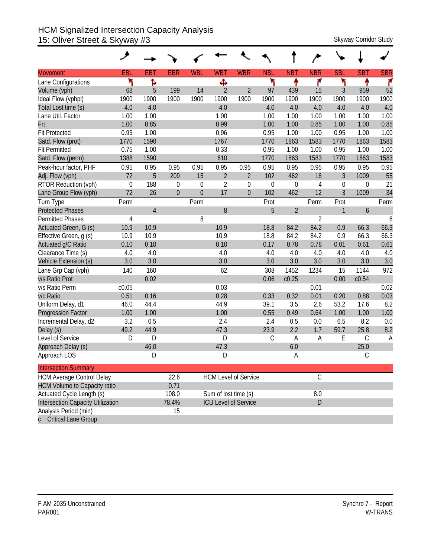#### HCM Signalized Intersection Capacity Analysis 15: Oliver Street & Skyway #3 Skyway Corridor Study

| <b>Movement</b>                          | EBL         | <b>EBT</b>     | <b>EBR</b>     | <b>WBL</b>   | <b>WBT</b>           | <b>WBR</b>                  | <b>NBL</b>    | <b>NBT</b>       | <b>NBR</b>     | <b>SBL</b>       | <b>SBT</b>  | <b>SBR</b> |
|------------------------------------------|-------------|----------------|----------------|--------------|----------------------|-----------------------------|---------------|------------------|----------------|------------------|-------------|------------|
| Lane Configurations                      | ۲           | Ъ              |                |              | ф                    |                             | ኻ             | ቶ                | ۴              | ۲                | ቶ           | ۴          |
| Volume (vph)                             | 68          | 5              | 199            | 14           | $\overline{2}$       | $\overline{2}$              | 97            | 439              | 15             | 3                | 959         | 52         |
| Ideal Flow (vphpl)                       | 1900        | 1900           | 1900           | 1900         | 1900                 | 1900                        | 1900          | 1900             | 1900           | 1900             | 1900        | 1900       |
| Total Lost time (s)                      | 4.0         | 4.0            |                |              | 4.0                  |                             | 4.0           | 4.0              | 4.0            | 4.0              | 4.0         | 4.0        |
| Lane Util. Factor                        | 1.00        | 1.00           |                |              | 1.00                 |                             | 1.00          | 1.00             | 1.00           | 1.00             | 1.00        | 1.00       |
| Frt                                      | 1.00        | 0.85           |                |              | 0.99                 |                             | 1.00          | 1.00             | 0.85           | 1.00             | 1.00        | 0.85       |
| <b>Flt Protected</b>                     | 0.95        | 1.00           |                |              | 0.96                 |                             | 0.95          | 1.00             | 1.00           | 0.95             | 1.00        | 1.00       |
| Satd. Flow (prot)                        | 1770        | 1590           |                |              | 1767                 |                             | 1770          | 1863             | 1583           | 1770             | 1863        | 1583       |
| <b>Flt Permitted</b>                     | 0.75        | 1.00           |                |              | 0.33                 |                             | 0.95          | 1.00             | 1.00           | 0.95             | 1.00        | 1.00       |
| Satd. Flow (perm)                        | 1388        | 1590           |                |              | 610                  |                             | 1770          | 1863             | 1583           | 1770             | 1863        | 1583       |
| Peak-hour factor, PHF                    | 0.95        | 0.95           | 0.95           | 0.95         | 0.95                 | 0.95                        | 0.95          | 0.95             | 0.95           | 0.95             | 0.95        | 0.95       |
| Adj. Flow (vph)                          | 72          | 5              | 209            | 15           | $\overline{2}$       | $\overline{2}$              | 102           | 462              | 16             | $\mathfrak{Z}$   | 1009        | 55         |
| RTOR Reduction (vph)                     | $\mathbf 0$ | 188            | $\theta$       | $\mathbf 0$  | $\overline{2}$       | $\mathbf 0$                 | $\mathbf 0$   | $\boldsymbol{0}$ | 4              | $\boldsymbol{0}$ | 0           | 21         |
| Lane Group Flow (vph)                    | 72          | 26             | $\overline{0}$ | $\mathbf{0}$ | 17                   | $\overline{0}$              | 102           | 462              | 12             | $\overline{3}$   | 1009        | 34         |
| Turn Type                                | Perm        |                |                | Perm         |                      |                             | Prot          |                  | Perm           | Prot             |             | Perm       |
| <b>Protected Phases</b>                  |             | $\overline{4}$ |                |              | 8                    |                             | 5             | $\overline{2}$   |                | 1                | 6           |            |
| <b>Permitted Phases</b>                  | 4           |                |                | 8            |                      |                             |               |                  | $\overline{2}$ |                  |             | 6          |
| Actuated Green, G (s)                    | 10.9        | 10.9           |                |              | 10.9                 |                             | 18.8          | 84.2             | 84.2           | 0.9              | 66.3        | 66.3       |
| Effective Green, g (s)                   | 10.9        | 10.9           |                |              | 10.9                 |                             | 18.8          | 84.2             | 84.2           | 0.9              | 66.3        | 66.3       |
| Actuated g/C Ratio                       | 0.10        | 0.10           |                |              | 0.10                 |                             | 0.17          | 0.78             | 0.78           | 0.01             | 0.61        | 0.61       |
| Clearance Time (s)                       | 4.0         | 4.0            |                |              | 4.0                  |                             | 4.0           | 4.0              | 4.0            | 4.0              | 4.0         | 4.0        |
| Vehicle Extension (s)                    | 3.0         | 3.0            |                |              | 3.0                  |                             | 3.0           | 3.0              | 3.0            | 3.0              | 3.0         | 3.0        |
| Lane Grp Cap (vph)                       | 140         | 160            |                |              | 62                   |                             | 308           | 1452             | 1234           | 15               | 1144        | 972        |
| v/s Ratio Prot                           |             | 0.02           |                |              |                      |                             | 0.06          | c0.25            |                | 0.00             | c0.54       |            |
| v/s Ratio Perm                           | c0.05       |                |                |              | 0.03                 |                             |               |                  | 0.01           |                  |             | 0.02       |
| v/c Ratio                                | 0.51        | 0.16           |                |              | 0.28                 |                             | 0.33          | 0.32             | 0.01           | 0.20             | 0.88        | 0.03       |
| Uniform Delay, d1                        | 46.0        | 44.4           |                |              | 44.9                 |                             | 39.1          | 3.5              | 2.6            | 53.2             | 17.6        | 8.2        |
| <b>Progression Factor</b>                | 1.00        | 1.00           |                |              | 1.00                 |                             | 0.55          | 0.49             | 0.64           | 1.00             | 1.00        | 1.00       |
| Incremental Delay, d2                    | 3.2         | 0.5            |                |              | 2.4                  |                             | 2.4           | 0.5              | 0.0            | 6.5              | 8.2         | 0.0        |
| Delay (s)                                | 49.2        | 44.9           |                |              | 47.3                 |                             | 23.9          | 2.2              | 1.7            | 59.7             | 25.8        | 8.2        |
| Level of Service                         | D           | D              |                |              | D                    |                             | $\mathcal{C}$ | Α                | Α              | E                | $\mathsf C$ | A          |
| Approach Delay (s)                       |             | 46.0           |                |              | 47.3                 |                             |               | 6.0              |                |                  | 25.0        |            |
| Approach LOS                             |             | D              |                |              | D                    |                             |               | Α                |                |                  | $\mathsf C$ |            |
| <b>Intersection Summary</b>              |             |                |                |              |                      |                             |               |                  |                |                  |             |            |
| <b>HCM Average Control Delay</b>         |             |                | 22.6           |              |                      | <b>HCM Level of Service</b> |               |                  | $\mathcal{C}$  |                  |             |            |
| <b>HCM Volume to Capacity ratio</b>      |             |                | 0.71           |              |                      |                             |               |                  |                |                  |             |            |
| Actuated Cycle Length (s)                |             |                | 108.0          |              | Sum of lost time (s) |                             |               |                  | $8.0\,$        |                  |             |            |
| <b>Intersection Capacity Utilization</b> |             |                | 78.4%          |              |                      | <b>ICU Level of Service</b> |               |                  | D              |                  |             |            |
| Analysis Period (min)                    |             |                | 15             |              |                      |                             |               |                  |                |                  |             |            |
| <b>Critical Lane Group</b>               |             |                |                |              |                      |                             |               |                  |                |                  |             |            |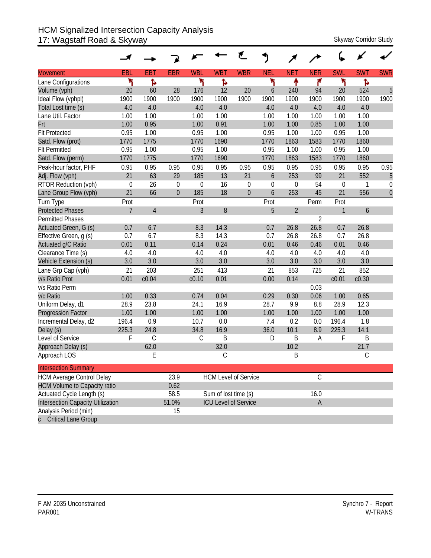## HCM Signalized Intersection Capacity Analysis 17: Wagstaff Road & Skyway Skyway Skyway Corridor Study

|                                     |                |               |                |             |                      | ₹.                          |            |                |                |                   |            |              |
|-------------------------------------|----------------|---------------|----------------|-------------|----------------------|-----------------------------|------------|----------------|----------------|-------------------|------------|--------------|
| <b>Movement</b>                     | EBL            | <b>EBT</b>    | <b>EBR</b>     | <b>WBL</b>  | <b>WBT</b>           | <b>WBR</b>                  | <b>NEL</b> | <b>NET</b>     | <b>NER</b>     | <b>SWL</b>        | <b>SWT</b> | <b>SWR</b>   |
| Lane Configurations                 | ۲              | Ъ             |                | ۲           | ħ                    |                             | ۲          | ቶ              | ۴              | ۳                 | Ъ          |              |
| Volume (vph)                        | 20             | 60            | 28             | 176         | 12                   | 20                          | 6          | 240            | 94             | 20                | 524        | 5            |
| Ideal Flow (vphpl)                  | 1900           | 1900          | 1900           | 1900        | 1900                 | 1900                        | 1900       | 1900           | 1900           | 1900              | 1900       | 1900         |
| Total Lost time (s)                 | 4.0            | 4.0           |                | 4.0         | 4.0                  |                             | 4.0        | 4.0            | 4.0            | 4.0               | 4.0        |              |
| Lane Util. Factor                   | 1.00           | 1.00          |                | 1.00        | 1.00                 |                             | 1.00       | 1.00           | 1.00           | 1.00              | 1.00       |              |
| Frt                                 | 1.00           | 0.95          |                | 1.00        | 0.91                 |                             | 1.00       | 1.00           | 0.85           | 1.00              | 1.00       |              |
| <b>Flt Protected</b>                | 0.95           | 1.00          |                | 0.95        | 1.00                 |                             | 0.95       | 1.00           | 1.00           | 0.95              | 1.00       |              |
| Satd. Flow (prot)                   | 1770           | 1775          |                | 1770        | 1690                 |                             | 1770       | 1863           | 1583           | 1770              | 1860       |              |
| <b>Flt Permitted</b>                | 0.95           | 1.00          |                | 0.95        | 1.00                 |                             | 0.95       | 1.00           | 1.00           | 0.95              | 1.00       |              |
| Satd. Flow (perm)                   | 1770           | 1775          |                | 1770        | 1690                 |                             | 1770       | 1863           | 1583           | 1770              | 1860       |              |
| Peak-hour factor, PHF               | 0.95           | 0.95          | 0.95           | 0.95        | 0.95                 | 0.95                        | 0.95       | 0.95           | 0.95           | 0.95              | 0.95       | 0.95         |
| Adj. Flow (vph)                     | 21             | 63            | 29             | 185         | 13                   | 21                          | 6          | 253            | 99             | 21                | 552        | 5            |
| RTOR Reduction (vph)                | $\mathbf 0$    | 26            | $\mathbf 0$    | $\mathbf 0$ | 16                   | $\mathbf 0$                 | 0          | $\mathbf 0$    | 54             | $\mathbf 0$       | 1          | $\mathbf 0$  |
| Lane Group Flow (vph)               | 21             | 66            | $\overline{0}$ | 185         | 18                   | $\theta$                    | 6          | 253            | 45             | 21                | 556        | $\mathbf{0}$ |
| Turn Type                           | Prot           |               |                | Prot        |                      |                             | Prot       |                | Perm           | Prot              |            |              |
| <b>Protected Phases</b>             | $\overline{7}$ | $\sqrt{4}$    |                | 3           | $8\,$                |                             | 5          | $\overline{2}$ |                | 1                 | 6          |              |
| <b>Permitted Phases</b>             |                |               |                |             |                      |                             |            |                | $\overline{2}$ |                   |            |              |
| Actuated Green, G (s)               | 0.7            | 6.7           |                | 8.3         | 14.3                 |                             | 0.7        | 26.8           | 26.8           | 0.7               | 26.8       |              |
| Effective Green, g (s)              | 0.7            | 6.7           |                | 8.3         | 14.3                 |                             | 0.7        | 26.8           | 26.8           | 0.7               | 26.8       |              |
| Actuated g/C Ratio                  | 0.01           | 0.11          |                | 0.14        | 0.24                 |                             | 0.01       | 0.46           | 0.46           | 0.01              | 0.46       |              |
| Clearance Time (s)                  | 4.0            | 4.0           |                | 4.0         | 4.0                  |                             | 4.0        | 4.0            | 4.0            | 4.0               | 4.0        |              |
| Vehicle Extension (s)               | 3.0            | 3.0           |                | 3.0         | 3.0                  |                             | 3.0        | 3.0            | 3.0            | 3.0               | 3.0        |              |
| Lane Grp Cap (vph)                  | 21             | 203           |                | 251         | 413                  |                             | 21         | 853            | 725            | 21                | 852        |              |
| v/s Ratio Prot                      | 0.01           | c0.04         |                | c0.10       | 0.01                 |                             | 0.00       | 0.14           |                | c <sub>0.01</sub> | c0.30      |              |
| v/s Ratio Perm                      |                |               |                |             |                      |                             |            |                | 0.03           |                   |            |              |
| v/c Ratio                           | 1.00           | 0.33          |                | 0.74        | 0.04                 |                             | 0.29       | 0.30           | 0.06           | 1.00              | 0.65       |              |
| Uniform Delay, d1                   | 28.9           | 23.8          |                | 24.1        | 16.9                 |                             | 28.7       | 9.9            | 8.8            | 28.9              | 12.3       |              |
| <b>Progression Factor</b>           | 1.00           | 1.00          |                | 1.00        | 1.00                 |                             | 1.00       | 1.00           | 1.00           | 1.00              | 1.00       |              |
| Incremental Delay, d2               | 196.4          | 0.9           |                | 10.7        | 0.0                  |                             | 7.4        | 0.2            | 0.0            | 196.4             | 1.8        |              |
| Delay (s)                           | 225.3          | 24.8          |                | 34.8        | 16.9                 |                             | 36.0       | 10.1           | 8.9            | 225.3             | 14.1       |              |
| Level of Service                    | F              | $\mathcal{C}$ |                | $\mathsf C$ | B                    |                             | D          | B              | Α              | F                 | Β          |              |
| Approach Delay (s)                  |                | 62.0          |                |             | 32.0                 |                             |            | 10.2           |                |                   | 21.7       |              |
| Approach LOS                        |                | E             |                |             | С                    |                             |            | B              |                |                   | С          |              |
| <b>Intersection Summary</b>         |                |               |                |             |                      |                             |            |                |                |                   |            |              |
| <b>HCM Average Control Delay</b>    |                |               | 23.9           |             |                      | <b>HCM Level of Service</b> |            |                | $\mathsf C$    |                   |            |              |
| <b>HCM Volume to Capacity ratio</b> |                |               | 0.62           |             |                      |                             |            |                |                |                   |            |              |
| Actuated Cycle Length (s)           |                |               | 58.5           |             | Sum of lost time (s) |                             |            |                | 16.0           |                   |            |              |
| Intersection Capacity Utilization   |                |               | 51.0%          |             |                      | <b>ICU Level of Service</b> |            |                | $\mathsf A$    |                   |            |              |
| Analysis Period (min)               |                |               | 15             |             |                      |                             |            |                |                |                   |            |              |
| c Critical Lane Group               |                |               |                |             |                      |                             |            |                |                |                   |            |              |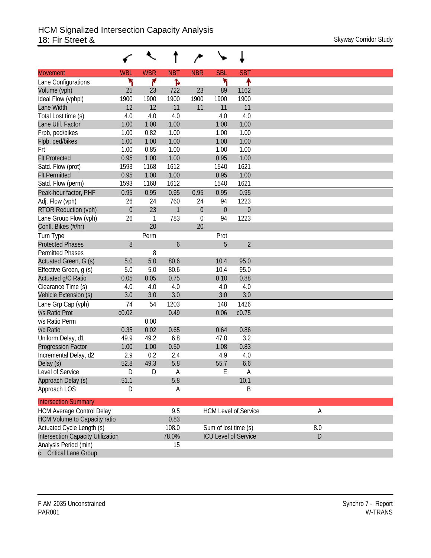|                                     |             | ↖            |              |                  |                      |                             |     |
|-------------------------------------|-------------|--------------|--------------|------------------|----------------------|-----------------------------|-----|
| <b>Movement</b>                     | <b>WBL</b>  | <b>WBR</b>   | <b>NBT</b>   | <b>NBR</b>       | <b>SBL</b>           | <b>SBT</b>                  |     |
| Lane Configurations                 | ۲           | ۴            | Ъ            |                  | ۲                    | ۰                           |     |
| Volume (vph)                        | 25          | 23           | 722          | 23               | 89                   | 1162                        |     |
| Ideal Flow (vphpl)                  | 1900        | 1900         | 1900         | 1900             | 1900                 | 1900                        |     |
| Lane Width                          | 12          | 12           | 11           | 11               | 11                   | 11                          |     |
| Total Lost time (s)                 | 4.0         | 4.0          | 4.0          |                  | 4.0                  | 4.0                         |     |
| Lane Util. Factor                   | 1.00        | 1.00         | 1.00         |                  | 1.00                 | 1.00                        |     |
| Frpb, ped/bikes                     | 1.00        | 0.82         | 1.00         |                  | 1.00                 | 1.00                        |     |
| Flpb, ped/bikes                     | 1.00        | 1.00         | 1.00         |                  | 1.00                 | 1.00                        |     |
| Frt                                 | 1.00        | 0.85         | 1.00         |                  | 1.00                 | 1.00                        |     |
| <b>Flt Protected</b>                | 0.95        | 1.00         | 1.00         |                  | 0.95                 | 1.00                        |     |
| Satd. Flow (prot)                   | 1593        | 1168         | 1612         |                  | 1540                 | 1621                        |     |
| <b>Flt Permitted</b>                | 0.95        | 1.00         | 1.00         |                  | 0.95                 | 1.00                        |     |
| Satd. Flow (perm)                   | 1593        | 1168         | 1612         |                  | 1540                 | 1621                        |     |
| Peak-hour factor, PHF               | 0.95        | 0.95         | 0.95         | 0.95             | 0.95                 | 0.95                        |     |
| Adj. Flow (vph)                     | 26          | 24           | 760          | 24               | 94                   | 1223                        |     |
| <b>RTOR Reduction (vph)</b>         | $\theta$    | 23           | $\mathbf{1}$ | $\boldsymbol{0}$ | $\theta$             | $\boldsymbol{0}$            |     |
| Lane Group Flow (vph)               | 26          | $\mathbf{1}$ | 783          | $\mathbf 0$      | 94                   | 1223                        |     |
| Confl. Bikes (#/hr)                 |             | 20           |              | 20               |                      |                             |     |
| Turn Type                           |             | Perm         |              |                  | Prot                 |                             |     |
| <b>Protected Phases</b>             | 8           |              | 6            |                  | 5                    | $\overline{2}$              |     |
| <b>Permitted Phases</b>             |             | 8            |              |                  |                      |                             |     |
| Actuated Green, G (s)               | 5.0         | 5.0          | 80.6         |                  | 10.4                 | 95.0                        |     |
| Effective Green, g (s)              | 5.0         | 5.0          | 80.6         |                  | 10.4                 | 95.0                        |     |
| Actuated g/C Ratio                  | 0.05        | 0.05         | 0.75         |                  | 0.10                 | 0.88                        |     |
| Clearance Time (s)                  | 4.0         | 4.0          | 4.0          |                  | 4.0                  | 4.0                         |     |
| Vehicle Extension (s)               | 3.0         | 3.0          | 3.0          |                  | 3.0                  | 3.0                         |     |
| Lane Grp Cap (vph)                  | 74          | 54           | 1203         |                  | 148                  | 1426                        |     |
| v/s Ratio Prot                      | c0.02       |              | 0.49         |                  | 0.06                 | c0.75                       |     |
| v/s Ratio Perm                      |             | 0.00         |              |                  |                      |                             |     |
| v/c Ratio                           | 0.35        | 0.02         | 0.65         |                  | 0.64                 | 0.86                        |     |
| Uniform Delay, d1                   | 49.9        | 49.2         | 6.8          |                  | 47.0                 | 3.2                         |     |
| Progression Factor                  | 1.00        | 1.00         | 0.50         |                  | 1.08                 | 0.83                        |     |
| Incremental Delay, d2               | 2.9<br>52.8 | 0.2<br>49.3  | 2.4<br>5.8   |                  | 4.9<br>55.7          | 4.0<br>6.6                  |     |
| Delay (s)<br>Level of Service       | D           | D            | A            |                  | E                    | $\mathsf A$                 |     |
| Approach Delay (s)                  | 51.1        |              | 5.8          |                  |                      | 10.1                        |     |
| Approach LOS                        | D           |              | A            |                  |                      | B                           |     |
|                                     |             |              |              |                  |                      |                             |     |
| <b>Intersection Summary</b>         |             |              |              |                  |                      |                             |     |
| <b>HCM Average Control Delay</b>    |             |              | 9.5          |                  |                      | <b>HCM Level of Service</b> | Α   |
| <b>HCM Volume to Capacity ratio</b> |             |              | 0.83         |                  |                      |                             |     |
| Actuated Cycle Length (s)           |             |              | 108.0        |                  | Sum of lost time (s) |                             | 8.0 |
| Intersection Capacity Utilization   |             |              | 78.0%        |                  |                      | <b>ICU Level of Service</b> | D   |
| Analysis Period (min)               |             |              | 15           |                  |                      |                             |     |
| <b>Critical Lane Group</b>          |             |              |              |                  |                      |                             |     |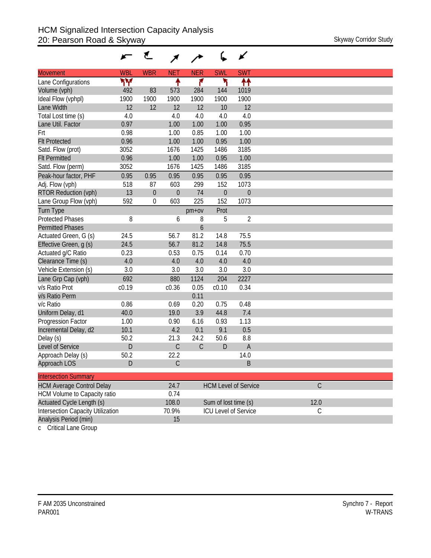|                                          |            | ₹           |               |             |                      | ∡                           |                |
|------------------------------------------|------------|-------------|---------------|-------------|----------------------|-----------------------------|----------------|
| <b>Movement</b>                          | <b>WBL</b> | <b>WBR</b>  | <b>NET</b>    | <b>NER</b>  | <b>SWL</b>           | <b>SWT</b>                  |                |
| Lane Configurations                      | ۳Μ         |             | ↟             | ۴           | ۲                    | ↟↟                          |                |
| Volume (vph)                             | 492        | 83          | 573           | 284         | 144                  | 1019                        |                |
| Ideal Flow (vphpl)                       | 1900       | 1900        | 1900          | 1900        | 1900                 | 1900                        |                |
| Lane Width                               | 12         | 12          | 12            | 12          | 10                   | 12                          |                |
| Total Lost time (s)                      | 4.0        |             | 4.0           | 4.0         | 4.0                  | 4.0                         |                |
| Lane Util. Factor                        | 0.97       |             | 1.00          | 1.00        | 1.00                 | 0.95                        |                |
| Frt                                      | 0.98       |             | 1.00          | 0.85        | 1.00                 | 1.00                        |                |
| <b>Flt Protected</b>                     | 0.96       |             | 1.00          | 1.00        | 0.95                 | 1.00                        |                |
| Satd. Flow (prot)                        | 3052       |             | 1676          | 1425        | 1486                 | 3185                        |                |
| <b>Flt Permitted</b>                     | 0.96       |             | 1.00          | 1.00        | 0.95                 | 1.00                        |                |
| Satd. Flow (perm)                        | 3052       |             | 1676          | 1425        | 1486                 | 3185                        |                |
| Peak-hour factor, PHF                    | 0.95       | 0.95        | 0.95          | 0.95        | 0.95                 | 0.95                        |                |
| Adj. Flow (vph)                          | 518        | 87          | 603           | 299         | 152                  | 1073                        |                |
| <b>RTOR Reduction (vph)</b>              | 13         | $\mathbf 0$ | $\theta$      | 74          | $\theta$             | $\mathbf{0}$                |                |
| Lane Group Flow (vph)                    | 592        | 0           | 603           | 225         | 152                  | 1073                        |                |
| <b>Turn Type</b>                         |            |             |               | pm+ov       | Prot                 |                             |                |
| <b>Protected Phases</b>                  | 8          |             | 6             | 8           | 5                    | $\overline{2}$              |                |
| <b>Permitted Phases</b>                  |            |             |               | 6           |                      |                             |                |
| Actuated Green, G (s)                    | 24.5       |             | 56.7          | 81.2        | 14.8                 | 75.5                        |                |
| Effective Green, q (s)                   | 24.5       |             | 56.7          | 81.2        | 14.8                 | 75.5                        |                |
| Actuated g/C Ratio                       | 0.23       |             | 0.53          | 0.75        | 0.14                 | 0.70                        |                |
| Clearance Time (s)                       | 4.0        |             | 4.0           | 4.0         | 4.0                  | 4.0                         |                |
| Vehicle Extension (s)                    | 3.0        |             | 3.0           | 3.0         | 3.0                  | 3.0                         |                |
| Lane Grp Cap (vph)                       | 692        |             | 880           | 1124        | 204                  | 2227                        |                |
| v/s Ratio Prot                           | c0.19      |             | c0.36         | 0.05        | c0.10                | 0.34                        |                |
| v/s Ratio Perm                           |            |             |               | 0.11        |                      |                             |                |
| v/c Ratio                                | 0.86       |             | 0.69          | 0.20        | 0.75                 | 0.48                        |                |
| Uniform Delay, d1                        | 40.0       |             | 19.0          | 3.9         | 44.8                 | 7.4                         |                |
| Progression Factor                       | 1.00       |             | 0.90          | 6.16        | 0.93                 | 1.13                        |                |
| Incremental Delay, d2                    | 10.1       |             | 4.2           | 0.1         | 9.1                  | 0.5                         |                |
| Delay (s)                                | 50.2       |             | 21.3          | 24.2        | 50.6                 | 8.8                         |                |
| Level of Service                         | D          |             | $\mathsf C$   | $\mathsf C$ | D                    | $\overline{A}$              |                |
| Approach Delay (s)                       | 50.2       |             | 22.2          |             |                      | 14.0                        |                |
| Approach LOS                             | D          |             | $\mathcal{C}$ |             |                      | B                           |                |
| <b>Intersection Summary</b>              |            |             |               |             |                      |                             |                |
| <b>HCM Average Control Delay</b>         |            |             | 24.7          |             |                      | <b>HCM Level of Service</b> | $\overline{C}$ |
| HCM Volume to Capacity ratio             |            |             | 0.74          |             |                      |                             |                |
| Actuated Cycle Length (s)                |            |             | 108.0         |             | Sum of lost time (s) |                             | 12.0           |
| <b>Intersection Capacity Utilization</b> |            |             | 70.9%         |             |                      | <b>ICU Level of Service</b> | $\mathsf C$    |
| Analysis Period (min)                    |            |             | 15            |             |                      |                             |                |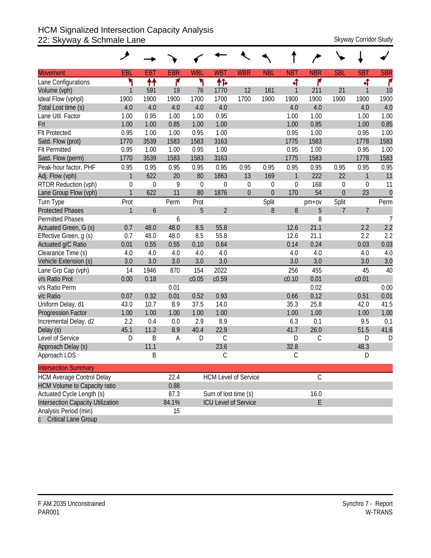## HCM Signalized Intersection Capacity Analysis 22: Skyway & Schmale Lane Skyway Corridor Study

|                                     | ۶            |             |            |            |                      |                             |                |               |               |                |                   |                |
|-------------------------------------|--------------|-------------|------------|------------|----------------------|-----------------------------|----------------|---------------|---------------|----------------|-------------------|----------------|
| <b>Movement</b>                     | EBL          | <b>EBT</b>  | <b>EBR</b> | <b>WBL</b> | <b>WBT</b>           | <b>WBR</b>                  | <b>NBL</b>     | <b>NBT</b>    | <b>NBR</b>    | <b>SBL</b>     | <b>SBT</b>        | <b>SBR</b>     |
| Lane Configurations                 | ۲            | ↟↟          | ۴          | ۲          | ቶኈ                   |                             |                | 4             | ۴             |                | 4                 | ۴              |
| Volume (vph)                        | $\mathbf{1}$ | 591         | 19         | 76         | 1770                 | 12                          | 161            | 1             | 211           | 21             | $\mathbf{1}$      | 10             |
| Ideal Flow (vphpl)                  | 1900         | 1900        | 1900       | 1700       | 1700                 | 1700                        | 1900           | 1900          | 1900          | 1900           | 1900              | 1900           |
| Total Lost time (s)                 | 4.0          | 4.0         | 4.0        | 4.0        | 4.0                  |                             |                | 4.0           | 4.0           |                | 4.0               | 4.0            |
| Lane Util. Factor                   | 1.00         | 0.95        | 1.00       | 1.00       | 0.95                 |                             |                | 1.00          | 1.00          |                | 1.00              | 1.00           |
| Frt                                 | 1.00         | 1.00        | 0.85       | 1.00       | 1.00                 |                             |                | 1.00          | 0.85          |                | 1.00              | 0.85           |
| <b>Flt Protected</b>                | 0.95         | 1.00        | 1.00       | 0.95       | 1.00                 |                             |                | 0.95          | 1.00          |                | 0.95              | 1.00           |
| Satd. Flow (prot)                   | 1770         | 3539        | 1583       | 1583       | 3163                 |                             |                | 1775          | 1583          |                | 1778              | 1583           |
| <b>Flt Permitted</b>                | 0.95         | 1.00        | 1.00       | 0.95       | 1.00                 |                             |                | 0.95          | 1.00          |                | 0.95              | 1.00           |
| Satd. Flow (perm)                   | 1770         | 3539        | 1583       | 1583       | 3163                 |                             |                | 1775          | 1583          |                | 1778              | 1583           |
| Peak-hour factor, PHF               | 0.95         | 0.95        | 0.95       | 0.95       | 0.95                 | 0.95                        | 0.95           | 0.95          | 0.95          | 0.95           | 0.95              | 0.95           |
| Adj. Flow (vph)                     | $\mathbf{1}$ | 622         | 20         | 80         | 1863                 | 13                          | 169            | $\mathbf{1}$  | 222           | 22             | $\mathbf{1}$      | 11             |
| RTOR Reduction (vph)                | $\mathbf 0$  | $\mathbf 0$ | 9          | 0          | $\theta$             | $\boldsymbol{0}$            | $\mathbf 0$    | $\mathbf 0$   | 168           | $\mathbf 0$    | 0                 | 11             |
| Lane Group Flow (vph)               | $\mathbf{1}$ | 622         | 11         | 80         | 1876                 | $\overline{0}$              | $\overline{0}$ | 170           | 54            | $\overline{0}$ | 23                | $\mathbf 0$    |
| Turn Type                           | Prot         |             | Perm       | Prot       |                      |                             | Split          |               | $pm+ov$       | Split          |                   | Perm           |
| <b>Protected Phases</b>             | $\mathbf{1}$ | 6           |            | 5          | $\overline{2}$       |                             | 8              | 8             | 5             | 7              | $\overline{7}$    |                |
| Permitted Phases                    |              |             | 6          |            |                      |                             |                |               | 8             |                |                   | $\overline{7}$ |
| Actuated Green, G (s)               | 0.7          | 48.0        | 48.0       | 8.5        | 55.8                 |                             |                | 12.6          | 21.1          |                | 2.2               | 2.2            |
| Effective Green, g (s)              | 0.7          | 48.0        | 48.0       | 8.5        | 55.8                 |                             |                | 12.6          | 21.1          |                | 2.2               | 2.2            |
| Actuated g/C Ratio                  | 0.01         | 0.55        | 0.55       | 0.10       | 0.64                 |                             |                | 0.14          | 0.24          |                | 0.03              | 0.03           |
| Clearance Time (s)                  | 4.0          | 4.0         | 4.0        | 4.0        | 4.0                  |                             |                | 4.0           | 4.0           |                | 4.0               | 4.0            |
| Vehicle Extension (s)               | 3.0          | 3.0         | 3.0        | 3.0        | 3.0                  |                             |                | 3.0           | 3.0           |                | 3.0               | 3.0            |
| Lane Grp Cap (vph)                  | 14           | 1946        | 870        | 154        | 2022                 |                             |                | 256           | 455           |                | 45                | 40             |
| v/s Ratio Prot                      | 0.00         | 0.18        |            | c0.05      | c0.59                |                             |                | c0.10         | 0.01          |                | c <sub>0.01</sub> |                |
| v/s Ratio Perm                      |              |             | 0.01       |            |                      |                             |                |               | 0.02          |                |                   | 0.00           |
| v/c Ratio                           | 0.07         | 0.32        | 0.01       | 0.52       | 0.93                 |                             |                | 0.66          | 0.12          |                | 0.51              | 0.01           |
| Uniform Delay, d1                   | 43.0         | 10.7        | 8.9        | 37.5       | 14.0                 |                             |                | 35.3          | 25.8          |                | 42.0              | 41.5           |
| <b>Progression Factor</b>           | 1.00         | 1.00        | 1.00       | 1.00       | 1.00                 |                             |                | 1.00          | 1.00          |                | 1.00              | 1.00           |
| Incremental Delay, d2               | 2.2          | 0.4         | 0.0        | 2.9        | 8.9                  |                             |                | 6.3           | 0.1           |                | 9.5               | 0.1            |
| Delay (s)                           | 45.1         | 11.2        | 8.9        | 40.4       | 22.9                 |                             |                | 41.7          | 26.0          |                | 51.5              | 41.6           |
| Level of Service                    | D            | B           | A          | D          | C                    |                             |                | D             | $\mathsf C$   |                | D                 | D              |
| Approach Delay (s)                  |              | 11.1        |            |            | 23.6                 |                             |                | 32.8          |               |                | 48.3              |                |
| Approach LOS                        |              | Β           |            |            | С                    |                             |                | $\mathcal{C}$ |               |                | D                 |                |
| <b>Intersection Summary</b>         |              |             |            |            |                      |                             |                |               |               |                |                   |                |
| <b>HCM Average Control Delay</b>    |              |             | 22.4       |            |                      | <b>HCM Level of Service</b> |                |               | $\mathcal{C}$ |                |                   |                |
| <b>HCM Volume to Capacity ratio</b> |              |             | 0.88       |            |                      |                             |                |               |               |                |                   |                |
| Actuated Cycle Length (s)           |              |             | 87.3       |            | Sum of lost time (s) |                             |                |               | 16.0          |                |                   |                |
| Intersection Capacity Utilization   |              |             | 84.1%      |            |                      | <b>ICU Level of Service</b> |                |               | E             |                |                   |                |
| Analysis Period (min)               |              |             | 15         |            |                      |                             |                |               |               |                |                   |                |
| <b>Critical Lane Group</b>          |              |             |            |            |                      |                             |                |               |               |                |                   |                |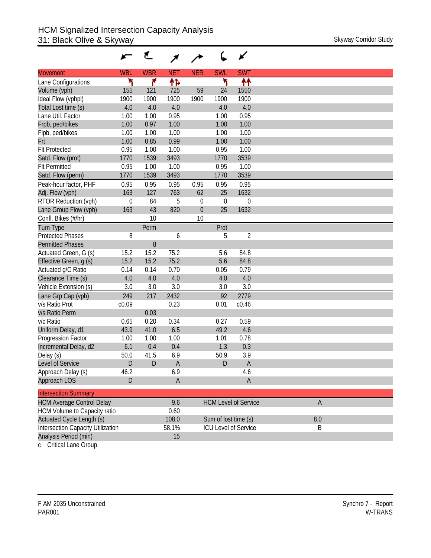|                                          |                  | €           |             |             |                      | ✔                           |  |
|------------------------------------------|------------------|-------------|-------------|-------------|----------------------|-----------------------------|--|
| <b>Movement</b>                          | <b>WBL</b>       | <b>WBR</b>  | <b>NET</b>  | <b>NER</b>  | <b>SWL</b>           | <b>SWT</b>                  |  |
| Lane Configurations                      | ۲                | ۴           | ተኈ          |             | ۲                    | ↟↟                          |  |
| Volume (vph)                             | 155              | 121         | 725         | 59          | 24                   | 1550                        |  |
| Ideal Flow (vphpl)                       | 1900             | 1900        | 1900        | 1900        | 1900                 | 1900                        |  |
| Total Lost time (s)                      | 4.0              | 4.0         | 4.0         |             | 4.0                  | 4.0                         |  |
| Lane Util. Factor                        | 1.00             | 1.00        | 0.95        |             | 1.00                 | 0.95                        |  |
| Frpb, ped/bikes                          | 1.00             | 0.97        | 1.00        |             | 1.00                 | 1.00                        |  |
| Flpb, ped/bikes                          | 1.00             | 1.00        | 1.00        |             | 1.00                 | 1.00                        |  |
| Frt                                      | 1.00             | 0.85        | 0.99        |             | 1.00                 | 1.00                        |  |
| <b>FIt Protected</b>                     | 0.95             | 1.00        | 1.00        |             | 0.95                 | 1.00                        |  |
| Satd. Flow (prot)                        | 1770             | 1539        | 3493        |             | 1770                 | 3539                        |  |
| <b>Flt Permitted</b>                     | 0.95             | 1.00        | 1.00        |             | 0.95                 | 1.00                        |  |
| Satd. Flow (perm)                        | 1770             | 1539        | 3493        |             | 1770                 | 3539                        |  |
| Peak-hour factor, PHF                    | 0.95             | 0.95        | 0.95        | 0.95        | 0.95                 | 0.95                        |  |
| Adj. Flow (vph)                          | 163              | 127         | 763         | 62          | 25                   | 1632                        |  |
| RTOR Reduction (vph)                     | $\boldsymbol{0}$ | 84          | 5           | 0           | $\mathbf 0$          | 0                           |  |
| Lane Group Flow (vph)                    | 163              | 43          | 820         | $\mathbf 0$ | 25                   | 1632                        |  |
| Confl. Bikes (#/hr)                      |                  | 10          |             | 10          |                      |                             |  |
| <b>Turn Type</b>                         |                  | Perm        |             |             | Prot                 |                             |  |
| <b>Protected Phases</b>                  | 8                |             | 6           |             | 5                    | $\overline{2}$              |  |
| <b>Permitted Phases</b>                  |                  | 8           |             |             |                      |                             |  |
| Actuated Green, G (s)                    | 15.2             | 15.2        | 75.2        |             | 5.6                  | 84.8                        |  |
| Effective Green, g (s)                   | 15.2             | 15.2        | 75.2        |             | 5.6                  | 84.8                        |  |
| Actuated g/C Ratio                       | 0.14             | 0.14        | 0.70        |             | 0.05                 | 0.79                        |  |
| Clearance Time (s)                       | 4.0              | 4.0         | 4.0         |             | 4.0                  | 4.0                         |  |
| Vehicle Extension (s)                    | 3.0              | 3.0         | 3.0         |             | 3.0                  | 3.0                         |  |
| Lane Grp Cap (vph)                       | 249              | 217         | 2432        |             | 92                   | 2779                        |  |
| v/s Ratio Prot                           | c0.09            |             | 0.23        |             | 0.01                 | c0.46                       |  |
| v/s Ratio Perm                           |                  | 0.03        |             |             |                      |                             |  |
| v/c Ratio                                | 0.65             | 0.20        | 0.34        |             | 0.27                 | 0.59                        |  |
| Uniform Delay, d1                        | 43.9             | 41.0        | 6.5         |             | 49.2                 | 4.6                         |  |
| Progression Factor                       | 1.00             | 1.00        | 1.00        |             | 1.01                 | 0.78                        |  |
| Incremental Delay, d2                    | 6.1              | 0.4         | 0.4         |             | 1.3                  | 0.3                         |  |
| Delay (s)                                | 50.0             | 41.5        | 6.9         |             | 50.9                 | 3.9                         |  |
| Level of Service                         | D                | $\mathsf D$ | $\mathsf A$ |             | D                    | $\mathsf A$                 |  |
| Approach Delay (s)                       | 46.2             |             | 6.9         |             |                      | 4.6                         |  |
| Approach LOS                             | D                |             | $\mathsf A$ |             |                      | $\mathsf{A}$                |  |
| <b>Intersection Summary</b>              |                  |             |             |             |                      |                             |  |
| <b>HCM Average Control Delay</b>         |                  |             | 9.6         |             |                      | <b>HCM Level of Service</b> |  |
| <b>HCM Volume to Capacity ratio</b>      |                  |             | 0.60        |             |                      |                             |  |
| Actuated Cycle Length (s)                |                  |             | 108.0       |             | Sum of lost time (s) |                             |  |
| <b>Intersection Capacity Utilization</b> |                  |             | 58.1%       |             |                      | <b>ICU Level of Service</b> |  |
| Analysis Period (min)                    |                  |             | 15          |             |                      |                             |  |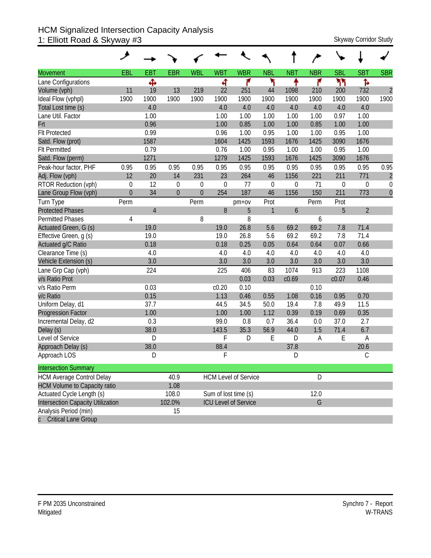#### HCM Signalized Intersection Capacity Analysis 1: Elliott Road & Skyway #3 Skyway Corridor Study Skyway Corridor Study

| <b>Movement</b>                          | EBL              | <b>EBT</b>     | <b>EBR</b>       | <b>WBL</b>     | <b>WBT</b>  | <b>WBR</b>                  | <b>NBL</b>   | <b>NBT</b> | <b>NBR</b> | <b>SBL</b>  | <b>SBT</b>     | <b>SBR</b>     |
|------------------------------------------|------------------|----------------|------------------|----------------|-------------|-----------------------------|--------------|------------|------------|-------------|----------------|----------------|
| Lane Configurations                      |                  | Ф              |                  |                | 4           | ۴                           | ۲            | ↟          | ۴          | ካነ          | Ъ              |                |
| Volume (vph)                             | 11               | 19             | 13               | 219            | 22          | 251                         | 44           | 1098       | 210        | 200         | 732            | $\overline{c}$ |
| Ideal Flow (vphpl)                       | 1900             | 1900           | 1900             | 1900           | 1900        | 1900                        | 1900         | 1900       | 1900       | 1900        | 1900           | 1900           |
| Total Lost time (s)                      |                  | 4.0            |                  |                | 4.0         | 4.0                         | 4.0          | 4.0        | 4.0        | 4.0         | 4.0            |                |
| Lane Util. Factor                        |                  | 1.00           |                  |                | 1.00        | 1.00                        | 1.00         | 1.00       | 1.00       | 0.97        | 1.00           |                |
| Frt                                      |                  | 0.96           |                  |                | 1.00        | 0.85                        | 1.00         | 1.00       | 0.85       | 1.00        | 1.00           |                |
| <b>Flt Protected</b>                     |                  | 0.99           |                  |                | 0.96        | 1.00                        | 0.95         | 1.00       | 1.00       | 0.95        | 1.00           |                |
| Satd. Flow (prot)                        |                  | 1587           |                  |                | 1604        | 1425                        | 1593         | 1676       | 1425       | 3090        | 1676           |                |
| <b>Flt Permitted</b>                     |                  | 0.79           |                  |                | 0.76        | 1.00                        | 0.95         | 1.00       | 1.00       | 0.95        | 1.00           |                |
| Satd. Flow (perm)                        |                  | 1271           |                  |                | 1279        | 1425                        | 1593         | 1676       | 1425       | 3090        | 1676           |                |
| Peak-hour factor, PHF                    | 0.95             | 0.95           | 0.95             | 0.95           | 0.95        | 0.95                        | 0.95         | 0.95       | 0.95       | 0.95        | 0.95           | 0.95           |
| Adj. Flow (vph)                          | 12               | 20             | 14               | 231            | 23          | 264                         | 46           | 1156       | 221        | 211         | 771            | $\overline{c}$ |
| RTOR Reduction (vph)                     | $\boldsymbol{0}$ | 12             | $\boldsymbol{0}$ | $\theta$       | $\mathbf 0$ | 77                          | $\mathbf 0$  | 0          | 71         | $\mathbf 0$ | $\mathbf 0$    | $\mathbf 0$    |
| Lane Group Flow (vph)                    | $\mathbf{0}$     | 34             | $\overline{0}$   | $\overline{0}$ | 254         | 187                         | 46           | 1156       | 150        | 211         | 773            | $\overline{0}$ |
| Turn Type                                | Perm             |                |                  | Perm           |             | $pm+ov$                     | Prot         |            | Perm       | Prot        |                |                |
| <b>Protected Phases</b>                  |                  | $\overline{4}$ |                  |                | 8           | 5                           | $\mathbf{1}$ | 6          |            | 5           | $\overline{2}$ |                |
| <b>Permitted Phases</b>                  | 4                |                |                  | 8              |             | 8                           |              |            | 6          |             |                |                |
| Actuated Green, G (s)                    |                  | 19.0           |                  |                | 19.0        | 26.8                        | 5.6          | 69.2       | 69.2       | 7.8         | 71.4           |                |
| Effective Green, g (s)                   |                  | 19.0           |                  |                | 19.0        | 26.8                        | 5.6          | 69.2       | 69.2       | 7.8         | 71.4           |                |
| Actuated g/C Ratio                       |                  | 0.18           |                  |                | 0.18        | 0.25                        | 0.05         | 0.64       | 0.64       | 0.07        | 0.66           |                |
| Clearance Time (s)                       |                  | 4.0            |                  |                | 4.0         | 4.0                         | 4.0          | 4.0        | 4.0        | 4.0         | 4.0            |                |
| Vehicle Extension (s)                    |                  | 3.0            |                  |                | 3.0         | 3.0                         | 3.0          | 3.0        | 3.0        | 3.0         | 3.0            |                |
| Lane Grp Cap (vph)                       |                  | 224            |                  |                | 225         | 406                         | 83           | 1074       | 913        | 223         | 1108           |                |
| v/s Ratio Prot                           |                  |                |                  |                |             | 0.03                        | 0.03         | c0.69      |            | c0.07       | 0.46           |                |
| v/s Ratio Perm                           |                  | 0.03           |                  |                | c0.20       | 0.10                        |              |            | 0.10       |             |                |                |
| v/c Ratio                                |                  | 0.15           |                  |                | 1.13        | 0.46                        | 0.55         | 1.08       | 0.16       | 0.95        | 0.70           |                |
| Uniform Delay, d1                        |                  | 37.7           |                  |                | 44.5        | 34.5                        | 50.0         | 19.4       | 7.8        | 49.9        | 11.5           |                |
| <b>Progression Factor</b>                |                  | 1.00           |                  |                | 1.00        | 1.00                        | 1.12         | 0.39       | 0.19       | 0.69        | 0.35           |                |
| Incremental Delay, d2                    |                  | 0.3            |                  |                | 99.0        | 0.8                         | 0.7          | 36.4       | 0.0        | 37.0        | 2.7            |                |
| Delay (s)                                |                  | 38.0           |                  |                | 143.5       | 35.3                        | 56.9         | 44.0       | 1.5        | 71.4        | 6.7            |                |
| Level of Service                         |                  | D              |                  |                | F           | D                           | E            | D          | Α          | E           | A              |                |
| Approach Delay (s)                       |                  | 38.0           |                  |                | 88.4        |                             |              | 37.8       |            |             | 20.6           |                |
| Approach LOS                             |                  | D              |                  |                | F           |                             |              | D          |            |             | $\mathcal{C}$  |                |
| <b>Intersection Summary</b>              |                  |                |                  |                |             |                             |              |            |            |             |                |                |
| <b>HCM Average Control Delay</b>         |                  |                | 40.9             |                |             | <b>HCM Level of Service</b> |              |            | D          |             |                |                |
| <b>HCM Volume to Capacity ratio</b>      |                  |                | 1.08             |                |             |                             |              |            |            |             |                |                |
| Actuated Cycle Length (s)                |                  |                | 108.0            |                |             | Sum of lost time (s)        |              |            | 12.0       |             |                |                |
| <b>Intersection Capacity Utilization</b> |                  |                | 102.0%           |                |             | <b>ICU Level of Service</b> |              |            | G          |             |                |                |
| Analysis Period (min)                    |                  |                | 15               |                |             |                             |              |            |            |             |                |                |
| c Critical Lane Group                    |                  |                |                  |                |             |                             |              |            |            |             |                |                |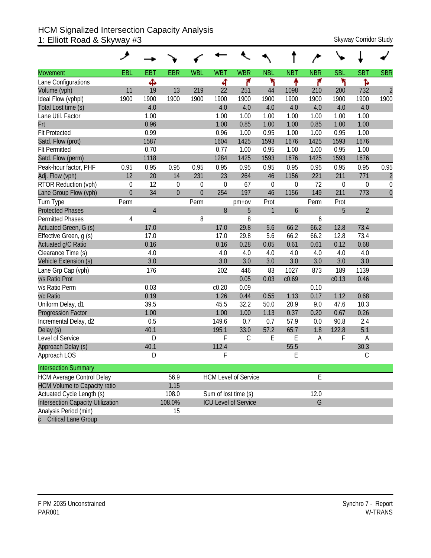#### HCM Signalized Intersection Capacity Analysis 1: Elliott Road & Skyway #3 Skyway Corridor Study Skyway Corridor Study

| <b>Movement</b>                          | <b>EBL</b>     | <b>EBT</b>     | <b>EBR</b>     | <b>WBL</b>     | <b>WBT</b>  | <b>WBR</b>                  | <b>NBL</b>  | <b>NBT</b>        | <b>NBR</b> | <b>SBL</b>       | <b>SBT</b>     | <b>SBR</b>     |
|------------------------------------------|----------------|----------------|----------------|----------------|-------------|-----------------------------|-------------|-------------------|------------|------------------|----------------|----------------|
| Lane Configurations                      |                | Ф              |                |                | 4           | ۴                           | ۲           | ቶ                 | ۴          | ۲                | Ъ              |                |
| Volume (vph)                             | 11             | 19             | 13             | 219            | 22          | 251                         | 44          | 1098              | 210        | 200              | 732            | $\overline{2}$ |
| Ideal Flow (vphpl)                       | 1900           | 1900           | 1900           | 1900           | 1900        | 1900                        | 1900        | 1900              | 1900       | 1900             | 1900           | 1900           |
| Total Lost time (s)                      |                | 4.0            |                |                | 4.0         | 4.0                         | 4.0         | 4.0               | 4.0        | 4.0              | 4.0            |                |
| Lane Util. Factor                        |                | 1.00           |                |                | 1.00        | 1.00                        | 1.00        | 1.00              | 1.00       | 1.00             | 1.00           |                |
| Frt                                      |                | 0.96           |                |                | 1.00        | 0.85                        | 1.00        | 1.00              | 0.85       | 1.00             | 1.00           |                |
| <b>Flt Protected</b>                     |                | 0.99           |                |                | 0.96        | 1.00                        | 0.95        | 1.00              | 1.00       | 0.95             | 1.00           |                |
| Satd. Flow (prot)                        |                | 1587           |                |                | 1604        | 1425                        | 1593        | 1676              | 1425       | 1593             | 1676           |                |
| <b>Flt Permitted</b>                     |                | 0.70           |                |                | 0.77        | 1.00                        | 0.95        | 1.00              | 1.00       | 0.95             | 1.00           |                |
| Satd. Flow (perm)                        |                | 1118           |                |                | 1284        | 1425                        | 1593        | 1676              | 1425       | 1593             | 1676           |                |
| Peak-hour factor, PHF                    | 0.95           | 0.95           | 0.95           | 0.95           | 0.95        | 0.95                        | 0.95        | 0.95              | 0.95       | 0.95             | 0.95           | 0.95           |
| Adj. Flow (vph)                          | 12             | 20             | 14             | 231            | 23          | 264                         | 46          | 1156              | 221        | 211              | 771            | $\overline{c}$ |
| RTOR Reduction (vph)                     | $\mathbf 0$    | 12             | $\mathbf 0$    | $\overline{0}$ | $\mathbf 0$ | 67                          | $\mathbf 0$ | $\theta$          | 72         | $\boldsymbol{0}$ | 0              | $\mathbf 0$    |
| Lane Group Flow (vph)                    | $\overline{0}$ | 34             | $\overline{0}$ | $\overline{0}$ | 254         | 197                         | 46          | 1156              | 149        | 211              | 773            | $\overline{0}$ |
| Turn Type                                | Perm           |                |                | Perm           |             | $pm+ov$                     | Prot        |                   | Perm       | Prot             |                |                |
| <b>Protected Phases</b>                  |                | $\overline{4}$ |                |                | 8           | 5                           | 1           | 6                 |            | 5                | $\overline{2}$ |                |
| Permitted Phases                         | 4              |                |                | 8              |             | 8                           |             |                   | 6          |                  |                |                |
| Actuated Green, G (s)                    |                | 17.0           |                |                | 17.0        | 29.8                        | 5.6         | 66.2              | 66.2       | 12.8             | 73.4           |                |
| Effective Green, g (s)                   |                | 17.0           |                |                | 17.0        | 29.8                        | 5.6         | 66.2              | 66.2       | 12.8             | 73.4           |                |
| Actuated g/C Ratio                       |                | 0.16           |                |                | 0.16        | 0.28                        | 0.05        | 0.61              | 0.61       | 0.12             | 0.68           |                |
| Clearance Time (s)                       |                | 4.0            |                |                | 4.0         | 4.0                         | 4.0         | 4.0               | 4.0        | 4.0              | 4.0            |                |
| Vehicle Extension (s)                    |                | 3.0            |                |                | 3.0         | 3.0                         | 3.0         | 3.0               | 3.0        | 3.0              | 3.0            |                |
| Lane Grp Cap (vph)                       |                | 176            |                |                | 202         | 446                         | 83          | 1027              | 873        | 189              | 1139           |                |
| v/s Ratio Prot                           |                |                |                |                |             | 0.05                        | 0.03        | C <sub>0.69</sub> |            | c0.13            | 0.46           |                |
| v/s Ratio Perm                           |                | 0.03           |                |                | c0.20       | 0.09                        |             |                   | 0.10       |                  |                |                |
| v/c Ratio                                |                | 0.19           |                |                | 1.26        | 0.44                        | 0.55        | 1.13              | 0.17       | 1.12             | 0.68           |                |
| Uniform Delay, d1                        |                | 39.5           |                |                | 45.5        | 32.2                        | 50.0        | 20.9              | 9.0        | 47.6             | 10.3           |                |
| <b>Progression Factor</b>                |                | 1.00           |                |                | 1.00        | 1.00                        | 1.13        | 0.37              | 0.20       | 0.67             | 0.26           |                |
| Incremental Delay, d2                    |                | 0.5            |                |                | 149.6       | 0.7                         | 0.7         | 57.9              | 0.0        | 90.8             | 2.4            |                |
| Delay (s)                                |                | 40.1           |                |                | 195.1       | 33.0                        | 57.2        | 65.7              | 1.8        | 122.8            | 5.1            |                |
| Level of Service                         |                | D              |                |                | F           | $\mathcal{C}$               | E           | E                 | Α          | F                | A              |                |
| Approach Delay (s)                       |                | 40.1           |                |                | 112.4       |                             |             | 55.5              |            |                  | 30.3           |                |
| Approach LOS                             |                | D              |                |                | F           |                             |             | E                 |            |                  | $\mathcal{C}$  |                |
| <b>Intersection Summary</b>              |                |                |                |                |             |                             |             |                   |            |                  |                |                |
| <b>HCM Average Control Delay</b>         |                |                | 56.9           |                |             | <b>HCM Level of Service</b> |             |                   | E          |                  |                |                |
| <b>HCM Volume to Capacity ratio</b>      |                |                | 1.15           |                |             |                             |             |                   |            |                  |                |                |
| Actuated Cycle Length (s)                |                |                | 108.0          |                |             | Sum of lost time (s)        |             |                   | 12.0       |                  |                |                |
| <b>Intersection Capacity Utilization</b> |                |                | 108.0%         |                |             | <b>ICU Level of Service</b> |             |                   | G          |                  |                |                |
| Analysis Period (min)                    |                |                | 15             |                |             |                             |             |                   |            |                  |                |                |
| c Critical Lane Group                    |                |                |                |                |             |                             |             |                   |            |                  |                |                |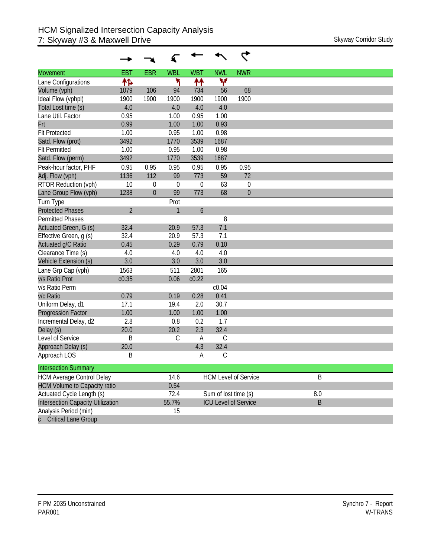| <b>Movement</b>                          | <b>EBT</b>     | <b>EBR</b>   | <b>WBL</b>   | <b>WBT</b>       | <b>NWL</b>           | <b>NWR</b>                  |         |
|------------------------------------------|----------------|--------------|--------------|------------------|----------------------|-----------------------------|---------|
| Lane Configurations                      | ተኈ             |              | ۲            | ↟↟               | ۷                    |                             |         |
| Volume (vph)                             | 1079           | 106          | 94           | 734              | 56                   | 68                          |         |
| Ideal Flow (vphpl)                       | 1900           | 1900         | 1900         | 1900             | 1900                 | 1900                        |         |
| Total Lost time (s)                      | 4.0            |              | 4.0          | 4.0              | 4.0                  |                             |         |
| Lane Util. Factor                        | 0.95           |              | 1.00         | 0.95             | 1.00                 |                             |         |
| Frt                                      | 0.99           |              | 1.00         | 1.00             | 0.93                 |                             |         |
| <b>Flt Protected</b>                     | 1.00           |              | 0.95         | 1.00             | 0.98                 |                             |         |
| Satd. Flow (prot)                        | 3492           |              | 1770         | 3539             | 1687                 |                             |         |
| <b>Flt Permitted</b>                     | 1.00           |              | 0.95         | 1.00             | 0.98                 |                             |         |
| Satd. Flow (perm)                        | 3492           |              | 1770         | 3539             | 1687                 |                             |         |
| Peak-hour factor, PHF                    | 0.95           | 0.95         | 0.95         | 0.95             | 0.95                 | 0.95                        |         |
| Adj. Flow (vph)                          | 1136           | 112          | 99           | 773              | 59                   | 72                          |         |
| RTOR Reduction (vph)                     | 10             | $\mathbf 0$  | $\theta$     | 0                | 63                   | 0                           |         |
| Lane Group Flow (vph)                    | 1238           | $\mathbf{0}$ | 99           | 773              | 68                   | $\mathbf 0$                 |         |
| Turn Type                                |                |              | Prot         |                  |                      |                             |         |
| <b>Protected Phases</b>                  | $\overline{2}$ |              | $\mathbf{1}$ | $\boldsymbol{6}$ |                      |                             |         |
| Permitted Phases                         |                |              |              |                  | 8                    |                             |         |
| Actuated Green, G (s)                    | 32.4           |              | 20.9         | 57.3             | 7.1                  |                             |         |
| Effective Green, g (s)                   | 32.4           |              | 20.9         | 57.3             | 7.1                  |                             |         |
| Actuated g/C Ratio                       | 0.45           |              | 0.29         | 0.79             | 0.10                 |                             |         |
| Clearance Time (s)                       | 4.0            |              | 4.0          | 4.0              | 4.0                  |                             |         |
| Vehicle Extension (s)                    | 3.0            |              | 3.0          | 3.0              | 3.0                  |                             |         |
| Lane Grp Cap (vph)                       | 1563           |              | 511          | 2801             | 165                  |                             |         |
| v/s Ratio Prot                           | c0.35          |              | 0.06         | c0.22            |                      |                             |         |
| v/s Ratio Perm                           |                |              |              |                  | c0.04                |                             |         |
| v/c Ratio                                | 0.79           |              | 0.19         | 0.28             | 0.41                 |                             |         |
| Uniform Delay, d1                        | 17.1           |              | 19.4         | 2.0              | 30.7                 |                             |         |
| <b>Progression Factor</b>                | 1.00           |              | 1.00         | 1.00             | 1.00                 |                             |         |
| Incremental Delay, d2                    | 2.8            |              | 0.8          | 0.2              | 1.7                  |                             |         |
| Delay (s)                                | 20.0           |              | 20.2         | 2.3              | 32.4                 |                             |         |
| Level of Service                         | B              |              | $\mathsf C$  | A                | С                    |                             |         |
| Approach Delay (s)                       | 20.0           |              |              | 4.3              | 32.4                 |                             |         |
| Approach LOS                             | Β              |              |              | А                | С                    |                             |         |
| <b>Intersection Summary</b>              |                |              |              |                  |                      |                             |         |
| <b>HCM Average Control Delay</b>         |                |              | 14.6         |                  |                      | <b>HCM Level of Service</b> | B       |
| <b>HCM Volume to Capacity ratio</b>      |                |              | 0.54         |                  |                      |                             |         |
| Actuated Cycle Length (s)                |                |              | 72.4         |                  | Sum of lost time (s) |                             | 8.0     |
| <b>Intersection Capacity Utilization</b> |                |              | 55.7%        |                  |                      | <b>ICU Level of Service</b> | $\sf B$ |
| Analysis Period (min)                    |                |              | 15           |                  |                      |                             |         |
| <b>Critical Lane Group</b>               |                |              |              |                  |                      |                             |         |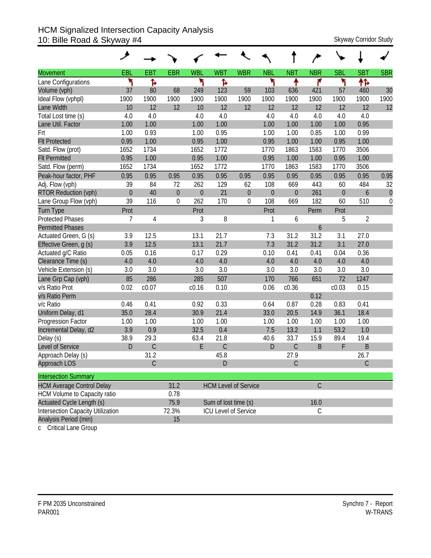### HCM Signalized Intersection Capacity Analysis 10: Bille Road & Skyway #4 Skyway 2011 Skyway Corridor Study

|                                          | ۶           |             |                  |            |                      |                             |                  |                  |             |                  |                |                  |
|------------------------------------------|-------------|-------------|------------------|------------|----------------------|-----------------------------|------------------|------------------|-------------|------------------|----------------|------------------|
| <b>Movement</b>                          | EBL         | <b>EBT</b>  | <b>EBR</b>       | <b>WBL</b> | <b>WBT</b>           | <b>WBR</b>                  | <b>NBL</b>       | <b>NBT</b>       | <b>NBR</b>  | <b>SBL</b>       | <b>SBT</b>     | <b>SBR</b>       |
| Lane Configurations                      | ۲           | ħ           |                  | ۲          | Ъ                    |                             | ۲                | ↟                | ۴           | ۳                | ተኈ             |                  |
| Volume (vph)                             | 37          | 80          | 68               | 249        | 123                  | 59                          | 103              | 636              | 421         | 57               | 460            | 30               |
| Ideal Flow (vphpl)                       | 1900        | 1900        | 1900             | 1900       | 1900                 | 1900                        | 1900             | 1900             | 1900        | 1900             | 1900           | 1900             |
| Lane Width                               | 10          | 12          | 12               | 10         | 12                   | 12                          | 12               | 12               | 12          | 12               | 12             | 12               |
| Total Lost time (s)                      | 4.0         | 4.0         |                  | 4.0        | 4.0                  |                             | 4.0              | 4.0              | 4.0         | 4.0              | 4.0            |                  |
| Lane Util. Factor                        | 1.00        | 1.00        |                  | 1.00       | 1.00                 |                             | 1.00             | 1.00             | 1.00        | 1.00             | 0.95           |                  |
| Frt                                      | 1.00        | 0.93        |                  | 1.00       | 0.95                 |                             | 1.00             | 1.00             | 0.85        | 1.00             | 0.99           |                  |
| <b>Flt Protected</b>                     | 0.95        | 1.00        |                  | 0.95       | 1.00                 |                             | 0.95             | 1.00             | 1.00        | 0.95             | 1.00           |                  |
| Satd. Flow (prot)                        | 1652        | 1734        |                  | 1652       | 1772                 |                             | 1770             | 1863             | 1583        | 1770             | 3506           |                  |
| <b>Flt Permitted</b>                     | 0.95        | 1.00        |                  | 0.95       | 1.00                 |                             | 0.95             | 1.00             | 1.00        | 0.95             | 1.00           |                  |
| Satd. Flow (perm)                        | 1652        | 1734        |                  | 1652       | 1772                 |                             | 1770             | 1863             | 1583        | 1770             | 3506           |                  |
| Peak-hour factor, PHF                    | 0.95        | 0.95        | 0.95             | 0.95       | 0.95                 | 0.95                        | 0.95             | 0.95             | 0.95        | 0.95             | 0.95           | 0.95             |
| Adj. Flow (vph)                          | 39          | 84          | 72               | 262        | 129                  | 62                          | 108              | 669              | 443         | 60               | 484            | 32               |
| <b>RTOR Reduction (vph)</b>              | $\mathbf 0$ | 40          | $\theta$         | $\theta$   | 21                   | $\boldsymbol{0}$            | $\boldsymbol{0}$ | $\boldsymbol{0}$ | 261         | $\boldsymbol{0}$ | 6              | $\boldsymbol{0}$ |
| Lane Group Flow (vph)                    | 39          | 116         | $\boldsymbol{0}$ | 262        | 170                  | $\boldsymbol{0}$            | 108              | 669              | 182         | 60               | 510            | $\boldsymbol{0}$ |
| <b>Turn Type</b>                         | Prot        |             |                  | Prot       |                      |                             | Prot             |                  | Perm        | Prot             |                |                  |
| <b>Protected Phases</b>                  | 7           | 4           |                  | 3          | 8                    |                             | 1                | 6                |             | 5                | $\overline{2}$ |                  |
| <b>Permitted Phases</b>                  |             |             |                  |            |                      |                             |                  |                  | 6           |                  |                |                  |
| Actuated Green, G (s)                    | 3.9         | 12.5        |                  | 13.1       | 21.7                 |                             | 7.3              | 31.2             | 31.2        | 3.1              | 27.0           |                  |
| Effective Green, q (s)                   | 3.9         | 12.5        |                  | 13.1       | 21.7                 |                             | 7.3              | 31.2             | 31.2        | 3.1              | 27.0           |                  |
| Actuated g/C Ratio                       | 0.05        | 0.16        |                  | 0.17       | 0.29                 |                             | 0.10             | 0.41             | 0.41        | 0.04             | 0.36           |                  |
| Clearance Time (s)                       | 4.0         | 4.0         |                  | 4.0        | 4.0                  |                             | $4.0\,$          | 4.0              | 4.0         | 4.0              | 4.0            |                  |
| Vehicle Extension (s)                    | 3.0         | 3.0         |                  | 3.0        | 3.0                  |                             | 3.0              | 3.0              | 3.0         | 3.0              | 3.0            |                  |
| Lane Grp Cap (vph)                       | 85          | 286         |                  | 285        | 507                  |                             | 170              | 766              | 651         | 72               | 1247           |                  |
| v/s Ratio Prot                           | 0.02        | c0.07       |                  | c0.16      | 0.10                 |                             | 0.06             | c0.36            |             | c0.03            | 0.15           |                  |
| v/s Ratio Perm                           |             |             |                  |            |                      |                             |                  |                  | 0.12        |                  |                |                  |
| v/c Ratio                                | 0.46        | 0.41        |                  | 0.92       | 0.33                 |                             | 0.64             | 0.87             | 0.28        | 0.83             | 0.41           |                  |
| Uniform Delay, d1                        | 35.0        | 28.4        |                  | 30.9       | 21.4                 |                             | 33.0             | 20.5             | 14.9        | 36.1             | 18.4           |                  |
| Progression Factor                       | 1.00        | 1.00        |                  | 1.00       | 1.00                 |                             | 1.00             | 1.00             | 1.00        | 1.00             | 1.00           |                  |
| Incremental Delay, d2                    | 3.9         | 0.9         |                  | 32.5       | 0.4                  |                             | 7.5              | 13.2             | 1.1         | 53.2             | 1.0            |                  |
| Delay (s)                                | 38.9        | 29.3        |                  | 63.4       | 21.8                 |                             | 40.6             | 33.7             | 15.9        | 89.4             | 19.4           |                  |
| Level of Service                         | $\mathsf D$ | $\mathsf C$ |                  | E          | $\mathsf C$          |                             | D                | $\mathsf C$      | B           | F                | $\sf B$        |                  |
| Approach Delay (s)                       |             | 31.2        |                  |            | 45.8                 |                             |                  | 27.9             |             |                  | 26.7           |                  |
| Approach LOS                             |             | C           |                  |            | D                    |                             |                  | C                |             |                  | C              |                  |
| <b>Intersection Summary</b>              |             |             |                  |            |                      |                             |                  |                  |             |                  |                |                  |
| <b>HCM Average Control Delay</b>         |             |             | 31.2             |            |                      | <b>HCM Level of Service</b> |                  |                  | $\mathsf C$ |                  |                |                  |
| HCM Volume to Capacity ratio             |             |             | 0.78             |            |                      |                             |                  |                  |             |                  |                |                  |
| Actuated Cycle Length (s)                |             |             | 75.9             |            | Sum of lost time (s) |                             |                  |                  | 16.0        |                  |                |                  |
| <b>Intersection Capacity Utilization</b> |             |             | 72.3%            |            |                      | <b>ICU Level of Service</b> |                  |                  | $\mathsf C$ |                  |                |                  |
| Analysis Period (min)                    |             |             | 15               |            |                      |                             |                  |                  |             |                  |                |                  |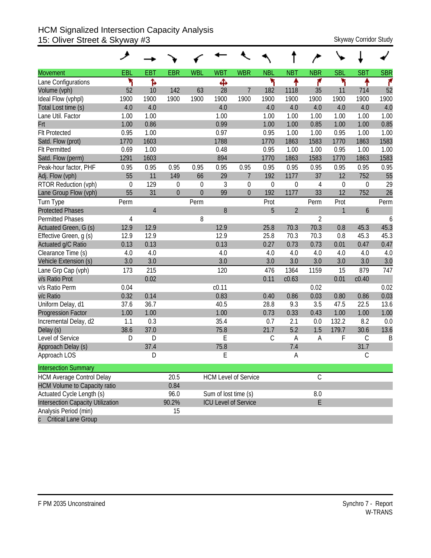#### HCM Signalized Intersection Capacity Analysis 15: Oliver Street & Skyway #3 Skyway Corridor Study

|                                          | ↗           |                |                  |              |                      |                             |             |                |                |                  |             |            |
|------------------------------------------|-------------|----------------|------------------|--------------|----------------------|-----------------------------|-------------|----------------|----------------|------------------|-------------|------------|
| <b>Movement</b>                          | EBL         | <b>EBT</b>     | <b>EBR</b>       | <b>WBL</b>   | <b>WBT</b>           | <b>WBR</b>                  | <b>NBL</b>  | <b>NBT</b>     | <b>NBR</b>     | <b>SBL</b>       | <b>SBT</b>  | <b>SBR</b> |
| Lane Configurations                      | ۲           | Ъ              |                  |              | Ф                    |                             | ۲           | ↟              | ۴              | ۲                | ቶ           | ۴          |
| Volume (vph)                             | 52          | 10             | 142              | 63           | 28                   | $\overline{7}$              | 182         | 1118           | 35             | 11               | 714         | 52         |
| Ideal Flow (vphpl)                       | 1900        | 1900           | 1900             | 1900         | 1900                 | 1900                        | 1900        | 1900           | 1900           | 1900             | 1900        | 1900       |
| Total Lost time (s)                      | 4.0         | 4.0            |                  |              | 4.0                  |                             | 4.0         | 4.0            | 4.0            | 4.0              | 4.0         | 4.0        |
| Lane Util. Factor                        | 1.00        | 1.00           |                  |              | 1.00                 |                             | 1.00        | 1.00           | 1.00           | 1.00             | 1.00        | 1.00       |
| Frt                                      | 1.00        | 0.86           |                  |              | 0.99                 |                             | 1.00        | 1.00           | 0.85           | 1.00             | 1.00        | 0.85       |
| <b>Flt Protected</b>                     | 0.95        | 1.00           |                  |              | 0.97                 |                             | 0.95        | 1.00           | 1.00           | 0.95             | 1.00        | 1.00       |
| Satd. Flow (prot)                        | 1770        | 1603           |                  |              | 1788                 |                             | 1770        | 1863           | 1583           | 1770             | 1863        | 1583       |
| <b>Flt Permitted</b>                     | 0.69        | 1.00           |                  |              | 0.48                 |                             | 0.95        | 1.00           | 1.00           | 0.95             | 1.00        | 1.00       |
| Satd. Flow (perm)                        | 1291        | 1603           |                  |              | 894                  |                             | 1770        | 1863           | 1583           | 1770             | 1863        | 1583       |
| Peak-hour factor, PHF                    | 0.95        | 0.95           | 0.95             | 0.95         | 0.95                 | 0.95                        | 0.95        | 0.95           | 0.95           | 0.95             | 0.95        | 0.95       |
| Adj. Flow (vph)                          | 55          | 11             | 149              | 66           | 29                   | $\overline{7}$              | 192         | 1177           | 37             | 12               | 752         | 55         |
| RTOR Reduction (vph)                     | $\mathbf 0$ | 129            | $\boldsymbol{0}$ | $\mathbf 0$  | 3                    | $\mathbf 0$                 | $\mathbf 0$ | $\mathbf 0$    | 4              | $\boldsymbol{0}$ | 0           | 29         |
| Lane Group Flow (vph)                    | 55          | 31             | $\overline{0}$   | $\mathbf{0}$ | 99                   | $\mathbf{0}$                | 192         | 1177           | 33             | 12               | 752         | 26         |
| Turn Type                                | Perm        |                |                  | Perm         |                      |                             | Prot        |                | Perm           | Prot             |             | Perm       |
| <b>Protected Phases</b>                  |             | $\overline{4}$ |                  |              | 8                    |                             | 5           | $\overline{2}$ |                | $\mathbf{1}$     | 6           |            |
| <b>Permitted Phases</b>                  | 4           |                |                  | 8            |                      |                             |             |                | $\overline{2}$ |                  |             | 6          |
| Actuated Green, G (s)                    | 12.9        | 12.9           |                  |              | 12.9                 |                             | 25.8        | 70.3           | 70.3           | 0.8              | 45.3        | 45.3       |
| Effective Green, g (s)                   | 12.9        | 12.9           |                  |              | 12.9                 |                             | 25.8        | 70.3           | 70.3           | 0.8              | 45.3        | 45.3       |
| Actuated g/C Ratio                       | 0.13        | 0.13           |                  |              | 0.13                 |                             | 0.27        | 0.73           | 0.73           | 0.01             | 0.47        | 0.47       |
| Clearance Time (s)                       | 4.0         | 4.0            |                  |              | 4.0                  |                             | 4.0         | 4.0            | 4.0            | 4.0              | 4.0         | 4.0        |
| Vehicle Extension (s)                    | 3.0         | 3.0            |                  |              | 3.0                  |                             | 3.0         | 3.0            | 3.0            | 3.0              | 3.0         | 3.0        |
| Lane Grp Cap (vph)                       | 173         | 215            |                  |              | 120                  |                             | 476         | 1364           | 1159           | 15               | 879         | 747        |
| v/s Ratio Prot                           |             | 0.02           |                  |              |                      |                             | 0.11        | c0.63          |                | 0.01             | c0.40       |            |
| v/s Ratio Perm                           | 0.04        |                |                  |              | c <sub>0.11</sub>    |                             |             |                | 0.02           |                  |             | 0.02       |
| v/c Ratio                                | 0.32        | 0.14           |                  |              | 0.83                 |                             | 0.40        | 0.86           | 0.03           | 0.80             | 0.86        | 0.03       |
| Uniform Delay, d1                        | 37.6        | 36.7           |                  |              | 40.5                 |                             | 28.8        | 9.3            | 3.5            | 47.5             | 22.5        | 13.6       |
| <b>Progression Factor</b>                | 1.00        | 1.00           |                  |              | 1.00                 |                             | 0.73        | 0.33           | 0.43           | 1.00             | 1.00        | 1.00       |
| Incremental Delay, d2                    | 1.1         | 0.3            |                  |              | 35.4                 |                             | 0.7         | 2.1            | 0.0            | 132.2            | 8.2         | 0.0        |
| Delay (s)                                | 38.6        | 37.0           |                  |              | 75.8                 |                             | 21.7        | 5.2            | 1.5            | 179.7            | 30.6        | 13.6       |
| Level of Service                         | D           | D              |                  |              | E                    |                             | $\mathsf C$ | A              | A              | F                | $\mathsf C$ | B          |
| Approach Delay (s)                       |             | 37.4           |                  |              | 75.8                 |                             |             | 7.4            |                |                  | 31.7        |            |
| Approach LOS                             |             | D              |                  |              | E                    |                             |             | А              |                |                  | $\mathsf C$ |            |
| <b>Intersection Summary</b>              |             |                |                  |              |                      |                             |             |                |                |                  |             |            |
| <b>HCM Average Control Delay</b>         |             |                | 20.5             |              |                      | <b>HCM Level of Service</b> |             |                | $\mathsf C$    |                  |             |            |
| <b>HCM Volume to Capacity ratio</b>      |             |                | 0.84             |              |                      |                             |             |                |                |                  |             |            |
| Actuated Cycle Length (s)                |             |                | 96.0             |              | Sum of lost time (s) |                             |             |                | $8.0\,$        |                  |             |            |
| <b>Intersection Capacity Utilization</b> |             |                | 90.2%            |              |                      | <b>ICU Level of Service</b> |             |                | E              |                  |             |            |
| Analysis Period (min)                    |             |                | 15               |              |                      |                             |             |                |                |                  |             |            |
| <b>Critical Lane Group</b>               |             |                |                  |              |                      |                             |             |                |                |                  |             |            |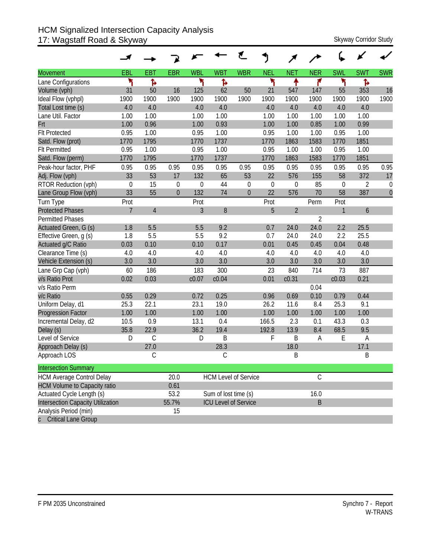#### HCM Signalized Intersection Capacity Analysis 17: Wagstaff Road & Skyway Skyway Corridor Study

| <b>Movement</b>                     | EBL              | <b>EBT</b>     | <b>EBR</b>       | <b>WBL</b>  | <b>WBT</b>                  | <b>WBR</b>  | <b>NEL</b>  | <b>NET</b>     | <b>NER</b>  | <b>SWL</b>       | <b>SWT</b>       | <b>SWR</b>       |
|-------------------------------------|------------------|----------------|------------------|-------------|-----------------------------|-------------|-------------|----------------|-------------|------------------|------------------|------------------|
| Lane Configurations                 | ۲                | Ъ              |                  | ۲           | ħ                           |             | ۲           | ቶ              | ۴           | ۲                | Ъ                |                  |
| Volume (vph)                        | 31               | 50             | 16               | 125         | 62                          | 50          | 21          | 547            | 147         | 55               | 353              | 16               |
| Ideal Flow (vphpl)                  | 1900             | 1900           | 1900             | 1900        | 1900                        | 1900        | 1900        | 1900           | 1900        | 1900             | 1900             | 1900             |
| Total Lost time (s)                 | 4.0              | 4.0            |                  | 4.0         | 4.0                         |             | 4.0         | 4.0            | 4.0         | 4.0              | 4.0              |                  |
| Lane Util. Factor                   | 1.00             | 1.00           |                  | 1.00        | 1.00                        |             | 1.00        | 1.00           | 1.00        | 1.00             | 1.00             |                  |
| Frt                                 | 1.00             | 0.96           |                  | 1.00        | 0.93                        |             | 1.00        | 1.00           | 0.85        | 1.00             | 0.99             |                  |
| <b>Flt Protected</b>                | 0.95             | 1.00           |                  | 0.95        | 1.00                        |             | 0.95        | 1.00           | 1.00        | 0.95             | 1.00             |                  |
| Satd. Flow (prot)                   | 1770             | 1795           |                  | 1770        | 1737                        |             | 1770        | 1863           | 1583        | 1770             | 1851             |                  |
| <b>Flt Permitted</b>                | 0.95             | 1.00           |                  | 0.95        | 1.00                        |             | 0.95        | 1.00           | 1.00        | 0.95             | 1.00             |                  |
| Satd. Flow (perm)                   | 1770             | 1795           |                  | 1770        | 1737                        |             | 1770        | 1863           | 1583        | 1770             | 1851             |                  |
| Peak-hour factor, PHF               | 0.95             | 0.95           | 0.95             | 0.95        | 0.95                        | 0.95        | 0.95        | 0.95           | 0.95        | 0.95             | 0.95             | 0.95             |
| Adj. Flow (vph)                     | 33               | 53             | 17               | 132         | 65                          | 53          | 22          | 576            | 155         | 58               | 372              | 17               |
| RTOR Reduction (vph)                | $\boldsymbol{0}$ | 15             | $\boldsymbol{0}$ | $\mathbf 0$ | 44                          | $\mathbf 0$ | $\mathbf 0$ | $\mathbf 0$    | 85          | $\boldsymbol{0}$ | $\overline{2}$   | $\boldsymbol{0}$ |
| Lane Group Flow (vph)               | 33               | 55             | $\mathbf 0$      | 132         | 74                          | $\theta$    | 22          | 576            | 70          | 58               | 387              | $\mathbf{0}$     |
| Turn Type                           | Prot             |                |                  | Prot        |                             |             | Prot        |                | Perm        | Prot             |                  |                  |
| <b>Protected Phases</b>             | $\overline{7}$   | $\overline{4}$ |                  | 3           | 8                           |             | 5           | $\overline{2}$ |             | 1                | $\boldsymbol{6}$ |                  |
| <b>Permitted Phases</b>             |                  |                |                  |             |                             |             |             |                | 2           |                  |                  |                  |
| Actuated Green, G (s)               | 1.8              | 5.5            |                  | 5.5         | 9.2                         |             | 0.7         | 24.0           | 24.0        | 2.2              | 25.5             |                  |
| Effective Green, g (s)              | 1.8              | 5.5            |                  | 5.5         | 9.2                         |             | 0.7         | 24.0           | 24.0        | 2.2              | 25.5             |                  |
| Actuated g/C Ratio                  | 0.03             | 0.10           |                  | 0.10        | 0.17                        |             | 0.01        | 0.45           | 0.45        | 0.04             | 0.48             |                  |
| Clearance Time (s)                  | 4.0              | 4.0            |                  | 4.0         | 4.0                         |             | 4.0         | 4.0            | 4.0         | 4.0              | 4.0              |                  |
| Vehicle Extension (s)               | 3.0              | 3.0            |                  | 3.0         | 3.0                         |             | 3.0         | 3.0            | 3.0         | 3.0              | 3.0              |                  |
| Lane Grp Cap (vph)                  | 60               | 186            |                  | 183         | 300                         |             | 23          | 840            | 714         | 73               | 887              |                  |
| v/s Ratio Prot                      | 0.02             | 0.03           |                  | c0.07       | c0.04                       |             | 0.01        | c0.31          |             | c0.03            | 0.21             |                  |
| v/s Ratio Perm                      |                  |                |                  |             |                             |             |             |                | 0.04        |                  |                  |                  |
| v/c Ratio                           | 0.55             | 0.29           |                  | 0.72        | 0.25                        |             | 0.96        | 0.69           | 0.10        | 0.79             | 0.44             |                  |
| Uniform Delay, d1                   | 25.3             | 22.1           |                  | 23.1        | 19.0                        |             | 26.2        | 11.6           | 8.4         | 25.3             | 9.1              |                  |
| <b>Progression Factor</b>           | 1.00             | 1.00           |                  | 1.00        | 1.00                        |             | 1.00        | 1.00           | 1.00        | 1.00             | 1.00             |                  |
| Incremental Delay, d2               | 10.5             | 0.9            |                  | 13.1        | 0.4                         |             | 166.5       | 2.3            | 0.1         | 43.3             | 0.3              |                  |
| Delay (s)                           | 35.8             | 22.9           |                  | 36.2        | 19.4                        |             | 192.8       | 13.9           | 8.4         | 68.5             | 9.5              |                  |
| Level of Service                    | D                | $\mathsf{C}$   |                  | D           | B                           |             | F           | B              | Α           | E                | A                |                  |
| Approach Delay (s)                  |                  | 27.0           |                  |             | 28.3                        |             |             | 18.0           |             |                  | 17.1             |                  |
| Approach LOS                        |                  | C              |                  |             | С                           |             |             | Β              |             |                  | Β                |                  |
| <b>Intersection Summary</b>         |                  |                |                  |             |                             |             |             |                |             |                  |                  |                  |
| <b>HCM Average Control Delay</b>    |                  |                | 20.0             |             | <b>HCM Level of Service</b> |             |             |                | $\mathsf C$ |                  |                  |                  |
| <b>HCM Volume to Capacity ratio</b> |                  |                | 0.61             |             |                             |             |             |                |             |                  |                  |                  |
| Actuated Cycle Length (s)           |                  |                | 53.2             |             | Sum of lost time (s)        |             |             |                | 16.0        |                  |                  |                  |
| Intersection Capacity Utilization   |                  |                | 55.7%            |             | <b>ICU Level of Service</b> |             |             |                | $\sf B$     |                  |                  |                  |
| Analysis Period (min)               |                  |                | 15               |             |                             |             |             |                |             |                  |                  |                  |
| c Critical Lane Group               |                  |                |                  |             |                             |             |             |                |             |                  |                  |                  |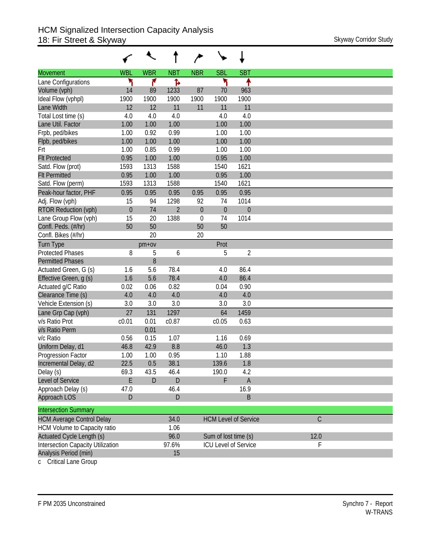|                                          |              | €          |                |                  |                             |                             |             |
|------------------------------------------|--------------|------------|----------------|------------------|-----------------------------|-----------------------------|-------------|
| <b>Movement</b>                          | <b>WBL</b>   | <b>WBR</b> | <b>NBT</b>     | <b>NBR</b>       | <b>SBL</b>                  | <b>SBT</b>                  |             |
| Lane Configurations                      | ۲            | ۴          | Ъ              |                  | ۲                           | ↟                           |             |
| Volume (vph)                             | 14           | 89         | 1233           | 87               | 70                          | 963                         |             |
| Ideal Flow (vphpl)                       | 1900         | 1900       | 1900           | 1900             | 1900                        | 1900                        |             |
| Lane Width                               | 12           | 12         | 11             | 11               | 11                          | 11                          |             |
| Total Lost time (s)                      | 4.0          | 4.0        | 4.0            |                  | 4.0                         | 4.0                         |             |
| Lane Util. Factor                        | 1.00         | 1.00       | 1.00           |                  | 1.00                        | 1.00                        |             |
| Frpb, ped/bikes                          | 1.00         | 0.92       | 0.99           |                  | 1.00                        | 1.00                        |             |
| Flpb, ped/bikes                          | 1.00         | 1.00       | 1.00           |                  | 1.00                        | 1.00                        |             |
| Frt                                      | 1.00         | 0.85       | 0.99           |                  | 1.00                        | 1.00                        |             |
| <b>Flt Protected</b>                     | 0.95         | 1.00       | 1.00           |                  | 0.95                        | 1.00                        |             |
| Satd. Flow (prot)                        | 1593         | 1313       | 1588           |                  | 1540                        | 1621                        |             |
| <b>Flt Permitted</b>                     | 0.95         | 1.00       | 1.00           |                  | 0.95                        | 1.00                        |             |
| Satd. Flow (perm)                        | 1593         | 1313       | 1588           |                  | 1540                        | 1621                        |             |
| Peak-hour factor, PHF                    | 0.95         | 0.95       | 0.95           | 0.95             | 0.95                        | 0.95                        |             |
| Adj. Flow (vph)                          | 15           | 94         | 1298           | 92               | 74                          | 1014                        |             |
| RTOR Reduction (vph)                     | $\mathbf{0}$ | 74         | $\overline{2}$ | $\boldsymbol{0}$ | $\theta$                    | $\theta$                    |             |
| Lane Group Flow (vph)                    | 15           | 20         | 1388           | $\theta$         | 74                          | 1014                        |             |
| Confl. Peds. (#/hr)                      | 50           | 50         |                | 50               | 50                          |                             |             |
| Confl. Bikes (#/hr)                      |              | 20         |                | 20               |                             |                             |             |
| <b>Turn Type</b>                         |              | $pm+ov$    |                |                  | Prot                        |                             |             |
| <b>Protected Phases</b>                  | 8            | 5          | 6              |                  | 5                           | $\sqrt{2}$                  |             |
| <b>Permitted Phases</b>                  |              | 8          |                |                  |                             |                             |             |
| Actuated Green, G (s)                    | 1.6          | 5.6        | 78.4           |                  | 4.0                         | 86.4                        |             |
| Effective Green, g (s)                   | 1.6          | 5.6        | 78.4           |                  | 4.0                         | 86.4                        |             |
| Actuated g/C Ratio                       | 0.02         | 0.06       | 0.82           |                  | 0.04                        | 0.90                        |             |
| Clearance Time (s)                       | 4.0          | 4.0        | 4.0            |                  | 4.0                         | 4.0                         |             |
| Vehicle Extension (s)                    | 3.0          | 3.0        | 3.0            |                  | 3.0                         | 3.0                         |             |
| Lane Grp Cap (vph)                       | 27           | 131        | 1297           |                  | 64                          | 1459                        |             |
| v/s Ratio Prot                           | c0.01        | 0.01       | c0.87          |                  | c0.05                       | 0.63                        |             |
| v/s Ratio Perm                           |              | 0.01       |                |                  |                             |                             |             |
| v/c Ratio                                | 0.56         | 0.15       | 1.07           |                  | 1.16                        | 0.69                        |             |
| Uniform Delay, d1                        | 46.8         | 42.9       | 8.8            |                  | 46.0                        | 1.3                         |             |
| Progression Factor                       | 1.00         | 1.00       | 0.95           |                  | 1.10                        | 1.88                        |             |
| Incremental Delay, d2                    | 22.5         | 0.5        | 38.1           |                  | 139.6                       | 1.8                         |             |
| Delay (s)                                | 69.3         | 43.5       | 46.4           |                  | 190.0                       | 4.2                         |             |
| Level of Service                         | E            | D          | D              |                  | F                           | $\mathsf A$                 |             |
| Approach Delay (s)                       | 47.0         |            | 46.4           |                  |                             | 16.9                        |             |
| Approach LOS                             | D            |            | D              |                  |                             | B                           |             |
| <b>Intersection Summary</b>              |              |            |                |                  |                             |                             |             |
| <b>HCM Average Control Delay</b>         |              |            | 34.0           |                  |                             | <b>HCM Level of Service</b> | $\mathsf C$ |
| HCM Volume to Capacity ratio             |              |            | 1.06           |                  |                             |                             |             |
| Actuated Cycle Length (s)                |              |            | 96.0           |                  | Sum of lost time (s)        |                             | 12.0        |
| <b>Intersection Capacity Utilization</b> |              |            | 97.6%          |                  | <b>ICU Level of Service</b> |                             | F           |
| Analysis Period (min)                    |              |            | 15             |                  |                             |                             |             |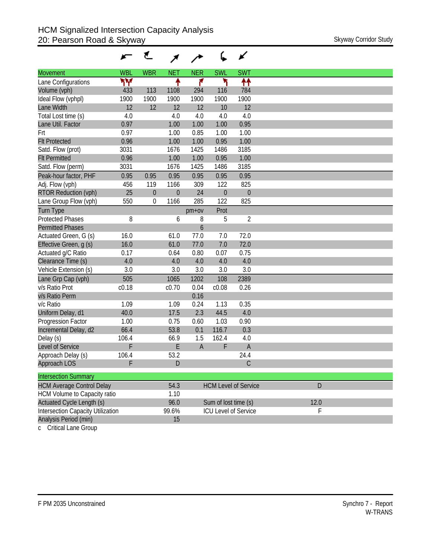|                                          |            | ₹           |                |                |                      | ✔                           |      |
|------------------------------------------|------------|-------------|----------------|----------------|----------------------|-----------------------------|------|
| <b>Movement</b>                          | <b>WBL</b> | <b>WBR</b>  | <b>NET</b>     | <b>NER</b>     | <b>SWL</b>           | <b>SWT</b>                  |      |
| Lane Configurations                      | ۳Υ         |             | ↟              | ۴              | ۲                    | ↟↟                          |      |
| Volume (vph)                             | 433        | 113         | 1108           | 294            | 116                  | 784                         |      |
| Ideal Flow (vphpl)                       | 1900       | 1900        | 1900           | 1900           | 1900                 | 1900                        |      |
| Lane Width                               | 12         | 12          | 12             | 12             | 10                   | 12                          |      |
| Total Lost time (s)                      | 4.0        |             | 4.0            | 4.0            | 4.0                  | 4.0                         |      |
| Lane Util. Factor                        | 0.97       |             | 1.00           | 1.00           | 1.00                 | 0.95                        |      |
| Frt                                      | 0.97       |             | 1.00           | 0.85           | 1.00                 | 1.00                        |      |
| <b>Flt Protected</b>                     | 0.96       |             | 1.00           | 1.00           | 0.95                 | 1.00                        |      |
| Satd. Flow (prot)                        | 3031       |             | 1676           | 1425           | 1486                 | 3185                        |      |
| <b>Flt Permitted</b>                     | 0.96       |             | 1.00           | 1.00           | 0.95                 | 1.00                        |      |
| Satd. Flow (perm)                        | 3031       |             | 1676           | 1425           | 1486                 | 3185                        |      |
| Peak-hour factor, PHF                    | 0.95       | 0.95        | 0.95           | 0.95           | 0.95                 | 0.95                        |      |
| Adj. Flow (vph)                          | 456        | 119         | 1166           | 309            | 122                  | 825                         |      |
| <b>RTOR Reduction (vph)</b>              | 25         | $\mathbf 0$ | $\overline{0}$ | 24             | $\theta$             | $\mathbf{0}$                |      |
| Lane Group Flow (vph)                    | 550        | 0           | 1166           | 285            | 122                  | 825                         |      |
| <b>Turn Type</b>                         |            |             |                | $pm+ov$        | Prot                 |                             |      |
| <b>Protected Phases</b>                  | 8          |             | 6              | 8              | 5                    | $\overline{2}$              |      |
| <b>Permitted Phases</b>                  |            |             |                | 6              |                      |                             |      |
| Actuated Green, G (s)                    | 16.0       |             | 61.0           | 77.0           | 7.0                  | 72.0                        |      |
| Effective Green, g (s)                   | 16.0       |             | 61.0           | 77.0           | 7.0                  | 72.0                        |      |
| Actuated g/C Ratio                       | 0.17       |             | 0.64           | 0.80           | 0.07                 | 0.75                        |      |
| Clearance Time (s)                       | 4.0        |             | 4.0            | 4.0            | 4.0                  | 4.0                         |      |
| Vehicle Extension (s)                    | 3.0        |             | 3.0            | 3.0            | 3.0                  | 3.0                         |      |
| Lane Grp Cap (vph)                       | 505        |             | 1065           | 1202           | 108                  | 2389                        |      |
| v/s Ratio Prot                           | c0.18      |             | c0.70          | 0.04           | c0.08                | 0.26                        |      |
| v/s Ratio Perm                           |            |             |                | 0.16           |                      |                             |      |
| v/c Ratio                                | 1.09       |             | 1.09           | 0.24           | 1.13                 | 0.35                        |      |
| Uniform Delay, d1                        | 40.0       |             | 17.5           | 2.3            | 44.5                 | 4.0                         |      |
| Progression Factor                       | 1.00       |             | 0.75           | 0.60           | 1.03                 | 0.90                        |      |
| Incremental Delay, d2                    | 66.4       |             | 53.8           | 0.1            | 116.7                | 0.3                         |      |
| Delay (s)                                | 106.4      |             | 66.9           | 1.5            | 162.4                | 4.0                         |      |
| Level of Service                         | F          |             | E              | $\overline{A}$ | F                    | $\overline{A}$              |      |
| Approach Delay (s)                       | 106.4      |             | 53.2           |                |                      | 24.4                        |      |
| Approach LOS                             | F          |             | D              |                |                      | C                           |      |
| <b>Intersection Summary</b>              |            |             |                |                |                      |                             |      |
| <b>HCM Average Control Delay</b>         |            |             | 54.3           |                |                      | <b>HCM Level of Service</b> | D    |
| HCM Volume to Capacity ratio             |            |             | 1.10           |                |                      |                             |      |
| Actuated Cycle Length (s)                |            |             | 96.0           |                | Sum of lost time (s) |                             | 12.0 |
| <b>Intersection Capacity Utilization</b> |            |             | 99.6%          |                |                      | <b>ICU Level of Service</b> | F    |
| Analysis Period (min)                    |            |             | 15             |                |                      |                             |      |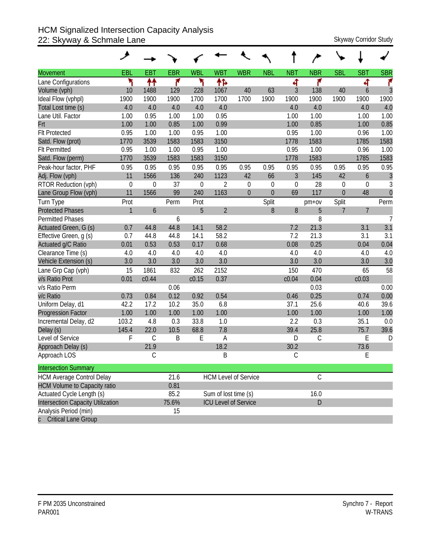## HCM Signalized Intersection Capacity Analysis 22: Skyway & Schmale Lane Skyway Corridor Study

|                                     | حر           |             |            |             |                      |                             |                |                |               |                  |                |                |
|-------------------------------------|--------------|-------------|------------|-------------|----------------------|-----------------------------|----------------|----------------|---------------|------------------|----------------|----------------|
| <b>Movement</b>                     | EBL          | <b>EBT</b>  | <b>EBR</b> | <b>WBL</b>  | <b>WBT</b>           | <b>WBR</b>                  | <b>NBL</b>     | <b>NBT</b>     | <b>NBR</b>    | <b>SBL</b>       | <b>SBT</b>     | <b>SBR</b>     |
| Lane Configurations                 | ۳            | ↟↟          | ۴          | ۲           | ተኈ                   |                             |                | 4              | ۴             |                  | ची             | ۴              |
| Volume (vph)                        | 10           | 1488        | 129        | 228         | 1067                 | 40                          | 63             | 3              | 138           | 40               | 6              | 3              |
| Ideal Flow (vphpl)                  | 1900         | 1900        | 1900       | 1700        | 1700                 | 1700                        | 1900           | 1900           | 1900          | 1900             | 1900           | 1900           |
| Total Lost time (s)                 | 4.0          | 4.0         | 4.0        | 4.0         | 4.0                  |                             |                | 4.0            | 4.0           |                  | 4.0            | 4.0            |
| Lane Util. Factor                   | 1.00         | 0.95        | 1.00       | 1.00        | 0.95                 |                             |                | 1.00           | 1.00          |                  | 1.00           | 1.00           |
| Frt                                 | 1.00         | 1.00        | 0.85       | 1.00        | 0.99                 |                             |                | 1.00           | 0.85          |                  | 1.00           | 0.85           |
| <b>Flt Protected</b>                | 0.95         | 1.00        | 1.00       | 0.95        | 1.00                 |                             |                | 0.95           | 1.00          |                  | 0.96           | 1.00           |
| Satd. Flow (prot)                   | 1770         | 3539        | 1583       | 1583        | 3150                 |                             |                | 1778           | 1583          |                  | 1785           | 1583           |
| <b>Flt Permitted</b>                | 0.95         | 1.00        | 1.00       | 0.95        | 1.00                 |                             |                | 0.95           | 1.00          |                  | 0.96           | 1.00           |
| Satd. Flow (perm)                   | 1770         | 3539        | 1583       | 1583        | 3150                 |                             |                | 1778           | 1583          |                  | 1785           | 1583           |
| Peak-hour factor, PHF               | 0.95         | 0.95        | 0.95       | 0.95        | 0.95                 | 0.95                        | 0.95           | 0.95           | 0.95          | 0.95             | 0.95           | 0.95           |
| Adj. Flow (vph)                     | 11           | 1566        | 136        | 240         | 1123                 | 42                          | 66             | $\mathfrak{Z}$ | 145           | 42               | 6              | $\overline{3}$ |
| RTOR Reduction (vph)                | $\mathbf 0$  | 0           | 37         | $\mathbf 0$ | 2                    | $\theta$                    | $\mathbf 0$    | $\theta$       | 28            | $\boldsymbol{0}$ | 0              | 3              |
| Lane Group Flow (vph)               | 11           | 1566        | 99         | 240         | 1163                 | $\theta$                    | $\overline{0}$ | 69             | 117           | $\theta$         | 48             | $\overline{0}$ |
| Turn Type                           | Prot         |             | Perm       | Prot        |                      |                             | Split          |                | $pm+ov$       | Split            |                | Perm           |
| <b>Protected Phases</b>             | $\mathbf{1}$ | 6           |            | 5           | $\overline{2}$       |                             | 8              | 8              | 5             | $\overline{7}$   | $\overline{7}$ |                |
| <b>Permitted Phases</b>             |              |             | 6          |             |                      |                             |                |                | 8             |                  |                | $\overline{7}$ |
| Actuated Green, G (s)               | 0.7          | 44.8        | 44.8       | 14.1        | 58.2                 |                             |                | 7.2            | 21.3          |                  | 3.1            | 3.1            |
| Effective Green, g (s)              | 0.7          | 44.8        | 44.8       | 14.1        | 58.2                 |                             |                | 7.2            | 21.3          |                  | 3.1            | 3.1            |
| Actuated g/C Ratio                  | 0.01         | 0.53        | 0.53       | 0.17        | 0.68                 |                             |                | 0.08           | 0.25          |                  | 0.04           | 0.04           |
| Clearance Time (s)                  | 4.0          | 4.0         | 4.0        | 4.0         | 4.0                  |                             |                | 4.0            | 4.0           |                  | 4.0            | 4.0            |
| Vehicle Extension (s)               | 3.0          | 3.0         | 3.0        | 3.0         | 3.0                  |                             |                | 3.0            | 3.0           |                  | 3.0            | 3.0            |
| Lane Grp Cap (vph)                  | 15           | 1861        | 832        | 262         | 2152                 |                             |                | 150            | 470           |                  | 65             | 58             |
| v/s Ratio Prot                      | 0.01         | c0.44       |            | c0.15       | 0.37                 |                             |                | c0.04          | 0.04          |                  | c0.03          |                |
| v/s Ratio Perm                      |              |             | 0.06       |             |                      |                             |                |                | 0.03          |                  |                | 0.00           |
| v/c Ratio                           | 0.73         | 0.84        | 0.12       | 0.92        | 0.54                 |                             |                | 0.46           | 0.25          |                  | 0.74           | 0.00           |
| Uniform Delay, d1                   | 42.2         | 17.2        | 10.2       | 35.0        | 6.8                  |                             |                | 37.1           | 25.6          |                  | 40.6           | 39.6           |
| <b>Progression Factor</b>           | 1.00         | 1.00        | 1.00       | 1.00        | 1.00                 |                             |                | 1.00           | 1.00          |                  | 1.00           | 1.00           |
| Incremental Delay, d2               | 103.2        | 4.8         | 0.3        | 33.8        | 1.0                  |                             |                | 2.2            | 0.3           |                  | 35.1           | 0.0            |
| Delay (s)                           | 145.4        | 22.0        | 10.5       | 68.8        | 7.8                  |                             |                | 39.4           | 25.8          |                  | 75.7           | 39.6           |
| Level of Service                    | F            | $\mathsf C$ | B          | E           | A                    |                             |                | D              | $\mathsf C$   |                  | E              | D              |
| Approach Delay (s)                  |              | 21.9        |            |             | 18.2                 |                             |                | 30.2           |               |                  | 73.6           |                |
| Approach LOS                        |              | С           |            |             | B                    |                             |                | $\mathsf C$    |               |                  | E              |                |
| <b>Intersection Summary</b>         |              |             |            |             |                      |                             |                |                |               |                  |                |                |
| <b>HCM Average Control Delay</b>    |              |             | 21.6       |             |                      | <b>HCM Level of Service</b> |                |                | $\mathcal{C}$ |                  |                |                |
| <b>HCM Volume to Capacity ratio</b> |              |             | 0.81       |             |                      |                             |                |                |               |                  |                |                |
| Actuated Cycle Length (s)           |              |             | 85.2       |             | Sum of lost time (s) |                             |                |                | 16.0          |                  |                |                |
| Intersection Capacity Utilization   |              |             | 75.6%      |             |                      | <b>ICU Level of Service</b> |                |                | D             |                  |                |                |
| Analysis Period (min)               |              |             | 15         |             |                      |                             |                |                |               |                  |                |                |
| c Critical Lane Group               |              |             |            |             |                      |                             |                |                |               |                  |                |                |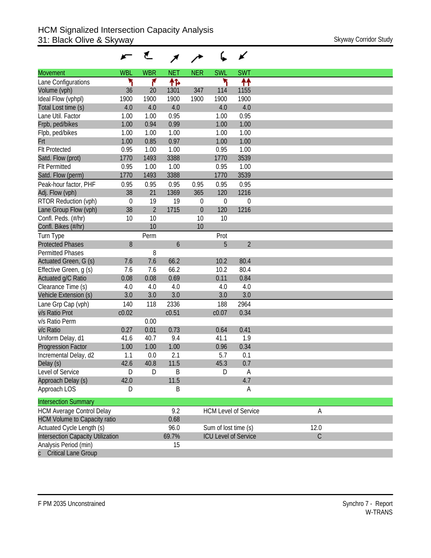|                                     |             | ₹              |            |            |                      | ✔                           |             |
|-------------------------------------|-------------|----------------|------------|------------|----------------------|-----------------------------|-------------|
| <b>Movement</b>                     | <b>WBL</b>  | <b>WBR</b>     | <b>NET</b> | <b>NER</b> | <b>SWL</b>           | <b>SWT</b>                  |             |
| Lane Configurations                 | ۲           | ۴              | ተኈ         |            | ۲                    | ተተ                          |             |
| Volume (vph)                        | 36          | 20             | 1301       | 347        | 114                  | 1155                        |             |
| Ideal Flow (vphpl)                  | 1900        | 1900           | 1900       | 1900       | 1900                 | 1900                        |             |
| Total Lost time (s)                 | 4.0         | 4.0            | 4.0        |            | 4.0                  | 4.0                         |             |
| Lane Util. Factor                   | 1.00        | 1.00           | 0.95       |            | 1.00                 | 0.95                        |             |
| Frpb, ped/bikes                     | 1.00        | 0.94           | 0.99       |            | 1.00                 | 1.00                        |             |
| Flpb, ped/bikes                     | 1.00        | 1.00           | 1.00       |            | 1.00                 | 1.00                        |             |
| Frt                                 | 1.00        | 0.85           | 0.97       |            | 1.00                 | 1.00                        |             |
| <b>Flt Protected</b>                | 0.95        | 1.00           | 1.00       |            | 0.95                 | 1.00                        |             |
| Satd. Flow (prot)                   | 1770        | 1493           | 3388       |            | 1770                 | 3539                        |             |
| <b>Flt Permitted</b>                | 0.95        | 1.00           | 1.00       |            | 0.95                 | 1.00                        |             |
| Satd. Flow (perm)                   | 1770        | 1493           | 3388       |            | 1770                 | 3539                        |             |
| Peak-hour factor, PHF               | 0.95        | 0.95           | 0.95       | 0.95       | 0.95                 | 0.95                        |             |
| Adj. Flow (vph)                     | 38          | 21             | 1369       | 365        | 120                  | 1216                        |             |
| RTOR Reduction (vph)                | $\mathbf 0$ | 19             | 19         | 0          | $\mathbf 0$          | $\mathbf 0$                 |             |
| Lane Group Flow (vph)               | 38          | $\overline{2}$ | 1715       | $\theta$   | 120                  | 1216                        |             |
| Confl. Peds. (#/hr)                 | 10          | 10             |            | 10         | 10                   |                             |             |
| Confl. Bikes (#/hr)                 |             | 10             |            | 10         |                      |                             |             |
| Turn Type                           |             | Perm           |            |            | Prot                 |                             |             |
| <b>Protected Phases</b>             | 8           |                | 6          |            | 5                    | $\overline{2}$              |             |
| <b>Permitted Phases</b>             |             | 8              |            |            |                      |                             |             |
| Actuated Green, G (s)               | 7.6         | 7.6            | 66.2       |            | 10.2                 | 80.4                        |             |
| Effective Green, g (s)              | 7.6         | 7.6            | 66.2       |            | 10.2                 | 80.4                        |             |
| Actuated g/C Ratio                  | 0.08        | 0.08           | 0.69       |            | 0.11                 | 0.84                        |             |
| Clearance Time (s)                  | 4.0         | 4.0            | 4.0        |            | 4.0                  | 4.0                         |             |
| Vehicle Extension (s)               | 3.0         | 3.0            | 3.0        |            | 3.0                  | 3.0                         |             |
| Lane Grp Cap (vph)                  | 140         | 118            | 2336       |            | 188                  | 2964                        |             |
| v/s Ratio Prot                      | c0.02       |                | c0.51      |            | c0.07                | 0.34                        |             |
| v/s Ratio Perm                      |             | 0.00           |            |            |                      |                             |             |
| v/c Ratio                           | 0.27        | 0.01           | 0.73       |            | 0.64                 | 0.41                        |             |
| Uniform Delay, d1                   | 41.6        | 40.7           | 9.4        |            | 41.1                 | 1.9                         |             |
| <b>Progression Factor</b>           | 1.00        | 1.00           | 1.00       |            | 0.96                 | 0.34                        |             |
| Incremental Delay, d2               | 1.1         | 0.0            | 2.1        |            | 5.7                  | 0.1                         |             |
| Delay (s)                           | 42.6        | 40.8           | 11.5       |            | 45.3                 | 0.7                         |             |
| Level of Service                    | D           | D              | B          |            | D                    | A                           |             |
| Approach Delay (s)                  | 42.0        |                | 11.5       |            |                      | 4.7                         |             |
| Approach LOS                        | D           |                | B          |            |                      | Α                           |             |
| <b>Intersection Summary</b>         |             |                |            |            |                      |                             |             |
| <b>HCM Average Control Delay</b>    |             |                | 9.2        |            |                      | <b>HCM Level of Service</b> | A           |
| <b>HCM Volume to Capacity ratio</b> |             |                | 0.68       |            |                      |                             |             |
| Actuated Cycle Length (s)           |             |                | 96.0       |            | Sum of lost time (s) |                             | 12.0        |
| Intersection Capacity Utilization   |             |                | 69.7%      |            |                      | <b>ICU Level of Service</b> | $\mathsf C$ |
| Analysis Period (min)               |             |                | 15         |            |                      |                             |             |
| <b>Critical Lane Group</b>          |             |                |            |            |                      |                             |             |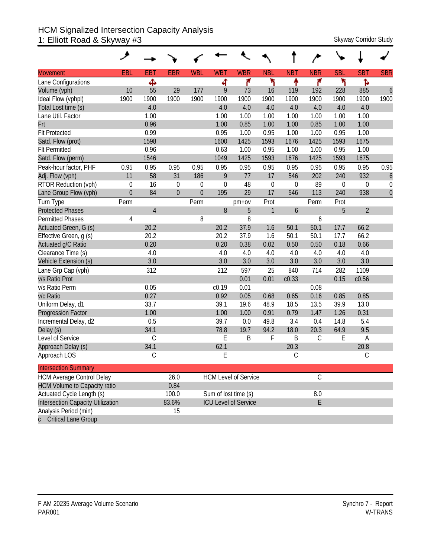#### HCM Signalized Intersection Capacity Analysis 1: Elliott Road & Skyway #3 Skyway Corridor Study Skyway Corridor Study

| <b>Movement</b>                     | EBL         | <b>EBT</b>     | <b>EBR</b>     | <b>WBL</b>  | <b>WBT</b>  | <b>WBR</b>                  | <b>NBL</b>   | <b>NBT</b>       | <b>NBR</b>    | <b>SBL</b> | <b>SBT</b>     | <b>SBR</b>       |
|-------------------------------------|-------------|----------------|----------------|-------------|-------------|-----------------------------|--------------|------------------|---------------|------------|----------------|------------------|
| Lane Configurations                 |             | Ф              |                |             | ची          | ۴                           | ۲            | ٠                | ۴             | ۲          | ħ              |                  |
| Volume (vph)                        | 10          | 55             | 29             | 177         | 9           | 73                          | 16           | 519              | 192           | 228        | 885            | $\boldsymbol{6}$ |
| Ideal Flow (vphpl)                  | 1900        | 1900           | 1900           | 1900        | 1900        | 1900                        | 1900         | 1900             | 1900          | 1900       | 1900           | 1900             |
| Total Lost time (s)                 |             | 4.0            |                |             | 4.0         | 4.0                         | 4.0          | 4.0              | 4.0           | 4.0        | 4.0            |                  |
| Lane Util. Factor                   |             | 1.00           |                |             | 1.00        | 1.00                        | 1.00         | 1.00             | 1.00          | 1.00       | 1.00           |                  |
| Frt                                 |             | 0.96           |                |             | 1.00        | 0.85                        | 1.00         | 1.00             | 0.85          | 1.00       | 1.00           |                  |
| <b>Flt Protected</b>                |             | 0.99           |                |             | 0.95        | 1.00                        | 0.95         | 1.00             | 1.00          | 0.95       | 1.00           |                  |
| Satd. Flow (prot)                   |             | 1598           |                |             | 1600        | 1425                        | 1593         | 1676             | 1425          | 1593       | 1675           |                  |
| <b>Flt Permitted</b>                |             | 0.96           |                |             | 0.63        | 1.00                        | 0.95         | 1.00             | 1.00          | 0.95       | 1.00           |                  |
| Satd. Flow (perm)                   |             | 1546           |                |             | 1049        | 1425                        | 1593         | 1676             | 1425          | 1593       | 1675           |                  |
| Peak-hour factor, PHF               | 0.95        | 0.95           | 0.95           | 0.95        | 0.95        | 0.95                        | 0.95         | 0.95             | 0.95          | 0.95       | 0.95           | 0.95             |
| Adj. Flow (vph)                     | 11          | 58             | 31             | 186         | 9           | 77                          | 17           | 546              | 202           | 240        | 932            | 6                |
| RTOR Reduction (vph)                | $\mathbf 0$ | 16             | $\mathbf 0$    | 0           | $\mathbf 0$ | 48                          | $\mathbf 0$  | 0                | 89            | 0          | 0              | $\mathbf 0$      |
| Lane Group Flow (vph)               | $\theta$    | 84             | $\overline{0}$ | $\mathbf 0$ | 195         | 29                          | 17           | 546              | 113           | 240        | 938            | $\overline{0}$   |
| Turn Type                           | Perm        |                |                | Perm        |             | $pm+ov$                     | Prot         |                  | Perm          | Prot       |                |                  |
| <b>Protected Phases</b>             |             | $\overline{4}$ |                |             | 8           | 5                           | $\mathbf{1}$ | $\boldsymbol{6}$ |               | 5          | $\overline{2}$ |                  |
| <b>Permitted Phases</b>             | 4           |                |                | 8           |             | 8                           |              |                  | 6             |            |                |                  |
| Actuated Green, G (s)               |             | 20.2           |                |             | 20.2        | 37.9                        | 1.6          | 50.1             | 50.1          | 17.7       | 66.2           |                  |
| Effective Green, g (s)              |             | 20.2           |                |             | 20.2        | 37.9                        | 1.6          | 50.1             | 50.1          | 17.7       | 66.2           |                  |
| Actuated g/C Ratio                  |             | 0.20           |                |             | 0.20        | 0.38                        | 0.02         | 0.50             | 0.50          | 0.18       | 0.66           |                  |
| Clearance Time (s)                  |             | 4.0            |                |             | 4.0         | 4.0                         | 4.0          | 4.0              | 4.0           | 4.0        | 4.0            |                  |
| Vehicle Extension (s)               |             | 3.0            |                |             | 3.0         | 3.0                         | 3.0          | 3.0              | 3.0           | 3.0        | 3.0            |                  |
| Lane Grp Cap (vph)                  |             | 312            |                |             | 212         | 597                         | 25           | 840              | 714           | 282        | 1109           |                  |
| v/s Ratio Prot                      |             |                |                |             |             | 0.01                        | 0.01         | c0.33            |               | 0.15       | c0.56          |                  |
| v/s Ratio Perm                      |             | 0.05           |                |             | c0.19       | 0.01                        |              |                  | 0.08          |            |                |                  |
| v/c Ratio                           |             | 0.27           |                |             | 0.92        | 0.05                        | 0.68         | 0.65             | 0.16          | 0.85       | 0.85           |                  |
| Uniform Delay, d1                   |             | 33.7           |                |             | 39.1        | 19.6                        | 48.9         | 18.5             | 13.5          | 39.9       | 13.0           |                  |
| <b>Progression Factor</b>           |             | 1.00           |                |             | 1.00        | 1.00                        | 0.91         | 0.79             | 1.47          | 1.26       | 0.31           |                  |
| Incremental Delay, d2               |             | 0.5            |                |             | 39.7        | 0.0                         | 49.8         | 3.4              | 0.4           | 14.8       | 5.4            |                  |
| Delay (s)                           |             | 34.1           |                |             | 78.8        | 19.7                        | 94.2         | 18.0             | 20.3          | 64.9       | 9.5            |                  |
| Level of Service                    |             | $\mathsf C$    |                |             | E           | B                           | F            | B                | $\mathsf C$   | E          | A              |                  |
| Approach Delay (s)                  |             | 34.1           |                |             | 62.1        |                             |              | 20.3             |               |            | 20.8           |                  |
| Approach LOS                        |             | С              |                |             | E           |                             |              | С                |               |            | С              |                  |
| <b>Intersection Summary</b>         |             |                |                |             |             |                             |              |                  |               |            |                |                  |
| <b>HCM Average Control Delay</b>    |             |                | 26.0           |             |             | <b>HCM Level of Service</b> |              |                  | $\mathcal{C}$ |            |                |                  |
| <b>HCM Volume to Capacity ratio</b> |             |                | 0.84           |             |             |                             |              |                  |               |            |                |                  |
| Actuated Cycle Length (s)           |             |                | 100.0          |             |             | Sum of lost time (s)        |              |                  | $8.0\,$       |            |                |                  |
| Intersection Capacity Utilization   |             |                | 83.6%          |             |             | <b>ICU Level of Service</b> |              |                  | E             |            |                |                  |
| Analysis Period (min)               |             |                | 15             |             |             |                             |              |                  |               |            |                |                  |
| c Critical Lane Group               |             |                |                |             |             |                             |              |                  |               |            |                |                  |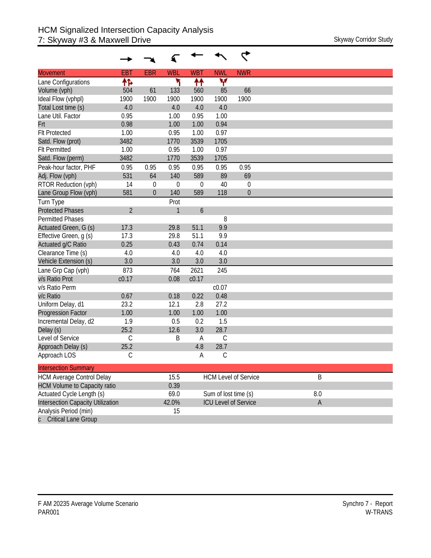| <b>Movement</b>                     | <b>EBT</b>     | <b>EBR</b>       | <b>WBL</b>  | <b>WBT</b>       | <b>NWL</b>           | <b>NWR</b>                  |              |
|-------------------------------------|----------------|------------------|-------------|------------------|----------------------|-----------------------------|--------------|
| Lane Configurations                 | ተኈ             |                  | ۲           | ↟↟               | v                    |                             |              |
| Volume (vph)                        | 504            | 61               | 133         | 560              | 85                   | 66                          |              |
| Ideal Flow (vphpl)                  | 1900           | 1900             | 1900        | 1900             | 1900                 | 1900                        |              |
| Total Lost time (s)                 | 4.0            |                  | 4.0         | 4.0              | 4.0                  |                             |              |
| Lane Util. Factor                   | 0.95           |                  | 1.00        | 0.95             | 1.00                 |                             |              |
| Frt                                 | 0.98           |                  | 1.00        | 1.00             | 0.94                 |                             |              |
| <b>Flt Protected</b>                | 1.00           |                  | 0.95        | 1.00             | 0.97                 |                             |              |
| Satd. Flow (prot)                   | 3482           |                  | 1770        | 3539             | 1705                 |                             |              |
| <b>Flt Permitted</b>                | 1.00           |                  | 0.95        | 1.00             | 0.97                 |                             |              |
| Satd. Flow (perm)                   | 3482           |                  | 1770        | 3539             | 1705                 |                             |              |
| Peak-hour factor, PHF               | 0.95           | 0.95             | 0.95        | 0.95             | 0.95                 | 0.95                        |              |
| Adj. Flow (vph)                     | 531            | 64               | 140         | 589              | 89                   | 69                          |              |
| RTOR Reduction (vph)                | 14             | $\mathbf 0$      | $\mathbf 0$ | $\boldsymbol{0}$ | 40                   | 0                           |              |
| Lane Group Flow (vph)               | 581            | $\boldsymbol{0}$ | 140         | 589              | 118                  | $\mathbf 0$                 |              |
| Turn Type                           |                |                  | Prot        |                  |                      |                             |              |
| <b>Protected Phases</b>             | $\overline{2}$ |                  | 1           | $\boldsymbol{6}$ |                      |                             |              |
| <b>Permitted Phases</b>             |                |                  |             |                  | 8                    |                             |              |
| Actuated Green, G (s)               | 17.3           |                  | 29.8        | 51.1             | 9.9                  |                             |              |
| Effective Green, g (s)              | 17.3           |                  | 29.8        | 51.1             | 9.9                  |                             |              |
| Actuated g/C Ratio                  | 0.25           |                  | 0.43        | 0.74             | 0.14                 |                             |              |
| Clearance Time (s)                  | 4.0            |                  | 4.0         | 4.0              | 4.0                  |                             |              |
| Vehicle Extension (s)               | 3.0            |                  | 3.0         | 3.0              | 3.0                  |                             |              |
| Lane Grp Cap (vph)                  | 873            |                  | 764         | 2621             | 245                  |                             |              |
| v/s Ratio Prot                      | c0.17          |                  | 0.08        | c0.17            |                      |                             |              |
| v/s Ratio Perm                      |                |                  |             |                  | c0.07                |                             |              |
| v/c Ratio                           | 0.67           |                  | 0.18        | 0.22             | 0.48                 |                             |              |
| Uniform Delay, d1                   | 23.2           |                  | 12.1        | 2.8              | 27.2                 |                             |              |
| Progression Factor                  | 1.00           |                  | 1.00        | 1.00             | 1.00                 |                             |              |
| Incremental Delay, d2               | 1.9            |                  | 0.5         | 0.2              | 1.5                  |                             |              |
| Delay (s)                           | 25.2           |                  | 12.6        | 3.0              | 28.7                 |                             |              |
| Level of Service                    | $\mathsf C$    |                  | B           | A                | C                    |                             |              |
| Approach Delay (s)                  | 25.2           |                  |             | 4.8              | 28.7                 |                             |              |
| Approach LOS                        | C              |                  |             | А                | С                    |                             |              |
| <b>Intersection Summary</b>         |                |                  |             |                  |                      |                             |              |
| <b>HCM Average Control Delay</b>    |                |                  | 15.5        |                  |                      | <b>HCM Level of Service</b> | B            |
| <b>HCM Volume to Capacity ratio</b> |                |                  | 0.39        |                  |                      |                             |              |
| Actuated Cycle Length (s)           |                |                  | 69.0        |                  | Sum of lost time (s) |                             | $8.0\,$      |
| Intersection Capacity Utilization   |                |                  | 42.0%       |                  |                      | <b>ICU Level of Service</b> | $\mathsf{A}$ |
| Analysis Period (min)               |                |                  | 15          |                  |                      |                             |              |
| c Critical Lane Group               |                |                  |             |                  |                      |                             |              |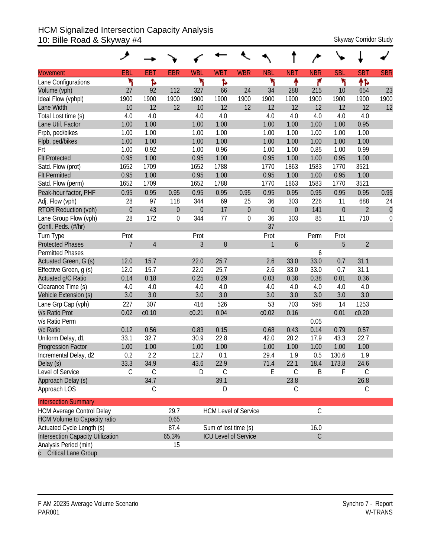### HCM Signalized Intersection Capacity Analysis 10: Bille Road & Skyway #4 Skyway 2011 Skyway Corridor Study

| <b>Movement</b>                     | EBL            | <b>EBT</b>     | <b>EBR</b>       | <b>WBL</b>       | <b>WBT</b>           | <b>WBR</b>                  | <b>NBL</b>       | <b>NBT</b>       | <b>NBR</b>    | <b>SBL</b>       | <b>SBT</b>     | <b>SBR</b>       |
|-------------------------------------|----------------|----------------|------------------|------------------|----------------------|-----------------------------|------------------|------------------|---------------|------------------|----------------|------------------|
| Lane Configurations                 | ۳              | ħ              |                  | ۲                | Ъ                    |                             | ۲                | ↟                | ۴             | ኻ                | ↟ኈ             |                  |
| Volume (vph)                        | 27             | 92             | 112              | 327              | 66                   | 24                          | 34               | 288              | 215           | 10               | 654            | 23               |
| Ideal Flow (vphpl)                  | 1900           | 1900           | 1900             | 1900             | 1900                 | 1900                        | 1900             | 1900             | 1900          | 1900             | 1900           | 1900             |
| Lane Width                          | 10             | 12             | 12               | 10               | 12                   | 12                          | 12               | 12               | 12            | 12               | 12             | 12               |
| Total Lost time (s)                 | 4.0            | 4.0            |                  | 4.0              | 4.0                  |                             | 4.0              | 4.0              | 4.0           | 4.0              | 4.0            |                  |
| Lane Util. Factor                   | 1.00           | 1.00           |                  | 1.00             | 1.00                 |                             | 1.00             | 1.00             | 1.00          | 1.00             | 0.95           |                  |
| Frpb, ped/bikes                     | 1.00           | 1.00           |                  | 1.00             | 1.00                 |                             | 1.00             | 1.00             | 1.00          | 1.00             | 1.00           |                  |
| Flpb, ped/bikes                     | 1.00           | 1.00           |                  | 1.00             | 1.00                 |                             | 1.00             | 1.00             | 1.00          | 1.00             | 1.00           |                  |
| Frt                                 | 1.00           | 0.92           |                  | 1.00             | 0.96                 |                             | 1.00             | 1.00             | 0.85          | 1.00             | 0.99           |                  |
| <b>Flt Protected</b>                | 0.95           | 1.00           |                  | 0.95             | 1.00                 |                             | 0.95             | 1.00             | 1.00          | 0.95             | 1.00           |                  |
| Satd. Flow (prot)                   | 1652           | 1709           |                  | 1652             | 1788                 |                             | 1770             | 1863             | 1583          | 1770             | 3521           |                  |
| <b>Flt Permitted</b>                | 0.95           | 1.00           |                  | 0.95             | 1.00                 |                             | 0.95             | 1.00             | 1.00          | 0.95             | 1.00           |                  |
| Satd. Flow (perm)                   | 1652           | 1709           |                  | 1652             | 1788                 |                             | 1770             | 1863             | 1583          | 1770             | 3521           |                  |
| Peak-hour factor, PHF               | 0.95           | 0.95           | 0.95             | 0.95             | 0.95                 | 0.95                        | 0.95             | 0.95             | 0.95          | 0.95             | 0.95           | 0.95             |
| Adj. Flow (vph)                     | 28             | 97             | 118              | 344              | 69                   | 25                          | 36               | 303              | 226           | 11               | 688            | 24               |
| <b>RTOR Reduction (vph)</b>         | $\mathbf 0$    | 43             | $\boldsymbol{0}$ | $\boldsymbol{0}$ | 17                   | $\boldsymbol{0}$            | $\boldsymbol{0}$ | $\boldsymbol{0}$ | 141           | $\boldsymbol{0}$ | $\overline{2}$ | $\boldsymbol{0}$ |
| Lane Group Flow (vph)               | 28             | 172            | $\boldsymbol{0}$ | 344              | 77                   | $\boldsymbol{0}$            | 36               | 303              | 85            | 11               | 710            | $\mathbf 0$      |
| Confl. Peds. (#/hr)                 |                |                |                  |                  |                      |                             | 37               |                  |               |                  |                |                  |
| Turn Type                           | Prot           |                |                  | Prot             |                      |                             | Prot             |                  | Perm          | Prot             |                |                  |
| <b>Protected Phases</b>             | $\overline{7}$ | $\overline{4}$ |                  | $\overline{3}$   | 8                    |                             | 1                | $\boldsymbol{6}$ |               | 5                | $\overline{2}$ |                  |
| <b>Permitted Phases</b>             |                |                |                  |                  |                      |                             |                  |                  | 6             |                  |                |                  |
| Actuated Green, G (s)               | 12.0           | 15.7           |                  | 22.0             | 25.7                 |                             | 2.6              | 33.0             | 33.0          | 0.7              | 31.1           |                  |
| Effective Green, g (s)              | 12.0           | 15.7           |                  | 22.0             | 25.7                 |                             | 2.6              | 33.0             | 33.0          | 0.7              | 31.1           |                  |
| Actuated g/C Ratio                  | 0.14           | 0.18           |                  | 0.25             | 0.29                 |                             | 0.03             | 0.38             | 0.38          | 0.01             | 0.36           |                  |
| Clearance Time (s)                  | 4.0            | 4.0            |                  | 4.0              | 4.0                  |                             | 4.0              | 4.0              | 4.0           | 4.0              | 4.0            |                  |
| Vehicle Extension (s)               | 3.0            | 3.0            |                  | 3.0              | 3.0                  |                             | 3.0              | 3.0              | 3.0           | 3.0              | 3.0            |                  |
| Lane Grp Cap (vph)                  | 227            | 307            |                  | 416              | 526                  |                             | 53               | 703              | 598           | 14               | 1253           |                  |
| v/s Ratio Prot                      | 0.02           | c0.10          |                  | c0.21            | 0.04                 |                             | c0.02            | 0.16             |               | 0.01             | c0.20          |                  |
| v/s Ratio Perm                      |                |                |                  |                  |                      |                             |                  |                  | 0.05          |                  |                |                  |
| v/c Ratio                           | 0.12           | 0.56           |                  | 0.83             | 0.15                 |                             | 0.68             | 0.43             | 0.14          | 0.79             | 0.57           |                  |
| Uniform Delay, d1                   | 33.1           | 32.7           |                  | 30.9             | 22.8                 |                             | 42.0             | 20.2             | 17.9          | 43.3             | 22.7           |                  |
| Progression Factor                  | 1.00           | 1.00           |                  | 1.00             | 1.00                 |                             | 1.00             | 1.00             | 1.00          | 1.00             | 1.00           |                  |
| Incremental Delay, d2               | 0.2            | 2.2            |                  | 12.7             | 0.1                  |                             | 29.4             | 1.9              | 0.5           | 130.6            | 1.9            |                  |
| Delay (s)                           | 33.3           | 34.9           |                  | 43.6             | 22.9                 |                             | 71.4             | 22.1             | 18.4          | 173.8            | 24.6           |                  |
| Level of Service                    | C              | $\mathcal{C}$  |                  | D                | С                    |                             | Е                | С                | Β             | F                | C              |                  |
| Approach Delay (s)                  |                | 34.7           |                  |                  | 39.1                 |                             |                  | 23.8             |               |                  | 26.8           |                  |
| Approach LOS                        |                | C              |                  |                  | D                    |                             |                  | С                |               |                  | C              |                  |
| <b>Intersection Summary</b>         |                |                |                  |                  |                      |                             |                  |                  |               |                  |                |                  |
| <b>HCM Average Control Delay</b>    |                |                | 29.7             |                  |                      | <b>HCM Level of Service</b> |                  |                  | $\mathsf C$   |                  |                |                  |
| <b>HCM Volume to Capacity ratio</b> |                |                | 0.65             |                  |                      |                             |                  |                  |               |                  |                |                  |
| Actuated Cycle Length (s)           |                |                | 87.4             |                  | Sum of lost time (s) |                             |                  |                  | 16.0          |                  |                |                  |
| Intersection Capacity Utilization   |                |                | 65.3%            |                  |                      | <b>ICU Level of Service</b> |                  |                  | $\mathcal{C}$ |                  |                |                  |
| Analysis Period (min)               |                |                | 15               |                  |                      |                             |                  |                  |               |                  |                |                  |
| <b>Critical Lane Group</b>          |                |                |                  |                  |                      |                             |                  |                  |               |                  |                |                  |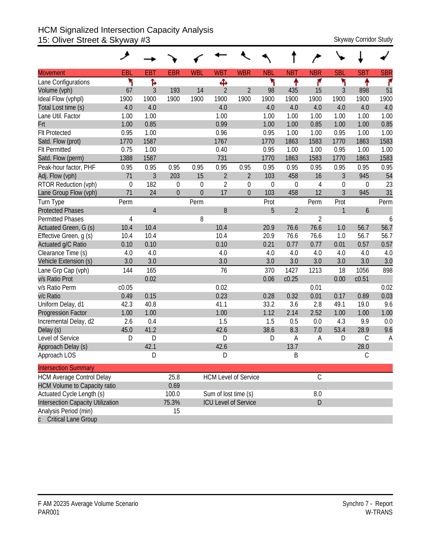## HCM Signalized Intersection Capacity Analysis 15: Oliver Street & Skyway #3 Skyway Corridor Study

| <b>Movement</b>                     | EBL         | <b>EBT</b>     | <b>EBR</b>       | <b>WBL</b>       | <b>WBT</b>           | <b>WBR</b>                  | <b>NBL</b>  | <b>NBT</b>       | <b>NBR</b>     | <b>SBL</b>       | <b>SBT</b>    | <b>SBR</b> |
|-------------------------------------|-------------|----------------|------------------|------------------|----------------------|-----------------------------|-------------|------------------|----------------|------------------|---------------|------------|
| Lane Configurations                 | ۲           | Ъ              |                  |                  | Ф                    |                             | ኻ           | ↟                | ۴              | ۲                | ቶ             | ۴          |
| Volume (vph)                        | 67          | $\mathfrak{Z}$ | 193              | 14               | $\overline{2}$       | $\overline{2}$              | 98          | 435              | 15             | $\mathfrak{Z}$   | 898           | 51         |
| Ideal Flow (vphpl)                  | 1900        | 1900           | 1900             | 1900             | 1900                 | 1900                        | 1900        | 1900             | 1900           | 1900             | 1900          | 1900       |
| Total Lost time (s)                 | 4.0         | 4.0            |                  |                  | 4.0                  |                             | 4.0         | 4.0              | 4.0            | 4.0              | 4.0           | 4.0        |
| Lane Util. Factor                   | 1.00        | 1.00           |                  |                  | 1.00                 |                             | 1.00        | 1.00             | 1.00           | 1.00             | 1.00          | 1.00       |
| Frt                                 | 1.00        | 0.85           |                  |                  | 0.99                 |                             | 1.00        | 1.00             | 0.85           | 1.00             | 1.00          | 0.85       |
| <b>Flt Protected</b>                | 0.95        | 1.00           |                  |                  | 0.96                 |                             | 0.95        | 1.00             | 1.00           | 0.95             | 1.00          | 1.00       |
| Satd. Flow (prot)                   | 1770        | 1587           |                  |                  | 1767                 |                             | 1770        | 1863             | 1583           | 1770             | 1863          | 1583       |
| <b>Flt Permitted</b>                | 0.75        | 1.00           |                  |                  | 0.40                 |                             | 0.95        | 1.00             | 1.00           | 0.95             | 1.00          | 1.00       |
| Satd. Flow (perm)                   | 1388        | 1587           |                  |                  | 731                  |                             | 1770        | 1863             | 1583           | 1770             | 1863          | 1583       |
| Peak-hour factor, PHF               | 0.95        | 0.95           | 0.95             | 0.95             | 0.95                 | 0.95                        | 0.95        | 0.95             | 0.95           | 0.95             | 0.95          | 0.95       |
| Adj. Flow (vph)                     | 71          | $\mathfrak{Z}$ | 203              | 15               | $\overline{2}$       | $\overline{2}$              | 103         | 458              | 16             | $\mathfrak{Z}$   | 945           | 54         |
| RTOR Reduction (vph)                | $\mathbf 0$ | 182            | $\boldsymbol{0}$ | $\mathbf 0$      | $\overline{2}$       | $\mathbf 0$                 | $\mathbf 0$ | $\boldsymbol{0}$ | $\overline{4}$ | $\boldsymbol{0}$ | 0             | 23         |
| Lane Group Flow (vph)               | 71          | 24             | $\overline{0}$   | $\boldsymbol{0}$ | 17                   | $\overline{0}$              | 103         | 458              | 12             | $\mathfrak{Z}$   | 945           | 31         |
| <b>Turn Type</b>                    | Perm        |                |                  | Perm             |                      |                             | Prot        |                  | Perm           | Prot             |               | Perm       |
| <b>Protected Phases</b>             |             | $\overline{4}$ |                  |                  | 8                    |                             | 5           | $\overline{2}$   |                | 1                | 6             |            |
| <b>Permitted Phases</b>             | 4           |                |                  | 8                |                      |                             |             |                  | $\overline{2}$ |                  |               | 6          |
| Actuated Green, G (s)               | 10.4        | 10.4           |                  |                  | 10.4                 |                             | 20.9        | 76.6             | 76.6           | 1.0              | 56.7          | 56.7       |
| Effective Green, g (s)              | 10.4        | 10.4           |                  |                  | 10.4                 |                             | 20.9        | 76.6             | 76.6           | 1.0              | 56.7          | 56.7       |
| Actuated g/C Ratio                  | 0.10        | 0.10           |                  |                  | 0.10                 |                             | 0.21        | 0.77             | 0.77           | 0.01             | 0.57          | 0.57       |
| Clearance Time (s)                  | 4.0         | 4.0            |                  |                  | 4.0                  |                             | 4.0         | 4.0              | 4.0            | 4.0              | 4.0           | 4.0        |
| Vehicle Extension (s)               | 3.0         | 3.0            |                  |                  | 3.0                  |                             | 3.0         | 3.0              | 3.0            | 3.0              | 3.0           | 3.0        |
| Lane Grp Cap (vph)                  | 144         | 165            |                  |                  | 76                   |                             | 370         | 1427             | 1213           | 18               | 1056          | 898        |
| v/s Ratio Prot                      |             | 0.02           |                  |                  |                      |                             | 0.06        | c0.25            |                | 0.00             | c0.51         |            |
| v/s Ratio Perm                      | c0.05       |                |                  |                  | 0.02                 |                             |             |                  | 0.01           |                  |               | 0.02       |
| v/c Ratio                           | 0.49        | 0.15           |                  |                  | 0.23                 |                             | 0.28        | 0.32             | 0.01           | 0.17             | 0.89          | 0.03       |
| Uniform Delay, d1                   | 42.3        | 40.8           |                  |                  | 41.1                 |                             | 33.2        | 3.6              | 2.8            | 49.1             | 19.0          | 9.6        |
| Progression Factor                  | 1.00        | 1.00           |                  |                  | 1.00                 |                             | 1.12        | 2.14             | 2.52           | 1.00             | 1.00          | 1.00       |
| Incremental Delay, d2               | 2.6         | 0.4            |                  |                  | 1.5                  |                             | 1.5         | 0.5              | 0.0            | 4.3              | 9.9           | 0.0        |
| Delay (s)                           | 45.0        | 41.2           |                  |                  | 42.6                 |                             | 38.6        | 8.3              | 7.0            | 53.4             | 28.9          | 9.6        |
| Level of Service                    | D           | D              |                  |                  | D                    |                             | D           | Α                | A              | D                | $\mathcal{C}$ | A          |
| Approach Delay (s)                  |             | 42.1           |                  |                  | 42.6                 |                             |             | 13.7             |                |                  | 28.0          |            |
| Approach LOS                        |             | D              |                  |                  | D                    |                             |             | B                |                |                  | С             |            |
| <b>Intersection Summary</b>         |             |                |                  |                  |                      |                             |             |                  |                |                  |               |            |
| <b>HCM Average Control Delay</b>    |             |                | 25.8             |                  |                      | <b>HCM Level of Service</b> |             |                  | $\mathsf C$    |                  |               |            |
| <b>HCM Volume to Capacity ratio</b> |             |                | 0.69             |                  |                      |                             |             |                  |                |                  |               |            |
| Actuated Cycle Length (s)           |             |                | 100.0            |                  | Sum of lost time (s) |                             |             |                  | $8.0\,$        |                  |               |            |
| Intersection Capacity Utilization   |             |                | 75.3%            |                  |                      | <b>ICU Level of Service</b> |             |                  | D              |                  |               |            |
| Analysis Period (min)               |             |                | 15               |                  |                      |                             |             |                  |                |                  |               |            |
| c Critical Lane Group               |             |                |                  |                  |                      |                             |             |                  |                |                  |               |            |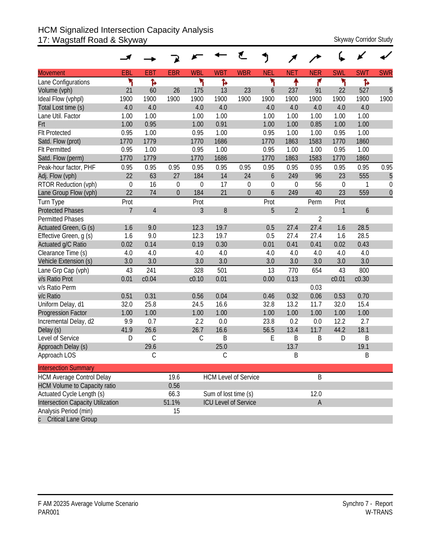## HCM Signalized Intersection Capacity Analysis 17: Wagstaff Road & Skyway Skyway Skyway Corridor Study

|                                     |                |                |                |                |                      | ť                           | J           |                |                |             |            |              |
|-------------------------------------|----------------|----------------|----------------|----------------|----------------------|-----------------------------|-------------|----------------|----------------|-------------|------------|--------------|
| <b>Movement</b>                     | EBL            | <b>EBT</b>     | <b>EBR</b>     | <b>WBL</b>     | <b>WBT</b>           | <b>WBR</b>                  | <b>NEL</b>  | <b>NET</b>     | <b>NER</b>     | <b>SWL</b>  | <b>SWT</b> | <b>SWR</b>   |
| Lane Configurations                 | ۲              | Ъ              |                | ۲              | Ъ                    |                             | ۲           | ٠              | ۴              | ۲           | ħ          |              |
| Volume (vph)                        | 21             | 60             | 26             | 175            | 13                   | 23                          | 6           | 237            | 91             | 22          | 527        | 5            |
| Ideal Flow (vphpl)                  | 1900           | 1900           | 1900           | 1900           | 1900                 | 1900                        | 1900        | 1900           | 1900           | 1900        | 1900       | 1900         |
| Total Lost time (s)                 | 4.0            | 4.0            |                | 4.0            | 4.0                  |                             | 4.0         | 4.0            | 4.0            | 4.0         | 4.0        |              |
| Lane Util. Factor                   | 1.00           | 1.00           |                | 1.00           | 1.00                 |                             | 1.00        | 1.00           | 1.00           | 1.00        | 1.00       |              |
| Frt                                 | 1.00           | 0.95           |                | 1.00           | 0.91                 |                             | 1.00        | 1.00           | 0.85           | 1.00        | 1.00       |              |
| <b>Flt Protected</b>                | 0.95           | 1.00           |                | 0.95           | 1.00                 |                             | 0.95        | 1.00           | 1.00           | 0.95        | 1.00       |              |
| Satd. Flow (prot)                   | 1770           | 1779           |                | 1770           | 1686                 |                             | 1770        | 1863           | 1583           | 1770        | 1860       |              |
| <b>Flt Permitted</b>                | 0.95           | 1.00           |                | 0.95           | 1.00                 |                             | 0.95        | 1.00           | 1.00           | 0.95        | 1.00       |              |
| Satd. Flow (perm)                   | 1770           | 1779           |                | 1770           | 1686                 |                             | 1770        | 1863           | 1583           | 1770        | 1860       |              |
| Peak-hour factor, PHF               | 0.95           | 0.95           | 0.95           | 0.95           | 0.95                 | 0.95                        | 0.95        | 0.95           | 0.95           | 0.95        | 0.95       | 0.95         |
| Adj. Flow (vph)                     | 22             | 63             | 27             | 184            | 14                   | 24                          | 6           | 249            | 96             | 23          | 555        | 5            |
| RTOR Reduction (vph)                | $\mathbf 0$    | 16             | $\overline{0}$ | $\mathbf 0$    | 17                   | $\mathbf 0$                 | $\mathbf 0$ | $\mathbf 0$    | 56             | $\mathbf 0$ | 1          | $\mathbf 0$  |
| Lane Group Flow (vph)               | 22             | 74             | $\overline{0}$ | 184            | 21                   | $\mathbf{0}$                | 6           | 249            | 40             | 23          | 559        | $\mathbf{0}$ |
| Turn Type                           | Prot           |                |                | Prot           |                      |                             | Prot        |                | Perm           | Prot        |            |              |
| <b>Protected Phases</b>             | $\overline{7}$ | $\overline{4}$ |                | $\overline{3}$ | 8                    |                             | 5           | $\overline{2}$ |                | 1           | 6          |              |
| <b>Permitted Phases</b>             |                |                |                |                |                      |                             |             |                | $\overline{2}$ |             |            |              |
| Actuated Green, G (s)               | 1.6            | 9.0            |                | 12.3           | 19.7                 |                             | 0.5         | 27.4           | 27.4           | 1.6         | 28.5       |              |
| Effective Green, g (s)              | 1.6            | 9.0            |                | 12.3           | 19.7                 |                             | 0.5         | 27.4           | 27.4           | 1.6         | 28.5       |              |
| Actuated g/C Ratio                  | 0.02           | 0.14           |                | 0.19           | 0.30                 |                             | 0.01        | 0.41           | 0.41           | 0.02        | 0.43       |              |
| Clearance Time (s)                  | 4.0            | 4.0            |                | 4.0            | 4.0                  |                             | 4.0         | 4.0            | 4.0            | 4.0         | 4.0        |              |
| Vehicle Extension (s)               | 3.0            | 3.0            |                | 3.0            | 3.0                  |                             | 3.0         | 3.0            | 3.0            | 3.0         | 3.0        |              |
| Lane Grp Cap (vph)                  | 43             | 241            |                | 328            | 501                  |                             | 13          | 770            | 654            | 43          | 800        |              |
| v/s Ratio Prot                      | 0.01           | c0.04          |                | c0.10          | 0.01                 |                             | 0.00        | 0.13           |                | c0.01       | c0.30      |              |
| v/s Ratio Perm                      |                |                |                |                |                      |                             |             |                | 0.03           |             |            |              |
| v/c Ratio                           | 0.51           | 0.31           |                | 0.56           | 0.04                 |                             | 0.46        | 0.32           | 0.06           | 0.53        | 0.70       |              |
| Uniform Delay, d1                   | 32.0           | 25.8           |                | 24.5           | 16.6                 |                             | 32.8        | 13.2           | 11.7           | 32.0        | 15.4       |              |
| <b>Progression Factor</b>           | 1.00           | 1.00           |                | 1.00           | 1.00                 |                             | 1.00        | 1.00           | 1.00           | 1.00        | 1.00       |              |
| Incremental Delay, d2               | 9.9            | 0.7            |                | 2.2            | 0.0                  |                             | 23.8        | 0.2            | 0.0            | 12.2        | 2.7        |              |
| Delay (s)                           | 41.9           | 26.6           |                | 26.7           | 16.6                 |                             | 56.5        | 13.4           | 11.7           | 44.2        | 18.1       |              |
| Level of Service                    | D              | $\mathsf C$    |                | $\mathsf C$    | B                    |                             | E           | B              | B              | D           | B          |              |
| Approach Delay (s)                  |                | 29.6           |                |                | 25.0                 |                             |             | 13.7           |                |             | 19.1       |              |
| Approach LOS                        |                | $\mathsf C$    |                |                | С                    |                             |             | B              |                |             | B          |              |
| <b>Intersection Summary</b>         |                |                |                |                |                      |                             |             |                |                |             |            |              |
| <b>HCM Average Control Delay</b>    |                |                | 19.6           |                |                      | <b>HCM Level of Service</b> |             |                | B              |             |            |              |
| <b>HCM Volume to Capacity ratio</b> |                |                | 0.56           |                |                      |                             |             |                |                |             |            |              |
| Actuated Cycle Length (s)           |                |                | 66.3           |                | Sum of lost time (s) |                             |             |                | 12.0           |             |            |              |
| Intersection Capacity Utilization   |                |                | 51.1%          |                |                      | <b>ICU Level of Service</b> |             |                | A              |             |            |              |
| Analysis Period (min)               |                |                | 15             |                |                      |                             |             |                |                |             |            |              |
| c Critical Lane Group               |                |                |                |                |                      |                             |             |                |                |             |            |              |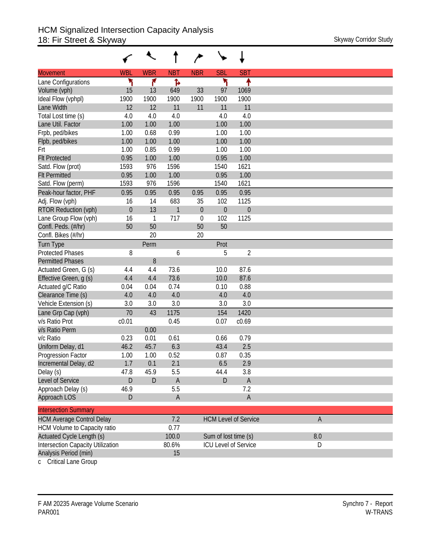| <b>WBR</b><br><b>SBT</b><br><b>WBL</b><br><b>NBT</b><br><b>NBR</b><br><b>SBL</b><br><b>Movement</b><br>۲<br>۲<br>۸<br>۴<br>Ъ<br>Lane Configurations<br>Volume (vph)<br>15<br>649<br>33<br>97<br>1069<br>13<br>1900<br>1900<br>1900<br>1900<br>1900<br>1900<br>Ideal Flow (vphpl)<br>12<br>12<br>11<br>Lane Width<br>11<br>11<br>11<br>4.0<br>4.0<br>Total Lost time (s)<br>4.0<br>4.0<br>4.0<br>1.00<br>Lane Util. Factor<br>1.00<br>1.00<br>1.00<br>1.00<br>0.68<br>1.00<br>Frpb, ped/bikes<br>1.00<br>0.99<br>1.00<br>1.00<br>Flpb, ped/bikes<br>1.00<br>1.00<br>1.00<br>1.00<br>1.00<br>1.00<br>0.85<br>0.99<br>1.00<br>Frt<br>1.00<br>1.00<br><b>Flt Protected</b><br>0.95<br>1.00<br>0.95<br>1621<br>Satd. Flow (prot)<br>1593<br>976<br>1596<br>1540<br>0.95<br>1.00<br>1.00<br><b>Flt Permitted</b><br>1.00<br>0.95<br>Satd. Flow (perm)<br>1593<br>976<br>1596<br>1540<br>1621<br>Peak-hour factor, PHF<br>0.95<br>0.95<br>0.95<br>0.95<br>0.95<br>0.95<br>683<br>1125<br>Adj. Flow (vph)<br>16<br>14<br>35<br>102<br>$\theta$<br>13<br>1<br>$\boldsymbol{0}$<br>$\theta$<br>$\mathbf{0}$<br><b>RTOR Reduction (vph)</b><br>717<br>102<br>1125<br>Lane Group Flow (vph)<br>16<br>$\overline{1}$<br>$\theta$<br>50<br>50<br>Confl. Peds. (#/hr)<br>50<br>50<br>20<br>20<br>Confl. Bikes (#/hr)<br><b>Turn Type</b><br>Perm<br>Prot<br>$\overline{2}$<br><b>Protected Phases</b> |
|----------------------------------------------------------------------------------------------------------------------------------------------------------------------------------------------------------------------------------------------------------------------------------------------------------------------------------------------------------------------------------------------------------------------------------------------------------------------------------------------------------------------------------------------------------------------------------------------------------------------------------------------------------------------------------------------------------------------------------------------------------------------------------------------------------------------------------------------------------------------------------------------------------------------------------------------------------------------------------------------------------------------------------------------------------------------------------------------------------------------------------------------------------------------------------------------------------------------------------------------------------------------------------------------------------------------------------------------------------------------------------------|
|                                                                                                                                                                                                                                                                                                                                                                                                                                                                                                                                                                                                                                                                                                                                                                                                                                                                                                                                                                                                                                                                                                                                                                                                                                                                                                                                                                                        |
|                                                                                                                                                                                                                                                                                                                                                                                                                                                                                                                                                                                                                                                                                                                                                                                                                                                                                                                                                                                                                                                                                                                                                                                                                                                                                                                                                                                        |
|                                                                                                                                                                                                                                                                                                                                                                                                                                                                                                                                                                                                                                                                                                                                                                                                                                                                                                                                                                                                                                                                                                                                                                                                                                                                                                                                                                                        |
|                                                                                                                                                                                                                                                                                                                                                                                                                                                                                                                                                                                                                                                                                                                                                                                                                                                                                                                                                                                                                                                                                                                                                                                                                                                                                                                                                                                        |
|                                                                                                                                                                                                                                                                                                                                                                                                                                                                                                                                                                                                                                                                                                                                                                                                                                                                                                                                                                                                                                                                                                                                                                                                                                                                                                                                                                                        |
|                                                                                                                                                                                                                                                                                                                                                                                                                                                                                                                                                                                                                                                                                                                                                                                                                                                                                                                                                                                                                                                                                                                                                                                                                                                                                                                                                                                        |
|                                                                                                                                                                                                                                                                                                                                                                                                                                                                                                                                                                                                                                                                                                                                                                                                                                                                                                                                                                                                                                                                                                                                                                                                                                                                                                                                                                                        |
|                                                                                                                                                                                                                                                                                                                                                                                                                                                                                                                                                                                                                                                                                                                                                                                                                                                                                                                                                                                                                                                                                                                                                                                                                                                                                                                                                                                        |
|                                                                                                                                                                                                                                                                                                                                                                                                                                                                                                                                                                                                                                                                                                                                                                                                                                                                                                                                                                                                                                                                                                                                                                                                                                                                                                                                                                                        |
|                                                                                                                                                                                                                                                                                                                                                                                                                                                                                                                                                                                                                                                                                                                                                                                                                                                                                                                                                                                                                                                                                                                                                                                                                                                                                                                                                                                        |
|                                                                                                                                                                                                                                                                                                                                                                                                                                                                                                                                                                                                                                                                                                                                                                                                                                                                                                                                                                                                                                                                                                                                                                                                                                                                                                                                                                                        |
|                                                                                                                                                                                                                                                                                                                                                                                                                                                                                                                                                                                                                                                                                                                                                                                                                                                                                                                                                                                                                                                                                                                                                                                                                                                                                                                                                                                        |
|                                                                                                                                                                                                                                                                                                                                                                                                                                                                                                                                                                                                                                                                                                                                                                                                                                                                                                                                                                                                                                                                                                                                                                                                                                                                                                                                                                                        |
|                                                                                                                                                                                                                                                                                                                                                                                                                                                                                                                                                                                                                                                                                                                                                                                                                                                                                                                                                                                                                                                                                                                                                                                                                                                                                                                                                                                        |
|                                                                                                                                                                                                                                                                                                                                                                                                                                                                                                                                                                                                                                                                                                                                                                                                                                                                                                                                                                                                                                                                                                                                                                                                                                                                                                                                                                                        |
|                                                                                                                                                                                                                                                                                                                                                                                                                                                                                                                                                                                                                                                                                                                                                                                                                                                                                                                                                                                                                                                                                                                                                                                                                                                                                                                                                                                        |
|                                                                                                                                                                                                                                                                                                                                                                                                                                                                                                                                                                                                                                                                                                                                                                                                                                                                                                                                                                                                                                                                                                                                                                                                                                                                                                                                                                                        |
|                                                                                                                                                                                                                                                                                                                                                                                                                                                                                                                                                                                                                                                                                                                                                                                                                                                                                                                                                                                                                                                                                                                                                                                                                                                                                                                                                                                        |
|                                                                                                                                                                                                                                                                                                                                                                                                                                                                                                                                                                                                                                                                                                                                                                                                                                                                                                                                                                                                                                                                                                                                                                                                                                                                                                                                                                                        |
|                                                                                                                                                                                                                                                                                                                                                                                                                                                                                                                                                                                                                                                                                                                                                                                                                                                                                                                                                                                                                                                                                                                                                                                                                                                                                                                                                                                        |
|                                                                                                                                                                                                                                                                                                                                                                                                                                                                                                                                                                                                                                                                                                                                                                                                                                                                                                                                                                                                                                                                                                                                                                                                                                                                                                                                                                                        |
| 8<br>6<br>5                                                                                                                                                                                                                                                                                                                                                                                                                                                                                                                                                                                                                                                                                                                                                                                                                                                                                                                                                                                                                                                                                                                                                                                                                                                                                                                                                                            |
| <b>Permitted Phases</b><br>8                                                                                                                                                                                                                                                                                                                                                                                                                                                                                                                                                                                                                                                                                                                                                                                                                                                                                                                                                                                                                                                                                                                                                                                                                                                                                                                                                           |
| 4.4<br>73.6<br>87.6<br>Actuated Green, G (s)<br>4.4<br>10.0                                                                                                                                                                                                                                                                                                                                                                                                                                                                                                                                                                                                                                                                                                                                                                                                                                                                                                                                                                                                                                                                                                                                                                                                                                                                                                                            |
| 87.6<br>Effective Green, g (s)<br>4.4<br>4.4<br>73.6<br>10.0                                                                                                                                                                                                                                                                                                                                                                                                                                                                                                                                                                                                                                                                                                                                                                                                                                                                                                                                                                                                                                                                                                                                                                                                                                                                                                                           |
| Actuated g/C Ratio<br>0.04<br>0.74<br>0.88<br>0.04<br>0.10                                                                                                                                                                                                                                                                                                                                                                                                                                                                                                                                                                                                                                                                                                                                                                                                                                                                                                                                                                                                                                                                                                                                                                                                                                                                                                                             |
| 4.0<br>4.0<br>4.0<br>4.0<br>Clearance Time (s)<br>4.0                                                                                                                                                                                                                                                                                                                                                                                                                                                                                                                                                                                                                                                                                                                                                                                                                                                                                                                                                                                                                                                                                                                                                                                                                                                                                                                                  |
| Vehicle Extension (s)<br>3.0<br>3.0<br>3.0<br>3.0<br>3.0                                                                                                                                                                                                                                                                                                                                                                                                                                                                                                                                                                                                                                                                                                                                                                                                                                                                                                                                                                                                                                                                                                                                                                                                                                                                                                                               |
| 70<br>1175<br>Lane Grp Cap (vph)<br>43<br>154<br>1420                                                                                                                                                                                                                                                                                                                                                                                                                                                                                                                                                                                                                                                                                                                                                                                                                                                                                                                                                                                                                                                                                                                                                                                                                                                                                                                                  |
| c <sub>0.01</sub><br>v/s Ratio Prot<br>0.45<br>c0.69<br>0.07                                                                                                                                                                                                                                                                                                                                                                                                                                                                                                                                                                                                                                                                                                                                                                                                                                                                                                                                                                                                                                                                                                                                                                                                                                                                                                                           |
| 0.00<br>v/s Ratio Perm                                                                                                                                                                                                                                                                                                                                                                                                                                                                                                                                                                                                                                                                                                                                                                                                                                                                                                                                                                                                                                                                                                                                                                                                                                                                                                                                                                 |
| 0.23<br>0.79<br>v/c Ratio<br>0.01<br>0.61<br>0.66                                                                                                                                                                                                                                                                                                                                                                                                                                                                                                                                                                                                                                                                                                                                                                                                                                                                                                                                                                                                                                                                                                                                                                                                                                                                                                                                      |
| 2.5<br>46.2<br>45.7<br>6.3<br>43.4<br>Uniform Delay, d1                                                                                                                                                                                                                                                                                                                                                                                                                                                                                                                                                                                                                                                                                                                                                                                                                                                                                                                                                                                                                                                                                                                                                                                                                                                                                                                                |
| 0.52<br>0.35<br>Progression Factor<br>1.00<br>1.00<br>0.87                                                                                                                                                                                                                                                                                                                                                                                                                                                                                                                                                                                                                                                                                                                                                                                                                                                                                                                                                                                                                                                                                                                                                                                                                                                                                                                             |
| 2.1<br>2.9<br>1.7<br>0.1<br>6.5<br>Incremental Delay, d2                                                                                                                                                                                                                                                                                                                                                                                                                                                                                                                                                                                                                                                                                                                                                                                                                                                                                                                                                                                                                                                                                                                                                                                                                                                                                                                               |
| 47.8<br>45.9<br>5.5<br>44.4<br>3.8<br>Delay (s)                                                                                                                                                                                                                                                                                                                                                                                                                                                                                                                                                                                                                                                                                                                                                                                                                                                                                                                                                                                                                                                                                                                                                                                                                                                                                                                                        |
| D<br>D<br>Level of Service<br>D<br>$\overline{A}$<br>$\mathsf{A}$                                                                                                                                                                                                                                                                                                                                                                                                                                                                                                                                                                                                                                                                                                                                                                                                                                                                                                                                                                                                                                                                                                                                                                                                                                                                                                                      |
| 5.5<br>7.2<br>Approach Delay (s)<br>46.9                                                                                                                                                                                                                                                                                                                                                                                                                                                                                                                                                                                                                                                                                                                                                                                                                                                                                                                                                                                                                                                                                                                                                                                                                                                                                                                                               |
| $\mathsf A$<br>Approach LOS<br>$\overline{A}$<br>D                                                                                                                                                                                                                                                                                                                                                                                                                                                                                                                                                                                                                                                                                                                                                                                                                                                                                                                                                                                                                                                                                                                                                                                                                                                                                                                                     |
| <b>Intersection Summary</b>                                                                                                                                                                                                                                                                                                                                                                                                                                                                                                                                                                                                                                                                                                                                                                                                                                                                                                                                                                                                                                                                                                                                                                                                                                                                                                                                                            |
| <b>HCM Average Control Delay</b><br>7.2<br>$\mathsf A$<br><b>HCM Level of Service</b>                                                                                                                                                                                                                                                                                                                                                                                                                                                                                                                                                                                                                                                                                                                                                                                                                                                                                                                                                                                                                                                                                                                                                                                                                                                                                                  |
| HCM Volume to Capacity ratio<br>0.77                                                                                                                                                                                                                                                                                                                                                                                                                                                                                                                                                                                                                                                                                                                                                                                                                                                                                                                                                                                                                                                                                                                                                                                                                                                                                                                                                   |
| Actuated Cycle Length (s)<br>100.0<br>Sum of lost time (s)<br>8.0                                                                                                                                                                                                                                                                                                                                                                                                                                                                                                                                                                                                                                                                                                                                                                                                                                                                                                                                                                                                                                                                                                                                                                                                                                                                                                                      |
| <b>Intersection Capacity Utilization</b><br>80.6%<br><b>ICU Level of Service</b><br>D                                                                                                                                                                                                                                                                                                                                                                                                                                                                                                                                                                                                                                                                                                                                                                                                                                                                                                                                                                                                                                                                                                                                                                                                                                                                                                  |
| Analysis Period (min)<br>15                                                                                                                                                                                                                                                                                                                                                                                                                                                                                                                                                                                                                                                                                                                                                                                                                                                                                                                                                                                                                                                                                                                                                                                                                                                                                                                                                            |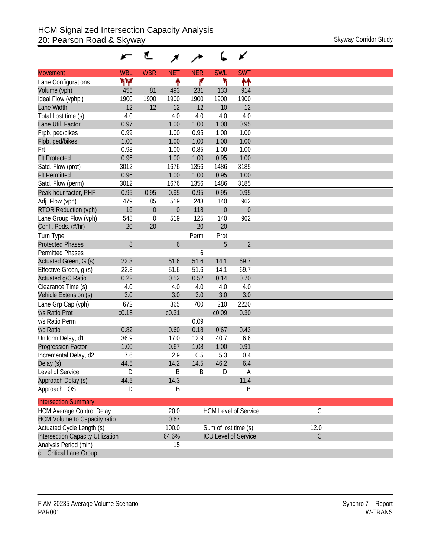|                                     |            | ₹           |            |            |                      | ✔                           |
|-------------------------------------|------------|-------------|------------|------------|----------------------|-----------------------------|
| <b>Movement</b>                     | <b>WBL</b> | <b>WBR</b>  | <b>NET</b> | <b>NER</b> | <b>SWL</b>           | <b>SWT</b>                  |
| Lane Configurations                 | ۳Υ         |             | ↟          | ۴          | ۲                    | ↟↟                          |
| Volume (vph)                        | 455        | 81          | 493        | 231        | 133                  | 914                         |
| Ideal Flow (vphpl)                  | 1900       | 1900        | 1900       | 1900       | 1900                 | 1900                        |
| Lane Width                          | 12         | 12          | 12         | 12         | 10                   | 12                          |
| Total Lost time (s)                 | 4.0        |             | 4.0        | 4.0        | 4.0                  | 4.0                         |
| Lane Util. Factor                   | 0.97       |             | 1.00       | 1.00       | 1.00                 | 0.95                        |
| Frpb, ped/bikes                     | 0.99       |             | 1.00       | 0.95       | 1.00                 | 1.00                        |
| Flpb, ped/bikes                     | 1.00       |             | 1.00       | 1.00       | 1.00                 | 1.00                        |
| Frt                                 | 0.98       |             | 1.00       | 0.85       | 1.00                 | 1.00                        |
| <b>Flt Protected</b>                | 0.96       |             | 1.00       | 1.00       | 0.95                 | 1.00                        |
| Satd. Flow (prot)                   | 3012       |             | 1676       | 1356       | 1486                 | 3185                        |
| <b>Flt Permitted</b>                | 0.96       |             | 1.00       | 1.00       | 0.95                 | 1.00                        |
| Satd. Flow (perm)                   | 3012       |             | 1676       | 1356       | 1486                 | 3185                        |
| Peak-hour factor, PHF               | 0.95       | 0.95        | 0.95       | 0.95       | 0.95                 | 0.95                        |
| Adj. Flow (vph)                     | 479        | 85          | 519        | 243        | 140                  | 962                         |
| RTOR Reduction (vph)                | 16         | $\theta$    | 0          | 118        | $\theta$             | $\theta$                    |
| Lane Group Flow (vph)               | 548        | $\mathbf 0$ | 519        | 125        | 140                  | 962                         |
| Confl. Peds. (#/hr)                 | 20         | 20          |            | 20         | 20                   |                             |
| Turn Type                           |            |             |            | Perm       | Prot                 |                             |
| <b>Protected Phases</b>             | 8          |             | 6          |            | 5                    | $\overline{2}$              |
| <b>Permitted Phases</b>             |            |             |            | 6          |                      |                             |
| Actuated Green, G (s)               | 22.3       |             | 51.6       | 51.6       | 14.1                 | 69.7                        |
| Effective Green, g (s)              | 22.3       |             | 51.6       | 51.6       | 14.1                 | 69.7                        |
| Actuated g/C Ratio                  | 0.22       |             | 0.52       | 0.52       | 0.14                 | 0.70                        |
| Clearance Time (s)                  | 4.0        |             | 4.0        | 4.0        | 4.0                  | 4.0                         |
| Vehicle Extension (s)               | 3.0        |             | 3.0        | 3.0        | 3.0                  | 3.0                         |
| Lane Grp Cap (vph)                  | 672        |             | 865        | 700        | 210                  | 2220                        |
| v/s Ratio Prot                      | c0.18      |             | c0.31      |            | c0.09                | 0.30                        |
| v/s Ratio Perm                      |            |             |            | 0.09       |                      |                             |
| v/c Ratio                           | 0.82       |             | 0.60       | 0.18       | 0.67                 | 0.43                        |
|                                     | 36.9       |             | 17.0       | 12.9       | 40.7                 | 6.6                         |
| Uniform Delay, d1                   | 1.00       |             | 0.67       | 1.08       | 1.00                 | 0.91                        |
| Progression Factor                  |            |             | 2.9        | 0.5        | 5.3                  | 0.4                         |
| Incremental Delay, d2               | 7.6        |             | 14.2       |            | 46.2                 |                             |
| Delay (s)                           | 44.5       |             |            | 14.5       |                      | 6.4                         |
| Level of Service                    | D          |             | B          | B          | D                    | A                           |
| Approach Delay (s)                  | 44.5       |             | 14.3       |            |                      | 11.4                        |
| Approach LOS                        | D          |             | B          |            |                      | Β                           |
| <b>Intersection Summary</b>         |            |             |            |            |                      |                             |
| <b>HCM Average Control Delay</b>    |            |             | 20.0       |            |                      | <b>HCM Level of Service</b> |
| <b>HCM Volume to Capacity ratio</b> |            |             | 0.67       |            |                      |                             |
| Actuated Cycle Length (s)           |            |             | 100.0      |            | Sum of lost time (s) |                             |
| Intersection Capacity Utilization   |            |             | 64.6%      |            |                      | <b>ICU Level of Service</b> |
| Analysis Period (min)               |            |             | 15         |            |                      |                             |
| Critical Lang Crown                 |            |             |            |            |                      |                             |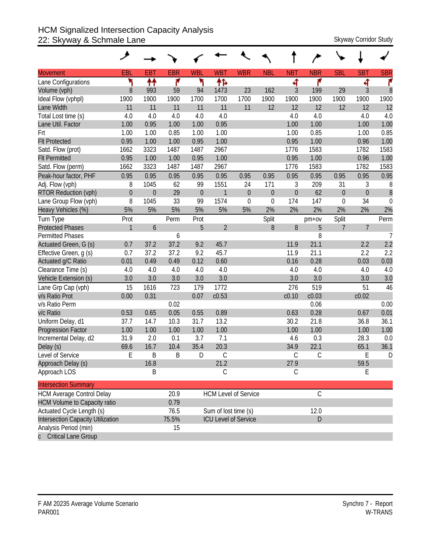### HCM Signalized Intersection Capacity Analysis 22: Skyway & Schmale Lane Skyway Corridor Study

|                                     | فر           |                |            |              |                      |                             |                |                  |               |             |                |                |
|-------------------------------------|--------------|----------------|------------|--------------|----------------------|-----------------------------|----------------|------------------|---------------|-------------|----------------|----------------|
| <b>Movement</b>                     | EBL          | <b>EBT</b>     | <b>EBR</b> | <b>WBL</b>   | <b>WBT</b>           | <b>WBR</b>                  | <b>NBL</b>     | <b>NBT</b>       | <b>NBR</b>    | <b>SBL</b>  | <b>SBT</b>     | <b>SBR</b>     |
| Lane Configurations                 | ۳            | ↟↟             | ۴          | ۳            | 怍                    |                             |                | 4                | ۴             |             | 4              | ۴              |
| Volume (vph)                        | 8            | 993            | 59         | 94           | 1473                 | 23                          | 162            | $\mathfrak{Z}$   | 199           | 29          | 3              | 8              |
| Ideal Flow (vphpl)                  | 1900         | 1900           | 1900       | 1700         | 1700                 | 1700                        | 1900           | 1900             | 1900          | 1900        | 1900           | 1900           |
| Lane Width                          | 11           | 11             | 11         | 11           | 11                   | 11                          | 12             | 12               | 12            | 12          | 12             | 12             |
| Total Lost time (s)                 | 4.0          | 4.0            | 4.0        | 4.0          | 4.0                  |                             |                | 4.0              | 4.0           |             | 4.0            | 4.0            |
| Lane Util. Factor                   | 1.00         | 0.95           | 1.00       | 1.00         | 0.95                 |                             |                | 1.00             | 1.00          |             | 1.00           | 1.00           |
| Frt                                 | 1.00         | 1.00           | 0.85       | 1.00         | 1.00                 |                             |                | 1.00             | 0.85          |             | 1.00           | 0.85           |
| <b>Flt Protected</b>                | 0.95         | 1.00           | 1.00       | 0.95         | 1.00                 |                             |                | 0.95             | 1.00          |             | 0.96           | 1.00           |
| Satd. Flow (prot)                   | 1662         | 3323           | 1487       | 1487         | 2967                 |                             |                | 1776             | 1583          |             | 1782           | 1583           |
| <b>Flt Permitted</b>                | 0.95         | 1.00           | 1.00       | 0.95         | 1.00                 |                             |                | 0.95             | 1.00          |             | 0.96           | 1.00           |
| Satd. Flow (perm)                   | 1662         | 3323           | 1487       | 1487         | 2967                 |                             |                | 1776             | 1583          |             | 1782           | 1583           |
| Peak-hour factor, PHF               | 0.95         | 0.95           | 0.95       | 0.95         | 0.95                 | 0.95                        | 0.95           | 0.95             | 0.95          | 0.95        | 0.95           | 0.95           |
| Adj. Flow (vph)                     | 8            | 1045           | 62         | 99           | 1551                 | 24                          | 171            | 3                | 209           | 31          | 3              | 8              |
| <b>RTOR Reduction (vph)</b>         | $\mathbf 0$  | $\overline{0}$ | 29         | $\mathbf{0}$ | $\mathbf{1}$         | $\mathbf{0}$                | $\overline{0}$ | $\boldsymbol{0}$ | 62            | $\theta$    | $\overline{0}$ | $\delta$       |
| Lane Group Flow (vph)               | 8            | 1045           | 33         | 99           | 1574                 | $\mathbf 0$                 | $\mathbf{0}$   | 174              | 147           | $\mathbf 0$ | 34             | $\mathbf 0$    |
| Heavy Vehicles (%)                  | 5%           | 5%             | 5%         | 5%           | 5%                   | 5%                          | 2%             | 2%               | 2%            | 2%          | 2%             | 2%             |
| Turn Type                           | Prot         |                | Perm       | Prot         |                      |                             | Split          |                  | pm+ov         | Split       |                | Perm           |
| <b>Protected Phases</b>             | $\mathbf{1}$ | 6              |            | 5            | $\overline{2}$       |                             | 8              | $8\,$            | 5             | 7           | $\overline{7}$ |                |
| <b>Permitted Phases</b>             |              |                | 6          |              |                      |                             |                |                  | 8             |             |                | $\overline{7}$ |
| Actuated Green, G (s)               | 0.7          | 37.2           | 37.2       | 9.2          | 45.7                 |                             |                | 11.9             | 21.1          |             | 2.2            | 2.2            |
| Effective Green, g (s)              | 0.7          | 37.2           | 37.2       | 9.2          | 45.7                 |                             |                | 11.9             | 21.1          |             | 2.2            | 2.2            |
| Actuated g/C Ratio                  | 0.01         | 0.49           | 0.49       | 0.12         | 0.60                 |                             |                | 0.16             | 0.28          |             | 0.03           | 0.03           |
| Clearance Time (s)                  | 4.0          | 4.0            | 4.0        | 4.0          | 4.0                  |                             |                | 4.0              | 4.0           |             | 4.0            | 4.0            |
| Vehicle Extension (s)               | 3.0          | 3.0            | 3.0        | 3.0          | 3.0                  |                             |                | 3.0              | 3.0           |             | 3.0            | 3.0            |
| Lane Grp Cap (vph)                  | 15           | 1616           | 723        | 179          | 1772                 |                             |                | 276              | 519           |             | 51             | 46             |
| v/s Ratio Prot                      | 0.00         | 0.31           |            | 0.07         | c0.53                |                             |                | c0.10            | c0.03         |             | c0.02          |                |
| v/s Ratio Perm                      |              |                | 0.02       |              |                      |                             |                |                  | 0.06          |             |                | 0.00           |
| v/c Ratio                           | 0.53         | 0.65           | 0.05       | 0.55         | 0.89                 |                             |                | 0.63             | 0.28          |             | 0.67           | 0.01           |
| Uniform Delay, d1                   | 37.7         | 14.7           | 10.3       | 31.7         | 13.2                 |                             |                | 30.2             | 21.8          |             | 36.8           | 36.1           |
| <b>Progression Factor</b>           | 1.00         | 1.00           | 1.00       | 1.00         | 1.00                 |                             |                | 1.00             | 1.00          |             | 1.00           | 1.00           |
| Incremental Delay, d2               | 31.9         | 2.0            | 0.1        | 3.7          | 7.1                  |                             |                | 4.6              | 0.3           |             | 28.3           | 0.0            |
| Delay (s)                           | 69.6         | 16.7           | 10.4       | 35.4         | 20.3                 |                             |                | 34.9             | 22.1          |             | 65.1           | 36.1           |
| Level of Service                    | E            | B              | B          | D            | $\mathcal{C}$        |                             |                | $\mathcal{C}$    | C             |             | E              | D              |
| Approach Delay (s)                  |              | 16.8           |            |              | 21.2                 |                             |                | 27.9             |               |             | 59.5           |                |
| Approach LOS                        |              | Β              |            |              | С                    |                             |                | $\mathsf C$      |               |             | Е              |                |
| <b>Intersection Summary</b>         |              |                |            |              |                      |                             |                |                  |               |             |                |                |
| <b>HCM Average Control Delay</b>    |              |                | 20.9       |              |                      | <b>HCM Level of Service</b> |                |                  | $\mathcal{C}$ |             |                |                |
| <b>HCM Volume to Capacity ratio</b> |              |                | 0.79       |              |                      |                             |                |                  |               |             |                |                |
| Actuated Cycle Length (s)           |              |                | 76.5       |              | Sum of lost time (s) |                             |                |                  | 12.0          |             |                |                |
| Intersection Capacity Utilization   |              |                | 75.5%      |              |                      | <b>ICU Level of Service</b> |                |                  | D             |             |                |                |
| Analysis Period (min)               |              |                | 15         |              |                      |                             |                |                  |               |             |                |                |
| c Critical Lane Group               |              |                |            |              |                      |                             |                |                  |               |             |                |                |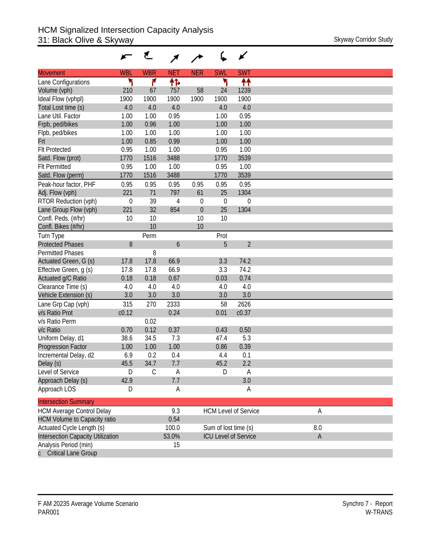|                                          |             | €             |            |             |                      | ✔                           |             |  |
|------------------------------------------|-------------|---------------|------------|-------------|----------------------|-----------------------------|-------------|--|
| <b>Movement</b>                          | <b>WBL</b>  | <b>WBR</b>    | <b>NET</b> | <b>NER</b>  | <b>SWL</b>           | <b>SWT</b>                  |             |  |
| Lane Configurations                      |             | ۴             | ተኈ         |             | ۲                    | ↟↟                          |             |  |
| Volume (vph)                             | 210         | 67            | 757        | 58          | 24                   | 1239                        |             |  |
| Ideal Flow (vphpl)                       | 1900        | 1900          | 1900       | 1900        | 1900                 | 1900                        |             |  |
| Total Lost time (s)                      | 4.0         | 4.0           | 4.0        |             | 4.0                  | 4.0                         |             |  |
| Lane Util. Factor                        | 1.00        | 1.00          | 0.95       |             | 1.00                 | 0.95                        |             |  |
| Frpb, ped/bikes                          | 1.00        | 0.96          | 1.00       |             | 1.00                 | 1.00                        |             |  |
| Flpb, ped/bikes                          | 1.00        | 1.00          | 1.00       |             | 1.00                 | 1.00                        |             |  |
| Frt                                      | 1.00        | 0.85          | 0.99       |             | 1.00                 | 1.00                        |             |  |
| <b>Flt Protected</b>                     | 0.95        | 1.00          | 1.00       |             | 0.95                 | 1.00                        |             |  |
| Satd. Flow (prot)                        | 1770        | 1516          | 3488       |             | 1770                 | 3539                        |             |  |
| <b>Flt Permitted</b>                     | 0.95        | 1.00          | 1.00       |             | 0.95                 | 1.00                        |             |  |
| Satd. Flow (perm)                        | 1770        | 1516          | 3488       |             | 1770                 | 3539                        |             |  |
| Peak-hour factor, PHF                    | 0.95        | 0.95          | 0.95       | 0.95        | 0.95                 | 0.95                        |             |  |
| Adj. Flow (vph)                          | 221         | 71            | 797        | 61          | 25                   | 1304                        |             |  |
| RTOR Reduction (vph)                     | $\mathbf 0$ | 39            | 4          | 0           | $\mathbf 0$          | 0                           |             |  |
| Lane Group Flow (vph)                    | 221         | 32            | 854        | $\mathbf 0$ | 25                   | 1304                        |             |  |
| Confl. Peds. (#/hr)                      | 10          | 10            |            | 10          | 10                   |                             |             |  |
| Confl. Bikes (#/hr)                      |             | 10            |            | 10          |                      |                             |             |  |
| Turn Type                                |             | Perm          |            |             | Prot                 |                             |             |  |
| <b>Protected Phases</b>                  | 8           |               | 6          |             | 5                    | $\overline{2}$              |             |  |
| <b>Permitted Phases</b>                  |             | 8             |            |             |                      |                             |             |  |
| Actuated Green, G (s)                    | 17.8        | 17.8          | 66.9       |             | 3.3                  | 74.2                        |             |  |
| Effective Green, g (s)                   | 17.8        | 17.8          | 66.9       |             | 3.3                  | 74.2                        |             |  |
| Actuated g/C Ratio                       | 0.18        | 0.18          | 0.67       |             | 0.03                 | 0.74                        |             |  |
| Clearance Time (s)                       | 4.0         | 4.0           | 4.0        |             | 4.0                  | 4.0                         |             |  |
| Vehicle Extension (s)                    | 3.0         | 3.0           | 3.0        |             | 3.0                  | 3.0                         |             |  |
| Lane Grp Cap (vph)                       | 315         | 270           | 2333       |             | 58                   | 2626                        |             |  |
| v/s Ratio Prot                           | c0.12       |               | 0.24       |             | 0.01                 | c0.37                       |             |  |
| v/s Ratio Perm                           |             | 0.02          |            |             |                      |                             |             |  |
| v/c Ratio                                | 0.70        | 0.12          | 0.37       |             | 0.43                 | 0.50                        |             |  |
| Uniform Delay, d1                        | 38.6        | 34.5          | 7.3        |             | 47.4                 | 5.3                         |             |  |
| Progression Factor                       | 1.00        | 1.00          | 1.00       |             | 0.86                 | 0.39                        |             |  |
| Incremental Delay, d2                    | 6.9         | 0.2           | 0.4        |             | 4.4                  | 0.1                         |             |  |
| Delay (s)                                | 45.5        | 34.7          | 7.7        |             | 45.2                 | 2.2                         |             |  |
| Level of Service                         | D           | $\mathcal{C}$ | Α          |             | D                    | A                           |             |  |
| Approach Delay (s)                       | 42.9        |               | 7.7        |             |                      | 3.0                         |             |  |
| Approach LOS                             | D           |               | A          |             |                      | A                           |             |  |
| <b>Intersection Summary</b>              |             |               |            |             |                      |                             |             |  |
| <b>HCM Average Control Delay</b>         |             |               | 9.3        |             |                      | <b>HCM Level of Service</b> | Α           |  |
| <b>HCM Volume to Capacity ratio</b>      |             |               | 0.54       |             |                      |                             |             |  |
| Actuated Cycle Length (s)                |             |               | 100.0      |             | Sum of lost time (s) |                             | 8.0         |  |
| <b>Intersection Capacity Utilization</b> |             |               | 53.0%      |             |                      | <b>ICU Level of Service</b> | $\mathsf A$ |  |
| Analysis Period (min)                    |             |               | 15         |             |                      |                             |             |  |
| <b>Critical Lane Group</b>               |             |               |            |             |                      |                             |             |  |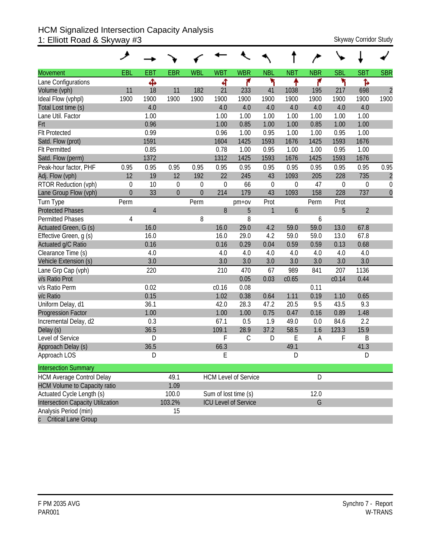#### HCM Signalized Intersection Capacity Analysis 1: Elliott Road & Skyway #3 Skyway Corridor Study Skyway Corridor Study

| <b>Movement</b>                     | EBL          | <b>EBT</b>     | <b>EBR</b>   | <b>WBL</b>     | <b>WBT</b>  | <b>WBR</b>                  | <b>NBL</b>   | <b>NBT</b>       | <b>NBR</b> | <b>SBL</b>       | <b>SBT</b>       | <b>SBR</b>     |
|-------------------------------------|--------------|----------------|--------------|----------------|-------------|-----------------------------|--------------|------------------|------------|------------------|------------------|----------------|
| Lane Configurations                 |              | Ф              |              |                | ची          | ۴                           | ۲            | ٠                | ۴          | ۲                | Ъ                |                |
| Volume (vph)                        | 11           | 18             | 11           | 182            | 21          | 233                         | 41           | 1038             | 195        | 217              | 698              | $\overline{c}$ |
| Ideal Flow (vphpl)                  | 1900         | 1900           | 1900         | 1900           | 1900        | 1900                        | 1900         | 1900             | 1900       | 1900             | 1900             | 1900           |
| Total Lost time (s)                 |              | 4.0            |              |                | 4.0         | 4.0                         | 4.0          | 4.0              | 4.0        | 4.0              | 4.0              |                |
| Lane Util. Factor                   |              | 1.00           |              |                | 1.00        | 1.00                        | 1.00         | 1.00             | 1.00       | 1.00             | 1.00             |                |
| Frt                                 |              | 0.96           |              |                | 1.00        | 0.85                        | 1.00         | 1.00             | 0.85       | 1.00             | 1.00             |                |
| <b>Flt Protected</b>                |              | 0.99           |              |                | 0.96        | 1.00                        | 0.95         | 1.00             | 1.00       | 0.95             | 1.00             |                |
| Satd. Flow (prot)                   |              | 1591           |              |                | 1604        | 1425                        | 1593         | 1676             | 1425       | 1593             | 1676             |                |
| <b>Flt Permitted</b>                |              | 0.85           |              |                | 0.78        | 1.00                        | 0.95         | 1.00             | 1.00       | 0.95             | 1.00             |                |
| Satd. Flow (perm)                   |              | 1372           |              |                | 1312        | 1425                        | 1593         | 1676             | 1425       | 1593             | 1676             |                |
| Peak-hour factor, PHF               | 0.95         | 0.95           | 0.95         | 0.95           | 0.95        | 0.95                        | 0.95         | 0.95             | 0.95       | 0.95             | 0.95             | 0.95           |
| Adj. Flow (vph)                     | 12           | 19             | 12           | 192            | 22          | 245                         | 43           | 1093             | 205        | 228              | 735              | $\overline{c}$ |
| RTOR Reduction (vph)                | $\mathbf 0$  | 10             | $\mathbf 0$  | 0              | $\mathbf 0$ | 66                          | $\mathbf 0$  | $\boldsymbol{0}$ | 47         | $\boldsymbol{0}$ | $\boldsymbol{0}$ | $\mathbf 0$    |
| Lane Group Flow (vph)               | $\mathbf{0}$ | 33             | $\mathbf{0}$ | $\overline{0}$ | 214         | 179                         | 43           | 1093             | 158        | 228              | 737              | $\overline{0}$ |
| Turn Type                           | Perm         |                |              | Perm           |             | $pm+ov$                     | Prot         |                  | Perm       | Prot             |                  |                |
| <b>Protected Phases</b>             |              | $\overline{4}$ |              |                | 8           | 5                           | $\mathbf{1}$ | 6                |            | 5                | $\overline{2}$   |                |
| <b>Permitted Phases</b>             | 4            |                |              | 8              |             | 8                           |              |                  | 6          |                  |                  |                |
| Actuated Green, G (s)               |              | 16.0           |              |                | 16.0        | 29.0                        | 4.2          | 59.0             | 59.0       | 13.0             | 67.8             |                |
| Effective Green, g (s)              |              | 16.0           |              |                | 16.0        | 29.0                        | 4.2          | 59.0             | 59.0       | 13.0             | 67.8             |                |
| Actuated g/C Ratio                  |              | 0.16           |              |                | 0.16        | 0.29                        | 0.04         | 0.59             | 0.59       | 0.13             | 0.68             |                |
| Clearance Time (s)                  |              | 4.0            |              |                | 4.0         | 4.0                         | 4.0          | 4.0              | 4.0        | 4.0              | 4.0              |                |
| Vehicle Extension (s)               |              | 3.0            |              |                | 3.0         | 3.0                         | 3.0          | 3.0              | 3.0        | 3.0              | 3.0              |                |
| Lane Grp Cap (vph)                  |              | 220            |              |                | 210         | 470                         | 67           | 989              | 841        | 207              | 1136             |                |
| v/s Ratio Prot                      |              |                |              |                |             | 0.05                        | 0.03         | c0.65            |            | c0.14            | 0.44             |                |
| v/s Ratio Perm                      |              | 0.02           |              |                | c0.16       | 0.08                        |              |                  | 0.11       |                  |                  |                |
| v/c Ratio                           |              | 0.15           |              |                | 1.02        | 0.38                        | 0.64         | 1.11             | 0.19       | 1.10             | 0.65             |                |
| Uniform Delay, d1                   |              | 36.1           |              |                | 42.0        | 28.3                        | 47.2         | 20.5             | 9.5        | 43.5             | 9.3              |                |
| <b>Progression Factor</b>           |              | 1.00           |              |                | 1.00        | 1.00                        | 0.75         | 0.47             | 0.16       | 0.89             | 1.48             |                |
| Incremental Delay, d2               |              | 0.3            |              |                | 67.1        | 0.5                         | 1.9          | 49.0             | 0.0        | 84.6             | 2.2              |                |
| Delay (s)                           |              | 36.5           |              |                | 109.1       | 28.9                        | 37.2         | 58.5             | 1.6        | 123.3            | 15.9             |                |
| Level of Service                    |              | $\mathsf{D}$   |              |                | F           | $\mathcal{C}$               | D            | E                | Α          | F                | B                |                |
| Approach Delay (s)                  |              | 36.5           |              |                | 66.3        |                             |              | 49.1             |            |                  | 41.3             |                |
| Approach LOS                        |              | D              |              |                | E           |                             |              | D                |            |                  | D                |                |
| <b>Intersection Summary</b>         |              |                |              |                |             |                             |              |                  |            |                  |                  |                |
| <b>HCM Average Control Delay</b>    |              |                | 49.1         |                |             | <b>HCM Level of Service</b> |              |                  | D          |                  |                  |                |
| <b>HCM Volume to Capacity ratio</b> |              |                | 1.09         |                |             |                             |              |                  |            |                  |                  |                |
| Actuated Cycle Length (s)           |              |                | 100.0        |                |             | Sum of lost time (s)        |              |                  | 12.0       |                  |                  |                |
| Intersection Capacity Utilization   |              |                | 103.2%       |                |             | <b>ICU Level of Service</b> |              |                  | G          |                  |                  |                |
| Analysis Period (min)               |              |                | 15           |                |             |                             |              |                  |            |                  |                  |                |
| c Critical Lane Group               |              |                |              |                |             |                             |              |                  |            |                  |                  |                |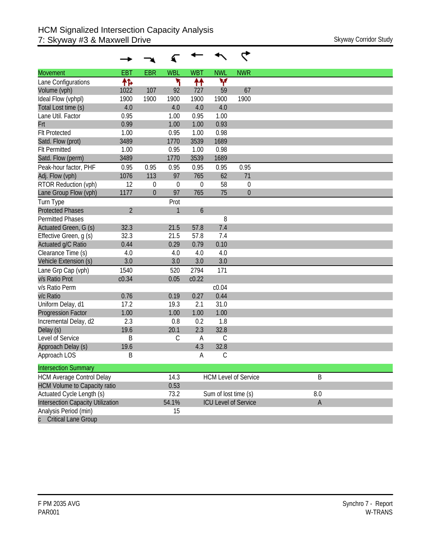| <b>Movement</b>                          | <b>EBT</b>     | <b>EBR</b>       | <b>WBL</b>   | <b>WBT</b>       | <b>NWL</b>           | <b>NWR</b>                  |             |
|------------------------------------------|----------------|------------------|--------------|------------------|----------------------|-----------------------------|-------------|
| Lane Configurations                      | 怍              |                  | ۳            | ↟↟               | ۷                    |                             |             |
| Volume (vph)                             | 1022           | 107              | 92           | 727              | 59                   | 67                          |             |
| Ideal Flow (vphpl)                       | 1900           | 1900             | 1900         | 1900             | 1900                 | 1900                        |             |
| Total Lost time (s)                      | 4.0            |                  | 4.0          | 4.0              | 4.0                  |                             |             |
| Lane Util. Factor                        | 0.95           |                  | 1.00         | 0.95             | 1.00                 |                             |             |
| Frt                                      | 0.99           |                  | 1.00         | 1.00             | 0.93                 |                             |             |
| <b>Flt Protected</b>                     | 1.00           |                  | 0.95         | 1.00             | 0.98                 |                             |             |
| Satd. Flow (prot)                        | 3489           |                  | 1770         | 3539             | 1689                 |                             |             |
| <b>Flt Permitted</b>                     | 1.00           |                  | 0.95         | 1.00             | 0.98                 |                             |             |
| Satd. Flow (perm)                        | 3489           |                  | 1770         | 3539             | 1689                 |                             |             |
| Peak-hour factor, PHF                    | 0.95           | 0.95             | 0.95         | 0.95             | 0.95                 | 0.95                        |             |
| Adj. Flow (vph)                          | 1076           | 113              | 97           | 765              | 62                   | 71                          |             |
| RTOR Reduction (vph)                     | 12             | $\mathbf 0$      | $\theta$     | 0                | 58                   | 0                           |             |
| Lane Group Flow (vph)                    | 1177           | $\boldsymbol{0}$ | 97           | 765              | 75                   | $\mathbf 0$                 |             |
| Turn Type                                |                |                  | Prot         |                  |                      |                             |             |
| <b>Protected Phases</b>                  | $\overline{2}$ |                  | $\mathbf{1}$ | $\boldsymbol{6}$ |                      |                             |             |
| Permitted Phases                         |                |                  |              |                  | 8                    |                             |             |
| Actuated Green, G (s)                    | 32.3           |                  | 21.5         | 57.8             | 7.4                  |                             |             |
| Effective Green, g (s)                   | 32.3           |                  | 21.5         | 57.8             | 7.4                  |                             |             |
| Actuated g/C Ratio                       | 0.44           |                  | 0.29         | 0.79             | 0.10                 |                             |             |
| Clearance Time (s)                       | 4.0            |                  | 4.0          | 4.0              | 4.0                  |                             |             |
| Vehicle Extension (s)                    | 3.0            |                  | 3.0          | 3.0              | 3.0                  |                             |             |
| Lane Grp Cap (vph)                       | 1540           |                  | 520          | 2794             | 171                  |                             |             |
| v/s Ratio Prot                           | c0.34          |                  | 0.05         | c0.22            |                      |                             |             |
| v/s Ratio Perm                           |                |                  |              |                  | c0.04                |                             |             |
| v/c Ratio                                | 0.76           |                  | 0.19         | 0.27             | 0.44                 |                             |             |
| Uniform Delay, d1                        | 17.2           |                  | 19.3         | 2.1              | 31.0                 |                             |             |
| <b>Progression Factor</b>                | 1.00           |                  | 1.00         | 1.00             | 1.00                 |                             |             |
| Incremental Delay, d2                    | 2.3            |                  | 0.8          | 0.2              | 1.8                  |                             |             |
| Delay (s)                                | 19.6           |                  | 20.1         | 2.3              | 32.8                 |                             |             |
| Level of Service                         | B              |                  | $\mathsf C$  | A                | С                    |                             |             |
| Approach Delay (s)                       | 19.6           |                  |              | 4.3              | 32.8                 |                             |             |
| Approach LOS                             | Β              |                  |              | А                | С                    |                             |             |
| <b>Intersection Summary</b>              |                |                  |              |                  |                      |                             |             |
| <b>HCM Average Control Delay</b>         |                |                  | 14.3         |                  |                      | <b>HCM Level of Service</b> | B           |
| <b>HCM Volume to Capacity ratio</b>      |                |                  | 0.53         |                  |                      |                             |             |
| Actuated Cycle Length (s)                |                |                  | 73.2         |                  | Sum of lost time (s) |                             | 8.0         |
| <b>Intersection Capacity Utilization</b> |                |                  | 54.1%        |                  |                      | <b>ICU Level of Service</b> | $\mathsf A$ |
| Analysis Period (min)                    |                |                  | 15           |                  |                      |                             |             |
| <b>Critical Lane Group</b>               |                |                  |              |                  |                      |                             |             |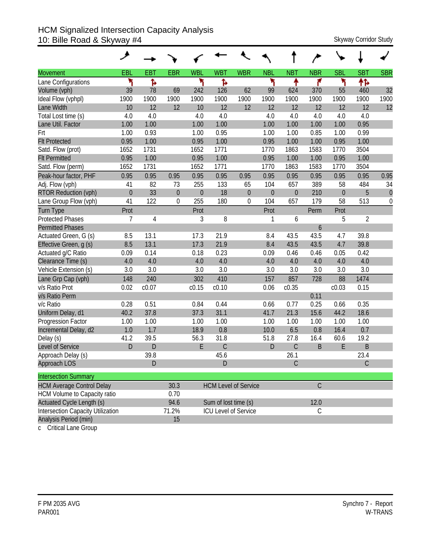#### HCM Signalized Intersection Capacity Analysis 10: Bille Road & Skyway #4 Shane Road A Skyway Corridor Study

|                                          | ۶              |             |             |            |                      |                             |                  |                  |             |                  |              |                  |
|------------------------------------------|----------------|-------------|-------------|------------|----------------------|-----------------------------|------------------|------------------|-------------|------------------|--------------|------------------|
| <b>Movement</b>                          | EBL            | <b>EBT</b>  | <b>EBR</b>  | <b>WBL</b> | <b>WBT</b>           | <b>WBR</b>                  | <b>NBL</b>       | <b>NBT</b>       | <b>NBR</b>  | <b>SBL</b>       | <b>SBT</b>   | <b>SBR</b>       |
| Lane Configurations                      | ۲              | ħ           |             | ۲          | Ъ                    |                             | ۲                | ↟                | ۴           | ۳                | 怍            |                  |
| Volume (vph)                             | 39             | 78          | 69          | 242        | 126                  | 62                          | 99               | 624              | 370         | 55               | 460          | 32               |
| Ideal Flow (vphpl)                       | 1900           | 1900        | 1900        | 1900       | 1900                 | 1900                        | 1900             | 1900             | 1900        | 1900             | 1900         | 1900             |
| Lane Width                               | 10             | 12          | 12          | 10         | 12                   | 12                          | 12               | 12               | 12          | 12               | 12           | 12               |
| Total Lost time (s)                      | 4.0            | 4.0         |             | 4.0        | 4.0                  |                             | 4.0              | 4.0              | 4.0         | 4.0              | 4.0          |                  |
| Lane Util. Factor                        | 1.00           | 1.00        |             | 1.00       | 1.00                 |                             | 1.00             | 1.00             | 1.00        | 1.00             | 0.95         |                  |
| Frt                                      | 1.00           | 0.93        |             | 1.00       | 0.95                 |                             | 1.00             | 1.00             | 0.85        | 1.00             | 0.99         |                  |
| <b>Flt Protected</b>                     | 0.95           | 1.00        |             | 0.95       | 1.00                 |                             | 0.95             | 1.00             | 1.00        | 0.95             | 1.00         |                  |
| Satd. Flow (prot)                        | 1652           | 1731        |             | 1652       | 1771                 |                             | 1770             | 1863             | 1583        | 1770             | 3504         |                  |
| <b>Flt Permitted</b>                     | 0.95           | 1.00        |             | 0.95       | 1.00                 |                             | 0.95             | 1.00             | 1.00        | 0.95             | 1.00         |                  |
| Satd. Flow (perm)                        | 1652           | 1731        |             | 1652       | 1771                 |                             | 1770             | 1863             | 1583        | 1770             | 3504         |                  |
| Peak-hour factor, PHF                    | 0.95           | 0.95        | 0.95        | 0.95       | 0.95                 | 0.95                        | 0.95             | 0.95             | 0.95        | 0.95             | 0.95         | 0.95             |
| Adj. Flow (vph)                          | 41             | 82          | 73          | 255        | 133                  | 65                          | 104              | 657              | 389         | 58               | 484          | 34               |
| <b>RTOR Reduction (vph)</b>              | $\overline{0}$ | 33          | $\mathbf 0$ | $\theta$   | 18                   | $\boldsymbol{0}$            | $\boldsymbol{0}$ | $\boldsymbol{0}$ | 210         | $\boldsymbol{0}$ | 5            | $\theta$         |
| Lane Group Flow (vph)                    | 41             | 122         | 0           | 255        | 180                  | 0                           | 104              | 657              | 179         | 58               | 513          | $\boldsymbol{0}$ |
| Turn Type                                | Prot           |             |             | Prot       |                      |                             | Prot             |                  | Perm        | Prot             |              |                  |
| <b>Protected Phases</b>                  | 7              | 4           |             | 3          | 8                    |                             | 1                | 6                |             | 5                | 2            |                  |
| <b>Permitted Phases</b>                  |                |             |             |            |                      |                             |                  |                  | 6           |                  |              |                  |
| Actuated Green, G (s)                    | 8.5            | 13.1        |             | 17.3       | 21.9                 |                             | 8.4              | 43.5             | 43.5        | 4.7              | 39.8         |                  |
| Effective Green, q (s)                   | 8.5            | 13.1        |             | 17.3       | 21.9                 |                             | 8.4              | 43.5             | 43.5        | 4.7              | 39.8         |                  |
| Actuated g/C Ratio                       | 0.09           | 0.14        |             | 0.18       | 0.23                 |                             | 0.09             | 0.46             | 0.46        | 0.05             | 0.42         |                  |
| Clearance Time (s)                       | 4.0            | 4.0         |             | 4.0        | 4.0                  |                             | 4.0              | 4.0              | 4.0         | 4.0              | 4.0          |                  |
| Vehicle Extension (s)                    | 3.0            | 3.0         |             | 3.0        | 3.0                  |                             | 3.0              | 3.0              | 3.0         | 3.0              | 3.0          |                  |
| Lane Grp Cap (vph)                       | 148            | 240         |             | 302        | 410                  |                             | 157              | 857              | 728         | 88               | 1474         |                  |
| v/s Ratio Prot                           | 0.02           | c0.07       |             | c0.15      | c0.10                |                             | 0.06             | c0.35            |             | c0.03            | 0.15         |                  |
| v/s Ratio Perm                           |                |             |             |            |                      |                             |                  |                  | 0.11        |                  |              |                  |
| v/c Ratio                                | 0.28           | 0.51        |             | 0.84       | 0.44                 |                             | 0.66             | 0.77             | 0.25        | 0.66             | 0.35         |                  |
| Uniform Delay, d1                        | 40.2           | 37.8        |             | 37.3       | 31.1                 |                             | 41.7             | 21.3             | 15.6        | 44.2             | 18.6         |                  |
| Progression Factor                       | 1.00           | 1.00        |             | 1.00       | 1.00                 |                             | 1.00             | 1.00             | 1.00        | 1.00             | 1.00         |                  |
| Incremental Delay, d2                    | 1.0            | 1.7         |             | 18.9       | 0.8                  |                             | 10.0             | 6.5              | 0.8         | 16.4             | 0.7          |                  |
| Delay (s)                                | 41.2           | 39.5        |             | 56.3       | 31.8                 |                             | 51.8             | 27.8             | 16.4        | 60.6             | 19.2         |                  |
| <b>Level of Service</b>                  | $\mathsf{D}$   | $\mathsf D$ |             | E          | $\mathsf C$          |                             | D                | $\mathsf C$      | B           | E                | B            |                  |
| Approach Delay (s)                       |                | 39.8        |             |            | 45.6                 |                             |                  | 26.1             |             |                  | 23.4         |                  |
| Approach LOS                             |                | D           |             |            | D                    |                             |                  | C                |             |                  | $\mathsf{C}$ |                  |
| <b>Intersection Summary</b>              |                |             |             |            |                      |                             |                  |                  |             |                  |              |                  |
| <b>HCM Average Control Delay</b>         |                |             | 30.3        |            |                      | <b>HCM Level of Service</b> |                  |                  | $\mathsf C$ |                  |              |                  |
| <b>HCM Volume to Capacity ratio</b>      |                |             | 0.70        |            |                      |                             |                  |                  |             |                  |              |                  |
| <b>Actuated Cycle Length (s)</b>         |                |             | 94.6        |            | Sum of lost time (s) |                             |                  |                  | 12.0        |                  |              |                  |
| <b>Intersection Capacity Utilization</b> |                |             | 71.2%       |            |                      | ICU Level of Service        |                  |                  | $\mathsf C$ |                  |              |                  |
| Analysis Period (min)                    |                |             | 15          |            |                      |                             |                  |                  |             |                  |              |                  |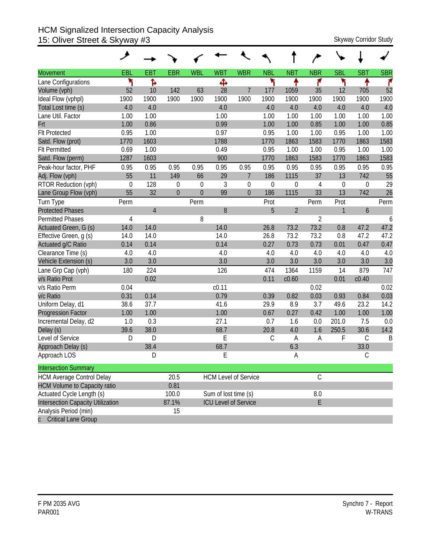#### HCM Signalized Intersection Capacity Analysis 15: Oliver Street & Skyway #3 Skyway Corridor Study

|                                          | ↗           |                |                  |              |                      |                             |               |                |                |                  |             |            |
|------------------------------------------|-------------|----------------|------------------|--------------|----------------------|-----------------------------|---------------|----------------|----------------|------------------|-------------|------------|
| <b>Movement</b>                          | EBL         | <b>EBT</b>     | <b>EBR</b>       | <b>WBL</b>   | <b>WBT</b>           | <b>WBR</b>                  | <b>NBL</b>    | <b>NBT</b>     | <b>NBR</b>     | <b>SBL</b>       | <b>SBT</b>  | <b>SBR</b> |
| Lane Configurations                      | ۲           | Ъ              |                  |              | Ф                    |                             | ۲             | ↟              | ۴              | ۲                |             | ۴          |
| Volume (vph)                             | 52          | 10             | 142              | 63           | 28                   | $\overline{7}$              | 177           | 1059           | 35             | 12               | 705         | 52         |
| Ideal Flow (vphpl)                       | 1900        | 1900           | 1900             | 1900         | 1900                 | 1900                        | 1900          | 1900           | 1900           | 1900             | 1900        | 1900       |
| Total Lost time (s)                      | 4.0         | 4.0            |                  |              | 4.0                  |                             | 4.0           | 4.0            | 4.0            | 4.0              | 4.0         | 4.0        |
| Lane Util. Factor                        | 1.00        | 1.00           |                  |              | 1.00                 |                             | 1.00          | 1.00           | 1.00           | 1.00             | 1.00        | 1.00       |
| Frt                                      | 1.00        | 0.86           |                  |              | 0.99                 |                             | 1.00          | 1.00           | 0.85           | 1.00             | 1.00        | 0.85       |
| <b>Flt Protected</b>                     | 0.95        | 1.00           |                  |              | 0.97                 |                             | 0.95          | 1.00           | 1.00           | 0.95             | 1.00        | 1.00       |
| Satd. Flow (prot)                        | 1770        | 1603           |                  |              | 1788                 |                             | 1770          | 1863           | 1583           | 1770             | 1863        | 1583       |
| <b>Flt Permitted</b>                     | 0.69        | 1.00           |                  |              | 0.49                 |                             | 0.95          | 1.00           | 1.00           | 0.95             | 1.00        | 1.00       |
| Satd. Flow (perm)                        | 1287        | 1603           |                  |              | 900                  |                             | 1770          | 1863           | 1583           | 1770             | 1863        | 1583       |
| Peak-hour factor, PHF                    | 0.95        | 0.95           | 0.95             | 0.95         | 0.95                 | 0.95                        | 0.95          | 0.95           | 0.95           | 0.95             | 0.95        | 0.95       |
| Adj. Flow (vph)                          | 55          | 11             | 149              | 66           | 29                   | $\overline{7}$              | 186           | 1115           | 37             | 13               | 742         | 55         |
| RTOR Reduction (vph)                     | $\mathbf 0$ | 128            | $\boldsymbol{0}$ | $\mathbf 0$  | 3                    | $\mathbf 0$                 | $\mathbf 0$   | $\overline{0}$ | 4              | $\boldsymbol{0}$ | 0           | 29         |
| Lane Group Flow (vph)                    | 55          | 32             | $\mathbf 0$      | $\mathbf{0}$ | 99                   | $\mathbf{0}$                | 186           | 1115           | 33             | 13               | 742         | 26         |
| Turn Type                                | Perm        |                |                  | Perm         |                      |                             | Prot          |                | Perm           | Prot             |             | Perm       |
| <b>Protected Phases</b>                  |             | $\overline{4}$ |                  |              | 8                    |                             | 5             | $\overline{2}$ |                | $\mathbf{1}$     | 6           |            |
| <b>Permitted Phases</b>                  | 4           |                |                  | 8            |                      |                             |               |                | $\overline{2}$ |                  |             | 6          |
| Actuated Green, G (s)                    | 14.0        | 14.0           |                  |              | 14.0                 |                             | 26.8          | 73.2           | 73.2           | 0.8              | 47.2        | 47.2       |
| Effective Green, g (s)                   | 14.0        | 14.0           |                  |              | 14.0                 |                             | 26.8          | 73.2           | 73.2           | 0.8              | 47.2        | 47.2       |
| Actuated g/C Ratio                       | 0.14        | 0.14           |                  |              | 0.14                 |                             | 0.27          | 0.73           | 0.73           | 0.01             | 0.47        | 0.47       |
| Clearance Time (s)                       | 4.0         | 4.0            |                  |              | 4.0                  |                             | 4.0           | 4.0            | 4.0            | 4.0              | 4.0         | 4.0        |
| Vehicle Extension (s)                    | 3.0         | 3.0            |                  |              | 3.0                  |                             | 3.0           | 3.0            | 3.0            | 3.0              | 3.0         | 3.0        |
| Lane Grp Cap (vph)                       | 180         | 224            |                  |              | 126                  |                             | 474           | 1364           | 1159           | 14               | 879         | 747        |
| v/s Ratio Prot                           |             | 0.02           |                  |              |                      |                             | 0.11          | c0.60          |                | 0.01             | c0.40       |            |
| v/s Ratio Perm                           | 0.04        |                |                  |              | c <sub>0.11</sub>    |                             |               |                | 0.02           |                  |             | 0.02       |
| v/c Ratio                                | 0.31        | 0.14           |                  |              | 0.79                 |                             | 0.39          | 0.82           | 0.03           | 0.93             | 0.84        | 0.03       |
| Uniform Delay, d1                        | 38.6        | 37.7           |                  |              | 41.6                 |                             | 29.9          | 8.9            | 3.7            | 49.6             | 23.2        | 14.2       |
| <b>Progression Factor</b>                | 1.00        | 1.00           |                  |              | 1.00                 |                             | 0.67          | 0.27           | 0.42           | 1.00             | 1.00        | 1.00       |
| Incremental Delay, d2                    | 1.0         | 0.3            |                  |              | 27.1                 |                             | 0.7           | 1.6            | 0.0            | 201.0            | 7.5         | 0.0        |
| Delay (s)                                | 39.6        | 38.0           |                  |              | 68.7                 |                             | 20.8          | 4.0            | 1.6            | 250.5            | 30.6        | 14.2       |
| Level of Service                         | D           | D              |                  |              | E                    |                             | $\mathcal{C}$ | A              | A              | F                | $\mathsf C$ | B          |
| Approach Delay (s)                       |             | 38.4           |                  |              | 68.7                 |                             |               | 6.3            |                |                  | 33.0        |            |
| Approach LOS                             |             | D              |                  |              | E                    |                             |               | А              |                |                  | $\mathsf C$ |            |
| <b>Intersection Summary</b>              |             |                |                  |              |                      |                             |               |                |                |                  |             |            |
| <b>HCM Average Control Delay</b>         |             |                | 20.5             |              |                      | <b>HCM Level of Service</b> |               |                | $\mathsf C$    |                  |             |            |
| <b>HCM Volume to Capacity ratio</b>      |             |                | 0.81             |              |                      |                             |               |                |                |                  |             |            |
| Actuated Cycle Length (s)                |             |                | 100.0            |              | Sum of lost time (s) |                             |               |                | $8.0\,$        |                  |             |            |
| <b>Intersection Capacity Utilization</b> |             |                | 87.1%            |              |                      | <b>ICU Level of Service</b> |               |                | E              |                  |             |            |
| Analysis Period (min)                    |             |                | 15               |              |                      |                             |               |                |                |                  |             |            |
| <b>Critical Lane Group</b>               |             |                |                  |              |                      |                             |               |                |                |                  |             |            |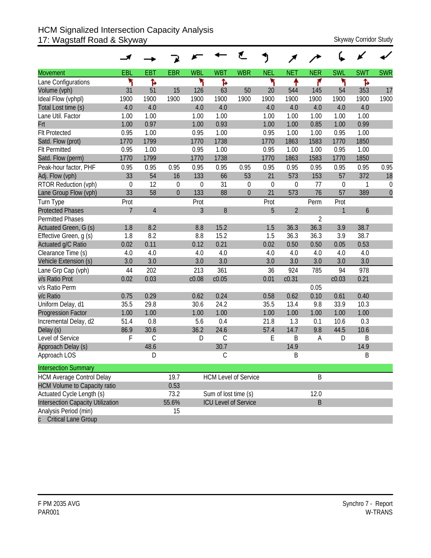#### HCM Signalized Intersection Capacity Analysis 17: Wagstaff Road & Skyway Skyway Corridor Study

| <b>Movement</b>                     | EBL              | <b>EBT</b>     | <b>EBR</b>     | <b>WBL</b>       | <b>WBT</b>                  | <b>WBR</b>   | <b>NEL</b>       | <b>NET</b>     | <b>NER</b>     | <b>SWL</b>       | <b>SWT</b>   | <b>SWR</b>     |
|-------------------------------------|------------------|----------------|----------------|------------------|-----------------------------|--------------|------------------|----------------|----------------|------------------|--------------|----------------|
| Lane Configurations                 | ۳                | Ъ              |                | ۳                | ħ                           |              | ۲                | ٠              | ۴              | ۲                | Ъ            |                |
| Volume (vph)                        | 31               | 51             | 15             | 126              | 63                          | 50           | 20               | 544            | 145            | 54               | 353          | 17             |
| Ideal Flow (vphpl)                  | 1900             | 1900           | 1900           | 1900             | 1900                        | 1900         | 1900             | 1900           | 1900           | 1900             | 1900         | 1900           |
| Total Lost time (s)                 | 4.0              | 4.0            |                | 4.0              | 4.0                         |              | 4.0              | 4.0            | 4.0            | 4.0              | 4.0          |                |
| Lane Util. Factor                   | 1.00             | 1.00           |                | 1.00             | 1.00                        |              | 1.00             | 1.00           | 1.00           | 1.00             | 1.00         |                |
| Frt                                 | 1.00             | 0.97           |                | 1.00             | 0.93                        |              | 1.00             | 1.00           | 0.85           | 1.00             | 0.99         |                |
| <b>Flt Protected</b>                | 0.95             | 1.00           |                | 0.95             | 1.00                        |              | 0.95             | 1.00           | 1.00           | 0.95             | 1.00         |                |
| Satd. Flow (prot)                   | 1770             | 1799           |                | 1770             | 1738                        |              | 1770             | 1863           | 1583           | 1770             | 1850         |                |
| <b>Flt Permitted</b>                | 0.95             | 1.00           |                | 0.95             | 1.00                        |              | 0.95             | 1.00           | 1.00           | 0.95             | 1.00         |                |
| Satd. Flow (perm)                   | 1770             | 1799           |                | 1770             | 1738                        |              | 1770             | 1863           | 1583           | 1770             | 1850         |                |
| Peak-hour factor, PHF               | 0.95             | 0.95           | 0.95           | 0.95             | 0.95                        | 0.95         | 0.95             | 0.95           | 0.95           | 0.95             | 0.95         | 0.95           |
| Adj. Flow (vph)                     | 33               | 54             | 16             | 133              | 66                          | 53           | 21               | 573            | 153            | 57               | 372          | 18             |
| RTOR Reduction (vph)                | $\boldsymbol{0}$ | 12             | $\mathbf 0$    | $\boldsymbol{0}$ | 31                          | $\mathbf 0$  | $\boldsymbol{0}$ | $\mathbf 0$    | 77             | $\boldsymbol{0}$ | $\mathbf{1}$ | $\mathbf 0$    |
| Lane Group Flow (vph)               | 33               | 58             | $\overline{0}$ | 133              | 88                          | $\mathbf{0}$ | 21               | 573            | 76             | 57               | 389          | $\overline{0}$ |
| Turn Type                           | Prot             |                |                | Prot             |                             |              | Prot             |                | Perm           | Prot             |              |                |
| <b>Protected Phases</b>             | $\overline{7}$   | $\overline{4}$ |                | $\overline{3}$   | 8                           |              | 5                | $\overline{2}$ |                | $\mathbf{1}$     | 6            |                |
| <b>Permitted Phases</b>             |                  |                |                |                  |                             |              |                  |                | $\overline{2}$ |                  |              |                |
| Actuated Green, G (s)               | 1.8              | 8.2            |                | 8.8              | 15.2                        |              | 1.5              | 36.3           | 36.3           | 3.9              | 38.7         |                |
| Effective Green, g (s)              | 1.8              | 8.2            |                | 8.8              | 15.2                        |              | 1.5              | 36.3           | 36.3           | 3.9              | 38.7         |                |
| Actuated g/C Ratio                  | 0.02             | 0.11           |                | 0.12             | 0.21                        |              | 0.02             | 0.50           | 0.50           | 0.05             | 0.53         |                |
| Clearance Time (s)                  | 4.0              | 4.0            |                | 4.0              | 4.0                         |              | 4.0              | 4.0            | 4.0            | 4.0              | 4.0          |                |
| Vehicle Extension (s)               | 3.0              | 3.0            |                | 3.0              | 3.0                         |              | 3.0              | 3.0            | 3.0            | 3.0              | 3.0          |                |
| Lane Grp Cap (vph)                  | 44               | 202            |                | 213              | 361                         |              | 36               | 924            | 785            | 94               | 978          |                |
| v/s Ratio Prot                      | 0.02             | 0.03           |                | c0.08            | c0.05                       |              | 0.01             | c0.31          |                | c0.03            | 0.21         |                |
| v/s Ratio Perm                      |                  |                |                |                  |                             |              |                  |                | 0.05           |                  |              |                |
| v/c Ratio                           | 0.75             | 0.29           |                | 0.62             | 0.24                        |              | 0.58             | 0.62           | 0.10           | 0.61             | 0.40         |                |
| Uniform Delay, d1                   | 35.5             | 29.8           |                | 30.6             | 24.2                        |              | 35.5             | 13.4           | 9.8            | 33.9             | 10.3         |                |
| <b>Progression Factor</b>           | 1.00             | 1.00           |                | 1.00             | 1.00                        |              | 1.00             | 1.00           | 1.00           | 1.00             | 1.00         |                |
| Incremental Delay, d2               | 51.4             | 0.8            |                | 5.6              | 0.4                         |              | 21.8             | 1.3            | 0.1            | 10.6             | 0.3          |                |
| Delay (s)                           | 86.9             | 30.6           |                | 36.2             | 24.6                        |              | 57.4             | 14.7           | 9.8            | 44.5             | 10.6         |                |
| Level of Service                    | F                | $\mathcal{C}$  |                | D                | C                           |              | Ε                | B              | A              | D                | B            |                |
| Approach Delay (s)                  |                  | 48.6           |                |                  | 30.7                        |              |                  | 14.9           |                |                  | 14.9         |                |
| Approach LOS                        |                  | D              |                |                  | С                           |              |                  | Β              |                |                  | Β            |                |
| <b>Intersection Summary</b>         |                  |                |                |                  |                             |              |                  |                |                |                  |              |                |
| <b>HCM Average Control Delay</b>    |                  |                | 19.7           |                  | <b>HCM Level of Service</b> |              |                  |                | B              |                  |              |                |
| <b>HCM Volume to Capacity ratio</b> |                  |                | 0.53           |                  |                             |              |                  |                |                |                  |              |                |
| Actuated Cycle Length (s)           |                  |                | 73.2           |                  | Sum of lost time (s)        |              |                  |                | 12.0           |                  |              |                |
| Intersection Capacity Utilization   |                  |                | 55.6%          |                  | <b>ICU Level of Service</b> |              |                  |                | $\sf B$        |                  |              |                |
| Analysis Period (min)               |                  |                | 15             |                  |                             |              |                  |                |                |                  |              |                |
| c Critical Lane Group               |                  |                |                |                  |                             |              |                  |                |                |                  |              |                |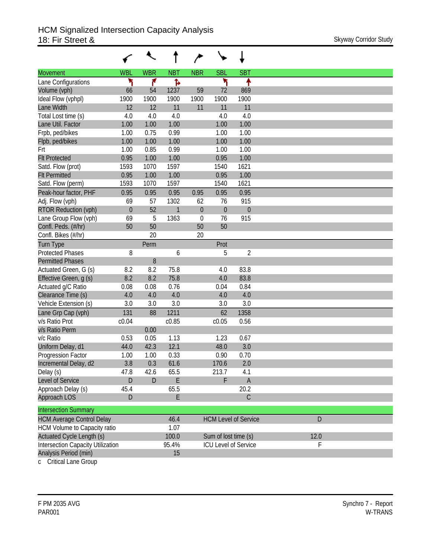|                                          |            | ↖            |              |             |                             |                             |      |
|------------------------------------------|------------|--------------|--------------|-------------|-----------------------------|-----------------------------|------|
| <b>Movement</b>                          | <b>WBL</b> | <b>WBR</b>   | <b>NBT</b>   | <b>NBR</b>  | <b>SBL</b>                  | <b>SBT</b>                  |      |
| Lane Configurations                      | ۳          | ۴            | Ъ            |             | ۲                           | ↟                           |      |
| Volume (vph)                             | 66         | 54           | 1237         | 59          | 72                          | 869                         |      |
| Ideal Flow (vphpl)                       | 1900       | 1900         | 1900         | 1900        | 1900                        | 1900                        |      |
| Lane Width                               | 12         | 12           | 11           | 11          | 11                          | 11                          |      |
| Total Lost time (s)                      | 4.0        | 4.0          | 4.0          |             | 4.0                         | 4.0                         |      |
| Lane Util. Factor                        | 1.00       | 1.00         | 1.00         |             | 1.00                        | 1.00                        |      |
| Frpb, ped/bikes                          | 1.00       | 0.75         | 0.99         |             | 1.00                        | 1.00                        |      |
| Flpb, ped/bikes                          | 1.00       | 1.00         | 1.00         |             | 1.00                        | 1.00                        |      |
| Frt                                      | 1.00       | 0.85         | 0.99         |             | 1.00                        | 1.00                        |      |
| <b>Flt Protected</b>                     | 0.95       | 1.00         | 1.00         |             | 0.95                        | 1.00                        |      |
| Satd. Flow (prot)                        | 1593       | 1070         | 1597         |             | 1540                        | 1621                        |      |
| <b>Flt Permitted</b>                     | 0.95       | 1.00         | 1.00         |             | 0.95                        | 1.00                        |      |
| Satd. Flow (perm)                        | 1593       | 1070         | 1597         |             | 1540                        | 1621                        |      |
| Peak-hour factor, PHF                    | 0.95       | 0.95         | 0.95         | 0.95        | 0.95                        | 0.95                        |      |
| Adj. Flow (vph)                          | 69         | 57           | 1302         | 62          | 76                          | 915                         |      |
| <b>RTOR Reduction (vph)</b>              | $\theta$   | 52           | $\mathbf{1}$ | $\theta$    | $\mathbf 0$                 | $\boldsymbol{0}$            |      |
| Lane Group Flow (vph)                    | 69         | 5            | 1363         | $\mathbf 0$ | 76                          | 915                         |      |
| Confl. Peds. (#/hr)                      | 50         | 50           |              | 50          | 50                          |                             |      |
| Confl. Bikes (#/hr)                      |            | 20           |              | 20          |                             |                             |      |
| <b>Turn Type</b>                         |            | Perm         |              |             | Prot                        |                             |      |
| <b>Protected Phases</b>                  | 8          |              | 6            |             | 5                           | $\overline{2}$              |      |
| <b>Permitted Phases</b>                  |            | 8            |              |             |                             |                             |      |
| Actuated Green, G (s)                    | 8.2        | 8.2          | 75.8         |             | 4.0                         | 83.8                        |      |
| Effective Green, g (s)                   | 8.2        | 8.2          | 75.8         |             | 4.0                         | 83.8                        |      |
| Actuated g/C Ratio                       | 0.08       | 0.08         | 0.76         |             | 0.04                        | 0.84                        |      |
| Clearance Time (s)                       | 4.0        | 4.0          | 4.0          |             | 4.0                         | 4.0                         |      |
| Vehicle Extension (s)                    | 3.0        | 3.0          | 3.0          |             | 3.0                         | 3.0                         |      |
| Lane Grp Cap (vph)                       | 131        | 88           | 1211         |             | 62                          | 1358                        |      |
| v/s Ratio Prot                           | c0.04      |              | c0.85        |             | c0.05                       | 0.56                        |      |
| v/s Ratio Perm                           |            | 0.00         |              |             |                             |                             |      |
| v/c Ratio                                | 0.53       | 0.05         | 1.13         |             | 1.23                        | 0.67                        |      |
| Uniform Delay, d1                        | 44.0       | 42.3         | 12.1         |             | 48.0                        | 3.0                         |      |
| Progression Factor                       | 1.00       | 1.00         | 0.33         |             | 0.90                        | 0.70                        |      |
| Incremental Delay, d2                    | 3.8        | 0.3          | 61.6         |             | 170.6                       | 2.0                         |      |
| Delay (s)                                | 47.8       | 42.6         | 65.5         |             | 213.7                       | 4.1                         |      |
| Level of Service                         | D          | $\mathsf{D}$ | E            |             | F                           | $\mathsf A$                 |      |
| Approach Delay (s)                       | 45.4       |              | 65.5         |             |                             | 20.2                        |      |
| Approach LOS                             | D          |              | E            |             |                             | $\mathsf C$                 |      |
| <b>Intersection Summary</b>              |            |              |              |             |                             |                             |      |
| <b>HCM Average Control Delay</b>         |            |              | 46.4         |             |                             | <b>HCM Level of Service</b> | D    |
| HCM Volume to Capacity ratio             |            |              | 1.07         |             |                             |                             |      |
| Actuated Cycle Length (s)                |            |              | 100.0        |             | Sum of lost time (s)        |                             | 12.0 |
| <b>Intersection Capacity Utilization</b> |            |              | 95.4%        |             | <b>ICU Level of Service</b> |                             | F    |
| Analysis Period (min)                    |            |              | 15           |             |                             |                             |      |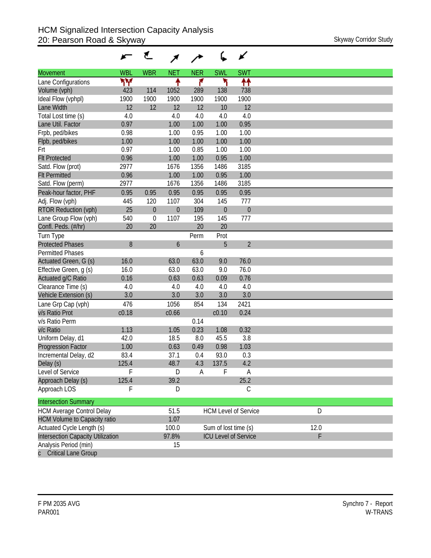|                                     |            | ₹           |                  |            |                             | ✔                           |      |
|-------------------------------------|------------|-------------|------------------|------------|-----------------------------|-----------------------------|------|
| <b>Movement</b>                     | <b>WBL</b> | <b>WBR</b>  | <b>NET</b>       | <b>NER</b> | <b>SWL</b>                  | <b>SWT</b>                  |      |
| Lane Configurations                 | ۳Υ         |             | ↟                | ۴          | ۲                           | ↟↟                          |      |
| Volume (vph)                        | 423        | 114         | 1052             | 289        | 138                         | 738                         |      |
| Ideal Flow (vphpl)                  | 1900       | 1900        | 1900             | 1900       | 1900                        | 1900                        |      |
| Lane Width                          | 12         | 12          | 12               | 12         | 10                          | 12                          |      |
| Total Lost time (s)                 | 4.0        |             | 4.0              | 4.0        | 4.0                         | 4.0                         |      |
| Lane Util. Factor                   | 0.97       |             | 1.00             | 1.00       | 1.00                        | 0.95                        |      |
| Frpb, ped/bikes                     | 0.98       |             | 1.00             | 0.95       | 1.00                        | 1.00                        |      |
| Flpb, ped/bikes                     | 1.00       |             | 1.00             | 1.00       | 1.00                        | 1.00                        |      |
| Frt                                 | 0.97       |             | 1.00             | 0.85       | 1.00                        | 1.00                        |      |
| <b>Flt Protected</b>                | 0.96       |             | 1.00             | 1.00       | 0.95                        | 1.00                        |      |
| Satd. Flow (prot)                   | 2977       |             | 1676             | 1356       | 1486                        | 3185                        |      |
| <b>Flt Permitted</b>                | 0.96       |             | 1.00             | 1.00       | 0.95                        | 1.00                        |      |
| Satd. Flow (perm)                   | 2977       |             | 1676             | 1356       | 1486                        | 3185                        |      |
| Peak-hour factor, PHF               | 0.95       | 0.95        | 0.95             | 0.95       | 0.95                        | 0.95                        |      |
| Adj. Flow (vph)                     | 445        | 120         | 1107             | 304        | 145                         | 777                         |      |
| <b>RTOR Reduction (vph)</b>         | 25         | $\mathbf 0$ | $\boldsymbol{0}$ | 109        | $\theta$                    | $\theta$                    |      |
| Lane Group Flow (vph)               | 540        | $\mathbf 0$ | 1107             | 195        | 145                         | 777                         |      |
| Confl. Peds. (#/hr)                 | 20         | 20          |                  | 20         | 20                          |                             |      |
| Turn Type                           |            |             |                  | Perm       | Prot                        |                             |      |
| <b>Protected Phases</b>             | 8          |             | 6                |            | 5                           | $\overline{2}$              |      |
| <b>Permitted Phases</b>             |            |             |                  | 6          |                             |                             |      |
| Actuated Green, G (s)               | 16.0       |             | 63.0             | 63.0       | 9.0                         | 76.0                        |      |
| Effective Green, g (s)              | 16.0       |             | 63.0             | 63.0       | 9.0                         | 76.0                        |      |
| Actuated g/C Ratio                  | 0.16       |             | 0.63             | 0.63       | 0.09                        | 0.76                        |      |
| Clearance Time (s)                  | 4.0        |             | 4.0              | 4.0        | 4.0                         | 4.0                         |      |
| Vehicle Extension (s)               | 3.0        |             | 3.0              | 3.0        | 3.0                         | 3.0                         |      |
| Lane Grp Cap (vph)                  | 476        |             | 1056             | 854        | 134                         | 2421                        |      |
| v/s Ratio Prot                      | c0.18      |             | c0.66            |            | c0.10                       | 0.24                        |      |
| v/s Ratio Perm                      |            |             |                  | 0.14       |                             |                             |      |
| v/c Ratio                           | 1.13       |             | 1.05             | 0.23       | 1.08                        | 0.32                        |      |
| Uniform Delay, d1                   | 42.0       |             | 18.5             | 8.0        | 45.5                        | 3.8                         |      |
| <b>Progression Factor</b>           | 1.00       |             | 0.63             | 0.49       | 0.98                        | 1.03                        |      |
| Incremental Delay, d2               | 83.4       |             | 37.1             | 0.4        | 93.0                        | 0.3                         |      |
| Delay (s)                           | 125.4      |             | 48.7             | 4.3        | 137.5                       | 4.2                         |      |
| Level of Service                    | F          |             | D                | A          | F                           | A                           |      |
| Approach Delay (s)<br>Approach LOS  | 125.4<br>F |             | 39.2             |            |                             | 25.2                        |      |
|                                     |            |             | D                |            |                             | $\mathsf C$                 |      |
| <b>Intersection Summary</b>         |            |             |                  |            |                             |                             |      |
| <b>HCM Average Control Delay</b>    |            |             | 51.5             |            |                             | <b>HCM Level of Service</b> | D    |
| <b>HCM Volume to Capacity ratio</b> |            |             | 1.07             |            |                             |                             |      |
| Actuated Cycle Length (s)           |            |             | 100.0            |            | Sum of lost time (s)        |                             | 12.0 |
| Intersection Capacity Utilization   |            |             | 97.8%            |            | <b>ICU Level of Service</b> |                             | F    |
| Analysis Period (min)               |            |             | 15               |            |                             |                             |      |
| <b>Critical Lane Group</b>          |            |             |                  |            |                             |                             |      |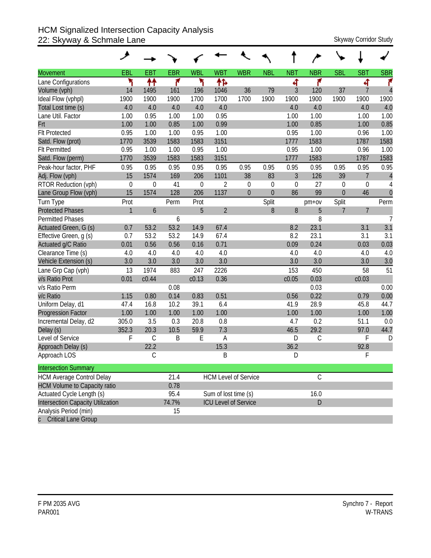#### HCM Signalized Intersection Capacity Analysis 22: Skyway & Schmale Lane States and Skyway Corridor Study

|                                     | عر           |             |            |             |                      |                             |             |                |               |                  |                |                |
|-------------------------------------|--------------|-------------|------------|-------------|----------------------|-----------------------------|-------------|----------------|---------------|------------------|----------------|----------------|
| <b>Movement</b>                     | EBL          | <b>EBT</b>  | <b>EBR</b> | <b>WBL</b>  | <b>WBT</b>           | <b>WBR</b>                  | <b>NBL</b>  | <b>NBT</b>     | <b>NBR</b>    | <b>SBL</b>       | <b>SBT</b>     | <b>SBR</b>     |
| Lane Configurations                 | ۳            | ↟↟          | ۴          | ۲           | ተኈ                   |                             |             | 4              | ۴             |                  | ची             | ۴              |
| Volume (vph)                        | 14           | 1495        | 161        | 196         | 1046                 | 36                          | 79          | 3              | 120           | 37               | $\overline{7}$ | $\overline{4}$ |
| Ideal Flow (vphpl)                  | 1900         | 1900        | 1900       | 1700        | 1700                 | 1700                        | 1900        | 1900           | 1900          | 1900             | 1900           | 1900           |
| Total Lost time (s)                 | 4.0          | 4.0         | 4.0        | 4.0         | 4.0                  |                             |             | 4.0            | 4.0           |                  | 4.0            | 4.0            |
| Lane Util. Factor                   | 1.00         | 0.95        | 1.00       | 1.00        | 0.95                 |                             |             | 1.00           | 1.00          |                  | 1.00           | 1.00           |
| Frt                                 | 1.00         | 1.00        | 0.85       | 1.00        | 0.99                 |                             |             | 1.00           | 0.85          |                  | 1.00           | 0.85           |
| <b>Flt Protected</b>                | 0.95         | 1.00        | 1.00       | 0.95        | 1.00                 |                             |             | 0.95           | 1.00          |                  | 0.96           | 1.00           |
| Satd. Flow (prot)                   | 1770         | 3539        | 1583       | 1583        | 3151                 |                             |             | 1777           | 1583          |                  | 1787           | 1583           |
| <b>Flt Permitted</b>                | 0.95         | 1.00        | 1.00       | 0.95        | 1.00                 |                             |             | 0.95           | 1.00          |                  | 0.96           | 1.00           |
| Satd. Flow (perm)                   | 1770         | 3539        | 1583       | 1583        | 3151                 |                             |             | 1777           | 1583          |                  | 1787           | 1583           |
| Peak-hour factor, PHF               | 0.95         | 0.95        | 0.95       | 0.95        | 0.95                 | 0.95                        | 0.95        | 0.95           | 0.95          | 0.95             | 0.95           | 0.95           |
| Adj. Flow (vph)                     | 15           | 1574        | 169        | 206         | 1101                 | 38                          | 83          | $\mathfrak{Z}$ | 126           | 39               | $\overline{7}$ | $\overline{4}$ |
| RTOR Reduction (vph)                | $\mathbf 0$  | 0           | 41         | $\mathbf 0$ | $\overline{2}$       | $\theta$                    | $\mathbf 0$ | $\theta$       | 27            | $\boldsymbol{0}$ | 0              | 4              |
| Lane Group Flow (vph)               | 15           | 1574        | 128        | 206         | 1137                 | $\mathbf{0}$                | $\Omega$    | 86             | 99            | $\theta$         | 46             | $\mathbf{0}$   |
| Turn Type                           | Prot         |             | Perm       | Prot        |                      |                             | Split       |                | $pm+ov$       | Split            |                | Perm           |
| <b>Protected Phases</b>             | $\mathbf{1}$ | 6           |            | 5           | $\overline{2}$       |                             | 8           | 8              | 5             | $\overline{7}$   | $\overline{7}$ |                |
| <b>Permitted Phases</b>             |              |             | 6          |             |                      |                             |             |                | 8             |                  |                | $\overline{7}$ |
| Actuated Green, G (s)               | 0.7          | 53.2        | 53.2       | 14.9        | 67.4                 |                             |             | 8.2            | 23.1          |                  | 3.1            | 3.1            |
| Effective Green, g (s)              | 0.7          | 53.2        | 53.2       | 14.9        | 67.4                 |                             |             | 8.2            | 23.1          |                  | 3.1            | 3.1            |
| Actuated g/C Ratio                  | 0.01         | 0.56        | 0.56       | 0.16        | 0.71                 |                             |             | 0.09           | 0.24          |                  | 0.03           | 0.03           |
| Clearance Time (s)                  | 4.0          | 4.0         | 4.0        | 4.0         | 4.0                  |                             |             | 4.0            | 4.0           |                  | 4.0            | 4.0            |
| Vehicle Extension (s)               | 3.0          | 3.0         | 3.0        | 3.0         | 3.0                  |                             |             | 3.0            | 3.0           |                  | 3.0            | 3.0            |
| Lane Grp Cap (vph)                  | 13           | 1974        | 883        | 247         | 2226                 |                             |             | 153            | 450           |                  | 58             | 51             |
| v/s Ratio Prot                      | 0.01         | c0.44       |            | c0.13       | 0.36                 |                             |             | c0.05          | 0.03          |                  | c0.03          |                |
| v/s Ratio Perm                      |              |             | 0.08       |             |                      |                             |             |                | 0.03          |                  |                | 0.00           |
| v/c Ratio                           | 1.15         | 0.80        | 0.14       | 0.83        | 0.51                 |                             |             | 0.56           | 0.22          |                  | 0.79           | 0.00           |
| Uniform Delay, d1                   | 47.4         | 16.8        | 10.2       | 39.1        | 6.4                  |                             |             | 41.9           | 28.9          |                  | 45.8           | 44.7           |
| <b>Progression Factor</b>           | 1.00         | 1.00        | 1.00       | 1.00        | 1.00                 |                             |             | 1.00           | 1.00          |                  | 1.00           | 1.00           |
| Incremental Delay, d2               | 305.0        | 3.5         | 0.3        | 20.8        | 0.8                  |                             |             | 4.7            | 0.2           |                  | 51.1           | 0.0            |
| Delay (s)                           | 352.3        | 20.3        | 10.5       | 59.9        | 7.3                  |                             |             | 46.5           | 29.2          |                  | 97.0           | 44.7           |
| Level of Service                    | F            | $\mathsf C$ | B          | E           | A                    |                             |             | D              | $\mathsf C$   |                  | F              | D              |
| Approach Delay (s)                  |              | 22.2        |            |             | 15.3                 |                             |             | 36.2           |               |                  | 92.8           |                |
| Approach LOS                        |              | С           |            |             | B                    |                             |             | D              |               |                  | F              |                |
| <b>Intersection Summary</b>         |              |             |            |             |                      |                             |             |                |               |                  |                |                |
| <b>HCM Average Control Delay</b>    |              |             | 21.4       |             |                      | <b>HCM Level of Service</b> |             |                | $\mathcal{C}$ |                  |                |                |
| <b>HCM Volume to Capacity ratio</b> |              |             | 0.78       |             |                      |                             |             |                |               |                  |                |                |
| Actuated Cycle Length (s)           |              |             | 95.4       |             | Sum of lost time (s) |                             |             |                | 16.0          |                  |                |                |
| Intersection Capacity Utilization   |              |             | 74.7%      |             |                      | <b>ICU Level of Service</b> |             |                | D             |                  |                |                |
| Analysis Period (min)               |              |             | 15         |             |                      |                             |             |                |               |                  |                |                |
| c Critical Lane Group               |              |             |            |             |                      |                             |             |                |               |                  |                |                |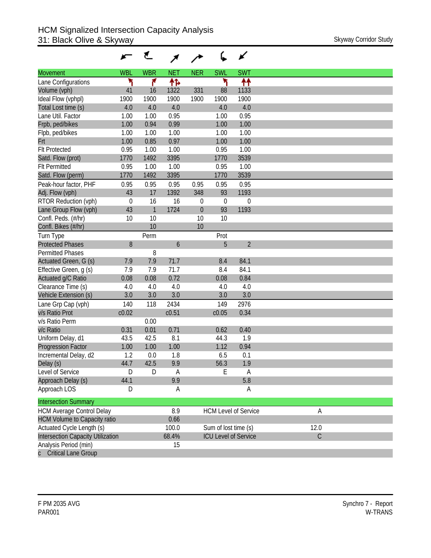|                                     |             | ₹            |            |            |                      | ✔                           |             |
|-------------------------------------|-------------|--------------|------------|------------|----------------------|-----------------------------|-------------|
| <b>Movement</b>                     | <b>WBL</b>  | <b>WBR</b>   | <b>NET</b> | <b>NER</b> | <b>SWL</b>           | <b>SWT</b>                  |             |
| Lane Configurations                 | ۲           | ۴            | ተኈ         |            | ۲                    | ተተ                          |             |
| Volume (vph)                        | 41          | 16           | 1322       | 331        | 88                   | 1133                        |             |
| Ideal Flow (vphpl)                  | 1900        | 1900         | 1900       | 1900       | 1900                 | 1900                        |             |
| Total Lost time (s)                 | 4.0         | 4.0          | 4.0        |            | 4.0                  | 4.0                         |             |
| Lane Util. Factor                   | 1.00        | 1.00         | 0.95       |            | 1.00                 | 0.95                        |             |
| Frpb, ped/bikes                     | 1.00        | 0.94         | 0.99       |            | 1.00                 | 1.00                        |             |
| Flpb, ped/bikes                     | 1.00        | 1.00         | 1.00       |            | 1.00                 | 1.00                        |             |
| Frt                                 | 1.00        | 0.85         | 0.97       |            | 1.00                 | 1.00                        |             |
| <b>Flt Protected</b>                | 0.95        | 1.00         | 1.00       |            | 0.95                 | 1.00                        |             |
| Satd. Flow (prot)                   | 1770        | 1492         | 3395       |            | 1770                 | 3539                        |             |
| <b>Flt Permitted</b>                | 0.95        | 1.00         | 1.00       |            | 0.95                 | 1.00                        |             |
| Satd. Flow (perm)                   | 1770        | 1492         | 3395       |            | 1770                 | 3539                        |             |
| Peak-hour factor, PHF               | 0.95        | 0.95         | 0.95       | 0.95       | 0.95                 | 0.95                        |             |
| Adj. Flow (vph)                     | 43          | 17           | 1392       | 348        | 93                   | 1193                        |             |
| RTOR Reduction (vph)                | $\mathbf 0$ | 16           | 16         | 0          | $\theta$             | $\mathbf 0$                 |             |
| Lane Group Flow (vph)               | 43          | $\mathbf{1}$ | 1724       | $\theta$   | 93                   | 1193                        |             |
| Confl. Peds. (#/hr)                 | 10          | 10           |            | 10         | 10                   |                             |             |
| Confl. Bikes (#/hr)                 |             | 10           |            | 10         |                      |                             |             |
| Turn Type                           |             | Perm         |            |            | Prot                 |                             |             |
| <b>Protected Phases</b>             | 8           |              | 6          |            | 5                    | $\overline{2}$              |             |
| <b>Permitted Phases</b>             |             | 8            |            |            |                      |                             |             |
| Actuated Green, G (s)               | 7.9         | 7.9          | 71.7       |            | 8.4                  | 84.1                        |             |
| Effective Green, g (s)              | 7.9         | 7.9          | 71.7       |            | 8.4                  | 84.1                        |             |
| Actuated g/C Ratio                  | 0.08        | 0.08         | 0.72       |            | 0.08                 | 0.84                        |             |
| Clearance Time (s)                  | 4.0         | 4.0          | 4.0        |            | 4.0                  | 4.0                         |             |
| Vehicle Extension (s)               | 3.0         | 3.0          | 3.0        |            | 3.0                  | 3.0                         |             |
| Lane Grp Cap (vph)                  | 140         | 118          | 2434       |            | 149                  | 2976                        |             |
| v/s Ratio Prot                      | c0.02       |              | c0.51      |            | c0.05                | 0.34                        |             |
| v/s Ratio Perm                      |             | 0.00         |            |            |                      |                             |             |
| v/c Ratio                           | 0.31        | 0.01         | 0.71       |            | 0.62                 | 0.40                        |             |
| Uniform Delay, d1                   | 43.5        | 42.5         | 8.1        |            | 44.3                 | 1.9                         |             |
| <b>Progression Factor</b>           | 1.00        | 1.00         | 1.00       |            | 1.12                 | 0.94                        |             |
| Incremental Delay, d2               | 1.2         | 0.0          | 1.8        |            | 6.5                  | 0.1                         |             |
| Delay (s)                           | 44.7        | 42.5         | 9.9        |            | 56.3                 | 1.9                         |             |
| Level of Service                    | D           | D            | Α          |            | E                    | A                           |             |
| Approach Delay (s)                  | 44.1        |              | 9.9        |            |                      | 5.8                         |             |
| Approach LOS                        | D           |              | A          |            |                      | Α                           |             |
| <b>Intersection Summary</b>         |             |              |            |            |                      |                             |             |
| <b>HCM Average Control Delay</b>    |             |              | 8.9        |            |                      | <b>HCM Level of Service</b> | A           |
| <b>HCM Volume to Capacity ratio</b> |             |              | 0.66       |            |                      |                             |             |
| Actuated Cycle Length (s)           |             |              | 100.0      |            | Sum of lost time (s) |                             | 12.0        |
| Intersection Capacity Utilization   |             |              | 68.4%      |            |                      | <b>ICU Level of Service</b> | $\mathsf C$ |
| Analysis Period (min)               |             |              | 15         |            |                      |                             |             |
| <b>Critical Lane Group</b>          |             |              |            |            |                      |                             |             |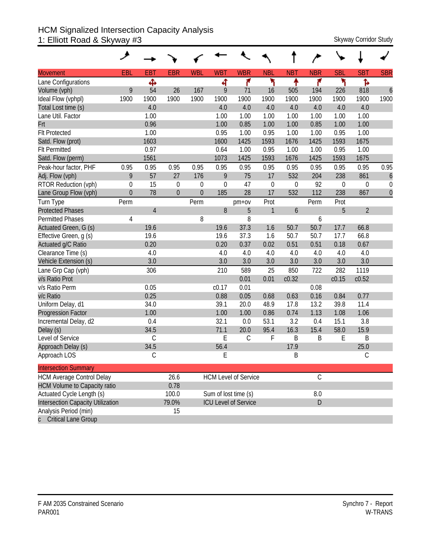#### HCM Signalized Intersection Capacity Analysis 1: Elliott Road & Skyway #3 Skyway Corridor Study Skyway Corridor Study

|                                     | عر               |                |                |                |             |                             |                  |                  |               |                |                  |                  |
|-------------------------------------|------------------|----------------|----------------|----------------|-------------|-----------------------------|------------------|------------------|---------------|----------------|------------------|------------------|
| <b>Movement</b>                     | EBL              | <b>EBT</b>     | <b>EBR</b>     | <b>WBL</b>     | <b>WBT</b>  | <b>WBR</b>                  | <b>NBL</b>       | <b>NBT</b>       | <b>NBR</b>    | <b>SBL</b>     | <b>SBT</b>       | <b>SBR</b>       |
| Lane Configurations                 |                  | Ф              |                |                | 4           | ۴                           | ۲                | ٠                | ۴             | ۲              | ħ                |                  |
| Volume (vph)                        | 9                | 54             | 26             | 167            | 9           | 71                          | 16               | 505              | 194           | 226            | 818              | $\overline{6}$   |
| Ideal Flow (vphpl)                  | 1900             | 1900           | 1900           | 1900           | 1900        | 1900                        | 1900             | 1900             | 1900          | 1900           | 1900             | 1900             |
| Total Lost time (s)                 |                  | 4.0            |                |                | 4.0         | 4.0                         | 4.0              | 4.0              | 4.0           | 4.0            | 4.0              |                  |
| Lane Util. Factor                   |                  | 1.00           |                |                | 1.00        | 1.00                        | 1.00             | 1.00             | 1.00          | 1.00           | 1.00             |                  |
| Frt                                 |                  | 0.96           |                |                | 1.00        | 0.85                        | 1.00             | 1.00             | 0.85          | 1.00           | 1.00             |                  |
| <b>Flt Protected</b>                |                  | 1.00           |                |                | 0.95        | 1.00                        | 0.95             | 1.00             | 1.00          | 0.95           | 1.00             |                  |
| Satd. Flow (prot)                   |                  | 1603           |                |                | 1600        | 1425                        | 1593             | 1676             | 1425          | 1593           | 1675             |                  |
| <b>Flt Permitted</b>                |                  | 0.97           |                |                | 0.64        | 1.00                        | 0.95             | 1.00             | 1.00          | 0.95           | 1.00             |                  |
| Satd. Flow (perm)                   |                  | 1561           |                |                | 1073        | 1425                        | 1593             | 1676             | 1425          | 1593           | 1675             |                  |
| Peak-hour factor, PHF               | 0.95             | 0.95           | 0.95           | 0.95           | 0.95        | 0.95                        | 0.95             | 0.95             | 0.95          | 0.95           | 0.95             | 0.95             |
| Adj. Flow (vph)                     | 9                | 57             | 27             | 176            | 9           | 75                          | 17               | 532              | 204           | 238            | 861              | $\boldsymbol{6}$ |
| RTOR Reduction (vph)                | $\boldsymbol{0}$ | 15             | $\mathbf 0$    | 0              | $\mathbf 0$ | 47                          | $\boldsymbol{0}$ | 0                | 92            | $\overline{0}$ | $\boldsymbol{0}$ | $\mathbf 0$      |
| Lane Group Flow (vph)               | $\mathbf 0$      | 78             | $\overline{0}$ | $\overline{0}$ | 185         | 28                          | 17               | 532              | 112           | 238            | 867              | $\mathbf{0}$     |
| Turn Type                           | Perm             |                |                | Perm           |             | $pm+ov$                     | Prot             |                  | Perm          | Prot           |                  |                  |
| <b>Protected Phases</b>             |                  | $\overline{4}$ |                |                | 8           | 5                           | $\mathbf{1}$     | $\boldsymbol{6}$ |               | 5              | $\overline{2}$   |                  |
| <b>Permitted Phases</b>             | 4                |                |                | 8              |             | 8                           |                  |                  | 6             |                |                  |                  |
| Actuated Green, G (s)               |                  | 19.6           |                |                | 19.6        | 37.3                        | 1.6              | 50.7             | 50.7          | 17.7           | 66.8             |                  |
| Effective Green, g (s)              |                  | 19.6           |                |                | 19.6        | 37.3                        | 1.6              | 50.7             | 50.7          | 17.7           | 66.8             |                  |
| Actuated g/C Ratio                  |                  | 0.20           |                |                | 0.20        | 0.37                        | 0.02             | 0.51             | 0.51          | 0.18           | 0.67             |                  |
| Clearance Time (s)                  |                  | 4.0            |                |                | 4.0         | 4.0                         | 4.0              | 4.0              | 4.0           | 4.0            | 4.0              |                  |
| Vehicle Extension (s)               |                  | 3.0            |                |                | 3.0         | 3.0                         | 3.0              | 3.0              | 3.0           | 3.0            | 3.0              |                  |
| Lane Grp Cap (vph)                  |                  | 306            |                |                | 210         | 589                         | 25               | 850              | 722           | 282            | 1119             |                  |
| v/s Ratio Prot                      |                  |                |                |                |             | 0.01                        | 0.01             | c0.32            |               | c0.15          | c0.52            |                  |
| v/s Ratio Perm                      |                  | 0.05           |                |                | c0.17       | 0.01                        |                  |                  | 0.08          |                |                  |                  |
| v/c Ratio                           |                  | 0.25           |                |                | 0.88        | 0.05                        | 0.68             | 0.63             | 0.16          | 0.84           | 0.77             |                  |
| Uniform Delay, d1                   |                  | 34.0           |                |                | 39.1        | 20.0                        | 48.9             | 17.8             | 13.2          | 39.8           | 11.4             |                  |
| <b>Progression Factor</b>           |                  | 1.00           |                |                | 1.00        | 1.00                        | 0.86             | 0.74             | 1.13          | 1.08           | 1.06             |                  |
| Incremental Delay, d2               |                  | 0.4            |                |                | 32.1        | 0.0                         | 53.1             | 3.2              | 0.4           | 15.1           | 3.8              |                  |
| Delay (s)                           |                  | 34.5           |                |                | 71.1        | 20.0                        | 95.4             | 16.3             | 15.4          | 58.0           | 15.9             |                  |
| Level of Service                    |                  | $\mathsf C$    |                |                | E           | $\mathcal{C}$               | F                | Β                | B             | E              | B                |                  |
| Approach Delay (s)                  |                  | 34.5           |                |                | 56.4        |                             |                  | 17.9             |               |                | 25.0             |                  |
| Approach LOS                        |                  | C              |                |                | E           |                             |                  | B                |               |                | $\mathsf C$      |                  |
| <b>Intersection Summary</b>         |                  |                |                |                |             |                             |                  |                  |               |                |                  |                  |
| <b>HCM Average Control Delay</b>    |                  |                | 26.6           |                |             | <b>HCM Level of Service</b> |                  |                  | $\mathcal{C}$ |                |                  |                  |
| <b>HCM Volume to Capacity ratio</b> |                  |                | 0.78           |                |             |                             |                  |                  |               |                |                  |                  |
| Actuated Cycle Length (s)           |                  |                | 100.0          |                |             | Sum of lost time (s)        |                  |                  | $8.0\,$       |                |                  |                  |
| Intersection Capacity Utilization   |                  |                | 79.0%          |                |             | <b>ICU Level of Service</b> |                  |                  | D             |                |                  |                  |
| Analysis Period (min)               |                  |                | 15             |                |             |                             |                  |                  |               |                |                  |                  |
| c Critical Lane Group               |                  |                |                |                |             |                             |                  |                  |               |                |                  |                  |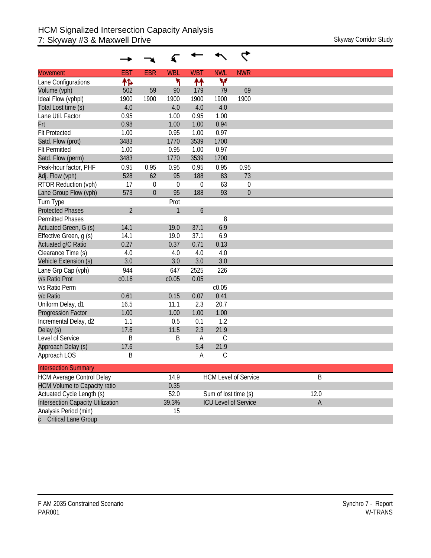| <b>Movement</b>                          | <b>EBT</b>     | <b>EBR</b>   | <b>WBL</b> | <b>WBT</b>       | <b>NWL</b>           | <b>NWR</b>                  |             |
|------------------------------------------|----------------|--------------|------------|------------------|----------------------|-----------------------------|-------------|
| Lane Configurations                      | 怍              |              | ۲          | ↟↟               | ۷                    |                             |             |
| Volume (vph)                             | 502            | 59           | 90         | 179              | 79                   | 69                          |             |
| Ideal Flow (vphpl)                       | 1900           | 1900         | 1900       | 1900             | 1900                 | 1900                        |             |
| Total Lost time (s)                      | 4.0            |              | 4.0        | 4.0              | 4.0                  |                             |             |
| Lane Util. Factor                        | 0.95           |              | 1.00       | 0.95             | 1.00                 |                             |             |
| Frt                                      | 0.98           |              | 1.00       | 1.00             | 0.94                 |                             |             |
| <b>Flt Protected</b>                     | 1.00           |              | 0.95       | 1.00             | 0.97                 |                             |             |
| Satd. Flow (prot)                        | 3483           |              | 1770       | 3539             | 1700                 |                             |             |
| <b>Flt Permitted</b>                     | 1.00           |              | 0.95       | 1.00             | 0.97                 |                             |             |
| Satd. Flow (perm)                        | 3483           |              | 1770       | 3539             | 1700                 |                             |             |
| Peak-hour factor, PHF                    | 0.95           | 0.95         | 0.95       | 0.95             | 0.95                 | 0.95                        |             |
| Adj. Flow (vph)                          | 528            | 62           | 95         | 188              | 83                   | 73                          |             |
| RTOR Reduction (vph)                     | 17             | $\theta$     | $\theta$   | 0                | 63                   | 0                           |             |
| Lane Group Flow (vph)                    | 573            | $\mathbf{0}$ | 95         | 188              | 93                   | $\boldsymbol{0}$            |             |
| Turn Type                                |                |              | Prot       |                  |                      |                             |             |
| <b>Protected Phases</b>                  | $\overline{2}$ |              | 1          | $\boldsymbol{6}$ |                      |                             |             |
| Permitted Phases                         |                |              |            |                  | 8                    |                             |             |
| Actuated Green, G (s)                    | 14.1           |              | 19.0       | 37.1             | 6.9                  |                             |             |
| Effective Green, q (s)                   | 14.1           |              | 19.0       | 37.1             | 6.9                  |                             |             |
| Actuated g/C Ratio                       | 0.27           |              | 0.37       | 0.71             | 0.13                 |                             |             |
| Clearance Time (s)                       | 4.0            |              | 4.0        | 4.0              | 4.0                  |                             |             |
| Vehicle Extension (s)                    | 3.0            |              | 3.0        | 3.0              | 3.0                  |                             |             |
| Lane Grp Cap (vph)                       | 944            |              | 647        | 2525             | 226                  |                             |             |
| v/s Ratio Prot                           | c0.16          |              | c0.05      | 0.05             |                      |                             |             |
| v/s Ratio Perm                           |                |              |            |                  | c0.05                |                             |             |
| v/c Ratio                                | 0.61           |              | 0.15       | 0.07             | 0.41                 |                             |             |
| Uniform Delay, d1                        | 16.5           |              | 11.1       | 2.3              | 20.7                 |                             |             |
| <b>Progression Factor</b>                | 1.00           |              | 1.00       | 1.00             | 1.00                 |                             |             |
| Incremental Delay, d2                    | 1.1            |              | 0.5        | 0.1              | 1.2                  |                             |             |
| Delay (s)                                | 17.6           |              | 11.5       | 2.3              | 21.9                 |                             |             |
| Level of Service                         | B              |              | B          | A                | C                    |                             |             |
| Approach Delay (s)                       | 17.6           |              |            | 5.4              | 21.9                 |                             |             |
| Approach LOS                             | Β              |              |            | А                | С                    |                             |             |
| <b>Intersection Summary</b>              |                |              |            |                  |                      |                             |             |
| <b>HCM Average Control Delay</b>         |                |              | 14.9       |                  |                      | <b>HCM Level of Service</b> | B           |
| <b>HCM Volume to Capacity ratio</b>      |                |              | 0.35       |                  |                      |                             |             |
| Actuated Cycle Length (s)                |                |              | 52.0       |                  | Sum of lost time (s) |                             | 12.0        |
| <b>Intersection Capacity Utilization</b> |                |              | 39.3%      |                  |                      | <b>ICU Level of Service</b> | $\mathsf A$ |
| Analysis Period (min)                    |                |              | 15         |                  |                      |                             |             |
| <b>Critical Lane Group</b>               |                |              |            |                  |                      |                             |             |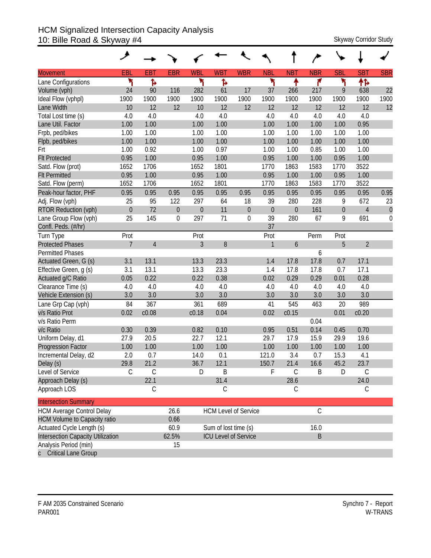# HCM Signalized Intersection Capacity Analysis 10: Bille Road & Skyway #4 Skyway Corridor Study

|                                     | ۶                |                |                |                |                      |                             |                  |                  |               |                  |                |                  |
|-------------------------------------|------------------|----------------|----------------|----------------|----------------------|-----------------------------|------------------|------------------|---------------|------------------|----------------|------------------|
| <b>Movement</b>                     | EBL              | <b>EBT</b>     | <b>EBR</b>     | <b>WBL</b>     | <b>WBT</b>           | <b>WBR</b>                  | <b>NBL</b>       | <b>NBT</b>       | <b>NBR</b>    | <b>SBL</b>       | <b>SBT</b>     | <b>SBR</b>       |
| Lane Configurations                 | ۲                | ħ              |                | ۲              | Ъ                    |                             | ۲                | ↟                | ۴             | ۲                | ተኈ             |                  |
| Volume (vph)                        | 24               | 90             | 116            | 282            | 61                   | 17                          | 37               | 266              | 217           | 9                | 638            | 22               |
| Ideal Flow (vphpl)                  | 1900             | 1900           | 1900           | 1900           | 1900                 | 1900                        | 1900             | 1900             | 1900          | 1900             | 1900           | 1900             |
| Lane Width                          | 10               | 12             | 12             | 10             | 12                   | 12                          | 12               | 12               | 12            | 12               | 12             | 12               |
| Total Lost time (s)                 | 4.0              | 4.0            |                | 4.0            | 4.0                  |                             | 4.0              | 4.0              | 4.0           | 4.0              | 4.0            |                  |
| Lane Util. Factor                   | 1.00             | 1.00           |                | 1.00           | 1.00                 |                             | 1.00             | 1.00             | 1.00          | 1.00             | 0.95           |                  |
| Frpb, ped/bikes                     | 1.00             | 1.00           |                | 1.00           | 1.00                 |                             | 1.00             | 1.00             | 1.00          | 1.00             | 1.00           |                  |
| Flpb, ped/bikes                     | 1.00             | 1.00           |                | 1.00           | 1.00                 |                             | 1.00             | 1.00             | 1.00          | 1.00             | 1.00           |                  |
| Frt                                 | 1.00             | 0.92           |                | 1.00           | 0.97                 |                             | 1.00             | 1.00             | 0.85          | 1.00             | 1.00           |                  |
| <b>Flt Protected</b>                | 0.95             | 1.00           |                | 0.95           | 1.00                 |                             | 0.95             | 1.00             | 1.00          | 0.95             | 1.00           |                  |
| Satd. Flow (prot)                   | 1652             | 1706           |                | 1652           | 1801                 |                             | 1770             | 1863             | 1583          | 1770             | 3522           |                  |
| <b>Flt Permitted</b>                | 0.95             | 1.00           |                | 0.95           | 1.00                 |                             | 0.95             | 1.00             | 1.00          | 0.95             | 1.00           |                  |
| Satd. Flow (perm)                   | 1652             | 1706           |                | 1652           | 1801                 |                             | 1770             | 1863             | 1583          | 1770             | 3522           |                  |
| Peak-hour factor, PHF               | 0.95             | 0.95           | 0.95           | 0.95           | 0.95                 | 0.95                        | 0.95             | 0.95             | 0.95          | 0.95             | 0.95           | 0.95             |
| Adj. Flow (vph)                     | 25               | 95             | 122            | 297            | 64                   | 18                          | 39               | 280              | 228           | 9                | 672            | 23               |
| RTOR Reduction (vph)                | $\boldsymbol{0}$ | 72             | $\overline{0}$ | $\theta$       | 11                   | $\boldsymbol{0}$            | $\boldsymbol{0}$ | $\boldsymbol{0}$ | 161           | $\boldsymbol{0}$ | $\overline{4}$ | $\boldsymbol{0}$ |
| Lane Group Flow (vph)               | 25               | 145            | 0              | 297            | 71                   | $\mathbf 0$                 | 39               | 280              | 67            | 9                | 691            | $\mathbf 0$      |
| Confl. Peds. (#/hr)                 |                  |                |                |                |                      |                             | 37               |                  |               |                  |                |                  |
| Turn Type                           | Prot             |                |                | Prot           |                      |                             | Prot             |                  | Perm          | Prot             |                |                  |
| <b>Protected Phases</b>             | $\overline{7}$   | $\overline{4}$ |                | $\overline{3}$ | 8                    |                             | $\mathbf{1}$     | 6                |               | 5                | $\overline{2}$ |                  |
| <b>Permitted Phases</b>             |                  |                |                |                |                      |                             |                  |                  | 6             |                  |                |                  |
| Actuated Green, G (s)               | 3.1              | 13.1           |                | 13.3           | 23.3                 |                             | 1.4              | 17.8             | 17.8          | 0.7              | 17.1           |                  |
| Effective Green, g (s)              | 3.1              | 13.1           |                | 13.3           | 23.3                 |                             | 1.4              | 17.8             | 17.8          | 0.7              | 17.1           |                  |
| Actuated g/C Ratio                  | 0.05             | 0.22           |                | 0.22           | 0.38                 |                             | 0.02             | 0.29             | 0.29          | 0.01             | 0.28           |                  |
| Clearance Time (s)                  | 4.0              | 4.0            |                | 4.0            | 4.0                  |                             | 4.0              | 4.0              | 4.0           | 4.0              | 4.0            |                  |
| Vehicle Extension (s)               | 3.0              | 3.0            |                | 3.0            | 3.0                  |                             | 3.0              | 3.0              | 3.0           | 3.0              | 3.0            |                  |
| Lane Grp Cap (vph)                  | 84               | 367            |                | 361            | 689                  |                             | 41               | 545              | 463           | 20               | 989            |                  |
| v/s Ratio Prot                      | 0.02             | c0.08          |                | c0.18          | 0.04                 |                             | 0.02             | c0.15            |               | 0.01             | c0.20          |                  |
| v/s Ratio Perm                      |                  |                |                |                |                      |                             |                  |                  | 0.04          |                  |                |                  |
| v/c Ratio                           | 0.30             | 0.39           |                | 0.82           | 0.10                 |                             | 0.95             | 0.51             | 0.14          | 0.45             | 0.70           |                  |
| Uniform Delay, d1                   | 27.9             | 20.5           |                | 22.7           | 12.1                 |                             | 29.7             | 17.9             | 15.9          | 29.9             | 19.6           |                  |
| <b>Progression Factor</b>           | 1.00             | 1.00           |                | 1.00           | 1.00                 |                             | 1.00             | 1.00             | 1.00          | 1.00             | 1.00           |                  |
| Incremental Delay, d2               | 2.0              | 0.7            |                | 14.0           | 0.1                  |                             | 121.0            | 3.4              | 0.7           | 15.3             | 4.1            |                  |
| Delay (s)                           | 29.8             | 21.2           |                | 36.7           | 12.1                 |                             | 150.7            | 21.4             | 16.6          | 45.2             | 23.7           |                  |
| Level of Service                    | С                | $\mathcal{C}$  |                | D              | B                    |                             | F                | $\mathsf C$      | Β             | D                | C              |                  |
| Approach Delay (s)                  |                  | 22.1           |                |                | 31.4                 |                             |                  | 28.6             |               |                  | 24.0           |                  |
| Approach LOS                        |                  | C              |                |                | С                    |                             |                  | С                |               |                  | C              |                  |
| <b>Intersection Summary</b>         |                  |                |                |                |                      |                             |                  |                  |               |                  |                |                  |
| <b>HCM Average Control Delay</b>    |                  |                | 26.6           |                |                      | <b>HCM Level of Service</b> |                  |                  | $\mathcal{C}$ |                  |                |                  |
| <b>HCM Volume to Capacity ratio</b> |                  |                | 0.66           |                |                      |                             |                  |                  |               |                  |                |                  |
| Actuated Cycle Length (s)           |                  |                | 60.9           |                | Sum of lost time (s) |                             |                  |                  | 16.0          |                  |                |                  |
| Intersection Capacity Utilization   |                  |                | 62.5%          |                |                      | <b>ICU Level of Service</b> |                  |                  | B             |                  |                |                  |
| Analysis Period (min)               |                  |                | 15             |                |                      |                             |                  |                  |               |                  |                |                  |
| c Critical Lane Group               |                  |                |                |                |                      |                             |                  |                  |               |                  |                |                  |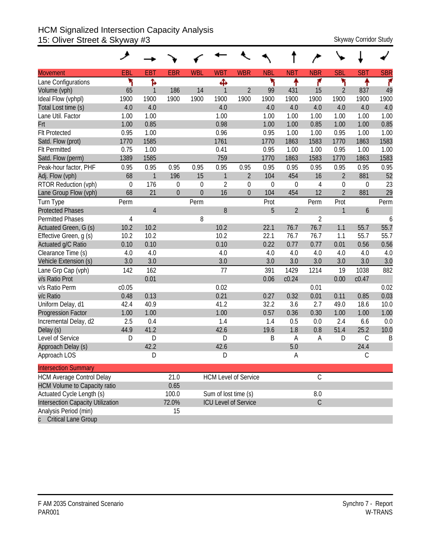## HCM Signalized Intersection Capacity Analysis 15: Oliver Street & Skyway #3 Skyway Corridor Study

| <b>Movement</b>                     | EBL         | <b>EBT</b>     | <b>EBR</b>       | <b>WBL</b>       | <b>WBT</b>           | <b>WBR</b>                  | <b>NBL</b>  | <b>NBT</b>       | <b>NBR</b>     | <b>SBL</b>       | <b>SBT</b>  | <b>SBR</b> |
|-------------------------------------|-------------|----------------|------------------|------------------|----------------------|-----------------------------|-------------|------------------|----------------|------------------|-------------|------------|
| Lane Configurations                 | ۲           | Ъ              |                  |                  | Ф                    |                             | ኻ           | ቶ                | ۴              | ۲                | ቶ           | ۴          |
| Volume (vph)                        | 65          | $\mathbf{1}$   | 186              | 14               | $\mathbf{1}$         | $\overline{2}$              | 99          | 431              | 15             | $\overline{2}$   | 837         | 49         |
| Ideal Flow (vphpl)                  | 1900        | 1900           | 1900             | 1900             | 1900                 | 1900                        | 1900        | 1900             | 1900           | 1900             | 1900        | 1900       |
| Total Lost time (s)                 | 4.0         | 4.0            |                  |                  | 4.0                  |                             | 4.0         | 4.0              | 4.0            | 4.0              | 4.0         | 4.0        |
| Lane Util. Factor                   | 1.00        | 1.00           |                  |                  | 1.00                 |                             | 1.00        | 1.00             | 1.00           | 1.00             | 1.00        | 1.00       |
| Frt                                 | 1.00        | 0.85           |                  |                  | 0.98                 |                             | 1.00        | 1.00             | 0.85           | 1.00             | 1.00        | 0.85       |
| <b>Flt Protected</b>                | 0.95        | 1.00           |                  |                  | 0.96                 |                             | 0.95        | 1.00             | 1.00           | 0.95             | 1.00        | 1.00       |
| Satd. Flow (prot)                   | 1770        | 1585           |                  |                  | 1761                 |                             | 1770        | 1863             | 1583           | 1770             | 1863        | 1583       |
| <b>Flt Permitted</b>                | 0.75        | 1.00           |                  |                  | 0.41                 |                             | 0.95        | 1.00             | 1.00           | 0.95             | 1.00        | 1.00       |
| Satd. Flow (perm)                   | 1389        | 1585           |                  |                  | 759                  |                             | 1770        | 1863             | 1583           | 1770             | 1863        | 1583       |
| Peak-hour factor, PHF               | 0.95        | 0.95           | 0.95             | 0.95             | 0.95                 | 0.95                        | 0.95        | 0.95             | 0.95           | 0.95             | 0.95        | 0.95       |
| Adj. Flow (vph)                     | 68          | $\mathbf{1}$   | 196              | 15               | $\mathbf{1}$         | $\overline{2}$              | 104         | 454              | 16             | $\overline{2}$   | 881         | 52         |
| RTOR Reduction (vph)                | $\mathbf 0$ | 176            | $\boldsymbol{0}$ | $\mathbf 0$      | $\overline{2}$       | $\mathbf 0$                 | $\mathbf 0$ | $\boldsymbol{0}$ | $\overline{4}$ | $\boldsymbol{0}$ | 0           | 23         |
| Lane Group Flow (vph)               | 68          | 21             | $\overline{0}$   | $\boldsymbol{0}$ | 16                   | $\overline{0}$              | 104         | 454              | 12             | $\overline{2}$   | 881         | 29         |
| Turn Type                           | Perm        |                |                  | Perm             |                      |                             | Prot        |                  | Perm           | Prot             |             | Perm       |
| <b>Protected Phases</b>             |             | $\overline{4}$ |                  |                  | 8                    |                             | 5           | $\overline{2}$   |                | 1                | 6           |            |
| <b>Permitted Phases</b>             | 4           |                |                  | 8                |                      |                             |             |                  | $\overline{2}$ |                  |             | 6          |
| Actuated Green, G (s)               | 10.2        | 10.2           |                  |                  | 10.2                 |                             | 22.1        | 76.7             | 76.7           | 1.1              | 55.7        | 55.7       |
| Effective Green, g (s)              | 10.2        | 10.2           |                  |                  | 10.2                 |                             | 22.1        | 76.7             | 76.7           | 1.1              | 55.7        | 55.7       |
| Actuated g/C Ratio                  | 0.10        | 0.10           |                  |                  | 0.10                 |                             | 0.22        | 0.77             | 0.77           | 0.01             | 0.56        | 0.56       |
| Clearance Time (s)                  | 4.0         | 4.0            |                  |                  | 4.0                  |                             | 4.0         | 4.0              | 4.0            | 4.0              | 4.0         | 4.0        |
| Vehicle Extension (s)               | 3.0         | 3.0            |                  |                  | 3.0                  |                             | 3.0         | 3.0              | 3.0            | 3.0              | 3.0         | 3.0        |
| Lane Grp Cap (vph)                  | 142         | 162            |                  |                  | 77                   |                             | 391         | 1429             | 1214           | 19               | 1038        | 882        |
| v/s Ratio Prot                      |             | 0.01           |                  |                  |                      |                             | 0.06        | c0.24            |                | 0.00             | c0.47       |            |
| v/s Ratio Perm                      | c0.05       |                |                  |                  | 0.02                 |                             |             |                  | 0.01           |                  |             | 0.02       |
| v/c Ratio                           | 0.48        | 0.13           |                  |                  | 0.21                 |                             | 0.27        | 0.32             | 0.01           | 0.11             | 0.85        | 0.03       |
| Uniform Delay, d1                   | 42.4        | 40.9           |                  |                  | 41.2                 |                             | 32.2        | 3.6              | 2.7            | 49.0             | 18.6        | 10.0       |
| Progression Factor                  | 1.00        | 1.00           |                  |                  | 1.00                 |                             | 0.57        | 0.36             | 0.30           | 1.00             | 1.00        | 1.00       |
| Incremental Delay, d2               | 2.5         | 0.4            |                  |                  | 1.4                  |                             | 1.4         | 0.5              | 0.0            | 2.4              | 6.6         | 0.0        |
| Delay (s)                           | 44.9        | 41.2           |                  |                  | 42.6                 |                             | 19.6        | 1.8              | 0.8            | 51.4             | 25.2        | 10.0       |
| Level of Service                    | D           | D              |                  |                  | D                    |                             | B           | Α                | A              | D                | $\mathsf C$ | B          |
| Approach Delay (s)                  |             | 42.2           |                  |                  | 42.6                 |                             |             | 5.0              |                |                  | 24.4        |            |
| Approach LOS                        |             | D              |                  |                  | D                    |                             |             | A                |                |                  | С           |            |
| <b>Intersection Summary</b>         |             |                |                  |                  |                      |                             |             |                  |                |                  |             |            |
| <b>HCM Average Control Delay</b>    |             |                | 21.0             |                  |                      | <b>HCM Level of Service</b> |             |                  | $\mathsf C$    |                  |             |            |
| <b>HCM Volume to Capacity ratio</b> |             |                | 0.65             |                  |                      |                             |             |                  |                |                  |             |            |
| Actuated Cycle Length (s)           |             |                | 100.0            |                  | Sum of lost time (s) |                             |             |                  | $8.0\,$        |                  |             |            |
| Intersection Capacity Utilization   |             |                | 72.0%            |                  |                      | <b>ICU Level of Service</b> |             |                  | $\overline{C}$ |                  |             |            |
| Analysis Period (min)               |             |                | 15               |                  |                      |                             |             |                  |                |                  |             |            |
| c Critical Lane Group               |             |                |                  |                  |                      |                             |             |                  |                |                  |             |            |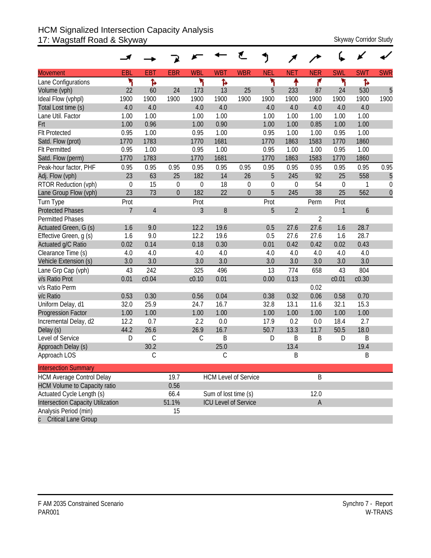## HCM Signalized Intersection Capacity Analysis 17: Wagstaff Road & Skyway Skyway Skyway Corridor Study

|                                     |                |                |                |                |                      | ť                           | J           |             |                |                  |            |             |
|-------------------------------------|----------------|----------------|----------------|----------------|----------------------|-----------------------------|-------------|-------------|----------------|------------------|------------|-------------|
| <b>Movement</b>                     | EBL            | <b>EBT</b>     | <b>EBR</b>     | <b>WBL</b>     | <b>WBT</b>           | <b>WBR</b>                  | <b>NEL</b>  | <b>NET</b>  | <b>NER</b>     | <b>SWL</b>       | <b>SWT</b> | <b>SWR</b>  |
| Lane Configurations                 | ۲              | Ъ              |                | ۲              | Ъ                    |                             | ۲           | ቶ           | ۴              | ۲                | ħ          |             |
| Volume (vph)                        | 22             | 60             | 24             | 173            | 13                   | 25                          | 5           | 233         | 87             | 24               | 530        | 5           |
| Ideal Flow (vphpl)                  | 1900           | 1900           | 1900           | 1900           | 1900                 | 1900                        | 1900        | 1900        | 1900           | 1900             | 1900       | 1900        |
| Total Lost time (s)                 | 4.0            | 4.0            |                | 4.0            | 4.0                  |                             | 4.0         | 4.0         | 4.0            | 4.0              | 4.0        |             |
| Lane Util. Factor                   | 1.00           | 1.00           |                | 1.00           | 1.00                 |                             | 1.00        | 1.00        | 1.00           | 1.00             | 1.00       |             |
| Frt                                 | 1.00           | 0.96           |                | 1.00           | 0.90                 |                             | 1.00        | 1.00        | 0.85           | 1.00             | 1.00       |             |
| <b>Flt Protected</b>                | 0.95           | 1.00           |                | 0.95           | 1.00                 |                             | 0.95        | 1.00        | 1.00           | 0.95             | 1.00       |             |
| Satd. Flow (prot)                   | 1770           | 1783           |                | 1770           | 1681                 |                             | 1770        | 1863        | 1583           | 1770             | 1860       |             |
| <b>Flt Permitted</b>                | 0.95           | 1.00           |                | 0.95           | 1.00                 |                             | 0.95        | 1.00        | 1.00           | 0.95             | 1.00       |             |
| Satd. Flow (perm)                   | 1770           | 1783           |                | 1770           | 1681                 |                             | 1770        | 1863        | 1583           | 1770             | 1860       |             |
| Peak-hour factor, PHF               | 0.95           | 0.95           | 0.95           | 0.95           | 0.95                 | 0.95                        | 0.95        | 0.95        | 0.95           | 0.95             | 0.95       | 0.95        |
| Adj. Flow (vph)                     | 23             | 63             | 25             | 182            | 14                   | 26                          | 5           | 245         | 92             | 25               | 558        | 5           |
| RTOR Reduction (vph)                | $\mathbf 0$    | 15             | $\mathbf 0$    | $\mathbf 0$    | 18                   | $\boldsymbol{0}$            | $\mathbf 0$ | $\mathbf 0$ | 54             | $\boldsymbol{0}$ | 1          | $\mathbf 0$ |
| Lane Group Flow (vph)               | 23             | 73             | $\overline{0}$ | 182            | 22                   | $\theta$                    | 5           | 245         | 38             | 25               | 562        | $\mathbf 0$ |
| Turn Type                           | Prot           |                |                | Prot           |                      |                             | Prot        |             | Perm           | Prot             |            |             |
| <b>Protected Phases</b>             | $\overline{7}$ | $\overline{4}$ |                | $\overline{3}$ | $8\,$                |                             | 5           | $\sqrt{2}$  |                | 1                | 6          |             |
| <b>Permitted Phases</b>             |                |                |                |                |                      |                             |             |             | $\overline{2}$ |                  |            |             |
| Actuated Green, G (s)               | 1.6            | 9.0            |                | 12.2           | 19.6                 |                             | 0.5         | 27.6        | 27.6           | 1.6              | 28.7       |             |
| Effective Green, g (s)              | 1.6            | 9.0            |                | 12.2           | 19.6                 |                             | 0.5         | 27.6        | 27.6           | 1.6              | 28.7       |             |
| Actuated g/C Ratio                  | 0.02           | 0.14           |                | 0.18           | 0.30                 |                             | 0.01        | 0.42        | 0.42           | 0.02             | 0.43       |             |
| Clearance Time (s)                  | 4.0            | 4.0            |                | 4.0            | 4.0                  |                             | 4.0         | 4.0         | 4.0            | 4.0              | 4.0        |             |
| Vehicle Extension (s)               | 3.0            | 3.0            |                | 3.0            | 3.0                  |                             | 3.0         | 3.0         | 3.0            | 3.0              | 3.0        |             |
| Lane Grp Cap (vph)                  | 43             | 242            |                | 325            | 496                  |                             | 13          | 774         | 658            | 43               | 804        |             |
| v/s Ratio Prot                      | 0.01           | c0.04          |                | c0.10          | 0.01                 |                             | 0.00        | 0.13        |                | c0.01            | c0.30      |             |
| v/s Ratio Perm                      |                |                |                |                |                      |                             |             |             | 0.02           |                  |            |             |
| v/c Ratio                           | 0.53           | 0.30           |                | 0.56           | 0.04                 |                             | 0.38        | 0.32        | 0.06           | 0.58             | 0.70       |             |
| Uniform Delay, d1                   | 32.0           | 25.9           |                | 24.7           | 16.7                 |                             | 32.8        | 13.1        | 11.6           | 32.1             | 15.3       |             |
| <b>Progression Factor</b>           | 1.00           | 1.00           |                | 1.00           | 1.00                 |                             | 1.00        | 1.00        | 1.00           | 1.00             | 1.00       |             |
| Incremental Delay, d2               | 12.2           | 0.7            |                | 2.2            | 0.0                  |                             | 17.9        | 0.2         | 0.0            | 18.4             | 2.7        |             |
| Delay (s)                           | 44.2           | 26.6           |                | 26.9           | 16.7                 |                             | 50.7        | 13.3        | 11.7           | 50.5             | 18.0       |             |
| Level of Service                    | D              | $\mathcal{C}$  |                | С              | B                    |                             | D           | B           | B              | D                | B          |             |
| Approach Delay (s)                  |                | 30.2           |                |                | 25.0                 |                             |             | 13.4        |                |                  | 19.4       |             |
| Approach LOS                        |                | C              |                |                | С                    |                             |             | B           |                |                  | Β          |             |
| <b>Intersection Summary</b>         |                |                |                |                |                      |                             |             |             |                |                  |            |             |
| <b>HCM Average Control Delay</b>    |                |                | 19.7           |                |                      | <b>HCM Level of Service</b> |             |             | B              |                  |            |             |
| <b>HCM Volume to Capacity ratio</b> |                |                | 0.56           |                |                      |                             |             |             |                |                  |            |             |
| Actuated Cycle Length (s)           |                |                | 66.4           |                | Sum of lost time (s) |                             |             |             | 12.0           |                  |            |             |
| Intersection Capacity Utilization   |                |                | 51.1%          |                |                      | <b>ICU Level of Service</b> |             |             | $\mathsf A$    |                  |            |             |
| Analysis Period (min)               |                |                | 15             |                |                      |                             |             |             |                |                  |            |             |
| c Critical Lane Group               |                |                |                |                |                      |                             |             |             |                |                  |            |             |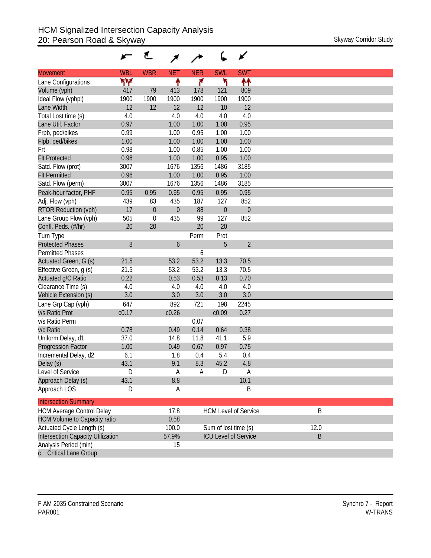|                                     |            | ₹           |            |            |                      | ✔                           |
|-------------------------------------|------------|-------------|------------|------------|----------------------|-----------------------------|
| <b>Movement</b>                     | <b>WBL</b> | <b>WBR</b>  | <b>NET</b> | <b>NER</b> | <b>SWL</b>           | <b>SWT</b>                  |
| Lane Configurations                 | ۳Μ         |             | ↟          | ۴          | ۲                    | ↟↟                          |
| Volume (vph)                        | 417        | 79          | 413        | 178        | 121                  | 809                         |
| Ideal Flow (vphpl)                  | 1900       | 1900        | 1900       | 1900       | 1900                 | 1900                        |
| Lane Width                          | 12         | 12          | 12         | 12         | 10                   | 12                          |
| Total Lost time (s)                 | 4.0        |             | 4.0        | 4.0        | 4.0                  | 4.0                         |
| Lane Util. Factor                   | 0.97       |             | 1.00       | 1.00       | 1.00                 | 0.95                        |
| Frpb, ped/bikes                     | 0.99       |             | 1.00       | 0.95       | 1.00                 | 1.00                        |
| Flpb, ped/bikes                     | 1.00       |             | 1.00       | 1.00       | 1.00                 | 1.00                        |
| Frt                                 | 0.98       |             | 1.00       | 0.85       | 1.00                 | 1.00                        |
| <b>Flt Protected</b>                | 0.96       |             | 1.00       | 1.00       | 0.95                 | 1.00                        |
| Satd. Flow (prot)                   | 3007       |             | 1676       | 1356       | 1486                 | 3185                        |
| <b>Flt Permitted</b>                | 0.96       |             | 1.00       | 1.00       | 0.95                 | 1.00                        |
| Satd. Flow (perm)                   | 3007       |             | 1676       | 1356       | 1486                 | 3185                        |
| Peak-hour factor, PHF               | 0.95       | 0.95        | 0.95       | 0.95       | 0.95                 | 0.95                        |
| Adj. Flow (vph)                     | 439        | 83          | 435        | 187        | 127                  | 852                         |
| RTOR Reduction (vph)                | 17         | $\mathbf 0$ | $\theta$   | 88         | $\theta$             | $\mathbf 0$                 |
| Lane Group Flow (vph)               | 505        | $\mathbf 0$ | 435        | 99         | 127                  | 852                         |
| Confl. Peds. (#/hr)                 | 20         | 20          |            | 20         | 20                   |                             |
| Turn Type                           |            |             |            | Perm       | Prot                 |                             |
| <b>Protected Phases</b>             | 8          |             | 6          |            | 5                    | $\overline{2}$              |
| <b>Permitted Phases</b>             |            |             |            | 6          |                      |                             |
| Actuated Green, G (s)               | 21.5       |             | 53.2       | 53.2       | 13.3                 | 70.5                        |
| Effective Green, g (s)              | 21.5       |             | 53.2       | 53.2       | 13.3                 | 70.5                        |
| Actuated g/C Ratio                  | 0.22       |             | 0.53       | 0.53       | 0.13                 | 0.70                        |
| Clearance Time (s)                  | 4.0        |             | 4.0        | 4.0        | 4.0                  | 4.0                         |
| Vehicle Extension (s)               | 3.0        |             | 3.0        | 3.0        | 3.0                  | 3.0                         |
| Lane Grp Cap (vph)                  | 647        |             | 892        | 721        | 198                  | 2245                        |
| v/s Ratio Prot                      | c0.17      |             | c0.26      |            | c0.09                | 0.27                        |
| v/s Ratio Perm                      |            |             |            | 0.07       |                      |                             |
| v/c Ratio                           | 0.78       |             | 0.49       | 0.14       | 0.64                 | 0.38                        |
| Uniform Delay, d1                   | 37.0       |             | 14.8       | 11.8       | 41.1                 | 5.9                         |
|                                     | 1.00       |             | 0.49       | 0.67       | 0.97                 | 0.75                        |
| <b>Progression Factor</b>           | 6.1        |             | 1.8        |            | 5.4                  | 0.4                         |
| Incremental Delay, d2               | 43.1       |             | 9.1        | 0.4<br>8.3 | 45.2                 | 4.8                         |
| Delay (s)<br>Level of Service       | D          |             |            |            | D                    |                             |
|                                     |            |             | A          | A          |                      | A<br>10.1                   |
| Approach Delay (s)                  | 43.1       |             | 8.8        |            |                      |                             |
| Approach LOS                        | D          |             | A          |            |                      | B                           |
| <b>Intersection Summary</b>         |            |             |            |            |                      |                             |
| <b>HCM Average Control Delay</b>    |            |             | 17.8       |            |                      | <b>HCM Level of Service</b> |
| <b>HCM Volume to Capacity ratio</b> |            |             | 0.58       |            |                      |                             |
| Actuated Cycle Length (s)           |            |             | 100.0      |            | Sum of lost time (s) |                             |
| Intersection Capacity Utilization   |            |             | 57.9%      |            |                      | <b>ICU Level of Service</b> |
| Analysis Period (min)               |            |             | 15         |            |                      |                             |
|                                     |            |             |            |            |                      |                             |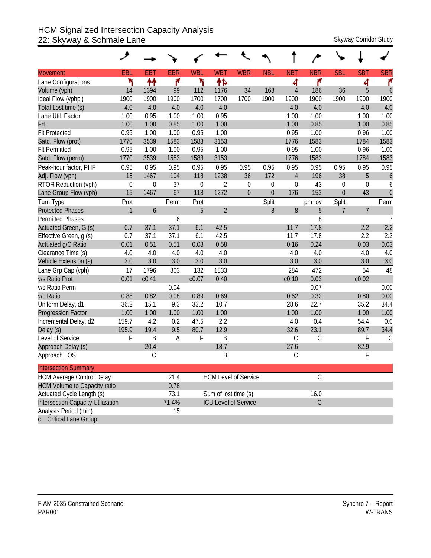## HCM Signalized Intersection Capacity Analysis 22: Skyway & Schmale Lane Skyway Corridor Study

| <b>Movement</b>                          | EBL          | <b>EBT</b>  | <b>EBR</b> | <b>WBL</b>       | <b>WBT</b>           | <b>WBR</b>                  | <b>NBL</b>     | <b>NBT</b>     | <b>NBR</b>    | <b>SBL</b>  | <b>SBT</b>     | <b>SBR</b>       |
|------------------------------------------|--------------|-------------|------------|------------------|----------------------|-----------------------------|----------------|----------------|---------------|-------------|----------------|------------------|
| Lane Configurations                      | ۲            | ↟↟          | ۴          | ۲                | ቶኈ                   |                             |                | 4              | ۴             |             | 4              | ۴                |
| Volume (vph)                             | 14           | 1394        | 99         | 112              | 1176                 | 34                          | 163            | $\overline{4}$ | 186           | 36          | 5              | 6                |
| Ideal Flow (vphpl)                       | 1900         | 1900        | 1900       | 1700             | 1700                 | 1700                        | 1900           | 1900           | 1900          | 1900        | 1900           | 1900             |
| Total Lost time (s)                      | 4.0          | 4.0         | 4.0        | 4.0              | 4.0                  |                             |                | 4.0            | 4.0           |             | 4.0            | 4.0              |
| Lane Util. Factor                        | 1.00         | 0.95        | 1.00       | 1.00             | 0.95                 |                             |                | 1.00           | 1.00          |             | 1.00           | 1.00             |
| Frt                                      | 1.00         | 1.00        | 0.85       | 1.00             | 1.00                 |                             |                | 1.00           | 0.85          |             | 1.00           | 0.85             |
| <b>Flt Protected</b>                     | 0.95         | 1.00        | 1.00       | 0.95             | 1.00                 |                             |                | 0.95           | 1.00          |             | 0.96           | 1.00             |
| Satd. Flow (prot)                        | 1770         | 3539        | 1583       | 1583             | 3153                 |                             |                | 1776           | 1583          |             | 1784           | 1583             |
| <b>Flt Permitted</b>                     | 0.95         | 1.00        | 1.00       | 0.95             | 1.00                 |                             |                | 0.95           | 1.00          |             | 0.96           | 1.00             |
| Satd. Flow (perm)                        | 1770         | 3539        | 1583       | 1583             | 3153                 |                             |                | 1776           | 1583          |             | 1784           | 1583             |
| Peak-hour factor, PHF                    | 0.95         | 0.95        | 0.95       | 0.95             | 0.95                 | 0.95                        | 0.95           | 0.95           | 0.95          | 0.95        | 0.95           | 0.95             |
| Adj. Flow (vph)                          | 15           | 1467        | 104        | 118              | 1238                 | 36                          | 172            | $\overline{4}$ | 196           | 38          | 5              | $\boldsymbol{6}$ |
| RTOR Reduction (vph)                     | $\mathbf 0$  | $\mathbf 0$ | 37         | $\boldsymbol{0}$ | $\overline{2}$       | $\boldsymbol{0}$            | $\mathbf 0$    | $\theta$       | 43            | $\mathbf 0$ | 0              | 6                |
| Lane Group Flow (vph)                    | 15           | 1467        | 67         | 118              | 1272                 | $\mathbf{0}$                | $\overline{0}$ | 176            | 153           | $\theta$    | 43             | $\overline{0}$   |
| Turn Type                                | Prot         |             | Perm       | Prot             |                      |                             | Split          |                | $pm+ov$       | Split       |                | Perm             |
| <b>Protected Phases</b>                  | $\mathbf{1}$ | 6           |            | 5                | $\overline{2}$       |                             | 8              | 8              | 5             | 7           | $\overline{7}$ |                  |
| Permitted Phases                         |              |             | 6          |                  |                      |                             |                |                | 8             |             |                | $\overline{7}$   |
| Actuated Green, G (s)                    | 0.7          | 37.1        | 37.1       | 6.1              | 42.5                 |                             |                | 11.7           | 17.8          |             | 2.2            | 2.2              |
| Effective Green, g (s)                   | 0.7          | 37.1        | 37.1       | 6.1              | 42.5                 |                             |                | 11.7           | 17.8          |             | 2.2            | 2.2              |
| Actuated g/C Ratio                       | 0.01         | 0.51        | 0.51       | 0.08             | 0.58                 |                             |                | 0.16           | 0.24          |             | 0.03           | 0.03             |
| Clearance Time (s)                       | 4.0          | 4.0         | 4.0        | 4.0              | 4.0                  |                             |                | 4.0            | 4.0           |             | 4.0            | 4.0              |
| Vehicle Extension (s)                    | 3.0          | 3.0         | 3.0        | 3.0              | 3.0                  |                             |                | 3.0            | 3.0           |             | 3.0            | 3.0              |
| Lane Grp Cap (vph)                       | 17           | 1796        | 803        | 132              | 1833                 |                             |                | 284            | 472           |             | 54             | 48               |
| v/s Ratio Prot                           | 0.01         | c0.41       |            | c0.07            | 0.40                 |                             |                | c0.10          | 0.03          |             | c0.02          |                  |
| v/s Ratio Perm                           |              |             | 0.04       |                  |                      |                             |                |                | 0.07          |             |                | 0.00             |
| v/c Ratio                                | 0.88         | 0.82        | 0.08       | 0.89             | 0.69                 |                             |                | 0.62           | 0.32          |             | 0.80           | 0.00             |
| Uniform Delay, d1                        | 36.2         | 15.1        | 9.3        | 33.2             | 10.7                 |                             |                | 28.6           | 22.7          |             | 35.2           | 34.4             |
| <b>Progression Factor</b>                | 1.00         | 1.00        | 1.00       | 1.00             | 1.00                 |                             |                | 1.00           | 1.00          |             | 1.00           | 1.00             |
| Incremental Delay, d2                    | 159.7        | 4.2         | 0.2        | 47.5             | 2.2                  |                             |                | 4.0            | 0.4           |             | 54.4           | 0.0              |
| Delay (s)                                | 195.9        | 19.4        | 9.5        | 80.7             | 12.9                 |                             |                | 32.6           | 23.1          |             | 89.7           | 34.4             |
| Level of Service                         | F            | B           | A          | F                | B                    |                             |                | $\mathsf C$    | $\mathsf C$   |             | F              | C                |
| Approach Delay (s)                       |              | 20.4        |            |                  | 18.7                 |                             |                | 27.6           |               |             | 82.9           |                  |
| Approach LOS                             |              | С           |            |                  | B                    |                             |                | $\mathcal{C}$  |               |             | F              |                  |
| <b>Intersection Summary</b>              |              |             |            |                  |                      |                             |                |                |               |             |                |                  |
| <b>HCM Average Control Delay</b>         |              |             | 21.4       |                  |                      | <b>HCM Level of Service</b> |                |                | $\mathcal{C}$ |             |                |                  |
| <b>HCM Volume to Capacity ratio</b>      |              |             | 0.78       |                  |                      |                             |                |                |               |             |                |                  |
| Actuated Cycle Length (s)                |              |             | 73.1       |                  | Sum of lost time (s) |                             |                |                | 16.0          |             |                |                  |
| <b>Intersection Capacity Utilization</b> |              |             | 71.4%      |                  |                      | <b>ICU Level of Service</b> |                |                | $\mathsf C$   |             |                |                  |
| Analysis Period (min)                    |              |             | 15         |                  |                      |                             |                |                |               |             |                |                  |
| <b>Critical Lane Group</b>               |              |             |            |                  |                      |                             |                |                |               |             |                |                  |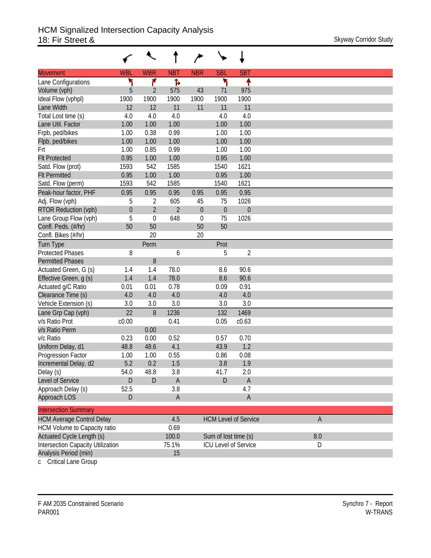|                                          |                  | ↖              |                |                  |                      |                             |     |
|------------------------------------------|------------------|----------------|----------------|------------------|----------------------|-----------------------------|-----|
| <b>Movement</b>                          | <b>WBL</b>       | <b>WBR</b>     | <b>NBT</b>     | <b>NBR</b>       | <b>SBL</b>           | <b>SBT</b>                  |     |
| Lane Configurations                      | ۲                | ۴              | Ъ              |                  | ۲                    | ۰                           |     |
| Volume (vph)                             | 5                | 2              | 575            | 43               | 71                   | 975                         |     |
| Ideal Flow (vphpl)                       | 1900             | 1900           | 1900           | 1900             | 1900                 | 1900                        |     |
| Lane Width                               | 12               | 12             | 11             | 11               | 11                   | 11                          |     |
| Total Lost time (s)                      | 4.0              | 4.0            | 4.0            |                  | 4.0                  | 4.0                         |     |
| Lane Util. Factor                        | 1.00             | 1.00           | 1.00           |                  | 1.00                 | 1.00                        |     |
| Frpb, ped/bikes                          | 1.00             | 0.38           | 0.99           |                  | 1.00                 | 1.00                        |     |
| Flpb, ped/bikes                          | 1.00             | 1.00           | 1.00           |                  | 1.00                 | 1.00                        |     |
| Frt                                      | 1.00             | 0.85           | 0.99           |                  | 1.00                 | 1.00                        |     |
| <b>Flt Protected</b>                     | 0.95             | 1.00           | 1.00           |                  | 0.95                 | 1.00                        |     |
| Satd. Flow (prot)                        | 1593             | 542            | 1585           |                  | 1540                 | 1621                        |     |
| <b>Flt Permitted</b>                     | 0.95             | 1.00           | 1.00           |                  | 0.95                 | 1.00                        |     |
| Satd. Flow (perm)                        | 1593             | 542            | 1585           |                  | 1540                 | 1621                        |     |
| Peak-hour factor, PHF                    | 0.95             | 0.95           | 0.95           | 0.95             | 0.95                 | 0.95                        |     |
| Adj. Flow (vph)                          | 5                | 2              | 605            | 45               | 75                   | 1026                        |     |
| <b>RTOR Reduction (vph)</b>              | $\boldsymbol{0}$ | $\overline{2}$ | $\overline{2}$ | $\boldsymbol{0}$ | $\theta$             | $\boldsymbol{0}$            |     |
| Lane Group Flow (vph)                    | 5                | $\mathbf 0$    | 648            | $\theta$         | 75                   | 1026                        |     |
| Confl. Peds. (#/hr)                      | 50               | 50             |                | 50               | 50                   |                             |     |
| Confl. Bikes (#/hr)                      |                  | 20             |                | 20               |                      |                             |     |
| <b>Turn Type</b>                         |                  | Perm           |                |                  | Prot                 |                             |     |
| <b>Protected Phases</b>                  | 8                |                | 6              |                  | 5                    | $\sqrt{2}$                  |     |
| <b>Permitted Phases</b>                  |                  | 8              |                |                  |                      |                             |     |
| Actuated Green, G (s)                    | 1.4              | 1.4            | 78.0           |                  | 8.6                  | 90.6                        |     |
| Effective Green, g (s)                   | 1.4              | 1.4            | 78.0           |                  | 8.6                  | 90.6                        |     |
| Actuated g/C Ratio                       | 0.01             | 0.01           | 0.78           |                  | 0.09                 | 0.91                        |     |
| Clearance Time (s)                       | 4.0              | 4.0            | 4.0            |                  | 4.0                  | 4.0                         |     |
| Vehicle Extension (s)                    | 3.0              | 3.0            | 3.0            |                  | 3.0                  | 3.0                         |     |
| Lane Grp Cap (vph)                       | 22               | 8              | 1236           |                  | 132                  | 1469                        |     |
| v/s Ratio Prot                           | c0.00            |                | 0.41           |                  | 0.05                 | c0.63                       |     |
| v/s Ratio Perm                           |                  | 0.00           |                |                  |                      |                             |     |
| v/c Ratio                                | 0.23             | 0.00           | 0.52           |                  | 0.57                 | 0.70                        |     |
| Uniform Delay, d1                        | 48.8             | 48.6           | 4.1            |                  | 43.9                 | 1.2                         |     |
| Progression Factor                       | 1.00             | 1.00           | 0.55           |                  | 0.86                 | 0.08                        |     |
| Incremental Delay, d2                    | 5.2              | 0.2            | 1.5            |                  | 3.8                  | 1.9                         |     |
| Delay (s)                                | 54.0             | 48.8           | 3.8            |                  | 41.7                 | 2.0                         |     |
| Level of Service                         | D                | $\mathsf D$    | $\mathsf A$    |                  | D                    | $\mathsf A$                 |     |
| Approach Delay (s)                       | 52.5             |                | 3.8            |                  |                      | 4.7                         |     |
| Approach LOS                             | D                |                | $\mathsf{A}$   |                  |                      | $\mathsf A$                 |     |
| <b>Intersection Summary</b>              |                  |                |                |                  |                      |                             |     |
| <b>HCM Average Control Delay</b>         |                  |                | 4.5            |                  |                      | <b>HCM Level of Service</b> | A   |
| HCM Volume to Capacity ratio             |                  |                | 0.69           |                  |                      |                             |     |
| <b>Actuated Cycle Length (s)</b>         |                  |                | 100.0          |                  | Sum of lost time (s) |                             | 8.0 |
| <b>Intersection Capacity Utilization</b> |                  |                | 75.1%          |                  |                      | <b>ICU Level of Service</b> | D   |
| Analysis Period (min)                    |                  |                | 15             |                  |                      |                             |     |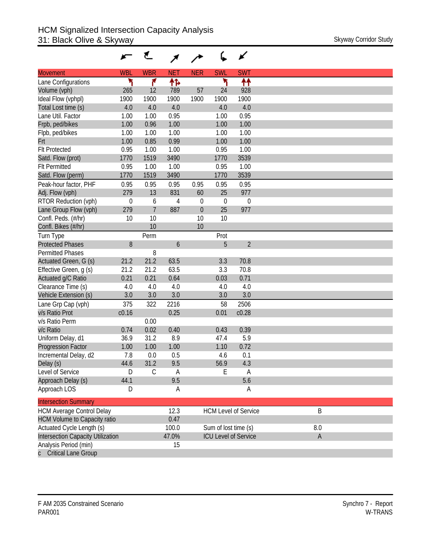|                                     |             | ₹              |            |             |                      | ✔                           |
|-------------------------------------|-------------|----------------|------------|-------------|----------------------|-----------------------------|
| <b>Movement</b>                     | <b>WBL</b>  | <b>WBR</b>     | <b>NET</b> | <b>NER</b>  | <b>SWL</b>           | <b>SWT</b>                  |
| Lane Configurations                 | ۲           | ۴              | ተኈ         |             | ۲                    | ↟↟                          |
| Volume (vph)                        | 265         | 12             | 789        | 57          | 24                   | 928                         |
| Ideal Flow (vphpl)                  | 1900        | 1900           | 1900       | 1900        | 1900                 | 1900                        |
| Total Lost time (s)                 | 4.0         | 4.0            | 4.0        |             | 4.0                  | 4.0                         |
| Lane Util. Factor                   | 1.00        | 1.00           | 0.95       |             | 1.00                 | 0.95                        |
| Frpb, ped/bikes                     | 1.00        | 0.96           | 1.00       |             | 1.00                 | 1.00                        |
| Flpb, ped/bikes                     | 1.00        | 1.00           | 1.00       |             | 1.00                 | 1.00                        |
| Frt                                 | 1.00        | 0.85           | 0.99       |             | 1.00                 | 1.00                        |
| <b>Flt Protected</b>                | 0.95        | 1.00           | 1.00       |             | 0.95                 | 1.00                        |
| Satd. Flow (prot)                   | 1770        | 1519           | 3490       |             | 1770                 | 3539                        |
| <b>Flt Permitted</b>                | 0.95        | 1.00           | 1.00       |             | 0.95                 | 1.00                        |
| Satd. Flow (perm)                   | 1770        | 1519           | 3490       |             | 1770                 | 3539                        |
| Peak-hour factor, PHF               | 0.95        | 0.95           | 0.95       | 0.95        | 0.95                 | 0.95                        |
| Adj. Flow (vph)                     | 279         | 13             | 831        | 60          | 25                   | 977                         |
| RTOR Reduction (vph)                | $\mathbf 0$ | 6              | 4          | $\mathbf 0$ | $\mathbf 0$          | $\mathbf 0$                 |
| Lane Group Flow (vph)               | 279         | $\overline{7}$ | 887        | $\theta$    | 25                   | 977                         |
| Confl. Peds. (#/hr)                 | 10          | 10             |            | 10          | 10                   |                             |
| Confl. Bikes (#/hr)                 |             | 10             |            | 10          |                      |                             |
| Turn Type                           |             | Perm           |            |             | Prot                 |                             |
| <b>Protected Phases</b>             | 8           |                | 6          |             | 5                    | $\overline{2}$              |
| <b>Permitted Phases</b>             |             | 8              |            |             |                      |                             |
| Actuated Green, G (s)               | 21.2        | 21.2           | 63.5       |             | 3.3                  | 70.8                        |
| Effective Green, g (s)              | 21.2        | 21.2           | 63.5       |             | 3.3                  | 70.8                        |
| Actuated g/C Ratio                  | 0.21        | 0.21           | 0.64       |             | 0.03                 | 0.71                        |
| Clearance Time (s)                  | 4.0         | 4.0            | 4.0        |             | 4.0                  | 4.0                         |
| Vehicle Extension (s)               | 3.0         | 3.0            | 3.0        |             | 3.0                  | 3.0                         |
| Lane Grp Cap (vph)                  | 375         | 322            | 2216       |             | 58                   | 2506                        |
| v/s Ratio Prot                      | c0.16       |                | 0.25       |             | 0.01                 | c0.28                       |
| v/s Ratio Perm                      |             | 0.00           |            |             |                      |                             |
| v/c Ratio                           | 0.74        | 0.02           | 0.40       |             | 0.43                 | 0.39                        |
| Uniform Delay, d1                   | 36.9        | 31.2           | 8.9        |             | 47.4                 | 5.9                         |
| <b>Progression Factor</b>           | 1.00        | 1.00           | 1.00       |             | 1.10                 | 0.72                        |
| Incremental Delay, d2               | 7.8         | 0.0            | 0.5        |             | 4.6                  | 0.1                         |
| Delay (s)                           | 44.6        | 31.2           | 9.5        |             | 56.9                 | 4.3                         |
| Level of Service                    | D           | $\overline{C}$ | A          |             | E                    | A                           |
| Approach Delay (s)                  | 44.1        |                | 9.5        |             |                      | 5.6                         |
| Approach LOS                        | D           |                | A          |             |                      | A                           |
|                                     |             |                |            |             |                      |                             |
| <b>Intersection Summary</b>         |             |                |            |             |                      |                             |
| <b>HCM Average Control Delay</b>    |             |                | 12.3       |             |                      | <b>HCM Level of Service</b> |
| <b>HCM Volume to Capacity ratio</b> |             |                | 0.47       |             |                      |                             |
| Actuated Cycle Length (s)           |             |                | 100.0      |             | Sum of lost time (s) |                             |
| Intersection Capacity Utilization   |             |                | 47.0%      |             |                      | <b>ICU Level of Service</b> |
| Analysis Period (min)               |             |                | 15         |             |                      |                             |
| <b>Critical Lane Group</b>          |             |                |            |             |                      |                             |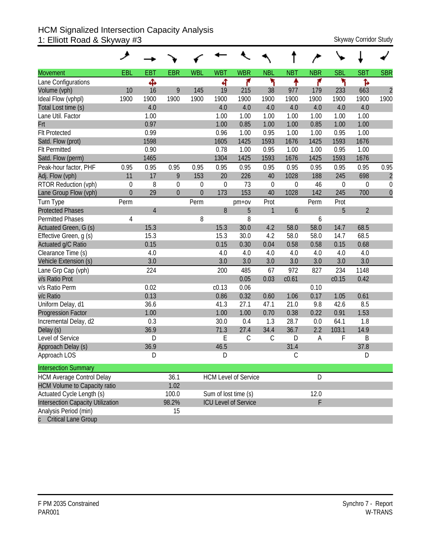## HCM Signalized Intersection Capacity Analysis 1: Elliott Road & Skyway #3 Skyway 2011 Skyway Corridor Study

| <b>Movement</b>                          | EBL              | <b>EBT</b>     | <b>EBR</b> | <b>WBL</b>       | <b>WBT</b>  | <b>WBR</b>                  | <b>NBL</b>    | <b>NBT</b>       | <b>NBR</b> | <b>SBL</b>  | <b>SBT</b>     | <b>SBR</b>       |
|------------------------------------------|------------------|----------------|------------|------------------|-------------|-----------------------------|---------------|------------------|------------|-------------|----------------|------------------|
| Lane Configurations                      |                  | ф              |            |                  | ৰ           | ۴                           | ۲             | ↟                | ۴          | ኻ           | Ъ              |                  |
| Volume (vph)                             | 10               | 16             | 9          | 145              | 19          | 215                         | 38            | 977              | 179        | 233         | 663            | $\overline{2}$   |
| Ideal Flow (vphpl)                       | 1900             | 1900           | 1900       | 1900             | 1900        | 1900                        | 1900          | 1900             | 1900       | 1900        | 1900           | 1900             |
| Total Lost time (s)                      |                  | 4.0            |            |                  | 4.0         | 4.0                         | 4.0           | 4.0              | 4.0        | 4.0         | 4.0            |                  |
| Lane Util. Factor                        |                  | 1.00           |            |                  | 1.00        | 1.00                        | 1.00          | 1.00             | 1.00       | 1.00        | 1.00           |                  |
| Frt                                      |                  | 0.97           |            |                  | 1.00        | 0.85                        | 1.00          | 1.00             | 0.85       | 1.00        | 1.00           |                  |
| <b>Flt Protected</b>                     |                  | 0.99           |            |                  | 0.96        | 1.00                        | 0.95          | 1.00             | 1.00       | 0.95        | 1.00           |                  |
| Satd. Flow (prot)                        |                  | 1598           |            |                  | 1605        | 1425                        | 1593          | 1676             | 1425       | 1593        | 1676           |                  |
| <b>Flt Permitted</b>                     |                  | 0.90           |            |                  | 0.78        | 1.00                        | 0.95          | 1.00             | 1.00       | 0.95        | 1.00           |                  |
| Satd. Flow (perm)                        |                  | 1465           |            |                  | 1304        | 1425                        | 1593          | 1676             | 1425       | 1593        | 1676           |                  |
| Peak-hour factor, PHF                    | 0.95             | 0.95           | 0.95       | 0.95             | 0.95        | 0.95                        | 0.95          | 0.95             | 0.95       | 0.95        | 0.95           | 0.95             |
| Adj. Flow (vph)                          | 11               | 17             | 9          | 153              | 20          | 226                         | 40            | 1028             | 188        | 245         | 698            | $\overline{c}$   |
| RTOR Reduction (vph)                     | $\boldsymbol{0}$ | 8              | 0          | $\boldsymbol{0}$ | $\mathbf 0$ | 73                          | $\mathbf 0$   | $\boldsymbol{0}$ | 46         | $\mathbf 0$ | 0              | $\mathbf 0$      |
| Lane Group Flow (vph)                    | $\mathbf 0$      | 29             | $\Omega$   | $\overline{0}$   | 173         | 153                         | 40            | 1028             | 142        | 245         | 700            | $\boldsymbol{0}$ |
| Turn Type                                | Perm             |                |            | Perm             |             | $pm+ov$                     | Prot          |                  | Perm       | Prot        |                |                  |
| <b>Protected Phases</b>                  |                  | $\overline{4}$ |            |                  | 8           | 5                           | 1             | 6                |            | 5           | $\overline{2}$ |                  |
| <b>Permitted Phases</b>                  | 4                |                |            | 8                |             | 8                           |               |                  | 6          |             |                |                  |
| Actuated Green, G (s)                    |                  | 15.3           |            |                  | 15.3        | 30.0                        | 4.2           | 58.0             | 58.0       | 14.7        | 68.5           |                  |
| Effective Green, g (s)                   |                  | 15.3           |            |                  | 15.3        | 30.0                        | 4.2           | 58.0             | 58.0       | 14.7        | 68.5           |                  |
| Actuated g/C Ratio                       |                  | 0.15           |            |                  | 0.15        | 0.30                        | 0.04          | 0.58             | 0.58       | 0.15        | 0.68           |                  |
| Clearance Time (s)                       |                  | 4.0            |            |                  | 4.0         | 4.0                         | 4.0           | 4.0              | 4.0        | 4.0         | 4.0            |                  |
| Vehicle Extension (s)                    |                  | 3.0            |            |                  | 3.0         | 3.0                         | 3.0           | 3.0              | 3.0        | 3.0         | 3.0            |                  |
| Lane Grp Cap (vph)                       |                  | 224            |            |                  | 200         | 485                         | 67            | 972              | 827        | 234         | 1148           |                  |
| v/s Ratio Prot                           |                  |                |            |                  |             | 0.05                        | 0.03          | c0.61            |            | c0.15       | 0.42           |                  |
| v/s Ratio Perm                           |                  | 0.02           |            |                  | c0.13       | 0.06                        |               |                  | 0.10       |             |                |                  |
| v/c Ratio                                |                  | 0.13           |            |                  | 0.86        | 0.32                        | 0.60          | 1.06             | 0.17       | 1.05        | 0.61           |                  |
| Uniform Delay, d1                        |                  | 36.6           |            |                  | 41.3        | 27.1                        | 47.1          | 21.0             | 9.8        | 42.6        | 8.5            |                  |
| <b>Progression Factor</b>                |                  | 1.00           |            |                  | 1.00        | 1.00                        | 0.70          | 0.38             | 0.22       | 0.91        | 1.53           |                  |
| Incremental Delay, d2                    |                  | 0.3            |            |                  | 30.0        | 0.4                         | 1.3           | 28.7             | 0.0        | 64.1        | 1.8            |                  |
| Delay (s)                                |                  | 36.9           |            |                  | 71.3        | 27.4                        | 34.4          | 36.7             | 2.2        | 103.1       | 14.9           |                  |
| Level of Service                         |                  | D              |            |                  | E           | $\mathcal{C}$               | $\mathcal{C}$ | D                | A          | F           | Β              |                  |
| Approach Delay (s)                       |                  | 36.9           |            |                  | 46.5        |                             |               | 31.4             |            |             | 37.8           |                  |
| Approach LOS                             |                  | D              |            |                  | D           |                             |               | C                |            |             | D              |                  |
| <b>Intersection Summary</b>              |                  |                |            |                  |             |                             |               |                  |            |             |                |                  |
| <b>HCM Average Control Delay</b>         |                  |                | 36.1       |                  |             | <b>HCM Level of Service</b> |               |                  | D          |             |                |                  |
| <b>HCM Volume to Capacity ratio</b>      |                  |                | 1.02       |                  |             |                             |               |                  |            |             |                |                  |
| Actuated Cycle Length (s)                |                  |                | 100.0      |                  |             | Sum of lost time (s)        |               |                  | 12.0       |             |                |                  |
| <b>Intersection Capacity Utilization</b> |                  |                | 98.2%      |                  |             | <b>ICU Level of Service</b> |               |                  | F          |             |                |                  |
| Analysis Period (min)                    |                  |                | 15         |                  |             |                             |               |                  |            |             |                |                  |
| c Critical Lane Group                    |                  |                |            |                  |             |                             |               |                  |            |             |                |                  |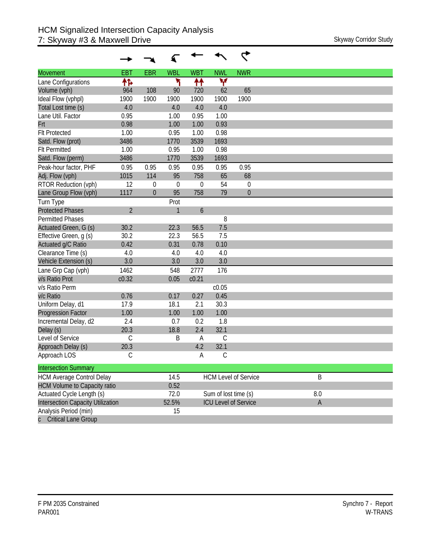| <b>Movement</b>                          | <b>EBT</b>     | <b>EBR</b>   | <b>WBL</b>   | <b>WBT</b>        | <b>NWL</b>           | <b>NWR</b>                  |             |
|------------------------------------------|----------------|--------------|--------------|-------------------|----------------------|-----------------------------|-------------|
| Lane Configurations                      | ተኈ             |              | ۲            | ↟↟                | ۷                    |                             |             |
| Volume (vph)                             | 964            | 108          | 90           | 720               | 62                   | 65                          |             |
| Ideal Flow (vphpl)                       | 1900           | 1900         | 1900         | 1900              | 1900                 | 1900                        |             |
| Total Lost time (s)                      | 4.0            |              | 4.0          | 4.0               | 4.0                  |                             |             |
| Lane Util. Factor                        | 0.95           |              | 1.00         | 0.95              | 1.00                 |                             |             |
| Frt                                      | 0.98           |              | 1.00         | 1.00              | 0.93                 |                             |             |
| <b>Flt Protected</b>                     | 1.00           |              | 0.95         | 1.00              | 0.98                 |                             |             |
| Satd. Flow (prot)                        | 3486           |              | 1770         | 3539              | 1693                 |                             |             |
| <b>Flt Permitted</b>                     | 1.00           |              | 0.95         | 1.00              | 0.98                 |                             |             |
| Satd. Flow (perm)                        | 3486           |              | 1770         | 3539              | 1693                 |                             |             |
| Peak-hour factor, PHF                    | 0.95           | 0.95         | 0.95         | 0.95              | 0.95                 | 0.95                        |             |
| Adj. Flow (vph)                          | 1015           | 114          | 95           | 758               | 65                   | 68                          |             |
| RTOR Reduction (vph)                     | 12             | $\mathbf 0$  | $\theta$     | 0                 | 54                   | 0                           |             |
| Lane Group Flow (vph)                    | 1117           | $\mathbf{0}$ | 95           | 758               | 79                   | $\mathbf 0$                 |             |
| Turn Type                                |                |              | Prot         |                   |                      |                             |             |
| <b>Protected Phases</b>                  | $\overline{2}$ |              | $\mathbf{1}$ | $\boldsymbol{6}$  |                      |                             |             |
| Permitted Phases                         |                |              |              |                   | 8                    |                             |             |
| Actuated Green, G (s)                    | 30.2           |              | 22.3         | 56.5              | 7.5                  |                             |             |
| Effective Green, g (s)                   | 30.2           |              | 22.3         | 56.5              | 7.5                  |                             |             |
| Actuated g/C Ratio                       | 0.42           |              | 0.31         | 0.78              | 0.10                 |                             |             |
| Clearance Time (s)                       | 4.0            |              | 4.0          | 4.0               | 4.0                  |                             |             |
| Vehicle Extension (s)                    | 3.0            |              | 3.0          | 3.0               | 3.0                  |                             |             |
| Lane Grp Cap (vph)                       | 1462           |              | 548          | 2777              | 176                  |                             |             |
| v/s Ratio Prot                           | c0.32          |              | 0.05         | c <sub>0.21</sub> |                      |                             |             |
| v/s Ratio Perm                           |                |              |              |                   | c0.05                |                             |             |
| v/c Ratio                                | 0.76           |              | 0.17         | 0.27              | 0.45                 |                             |             |
| Uniform Delay, d1                        | 17.9           |              | 18.1         | 2.1               | 30.3                 |                             |             |
| <b>Progression Factor</b>                | 1.00           |              | 1.00         | 1.00              | 1.00                 |                             |             |
| Incremental Delay, d2                    | 2.4            |              | 0.7          | 0.2               | 1.8                  |                             |             |
| Delay (s)                                | 20.3           |              | 18.8         | 2.4               | 32.1                 |                             |             |
| Level of Service                         | $\mathcal{C}$  |              | B            | A                 | C                    |                             |             |
| Approach Delay (s)                       | 20.3           |              |              | 4.2               | 32.1                 |                             |             |
| Approach LOS                             | С              |              |              | А                 | С                    |                             |             |
| <b>Intersection Summary</b>              |                |              |              |                   |                      |                             |             |
| <b>HCM Average Control Delay</b>         |                |              | 14.5         |                   |                      | <b>HCM Level of Service</b> | B           |
| <b>HCM Volume to Capacity ratio</b>      |                |              | 0.52         |                   |                      |                             |             |
| Actuated Cycle Length (s)                |                |              | 72.0         |                   | Sum of lost time (s) |                             | 8.0         |
| <b>Intersection Capacity Utilization</b> |                |              | 52.5%        |                   |                      | <b>ICU Level of Service</b> | $\mathsf A$ |
| Analysis Period (min)                    |                |              | 15           |                   |                      |                             |             |
| <b>Critical Lane Group</b>               |                |              |              |                   |                      |                             |             |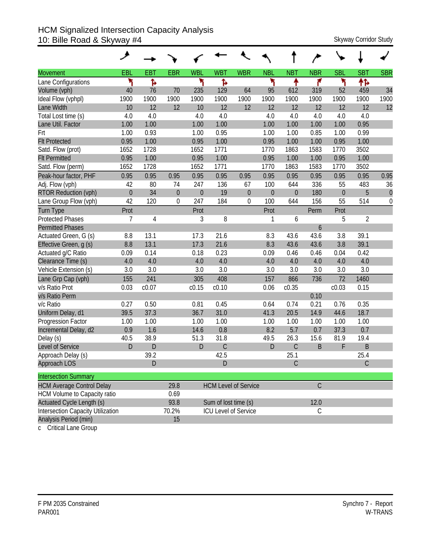### HCM Signalized Intersection Capacity Analysis 10: Bille Road & Skyway #4 Skyway 2011 Skyway Corridor Study

|                                          | عر               |             |            |                  |                      |                             |                  |                  |              |                  |             |                  |
|------------------------------------------|------------------|-------------|------------|------------------|----------------------|-----------------------------|------------------|------------------|--------------|------------------|-------------|------------------|
| <b>Movement</b>                          | EBL              | <b>EBT</b>  | <b>EBR</b> | <b>WBL</b>       | <b>WBT</b>           | <b>WBR</b>                  | <b>NBL</b>       | <b>NBT</b>       | <b>NBR</b>   | <b>SBL</b>       | <b>SBT</b>  | <b>SBR</b>       |
| Lane Configurations                      | ۲                | ħ           |            | ۲                | Ъ                    |                             | ۲                | ٠                | ۴            | ۲                | 怍           |                  |
| Volume (vph)                             | 40               | 76          | 70         | 235              | 129                  | 64                          | 95               | 612              | 319          | 52               | 459         | 34               |
| Ideal Flow (vphpl)                       | 1900             | 1900        | 1900       | 1900             | 1900                 | 1900                        | 1900             | 1900             | 1900         | 1900             | 1900        | 1900             |
| Lane Width                               | 10               | 12          | 12         | 10               | 12                   | 12                          | 12               | 12               | 12           | 12               | 12          | 12               |
| Total Lost time (s)                      | 4.0              | 4.0         |            | 4.0              | 4.0                  |                             | 4.0              | 4.0              | 4.0          | 4.0              | 4.0         |                  |
| Lane Util. Factor                        | 1.00             | 1.00        |            | 1.00             | 1.00                 |                             | 1.00             | 1.00             | 1.00         | 1.00             | 0.95        |                  |
| Frt                                      | 1.00             | 0.93        |            | 1.00             | 0.95                 |                             | 1.00             | 1.00             | 0.85         | 1.00             | 0.99        |                  |
| <b>Flt Protected</b>                     | 0.95             | 1.00        |            | 0.95             | 1.00                 |                             | 0.95             | 1.00             | 1.00         | 0.95             | 1.00        |                  |
| Satd. Flow (prot)                        | 1652             | 1728        |            | 1652             | 1771                 |                             | 1770             | 1863             | 1583         | 1770             | 3502        |                  |
| <b>Flt Permitted</b>                     | 0.95             | 1.00        |            | 0.95             | 1.00                 |                             | 0.95             | 1.00             | 1.00         | 0.95             | 1.00        |                  |
| Satd. Flow (perm)                        | 1652             | 1728        |            | 1652             | 1771                 |                             | 1770             | 1863             | 1583         | 1770             | 3502        |                  |
| Peak-hour factor, PHF                    | 0.95             | 0.95        | 0.95       | 0.95             | 0.95                 | 0.95                        | 0.95             | 0.95             | 0.95         | 0.95             | 0.95        | 0.95             |
| Adj. Flow (vph)                          | 42               | 80          | 74         | 247              | 136                  | 67                          | 100              | 644              | 336          | 55               | 483         | 36               |
| <b>RTOR Reduction (vph)</b>              | $\boldsymbol{0}$ | 34          | $\theta$   | $\boldsymbol{0}$ | 19                   | $\boldsymbol{0}$            | $\boldsymbol{0}$ | $\boldsymbol{0}$ | 180          | $\boldsymbol{0}$ | 5           | $\theta$         |
| Lane Group Flow (vph)                    | 42               | 120         | $\theta$   | 247              | 184                  | $\boldsymbol{0}$            | 100              | 644              | 156          | 55               | 514         | $\boldsymbol{0}$ |
| <b>Turn Type</b>                         | Prot             |             |            | Prot             |                      |                             | Prot             |                  | Perm         | Prot             |             |                  |
| <b>Protected Phases</b>                  | 7                | 4           |            | 3                | 8                    |                             | 1                | 6                |              | 5                | 2           |                  |
| <b>Permitted Phases</b>                  |                  |             |            |                  |                      |                             |                  |                  | 6            |                  |             |                  |
| Actuated Green, G (s)                    | 8.8              | 13.1        |            | 17.3             | 21.6                 |                             | 8.3              | 43.6             | 43.6         | 3.8              | 39.1        |                  |
| Effective Green, g (s)                   | 8.8              | 13.1        |            | 17.3             | 21.6                 |                             | 8.3              | 43.6             | 43.6         | 3.8              | 39.1        |                  |
| Actuated g/C Ratio                       | 0.09             | 0.14        |            | 0.18             | 0.23                 |                             | 0.09             | 0.46             | 0.46         | 0.04             | 0.42        |                  |
| Clearance Time (s)                       | 4.0              | 4.0         |            | 4.0              | 4.0                  |                             | 4.0              | 4.0              | 4.0          | 4.0              | 4.0         |                  |
| Vehicle Extension (s)                    | 3.0              | 3.0         |            | 3.0              | 3.0                  |                             | 3.0              | 3.0              | 3.0          | 3.0              | 3.0         |                  |
| Lane Grp Cap (vph)                       | 155              | 241         |            | 305              | 408                  |                             | 157              | 866              | 736          | 72               | 1460        |                  |
| v/s Ratio Prot                           | 0.03             | c0.07       |            | c0.15            | c0.10                |                             | 0.06             | c0.35            |              | c0.03            | 0.15        |                  |
| v/s Ratio Perm                           |                  |             |            |                  |                      |                             |                  |                  | 0.10         |                  |             |                  |
| v/c Ratio                                | 0.27             | 0.50        |            | 0.81             | 0.45                 |                             | 0.64             | 0.74             | 0.21         | 0.76             | 0.35        |                  |
| Uniform Delay, d1                        | 39.5             | 37.3        |            | 36.7             | 31.0                 |                             | 41.3             | 20.5             | 14.9         | 44.6             | 18.7        |                  |
| Progression Factor                       | 1.00             | 1.00        |            | 1.00             | 1.00                 |                             | 1.00             | 1.00             | 1.00         | 1.00             | 1.00        |                  |
| Incremental Delay, d2                    | 0.9              | 1.6         |            | 14.6             | 0.8                  |                             | 8.2              | 5.7              | 0.7          | 37.3             | 0.7         |                  |
| Delay (s)                                | 40.5             | 38.9        |            | 51.3             | 31.8                 |                             | 49.5             | 26.3             | 15.6         | 81.9             | 19.4        |                  |
| Level of Service                         | $\mathsf{D}$     | $\mathsf D$ |            | D                | $\mathsf C$          |                             | D                | $\mathsf C$      | B            | F                | $\mathsf B$ |                  |
| Approach Delay (s)                       |                  | 39.2        |            |                  | 42.5                 |                             |                  | 25.1             |              |                  | 25.4        |                  |
| Approach LOS                             |                  | D           |            |                  | D                    |                             |                  | C                |              |                  | $\mathsf C$ |                  |
| <b>Intersection Summary</b>              |                  |             |            |                  |                      |                             |                  |                  |              |                  |             |                  |
| <b>HCM Average Control Delay</b>         |                  |             | 29.8       |                  |                      | <b>HCM Level of Service</b> |                  |                  | $\mathsf C$  |                  |             |                  |
| HCM Volume to Capacity ratio             |                  |             | 0.69       |                  |                      |                             |                  |                  |              |                  |             |                  |
| <b>Actuated Cycle Length (s)</b>         |                  |             | 93.8       |                  | Sum of lost time (s) |                             |                  |                  | 12.0         |                  |             |                  |
| <b>Intersection Capacity Utilization</b> |                  |             | 70.2%      |                  |                      | ICU Level of Service        |                  |                  | $\mathsf{C}$ |                  |             |                  |
| Analysis Period (min)                    |                  |             | 15         |                  |                      |                             |                  |                  |              |                  |             |                  |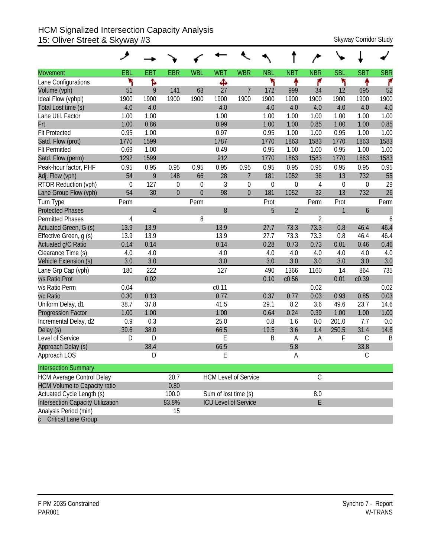#### HCM Signalized Intersection Capacity Analysis 15: Oliver Street & Skyway #3 Skyway Corridor Study

|                                          | ↗           |                |                |                |                      |                             |             |                |                |                  |             |            |
|------------------------------------------|-------------|----------------|----------------|----------------|----------------------|-----------------------------|-------------|----------------|----------------|------------------|-------------|------------|
| <b>Movement</b>                          | EBL         | <b>EBT</b>     | <b>EBR</b>     | <b>WBL</b>     | <b>WBT</b>           | <b>WBR</b>                  | <b>NBL</b>  | <b>NBT</b>     | <b>NBR</b>     | <b>SBL</b>       | <b>SBT</b>  | <b>SBR</b> |
| Lane Configurations                      | ۲           | ħ              |                |                | Ф                    |                             | ۲           | ↟              | ۴              | ۲                |             | ۴          |
| Volume (vph)                             | 51          | 9              | 141            | 63             | 27                   | $\overline{7}$              | 172         | 999            | 34             | 12               | 695         | 52         |
| Ideal Flow (vphpl)                       | 1900        | 1900           | 1900           | 1900           | 1900                 | 1900                        | 1900        | 1900           | 1900           | 1900             | 1900        | 1900       |
| Total Lost time (s)                      | 4.0         | 4.0            |                |                | 4.0                  |                             | 4.0         | 4.0            | 4.0            | 4.0              | 4.0         | 4.0        |
| Lane Util. Factor                        | 1.00        | 1.00           |                |                | 1.00                 |                             | 1.00        | 1.00           | 1.00           | 1.00             | 1.00        | 1.00       |
| Frt                                      | 1.00        | 0.86           |                |                | 0.99                 |                             | 1.00        | 1.00           | 0.85           | 1.00             | 1.00        | 0.85       |
| <b>Flt Protected</b>                     | 0.95        | 1.00           |                |                | 0.97                 |                             | 0.95        | 1.00           | 1.00           | 0.95             | 1.00        | 1.00       |
| Satd. Flow (prot)                        | 1770        | 1599           |                |                | 1787                 |                             | 1770        | 1863           | 1583           | 1770             | 1863        | 1583       |
| <b>Flt Permitted</b>                     | 0.69        | 1.00           |                |                | 0.49                 |                             | 0.95        | 1.00           | 1.00           | 0.95             | 1.00        | 1.00       |
| Satd. Flow (perm)                        | 1292        | 1599           |                |                | 912                  |                             | 1770        | 1863           | 1583           | 1770             | 1863        | 1583       |
| Peak-hour factor, PHF                    | 0.95        | 0.95           | 0.95           | 0.95           | 0.95                 | 0.95                        | 0.95        | 0.95           | 0.95           | 0.95             | 0.95        | 0.95       |
| Adj. Flow (vph)                          | 54          | 9              | 148            | 66             | 28                   | $\overline{7}$              | 181         | 1052           | 36             | 13               | 732         | 55         |
| RTOR Reduction (vph)                     | $\mathbf 0$ | 127            | $\theta$       | $\mathbf 0$    | 3                    | $\mathbf 0$                 | $\mathbf 0$ | $\overline{0}$ | 4              | $\boldsymbol{0}$ | 0           | 29         |
| Lane Group Flow (vph)                    | 54          | 30             | $\overline{0}$ | $\overline{0}$ | 98                   | $\mathbf{0}$                | 181         | 1052           | 32             | 13               | 732         | 26         |
| Turn Type                                | Perm        |                |                | Perm           |                      |                             | Prot        |                | Perm           | Prot             |             | Perm       |
| <b>Protected Phases</b>                  |             | $\overline{4}$ |                |                | 8                    |                             | 5           | $\overline{2}$ |                | $\mathbf{1}$     | 6           |            |
| <b>Permitted Phases</b>                  | 4           |                |                | 8              |                      |                             |             |                | $\overline{2}$ |                  |             | 6          |
| Actuated Green, G (s)                    | 13.9        | 13.9           |                |                | 13.9                 |                             | 27.7        | 73.3           | 73.3           | 0.8              | 46.4        | 46.4       |
| Effective Green, g (s)                   | 13.9        | 13.9           |                |                | 13.9                 |                             | 27.7        | 73.3           | 73.3           | 0.8              | 46.4        | 46.4       |
| Actuated g/C Ratio                       | 0.14        | 0.14           |                |                | 0.14                 |                             | 0.28        | 0.73           | 0.73           | 0.01             | 0.46        | 0.46       |
| Clearance Time (s)                       | 4.0         | 4.0            |                |                | 4.0                  |                             | 4.0         | 4.0            | 4.0            | 4.0              | 4.0         | 4.0        |
| Vehicle Extension (s)                    | 3.0         | 3.0            |                |                | 3.0                  |                             | 3.0         | 3.0            | 3.0            | 3.0              | 3.0         | 3.0        |
| Lane Grp Cap (vph)                       | 180         | 222            |                |                | 127                  |                             | 490         | 1366           | 1160           | 14               | 864         | 735        |
| v/s Ratio Prot                           |             | 0.02           |                |                |                      |                             | 0.10        | c0.56          |                | 0.01             | c0.39       |            |
| v/s Ratio Perm                           | 0.04        |                |                |                | c <sub>0.11</sub>    |                             |             |                | 0.02           |                  |             | 0.02       |
| v/c Ratio                                | 0.30        | 0.13           |                |                | 0.77                 |                             | 0.37        | 0.77           | 0.03           | 0.93             | 0.85        | 0.03       |
| Uniform Delay, d1                        | 38.7        | 37.8           |                |                | 41.5                 |                             | 29.1        | 8.2            | 3.6            | 49.6             | 23.7        | 14.6       |
| <b>Progression Factor</b>                | 1.00        | 1.00           |                |                | 1.00                 |                             | 0.64        | 0.24           | 0.39           | 1.00             | 1.00        | 1.00       |
| Incremental Delay, d2                    | 0.9         | 0.3            |                |                | 25.0                 |                             | 0.8         | 1.6            | 0.0            | 201.0            | 7.7         | 0.0        |
| Delay (s)                                | 39.6        | 38.0           |                |                | 66.5                 |                             | 19.5        | 3.6            | 1.4            | 250.5            | 31.4        | 14.6       |
| Level of Service                         | D           | D              |                |                | E                    |                             | B           | A              | A              | F                | $\mathsf C$ | B          |
| Approach Delay (s)                       |             | 38.4           |                |                | 66.5                 |                             |             | 5.8            |                |                  | 33.8        |            |
| Approach LOS                             |             | D              |                |                | E                    |                             |             | А              |                |                  | $\mathsf C$ |            |
| <b>Intersection Summary</b>              |             |                |                |                |                      |                             |             |                |                |                  |             |            |
| <b>HCM Average Control Delay</b>         |             |                | 20.7           |                |                      | <b>HCM Level of Service</b> |             |                | $\mathsf C$    |                  |             |            |
| <b>HCM Volume to Capacity ratio</b>      |             |                | 0.80           |                |                      |                             |             |                |                |                  |             |            |
| Actuated Cycle Length (s)                |             |                | 100.0          |                | Sum of lost time (s) |                             |             |                | $8.0\,$        |                  |             |            |
| <b>Intersection Capacity Utilization</b> |             |                | 83.8%          |                |                      | <b>ICU Level of Service</b> |             |                | E              |                  |             |            |
| Analysis Period (min)                    |             |                | 15             |                |                      |                             |             |                |                |                  |             |            |
| <b>Critical Lane Group</b>               |             |                |                |                |                      |                             |             |                |                |                  |             |            |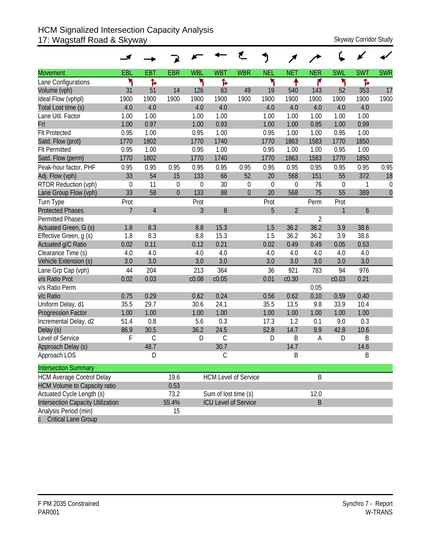#### HCM Signalized Intersection Capacity Analysis 17: Wagstaff Road & Skyway Skyway Corridor Study

|                                     |                  |               |                |             |                      | ť                           | J           |                |                |                  |            |              |
|-------------------------------------|------------------|---------------|----------------|-------------|----------------------|-----------------------------|-------------|----------------|----------------|------------------|------------|--------------|
| <b>Movement</b>                     | EBL              | <b>EBT</b>    | <b>EBR</b>     | <b>WBL</b>  | <b>WBT</b>           | <b>WBR</b>                  | <b>NEL</b>  | <b>NET</b>     | <b>NER</b>     | <b>SWL</b>       | <b>SWT</b> | <b>SWR</b>   |
| Lane Configurations                 | ۲                | Ъ             |                | ۲           | ħ                    |                             | ۲           | ቶ              | ۴              | ۲                | Ъ          |              |
| Volume (vph)                        | 31               | 51            | 14             | 126         | 63                   | 49                          | 19          | 540            | 143            | 52               | 353        | 17           |
| Ideal Flow (vphpl)                  | 1900             | 1900          | 1900           | 1900        | 1900                 | 1900                        | 1900        | 1900           | 1900           | 1900             | 1900       | 1900         |
| Total Lost time (s)                 | 4.0              | 4.0           |                | 4.0         | 4.0                  |                             | 4.0         | 4.0            | 4.0            | 4.0              | 4.0        |              |
| Lane Util. Factor                   | 1.00             | 1.00          |                | 1.00        | 1.00                 |                             | 1.00        | 1.00           | 1.00           | 1.00             | 1.00       |              |
| Frt                                 | 1.00             | 0.97          |                | 1.00        | 0.93                 |                             | 1.00        | 1.00           | 0.85           | 1.00             | 0.99       |              |
| <b>Flt Protected</b>                | 0.95             | 1.00          |                | 0.95        | 1.00                 |                             | 0.95        | 1.00           | 1.00           | 0.95             | 1.00       |              |
| Satd. Flow (prot)                   | 1770             | 1802          |                | 1770        | 1740                 |                             | 1770        | 1863           | 1583           | 1770             | 1850       |              |
| <b>Flt Permitted</b>                | 0.95             | 1.00          |                | 0.95        | 1.00                 |                             | 0.95        | 1.00           | 1.00           | 0.95             | 1.00       |              |
| Satd. Flow (perm)                   | 1770             | 1802          |                | 1770        | 1740                 |                             | 1770        | 1863           | 1583           | 1770             | 1850       |              |
| Peak-hour factor, PHF               | 0.95             | 0.95          | 0.95           | 0.95        | 0.95                 | 0.95                        | 0.95        | 0.95           | 0.95           | 0.95             | 0.95       | 0.95         |
| Adj. Flow (vph)                     | 33               | 54            | 15             | 133         | 66                   | 52                          | 20          | 568            | 151            | 55               | 372        | 18           |
| RTOR Reduction (vph)                | $\boldsymbol{0}$ | 11            | $\mathbf 0$    | $\mathbf 0$ | 30                   | $\boldsymbol{0}$            | $\mathbf 0$ | $\mathbf 0$    | 76             | $\boldsymbol{0}$ | 1          | $\mathbf 0$  |
| Lane Group Flow (vph)               | 33               | 58            | $\overline{0}$ | 133         | 88                   | $\theta$                    | 20          | 568            | 75             | 55               | 389        | $\mathbf{0}$ |
| Turn Type                           | Prot             |               |                | Prot        |                      |                             | Prot        |                | Perm           | Prot             |            |              |
| <b>Protected Phases</b>             | $\overline{7}$   | $\sqrt{4}$    |                | 3           | $8\,$                |                             | 5           | $\overline{2}$ |                | 1                | 6          |              |
| <b>Permitted Phases</b>             |                  |               |                |             |                      |                             |             |                | $\overline{2}$ |                  |            |              |
| Actuated Green, G (s)               | 1.8              | 8.3           |                | 8.8         | 15.3                 |                             | 1.5         | 36.2           | 36.2           | 3.9              | 38.6       |              |
| Effective Green, g (s)              | 1.8              | 8.3           |                | 8.8         | 15.3                 |                             | 1.5         | 36.2           | 36.2           | 3.9              | 38.6       |              |
| Actuated g/C Ratio                  | 0.02             | 0.11          |                | 0.12        | 0.21                 |                             | 0.02        | 0.49           | 0.49           | 0.05             | 0.53       |              |
| Clearance Time (s)                  | 4.0              | 4.0           |                | 4.0         | 4.0                  |                             | 4.0         | 4.0            | 4.0            | 4.0              | 4.0        |              |
| Vehicle Extension (s)               | 3.0              | 3.0           |                | 3.0         | 3.0                  |                             | 3.0         | 3.0            | 3.0            | 3.0              | 3.0        |              |
| Lane Grp Cap (vph)                  | 44               | 204           |                | 213         | 364                  |                             | 36          | 921            | 783            | 94               | 976        |              |
| v/s Ratio Prot                      | 0.02             | 0.03          |                | c0.08       | c0.05                |                             | 0.01        | c0.30          |                | c0.03            | 0.21       |              |
| v/s Ratio Perm                      |                  |               |                |             |                      |                             |             |                | 0.05           |                  |            |              |
| v/c Ratio                           | 0.75             | 0.29          |                | 0.62        | 0.24                 |                             | 0.56        | 0.62           | 0.10           | 0.59             | 0.40       |              |
| Uniform Delay, d1                   | 35.5             | 29.7          |                | 30.6        | 24.1                 |                             | 35.5        | 13.5           | 9.8            | 33.9             | 10.4       |              |
| <b>Progression Factor</b>           | 1.00             | 1.00          |                | 1.00        | 1.00                 |                             | 1.00        | 1.00           | 1.00           | 1.00             | 1.00       |              |
| Incremental Delay, d2               | 51.4             | 0.8           |                | 5.6         | 0.3                  |                             | 17.3        | 1.2            | 0.1            | 9.0              | 0.3        |              |
| Delay (s)                           | 86.9             | 30.5          |                | 36.2        | 24.5                 |                             | 52.8        | 14.7           | 9.9            | 42.8             | 10.6       |              |
| Level of Service                    | F                | $\mathcal{C}$ |                | D           | $\mathsf C$          |                             | D           | B              | Α              | D                | B          |              |
| Approach Delay (s)                  |                  | 48.7          |                |             | 30.7                 |                             |             | 14.7           |                |                  | 14.6       |              |
| Approach LOS                        |                  | D             |                |             | С                    |                             |             | B              |                |                  | Β          |              |
| <b>Intersection Summary</b>         |                  |               |                |             |                      |                             |             |                |                |                  |            |              |
| <b>HCM Average Control Delay</b>    |                  |               | 19.6           |             |                      | <b>HCM Level of Service</b> |             |                | B              |                  |            |              |
| <b>HCM Volume to Capacity ratio</b> |                  |               | 0.53           |             |                      |                             |             |                |                |                  |            |              |
| Actuated Cycle Length (s)           |                  |               | 73.2           |             | Sum of lost time (s) |                             |             |                | 12.0           |                  |            |              |
| Intersection Capacity Utilization   |                  |               | 55.4%          |             |                      | <b>ICU Level of Service</b> |             |                | $\sf B$        |                  |            |              |
| Analysis Period (min)               |                  |               | 15             |             |                      |                             |             |                |                |                  |            |              |
| c Critical Lane Group               |                  |               |                |             |                      |                             |             |                |                |                  |            |              |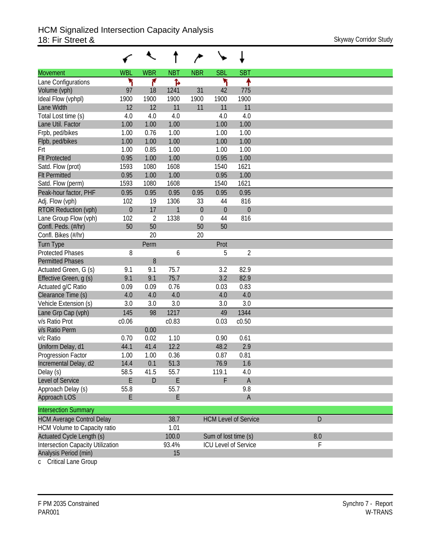|                                          |                  | ↖              |              |             |                      |                             |     |
|------------------------------------------|------------------|----------------|--------------|-------------|----------------------|-----------------------------|-----|
| <b>Movement</b>                          | <b>WBL</b>       | <b>WBR</b>     | <b>NBT</b>   | <b>NBR</b>  | <b>SBL</b>           | <b>SBT</b>                  |     |
| Lane Configurations                      | ۲                | ۴              | Ъ            |             | ۲                    | ↟                           |     |
| Volume (vph)                             | 97               | 18             | 1241         | 31          | 42                   | 775                         |     |
| Ideal Flow (vphpl)                       | 1900             | 1900           | 1900         | 1900        | 1900                 | 1900                        |     |
| Lane Width                               | 12               | 12             | 11           | 11          | 11                   | 11                          |     |
| Total Lost time (s)                      | 4.0              | 4.0            | 4.0          |             | 4.0                  | 4.0                         |     |
| Lane Util. Factor                        | 1.00             | 1.00           | 1.00         |             | 1.00                 | 1.00                        |     |
| Frpb, ped/bikes                          | 1.00             | 0.76           | 1.00         |             | 1.00                 | 1.00                        |     |
| Flpb, ped/bikes                          | 1.00             | 1.00           | 1.00         |             | 1.00                 | 1.00                        |     |
| Frt                                      | 1.00             | 0.85           | 1.00         |             | 1.00                 | 1.00                        |     |
| <b>Flt Protected</b>                     | 0.95             | 1.00           | 1.00         |             | 0.95                 | 1.00                        |     |
| Satd. Flow (prot)                        | 1593             | 1080           | 1608         |             | 1540                 | 1621                        |     |
| <b>Flt Permitted</b>                     | 0.95             | 1.00           | 1.00         |             | 0.95                 | 1.00                        |     |
| Satd. Flow (perm)                        | 1593             | 1080           | 1608         |             | 1540                 | 1621                        |     |
| Peak-hour factor, PHF                    | 0.95             | 0.95           | 0.95         | 0.95        | 0.95                 | 0.95                        |     |
| Adj. Flow (vph)                          | 102              | 19             | 1306         | 33          | 44                   | 816                         |     |
| <b>RTOR Reduction (vph)</b>              | $\boldsymbol{0}$ | 17             | $\mathbf{1}$ | $\theta$    | $\theta$             | $\boldsymbol{0}$            |     |
| Lane Group Flow (vph)                    | 102              | $\overline{2}$ | 1338         | $\mathbf 0$ | 44                   | 816                         |     |
| Confl. Peds. (#/hr)                      | 50               | 50             |              | 50          | 50                   |                             |     |
| Confl. Bikes (#/hr)                      |                  | 20             |              | 20          |                      |                             |     |
| <b>Turn Type</b>                         |                  | Perm           |              |             | Prot                 |                             |     |
| <b>Protected Phases</b>                  | 8                |                | 6            |             | 5                    | $\overline{2}$              |     |
| <b>Permitted Phases</b>                  |                  | 8              |              |             |                      |                             |     |
| Actuated Green, G (s)                    | 9.1              | 9.1            | 75.7         |             | 3.2                  | 82.9                        |     |
| Effective Green, g (s)                   | 9.1              | 9.1            | 75.7         |             | 3.2                  | 82.9                        |     |
| Actuated g/C Ratio                       | 0.09             | 0.09           | 0.76         |             | 0.03                 | 0.83                        |     |
| Clearance Time (s)                       | 4.0              | 4.0            | 4.0          |             | 4.0                  | 4.0                         |     |
| Vehicle Extension (s)                    | 3.0              | 3.0            | 3.0          |             | 3.0                  | 3.0                         |     |
| Lane Grp Cap (vph)                       | 145              | 98             | 1217         |             | 49                   | 1344                        |     |
| v/s Ratio Prot                           | c0.06            |                | c0.83        |             | 0.03                 | c0.50                       |     |
| v/s Ratio Perm                           |                  | 0.00           |              |             |                      |                             |     |
| v/c Ratio                                | 0.70             | 0.02           | 1.10         |             | 0.90                 | 0.61                        |     |
| Uniform Delay, d1                        | 44.1             | 41.4           | 12.2         |             | 48.2                 | 2.9                         |     |
| Progression Factor                       | 1.00             | 1.00           | 0.36         |             | 0.87                 | 0.81                        |     |
| Incremental Delay, d2                    | 14.4             | 0.1            | 51.3         |             | 76.9                 | 1.6                         |     |
| Delay (s)                                | 58.5             | 41.5           | 55.7         |             | 119.1                | 4.0                         |     |
| Level of Service                         | E                | $\mathsf{D}$   | E            |             | F                    | $\mathsf A$                 |     |
| Approach Delay (s)                       | 55.8             |                | 55.7         |             |                      | 9.8                         |     |
| Approach LOS                             | E                |                | E            |             |                      | $\mathsf A$                 |     |
| <b>Intersection Summary</b>              |                  |                |              |             |                      |                             |     |
| <b>HCM Average Control Delay</b>         |                  |                | 38.7         |             |                      | <b>HCM Level of Service</b> | D   |
| HCM Volume to Capacity ratio             |                  |                | 1.01         |             |                      |                             |     |
| Actuated Cycle Length (s)                |                  |                | 100.0        |             | Sum of lost time (s) |                             | 8.0 |
| <b>Intersection Capacity Utilization</b> |                  |                | 93.4%        |             |                      | <b>ICU Level of Service</b> | F   |
| Analysis Period (min)                    |                  |                | 15           |             |                      |                             |     |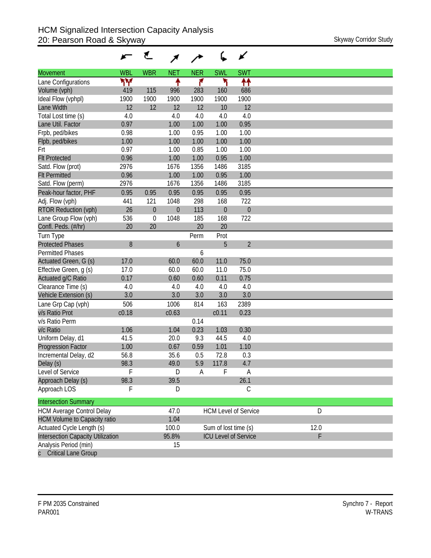| <b>WBL</b><br><b>WBR</b><br><b>NER</b><br><b>SWL</b><br><b>SWT</b><br><b>NET</b><br><b>Movement</b><br>۳Υ<br>۲<br>↟↟<br>↟<br>۴<br>Lane Configurations<br>Volume (vph)<br>419<br>115<br>996<br>283<br>160<br>686<br>1900<br>1900<br>1900<br>1900<br>1900<br>1900<br>Ideal Flow (vphpl)<br>12<br>12<br>12<br>12<br>12<br>Lane Width<br>10<br>4.0<br>4.0<br>4.0<br>4.0<br>4.0<br>Total Lost time (s)<br>0.97<br>0.95<br>1.00<br>1.00<br>1.00<br>Lane Util. Factor<br>Frpb, ped/bikes<br>0.98<br>1.00<br>0.95<br>1.00<br>1.00<br>1.00<br>1.00<br>1.00<br>1.00<br>1.00<br>0.97<br>0.85<br>1.00<br>1.00<br>1.00<br>1.00<br>0.96<br>1.00<br>1.00<br>0.95<br>3185<br>2976<br>1356<br>Satd. Flow (prot)<br>1676<br>1486<br>0.96<br>1.00<br>1.00<br>1.00<br>0.95<br>Satd. Flow (perm)<br>1356<br>3185<br>2976<br>1676<br>1486<br>0.95<br>0.95<br>0.95<br>0.95<br>0.95<br>0.95<br>Peak-hour factor, PHF<br>298<br>722<br>441<br>121<br>1048<br>168<br>26<br>$\mathbf 0$<br>$\overline{0}$<br>113<br>$\theta$<br>$\theta$<br>Lane Group Flow (vph)<br>536<br>$\mathbf 0$<br>1048<br>185<br>168<br>722<br>20<br>20<br>20<br>20<br>Turn Type<br>Prot<br>Perm<br>$\overline{2}$<br>8<br>5<br>6<br><b>Permitted Phases</b><br>6<br>17.0<br>60.0<br>75.0<br>60.0<br>11.0<br>75.0<br>Effective Green, g (s)<br>17.0<br>60.0<br>60.0<br>11.0<br>0.17<br>0.60<br>0.60<br>0.75<br>0.11<br>Clearance Time (s)<br>4.0<br>4.0<br>4.0<br>4.0<br>4.0<br>3.0<br>3.0<br>3.0<br>3.0<br>3.0<br>506<br>2389<br>Lane Grp Cap (vph)<br>1006<br>814<br>163<br>c0.18<br>c0.63<br>c <sub>0.11</sub><br>0.23<br>0.14<br>0.23<br>1.06<br>0.30<br>1.04<br>1.03<br>41.5<br>9.3<br>4.0<br>Uniform Delay, d1<br>20.0<br>44.5<br>1.10<br>1.00<br>0.67<br>0.59<br>1.01<br>56.8<br>35.6<br>72.8<br>0.3<br>Incremental Delay, d2<br>0.5<br>5.9<br>4.7<br>98.3<br>117.8<br>49.0<br>F<br>F<br>Level of Service<br>D<br>A<br>A<br>98.3<br>39.5<br>26.1 |              |   | ₹ |  | ✔           |  |
|-------------------------------------------------------------------------------------------------------------------------------------------------------------------------------------------------------------------------------------------------------------------------------------------------------------------------------------------------------------------------------------------------------------------------------------------------------------------------------------------------------------------------------------------------------------------------------------------------------------------------------------------------------------------------------------------------------------------------------------------------------------------------------------------------------------------------------------------------------------------------------------------------------------------------------------------------------------------------------------------------------------------------------------------------------------------------------------------------------------------------------------------------------------------------------------------------------------------------------------------------------------------------------------------------------------------------------------------------------------------------------------------------------------------------------------------------------------------------------------------------------------------------------------------------------------------------------------------------------------------------------------------------------------------------------------------------------------------------------------------------------------------------------------------------------------------------------------------------------------------------------------------------------|--------------|---|---|--|-------------|--|
| Flpb, ped/bikes<br>Frt<br><b>Flt Protected</b><br><b>Flt Permitted</b><br>Adj. Flow (vph)<br><b>RTOR Reduction (vph)</b><br>Confl. Peds. (#/hr)<br><b>Protected Phases</b><br>Actuated Green, G (s)<br>Actuated g/C Ratio<br>Vehicle Extension (s)<br>v/s Ratio Prot<br>v/s Ratio Perm<br>v/c Ratio<br><b>Progression Factor</b><br>Delay (s)<br>Approach Delay (s)                                                                                                                                                                                                                                                                                                                                                                                                                                                                                                                                                                                                                                                                                                                                                                                                                                                                                                                                                                                                                                                                                                                                                                                                                                                                                                                                                                                                                                                                                                                                   |              |   |   |  |             |  |
|                                                                                                                                                                                                                                                                                                                                                                                                                                                                                                                                                                                                                                                                                                                                                                                                                                                                                                                                                                                                                                                                                                                                                                                                                                                                                                                                                                                                                                                                                                                                                                                                                                                                                                                                                                                                                                                                                                       |              |   |   |  |             |  |
|                                                                                                                                                                                                                                                                                                                                                                                                                                                                                                                                                                                                                                                                                                                                                                                                                                                                                                                                                                                                                                                                                                                                                                                                                                                                                                                                                                                                                                                                                                                                                                                                                                                                                                                                                                                                                                                                                                       |              |   |   |  |             |  |
|                                                                                                                                                                                                                                                                                                                                                                                                                                                                                                                                                                                                                                                                                                                                                                                                                                                                                                                                                                                                                                                                                                                                                                                                                                                                                                                                                                                                                                                                                                                                                                                                                                                                                                                                                                                                                                                                                                       |              |   |   |  |             |  |
|                                                                                                                                                                                                                                                                                                                                                                                                                                                                                                                                                                                                                                                                                                                                                                                                                                                                                                                                                                                                                                                                                                                                                                                                                                                                                                                                                                                                                                                                                                                                                                                                                                                                                                                                                                                                                                                                                                       |              |   |   |  |             |  |
|                                                                                                                                                                                                                                                                                                                                                                                                                                                                                                                                                                                                                                                                                                                                                                                                                                                                                                                                                                                                                                                                                                                                                                                                                                                                                                                                                                                                                                                                                                                                                                                                                                                                                                                                                                                                                                                                                                       |              |   |   |  |             |  |
|                                                                                                                                                                                                                                                                                                                                                                                                                                                                                                                                                                                                                                                                                                                                                                                                                                                                                                                                                                                                                                                                                                                                                                                                                                                                                                                                                                                                                                                                                                                                                                                                                                                                                                                                                                                                                                                                                                       |              |   |   |  |             |  |
|                                                                                                                                                                                                                                                                                                                                                                                                                                                                                                                                                                                                                                                                                                                                                                                                                                                                                                                                                                                                                                                                                                                                                                                                                                                                                                                                                                                                                                                                                                                                                                                                                                                                                                                                                                                                                                                                                                       |              |   |   |  |             |  |
|                                                                                                                                                                                                                                                                                                                                                                                                                                                                                                                                                                                                                                                                                                                                                                                                                                                                                                                                                                                                                                                                                                                                                                                                                                                                                                                                                                                                                                                                                                                                                                                                                                                                                                                                                                                                                                                                                                       |              |   |   |  |             |  |
|                                                                                                                                                                                                                                                                                                                                                                                                                                                                                                                                                                                                                                                                                                                                                                                                                                                                                                                                                                                                                                                                                                                                                                                                                                                                                                                                                                                                                                                                                                                                                                                                                                                                                                                                                                                                                                                                                                       |              |   |   |  |             |  |
|                                                                                                                                                                                                                                                                                                                                                                                                                                                                                                                                                                                                                                                                                                                                                                                                                                                                                                                                                                                                                                                                                                                                                                                                                                                                                                                                                                                                                                                                                                                                                                                                                                                                                                                                                                                                                                                                                                       |              |   |   |  |             |  |
|                                                                                                                                                                                                                                                                                                                                                                                                                                                                                                                                                                                                                                                                                                                                                                                                                                                                                                                                                                                                                                                                                                                                                                                                                                                                                                                                                                                                                                                                                                                                                                                                                                                                                                                                                                                                                                                                                                       |              |   |   |  |             |  |
|                                                                                                                                                                                                                                                                                                                                                                                                                                                                                                                                                                                                                                                                                                                                                                                                                                                                                                                                                                                                                                                                                                                                                                                                                                                                                                                                                                                                                                                                                                                                                                                                                                                                                                                                                                                                                                                                                                       |              |   |   |  |             |  |
|                                                                                                                                                                                                                                                                                                                                                                                                                                                                                                                                                                                                                                                                                                                                                                                                                                                                                                                                                                                                                                                                                                                                                                                                                                                                                                                                                                                                                                                                                                                                                                                                                                                                                                                                                                                                                                                                                                       |              |   |   |  |             |  |
|                                                                                                                                                                                                                                                                                                                                                                                                                                                                                                                                                                                                                                                                                                                                                                                                                                                                                                                                                                                                                                                                                                                                                                                                                                                                                                                                                                                                                                                                                                                                                                                                                                                                                                                                                                                                                                                                                                       |              |   |   |  |             |  |
|                                                                                                                                                                                                                                                                                                                                                                                                                                                                                                                                                                                                                                                                                                                                                                                                                                                                                                                                                                                                                                                                                                                                                                                                                                                                                                                                                                                                                                                                                                                                                                                                                                                                                                                                                                                                                                                                                                       |              |   |   |  |             |  |
|                                                                                                                                                                                                                                                                                                                                                                                                                                                                                                                                                                                                                                                                                                                                                                                                                                                                                                                                                                                                                                                                                                                                                                                                                                                                                                                                                                                                                                                                                                                                                                                                                                                                                                                                                                                                                                                                                                       |              |   |   |  |             |  |
|                                                                                                                                                                                                                                                                                                                                                                                                                                                                                                                                                                                                                                                                                                                                                                                                                                                                                                                                                                                                                                                                                                                                                                                                                                                                                                                                                                                                                                                                                                                                                                                                                                                                                                                                                                                                                                                                                                       |              |   |   |  |             |  |
|                                                                                                                                                                                                                                                                                                                                                                                                                                                                                                                                                                                                                                                                                                                                                                                                                                                                                                                                                                                                                                                                                                                                                                                                                                                                                                                                                                                                                                                                                                                                                                                                                                                                                                                                                                                                                                                                                                       |              |   |   |  |             |  |
|                                                                                                                                                                                                                                                                                                                                                                                                                                                                                                                                                                                                                                                                                                                                                                                                                                                                                                                                                                                                                                                                                                                                                                                                                                                                                                                                                                                                                                                                                                                                                                                                                                                                                                                                                                                                                                                                                                       |              |   |   |  |             |  |
|                                                                                                                                                                                                                                                                                                                                                                                                                                                                                                                                                                                                                                                                                                                                                                                                                                                                                                                                                                                                                                                                                                                                                                                                                                                                                                                                                                                                                                                                                                                                                                                                                                                                                                                                                                                                                                                                                                       |              |   |   |  |             |  |
|                                                                                                                                                                                                                                                                                                                                                                                                                                                                                                                                                                                                                                                                                                                                                                                                                                                                                                                                                                                                                                                                                                                                                                                                                                                                                                                                                                                                                                                                                                                                                                                                                                                                                                                                                                                                                                                                                                       |              |   |   |  |             |  |
|                                                                                                                                                                                                                                                                                                                                                                                                                                                                                                                                                                                                                                                                                                                                                                                                                                                                                                                                                                                                                                                                                                                                                                                                                                                                                                                                                                                                                                                                                                                                                                                                                                                                                                                                                                                                                                                                                                       |              |   |   |  |             |  |
|                                                                                                                                                                                                                                                                                                                                                                                                                                                                                                                                                                                                                                                                                                                                                                                                                                                                                                                                                                                                                                                                                                                                                                                                                                                                                                                                                                                                                                                                                                                                                                                                                                                                                                                                                                                                                                                                                                       |              |   |   |  |             |  |
|                                                                                                                                                                                                                                                                                                                                                                                                                                                                                                                                                                                                                                                                                                                                                                                                                                                                                                                                                                                                                                                                                                                                                                                                                                                                                                                                                                                                                                                                                                                                                                                                                                                                                                                                                                                                                                                                                                       |              |   |   |  |             |  |
|                                                                                                                                                                                                                                                                                                                                                                                                                                                                                                                                                                                                                                                                                                                                                                                                                                                                                                                                                                                                                                                                                                                                                                                                                                                                                                                                                                                                                                                                                                                                                                                                                                                                                                                                                                                                                                                                                                       |              |   |   |  |             |  |
|                                                                                                                                                                                                                                                                                                                                                                                                                                                                                                                                                                                                                                                                                                                                                                                                                                                                                                                                                                                                                                                                                                                                                                                                                                                                                                                                                                                                                                                                                                                                                                                                                                                                                                                                                                                                                                                                                                       |              |   |   |  |             |  |
|                                                                                                                                                                                                                                                                                                                                                                                                                                                                                                                                                                                                                                                                                                                                                                                                                                                                                                                                                                                                                                                                                                                                                                                                                                                                                                                                                                                                                                                                                                                                                                                                                                                                                                                                                                                                                                                                                                       |              |   |   |  |             |  |
|                                                                                                                                                                                                                                                                                                                                                                                                                                                                                                                                                                                                                                                                                                                                                                                                                                                                                                                                                                                                                                                                                                                                                                                                                                                                                                                                                                                                                                                                                                                                                                                                                                                                                                                                                                                                                                                                                                       |              |   |   |  |             |  |
|                                                                                                                                                                                                                                                                                                                                                                                                                                                                                                                                                                                                                                                                                                                                                                                                                                                                                                                                                                                                                                                                                                                                                                                                                                                                                                                                                                                                                                                                                                                                                                                                                                                                                                                                                                                                                                                                                                       |              |   |   |  |             |  |
|                                                                                                                                                                                                                                                                                                                                                                                                                                                                                                                                                                                                                                                                                                                                                                                                                                                                                                                                                                                                                                                                                                                                                                                                                                                                                                                                                                                                                                                                                                                                                                                                                                                                                                                                                                                                                                                                                                       |              |   |   |  |             |  |
|                                                                                                                                                                                                                                                                                                                                                                                                                                                                                                                                                                                                                                                                                                                                                                                                                                                                                                                                                                                                                                                                                                                                                                                                                                                                                                                                                                                                                                                                                                                                                                                                                                                                                                                                                                                                                                                                                                       |              |   |   |  |             |  |
|                                                                                                                                                                                                                                                                                                                                                                                                                                                                                                                                                                                                                                                                                                                                                                                                                                                                                                                                                                                                                                                                                                                                                                                                                                                                                                                                                                                                                                                                                                                                                                                                                                                                                                                                                                                                                                                                                                       |              |   |   |  |             |  |
|                                                                                                                                                                                                                                                                                                                                                                                                                                                                                                                                                                                                                                                                                                                                                                                                                                                                                                                                                                                                                                                                                                                                                                                                                                                                                                                                                                                                                                                                                                                                                                                                                                                                                                                                                                                                                                                                                                       |              |   |   |  |             |  |
|                                                                                                                                                                                                                                                                                                                                                                                                                                                                                                                                                                                                                                                                                                                                                                                                                                                                                                                                                                                                                                                                                                                                                                                                                                                                                                                                                                                                                                                                                                                                                                                                                                                                                                                                                                                                                                                                                                       |              |   |   |  |             |  |
|                                                                                                                                                                                                                                                                                                                                                                                                                                                                                                                                                                                                                                                                                                                                                                                                                                                                                                                                                                                                                                                                                                                                                                                                                                                                                                                                                                                                                                                                                                                                                                                                                                                                                                                                                                                                                                                                                                       |              |   |   |  |             |  |
|                                                                                                                                                                                                                                                                                                                                                                                                                                                                                                                                                                                                                                                                                                                                                                                                                                                                                                                                                                                                                                                                                                                                                                                                                                                                                                                                                                                                                                                                                                                                                                                                                                                                                                                                                                                                                                                                                                       | Approach LOS | F | D |  | $\mathsf C$ |  |
|                                                                                                                                                                                                                                                                                                                                                                                                                                                                                                                                                                                                                                                                                                                                                                                                                                                                                                                                                                                                                                                                                                                                                                                                                                                                                                                                                                                                                                                                                                                                                                                                                                                                                                                                                                                                                                                                                                       |              |   |   |  |             |  |
| <b>Intersection Summary</b>                                                                                                                                                                                                                                                                                                                                                                                                                                                                                                                                                                                                                                                                                                                                                                                                                                                                                                                                                                                                                                                                                                                                                                                                                                                                                                                                                                                                                                                                                                                                                                                                                                                                                                                                                                                                                                                                           |              |   |   |  |             |  |
| D<br><b>HCM Average Control Delay</b><br>47.0<br><b>HCM Level of Service</b>                                                                                                                                                                                                                                                                                                                                                                                                                                                                                                                                                                                                                                                                                                                                                                                                                                                                                                                                                                                                                                                                                                                                                                                                                                                                                                                                                                                                                                                                                                                                                                                                                                                                                                                                                                                                                          |              |   |   |  |             |  |
| <b>HCM Volume to Capacity ratio</b><br>1.04                                                                                                                                                                                                                                                                                                                                                                                                                                                                                                                                                                                                                                                                                                                                                                                                                                                                                                                                                                                                                                                                                                                                                                                                                                                                                                                                                                                                                                                                                                                                                                                                                                                                                                                                                                                                                                                           |              |   |   |  |             |  |
| Actuated Cycle Length (s)<br>100.0<br>Sum of lost time (s)<br>12.0                                                                                                                                                                                                                                                                                                                                                                                                                                                                                                                                                                                                                                                                                                                                                                                                                                                                                                                                                                                                                                                                                                                                                                                                                                                                                                                                                                                                                                                                                                                                                                                                                                                                                                                                                                                                                                    |              |   |   |  |             |  |
| F<br>Intersection Capacity Utilization<br>95.8%<br><b>ICU Level of Service</b><br>15                                                                                                                                                                                                                                                                                                                                                                                                                                                                                                                                                                                                                                                                                                                                                                                                                                                                                                                                                                                                                                                                                                                                                                                                                                                                                                                                                                                                                                                                                                                                                                                                                                                                                                                                                                                                                  |              |   |   |  |             |  |
| Analysis Period (min)<br><b>Critical Lane Group</b>                                                                                                                                                                                                                                                                                                                                                                                                                                                                                                                                                                                                                                                                                                                                                                                                                                                                                                                                                                                                                                                                                                                                                                                                                                                                                                                                                                                                                                                                                                                                                                                                                                                                                                                                                                                                                                                   |              |   |   |  |             |  |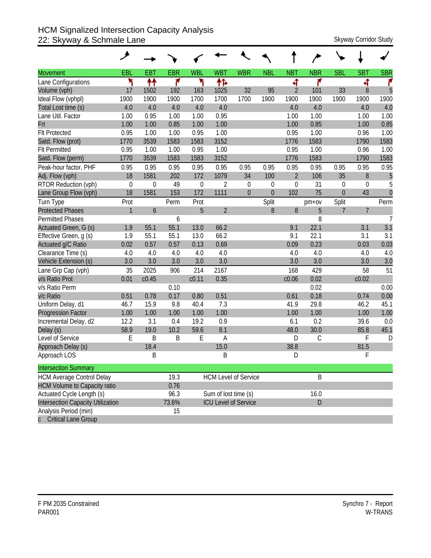# HCM Signalized Intersection Capacity Analysis 22: Skyway & Schmale Lane Stephen, The Schmale Lane Skyway Corridor Study

|                                     | ◢            |             |             |                   |                      |                             |             |                |             |                  |                |                |
|-------------------------------------|--------------|-------------|-------------|-------------------|----------------------|-----------------------------|-------------|----------------|-------------|------------------|----------------|----------------|
| <b>Movement</b>                     | EBL          | <b>EBT</b>  | <b>EBR</b>  | <b>WBL</b>        | <b>WBT</b>           | <b>WBR</b>                  | <b>NBL</b>  | <b>NBT</b>     | <b>NBR</b>  | <b>SBL</b>       | <b>SBT</b>     | <b>SBR</b>     |
| Lane Configurations                 | ۲            | ↟↟          | ۴           | ۲                 | ተኈ                   |                             |             | 4              | ۴           |                  | ची             | ۴              |
| Volume (vph)                        | 17           | 1502        | 192         | 163               | 1025                 | 32                          | 95          | $\overline{2}$ | 101         | 33               | 8              | 5              |
| Ideal Flow (vphpl)                  | 1900         | 1900        | 1900        | 1700              | 1700                 | 1700                        | 1900        | 1900           | 1900        | 1900             | 1900           | 1900           |
| Total Lost time (s)                 | 4.0          | 4.0         | 4.0         | 4.0               | 4.0                  |                             |             | 4.0            | 4.0         |                  | 4.0            | 4.0            |
| Lane Util. Factor                   | 1.00         | 0.95        | 1.00        | 1.00              | 0.95                 |                             |             | 1.00           | 1.00        |                  | 1.00           | 1.00           |
| Frt                                 | 1.00         | 1.00        | 0.85        | 1.00              | 1.00                 |                             |             | 1.00           | 0.85        |                  | 1.00           | 0.85           |
| <b>Flt Protected</b>                | 0.95         | 1.00        | 1.00        | 0.95              | 1.00                 |                             |             | 0.95           | 1.00        |                  | 0.96           | 1.00           |
| Satd. Flow (prot)                   | 1770         | 3539        | 1583        | 1583              | 3152                 |                             |             | 1776           | 1583        |                  | 1790           | 1583           |
| <b>Flt Permitted</b>                | 0.95         | 1.00        | 1.00        | 0.95              | 1.00                 |                             |             | 0.95           | 1.00        |                  | 0.96           | 1.00           |
| Satd. Flow (perm)                   | 1770         | 3539        | 1583        | 1583              | 3152                 |                             |             | 1776           | 1583        |                  | 1790           | 1583           |
| Peak-hour factor, PHF               | 0.95         | 0.95        | 0.95        | 0.95              | 0.95                 | 0.95                        | 0.95        | 0.95           | 0.95        | 0.95             | 0.95           | 0.95           |
| Adj. Flow (vph)                     | 18           | 1581        | 202         | 172               | 1079                 | 34                          | 100         | $\overline{2}$ | 106         | 35               | 8              | 5              |
| RTOR Reduction (vph)                | $\mathbf 0$  | $\mathbf 0$ | 49          | $\mathbf 0$       | $\overline{2}$       | $\theta$                    | $\mathbf 0$ | $\theta$       | 31          | $\boldsymbol{0}$ | 0              | 5              |
| Lane Group Flow (vph)               | 18           | 1581        | 153         | 172               | 1111                 | $\theta$                    | $\Omega$    | 102            | 75          | $\theta$         | 43             | $\overline{0}$ |
| Turn Type                           | Prot         |             | Perm        | Prot              |                      |                             | Split       |                | $pm+ov$     | Split            |                | Perm           |
| <b>Protected Phases</b>             | $\mathbf{1}$ | 6           |             | 5                 | $\overline{2}$       |                             | 8           | 8              | 5           | $\overline{7}$   | $\overline{7}$ |                |
| <b>Permitted Phases</b>             |              |             | 6           |                   |                      |                             |             |                | 8           |                  |                | $\overline{7}$ |
| Actuated Green, G (s)               | 1.9          | 55.1        | 55.1        | 13.0              | 66.2                 |                             |             | 9.1            | 22.1        |                  | 3.1            | 3.1            |
| Effective Green, g (s)              | 1.9          | 55.1        | 55.1        | 13.0              | 66.2                 |                             |             | 9.1            | 22.1        |                  | 3.1            | 3.1            |
| Actuated g/C Ratio                  | 0.02         | 0.57        | 0.57        | 0.13              | 0.69                 |                             |             | 0.09           | 0.23        |                  | 0.03           | 0.03           |
| Clearance Time (s)                  | 4.0          | 4.0         | 4.0         | 4.0               | 4.0                  |                             |             | 4.0            | 4.0         |                  | 4.0            | 4.0            |
| Vehicle Extension (s)               | 3.0          | 3.0         | 3.0         | 3.0               | 3.0                  |                             |             | 3.0            | 3.0         |                  | 3.0            | 3.0            |
| Lane Grp Cap (vph)                  | 35           | 2025        | 906         | 214               | 2167                 |                             |             | 168            | 429         |                  | 58             | 51             |
| v/s Ratio Prot                      | 0.01         | c0.45       |             | c <sub>0.11</sub> | 0.35                 |                             |             | c0.06          | 0.02        |                  | c0.02          |                |
| v/s Ratio Perm                      |              |             | 0.10        |                   |                      |                             |             |                | 0.02        |                  |                | 0.00           |
| v/c Ratio                           | 0.51         | 0.78        | 0.17        | 0.80              | 0.51                 |                             |             | 0.61           | 0.18        |                  | 0.74           | 0.00           |
| Uniform Delay, d1                   | 46.7         | 15.9        | 9.8         | 40.4              | 7.3                  |                             |             | 41.9           | 29.8        |                  | 46.2           | 45.1           |
| <b>Progression Factor</b>           | 1.00         | 1.00        | 1.00        | 1.00              | 1.00                 |                             |             | 1.00           | 1.00        |                  | 1.00           | 1.00           |
| Incremental Delay, d2               | 12.2         | 3.1         | 0.4         | 19.2              | 0.9                  |                             |             | 6.1            | 0.2         |                  | 39.6           | 0.0            |
| Delay (s)                           | 58.9         | 19.0        | 10.2        | 59.6              | 8.1                  |                             |             | 48.0           | 30.0        |                  | 85.8           | 45.1           |
| Level of Service                    | E            | B           | $\mathsf B$ | E                 | A                    |                             |             | D              | $\mathsf C$ |                  | F              | D              |
| Approach Delay (s)                  |              | 18.4        |             |                   | 15.0                 |                             |             | 38.8           |             |                  | 81.5           |                |
| Approach LOS                        |              | B           |             |                   | B                    |                             |             | D              |             |                  | F              |                |
| <b>Intersection Summary</b>         |              |             |             |                   |                      |                             |             |                |             |                  |                |                |
| <b>HCM Average Control Delay</b>    |              |             | 19.3        |                   |                      | <b>HCM Level of Service</b> |             |                | B           |                  |                |                |
| <b>HCM Volume to Capacity ratio</b> |              |             | 0.76        |                   |                      |                             |             |                |             |                  |                |                |
| Actuated Cycle Length (s)           |              |             | 96.3        |                   | Sum of lost time (s) |                             |             |                | 16.0        |                  |                |                |
| Intersection Capacity Utilization   |              |             | 73.6%       |                   |                      | <b>ICU Level of Service</b> |             |                | D           |                  |                |                |
| Analysis Period (min)               |              |             | 15          |                   |                      |                             |             |                |             |                  |                |                |
| c Critical Lane Group               |              |             |             |                   |                      |                             |             |                |             |                  |                |                |